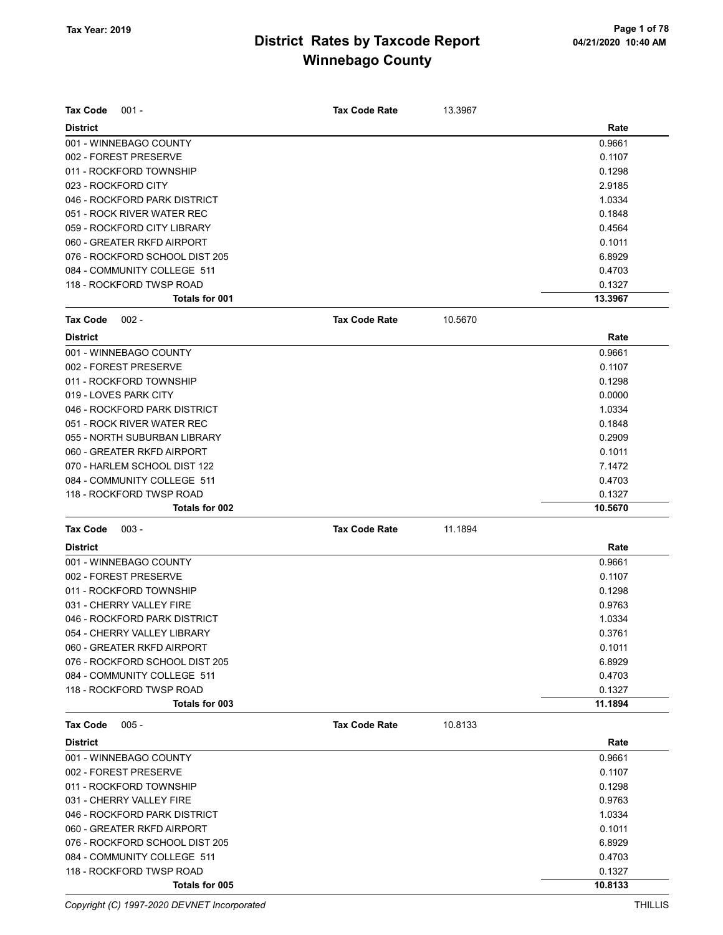| <b>Tax Code</b><br>$001 -$     | <b>Tax Code Rate</b> | 13.3967 |         |
|--------------------------------|----------------------|---------|---------|
| <b>District</b>                |                      |         | Rate    |
| 001 - WINNEBAGO COUNTY         |                      |         | 0.9661  |
| 002 - FOREST PRESERVE          |                      |         | 0.1107  |
| 011 - ROCKFORD TOWNSHIP        |                      |         | 0.1298  |
| 023 - ROCKFORD CITY            |                      |         | 2.9185  |
| 046 - ROCKFORD PARK DISTRICT   |                      |         | 1.0334  |
| 051 - ROCK RIVER WATER REC     |                      |         | 0.1848  |
| 059 - ROCKFORD CITY LIBRARY    |                      |         | 0.4564  |
| 060 - GREATER RKFD AIRPORT     |                      |         | 0.1011  |
| 076 - ROCKFORD SCHOOL DIST 205 |                      |         | 6.8929  |
| 084 - COMMUNITY COLLEGE 511    |                      |         | 0.4703  |
| 118 - ROCKFORD TWSP ROAD       |                      |         | 0.1327  |
| Totals for 001                 |                      |         | 13.3967 |
| <b>Tax Code</b><br>$002 -$     | <b>Tax Code Rate</b> | 10.5670 |         |
| <b>District</b>                |                      |         | Rate    |
| 001 - WINNEBAGO COUNTY         |                      |         | 0.9661  |
| 002 - FOREST PRESERVE          |                      |         | 0.1107  |
| 011 - ROCKFORD TOWNSHIP        |                      |         | 0.1298  |
| 019 - LOVES PARK CITY          |                      |         | 0.0000  |
| 046 - ROCKFORD PARK DISTRICT   |                      |         | 1.0334  |
| 051 - ROCK RIVER WATER REC     |                      |         | 0.1848  |
| 055 - NORTH SUBURBAN LIBRARY   |                      |         | 0.2909  |
| 060 - GREATER RKFD AIRPORT     |                      |         | 0.1011  |
| 070 - HARLEM SCHOOL DIST 122   |                      |         | 7.1472  |
| 084 - COMMUNITY COLLEGE 511    |                      |         | 0.4703  |
| 118 - ROCKFORD TWSP ROAD       |                      |         | 0.1327  |
| Totals for 002                 |                      |         | 10.5670 |
| <b>Tax Code</b><br>$003 -$     | <b>Tax Code Rate</b> | 11.1894 |         |
| <b>District</b>                |                      |         | Rate    |
| 001 - WINNEBAGO COUNTY         |                      |         | 0.9661  |
| 002 - FOREST PRESERVE          |                      |         | 0.1107  |
| 011 - ROCKFORD TOWNSHIP        |                      |         | 0.1298  |
| 031 - CHERRY VALLEY FIRE       |                      |         | 0.9763  |
| 046 - ROCKFORD PARK DISTRICT   |                      |         | 1.0334  |
| 054 - CHERRY VALLEY LIBRARY    |                      |         | 0.3761  |
| 060 - GREATER RKFD AIRPORT     |                      |         | 0.1011  |
| 076 - ROCKFORD SCHOOL DIST 205 |                      |         | 6.8929  |
| 084 - COMMUNITY COLLEGE 511    |                      |         | 0.4703  |
| 118 - ROCKFORD TWSP ROAD       |                      |         | 0.1327  |
| Totals for 003                 |                      |         | 11.1894 |
|                                |                      |         |         |
| <b>Tax Code</b><br>$005 -$     | <b>Tax Code Rate</b> | 10.8133 |         |
| <b>District</b>                |                      |         | Rate    |
| 001 - WINNEBAGO COUNTY         |                      |         | 0.9661  |
| 002 - FOREST PRESERVE          |                      |         | 0.1107  |
| 011 - ROCKFORD TOWNSHIP        |                      |         | 0.1298  |
| 031 - CHERRY VALLEY FIRE       |                      |         | 0.9763  |
| 046 - ROCKFORD PARK DISTRICT   |                      |         | 1.0334  |
| 060 - GREATER RKFD AIRPORT     |                      |         | 0.1011  |
| 076 - ROCKFORD SCHOOL DIST 205 |                      |         | 6.8929  |
| 084 - COMMUNITY COLLEGE 511    |                      |         | 0.4703  |
| 118 - ROCKFORD TWSP ROAD       |                      |         | 0.1327  |
| Totals for 005                 |                      |         | 10.8133 |

Copyright (C) 1997-2020 DEVNET Incorporated THILLIS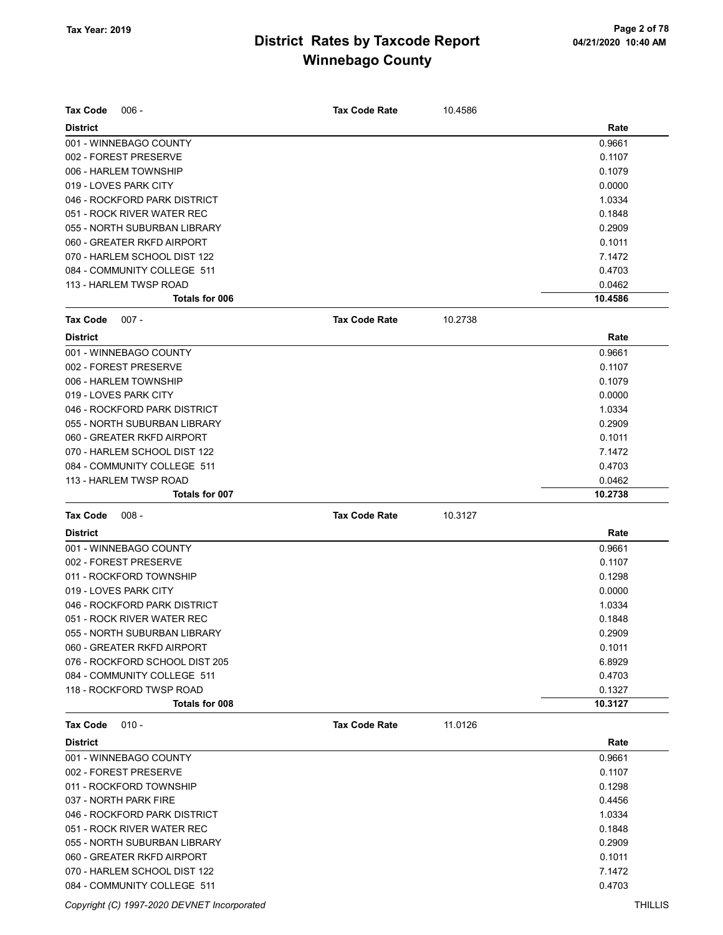| <b>Tax Code</b><br>$006 -$                                  | <b>Tax Code Rate</b> | 10.4586 |                  |
|-------------------------------------------------------------|----------------------|---------|------------------|
| <b>District</b>                                             |                      |         | Rate             |
| 001 - WINNEBAGO COUNTY                                      |                      |         | 0.9661<br>0.1107 |
| 002 - FOREST PRESERVE                                       |                      |         |                  |
| 006 - HARLEM TOWNSHIP                                       |                      |         | 0.1079           |
| 019 - LOVES PARK CITY                                       |                      |         | 0.0000           |
| 046 - ROCKFORD PARK DISTRICT                                |                      |         | 1.0334<br>0.1848 |
| 051 - ROCK RIVER WATER REC                                  |                      |         |                  |
| 055 - NORTH SUBURBAN LIBRARY<br>060 - GREATER RKFD AIRPORT  |                      |         | 0.2909           |
|                                                             |                      |         | 0.1011           |
| 070 - HARLEM SCHOOL DIST 122<br>084 - COMMUNITY COLLEGE 511 |                      |         | 7.1472<br>0.4703 |
| 113 - HARLEM TWSP ROAD                                      |                      |         | 0.0462           |
| Totals for 006                                              |                      |         | 10.4586          |
|                                                             |                      |         |                  |
| <b>Tax Code</b><br>$007 -$                                  | <b>Tax Code Rate</b> | 10.2738 |                  |
| <b>District</b>                                             |                      |         | Rate             |
| 001 - WINNEBAGO COUNTY                                      |                      |         | 0.9661           |
| 002 - FOREST PRESERVE                                       |                      |         | 0.1107           |
| 006 - HARLEM TOWNSHIP                                       |                      |         | 0.1079           |
| 019 - LOVES PARK CITY                                       |                      |         | 0.0000           |
| 046 - ROCKFORD PARK DISTRICT                                |                      |         | 1.0334           |
| 055 - NORTH SUBURBAN LIBRARY                                |                      |         | 0.2909           |
| 060 - GREATER RKFD AIRPORT                                  |                      |         | 0.1011           |
| 070 - HARLEM SCHOOL DIST 122                                |                      |         | 7.1472           |
| 084 - COMMUNITY COLLEGE 511                                 |                      |         | 0.4703           |
| 113 - HARLEM TWSP ROAD                                      |                      |         | 0.0462           |
| <b>Totals for 007</b>                                       |                      |         | 10.2738          |
| <b>Tax Code</b><br>$008 -$                                  | <b>Tax Code Rate</b> | 10.3127 |                  |
| <b>District</b>                                             |                      |         | Rate             |
| 001 - WINNEBAGO COUNTY                                      |                      |         | 0.9661           |
| 002 - FOREST PRESERVE                                       |                      |         | 0.1107           |
| 011 - ROCKFORD TOWNSHIP                                     |                      |         | 0.1298           |
| 019 - LOVES PARK CITY                                       |                      |         | 0.0000           |
| 046 - ROCKFORD PARK DISTRICT                                |                      |         | 1.0334           |
| 051 - ROCK RIVER WATER REC                                  |                      |         | 0.1848           |
| 055 - NORTH SUBURBAN LIBRARY                                |                      |         | 0.2909           |
| 060 - GREATER RKFD AIRPORT                                  |                      |         | 0.1011           |
| 076 - ROCKFORD SCHOOL DIST 205                              |                      |         | 6.8929           |
| 084 - COMMUNITY COLLEGE 511                                 |                      |         | 0.4703           |
| 118 - ROCKFORD TWSP ROAD                                    |                      |         | 0.1327           |
| Totals for 008                                              |                      |         | 10.3127          |
| <b>Tax Code</b><br>$010 -$                                  | <b>Tax Code Rate</b> | 11.0126 |                  |
| <b>District</b>                                             |                      |         | Rate             |
| 001 - WINNEBAGO COUNTY                                      |                      |         | 0.9661           |
| 002 - FOREST PRESERVE                                       |                      |         | 0.1107           |
| 011 - ROCKFORD TOWNSHIP                                     |                      |         | 0.1298           |
| 037 - NORTH PARK FIRE                                       |                      |         | 0.4456           |
| 046 - ROCKFORD PARK DISTRICT                                |                      |         | 1.0334           |
| 051 - ROCK RIVER WATER REC                                  |                      |         | 0.1848           |
| 055 - NORTH SUBURBAN LIBRARY                                |                      |         | 0.2909           |
| 060 - GREATER RKFD AIRPORT                                  |                      |         | 0.1011           |
| 070 - HARLEM SCHOOL DIST 122                                |                      |         | 7.1472           |
|                                                             |                      |         |                  |

Copyright (C) 1997-2020 DEVNET Incorporated THILLIS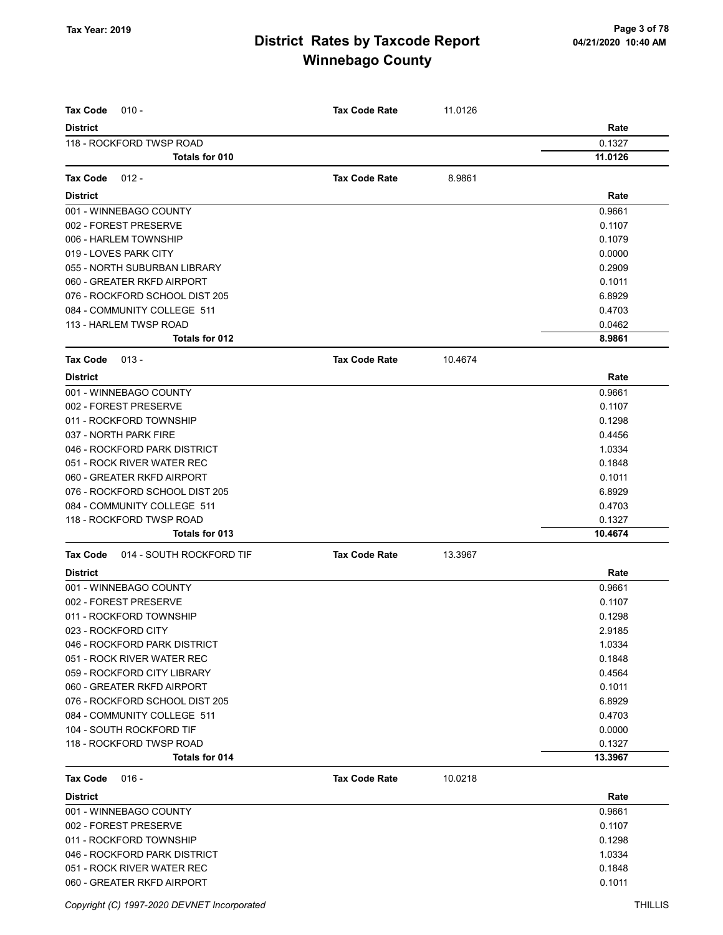| <b>Tax Code</b><br>$010 -$           | <b>Tax Code Rate</b> | 11.0126 |         |
|--------------------------------------|----------------------|---------|---------|
| <b>District</b>                      |                      |         | Rate    |
| 118 - ROCKFORD TWSP ROAD             |                      |         | 0.1327  |
| <b>Totals for 010</b>                |                      |         | 11.0126 |
|                                      |                      |         |         |
| <b>Tax Code</b><br>$012 -$           | <b>Tax Code Rate</b> | 8.9861  |         |
| <b>District</b>                      |                      |         | Rate    |
| 001 - WINNEBAGO COUNTY               |                      |         | 0.9661  |
| 002 - FOREST PRESERVE                |                      |         | 0.1107  |
| 006 - HARLEM TOWNSHIP                |                      |         | 0.1079  |
| 019 - LOVES PARK CITY                |                      |         | 0.0000  |
| 055 - NORTH SUBURBAN LIBRARY         |                      |         | 0.2909  |
| 060 - GREATER RKFD AIRPORT           |                      |         | 0.1011  |
| 076 - ROCKFORD SCHOOL DIST 205       |                      |         | 6.8929  |
| 084 - COMMUNITY COLLEGE 511          |                      |         | 0.4703  |
| 113 - HARLEM TWSP ROAD               |                      |         | 0.0462  |
| Totals for 012                       |                      |         | 8.9861  |
| Tax Code<br>$013 -$                  | <b>Tax Code Rate</b> | 10.4674 |         |
| <b>District</b>                      |                      |         | Rate    |
| 001 - WINNEBAGO COUNTY               |                      |         | 0.9661  |
| 002 - FOREST PRESERVE                |                      |         | 0.1107  |
| 011 - ROCKFORD TOWNSHIP              |                      |         | 0.1298  |
| 037 - NORTH PARK FIRE                |                      |         | 0.4456  |
| 046 - ROCKFORD PARK DISTRICT         |                      |         | 1.0334  |
| 051 - ROCK RIVER WATER REC           |                      |         | 0.1848  |
| 060 - GREATER RKFD AIRPORT           |                      |         | 0.1011  |
| 076 - ROCKFORD SCHOOL DIST 205       |                      |         | 6.8929  |
| 084 - COMMUNITY COLLEGE 511          |                      |         | 0.4703  |
| 118 - ROCKFORD TWSP ROAD             |                      |         | 0.1327  |
| Totals for 013                       |                      |         | 10.4674 |
| 014 - SOUTH ROCKFORD TIF<br>Tax Code | <b>Tax Code Rate</b> | 13.3967 |         |
| <b>District</b>                      |                      |         | Rate    |
| 001 - WINNEBAGO COUNTY               |                      |         | 0.9661  |
| 002 - FOREST PRESERVE                |                      |         | 0.1107  |
| 011 - ROCKFORD TOWNSHIP              |                      |         | 0.1298  |
| 023 - ROCKFORD CITY                  |                      |         | 2.9185  |
| 046 - ROCKFORD PARK DISTRICT         |                      |         | 1.0334  |
| 051 - ROCK RIVER WATER REC           |                      |         | 0.1848  |
| 059 - ROCKFORD CITY LIBRARY          |                      |         | 0.4564  |
| 060 - GREATER RKFD AIRPORT           |                      |         | 0.1011  |
| 076 - ROCKFORD SCHOOL DIST 205       |                      |         | 6.8929  |
| 084 - COMMUNITY COLLEGE 511          |                      |         | 0.4703  |
| 104 - SOUTH ROCKFORD TIF             |                      |         | 0.0000  |
| 118 - ROCKFORD TWSP ROAD             |                      |         | 0.1327  |
| Totals for 014                       |                      |         | 13.3967 |
| $016 -$<br>Tax Code                  | <b>Tax Code Rate</b> | 10.0218 |         |
| <b>District</b>                      |                      |         | Rate    |
| 001 - WINNEBAGO COUNTY               |                      |         | 0.9661  |
| 002 - FOREST PRESERVE                |                      |         | 0.1107  |
| 011 - ROCKFORD TOWNSHIP              |                      |         | 0.1298  |
| 046 - ROCKFORD PARK DISTRICT         |                      |         | 1.0334  |
| 051 - ROCK RIVER WATER REC           |                      |         | 0.1848  |
| 060 - GREATER RKFD AIRPORT           |                      |         | 0.1011  |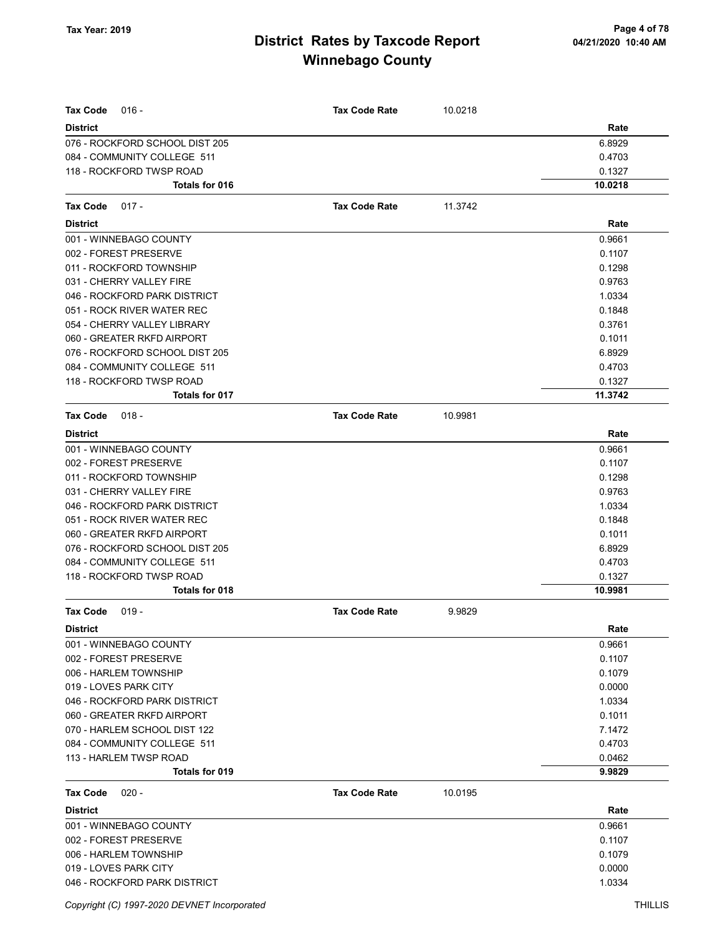| <b>Tax Code</b><br>016 -       | <b>Tax Code Rate</b> | 10.0218 |         |
|--------------------------------|----------------------|---------|---------|
| <b>District</b>                |                      |         | Rate    |
| 076 - ROCKFORD SCHOOL DIST 205 |                      |         | 6.8929  |
| 084 - COMMUNITY COLLEGE 511    |                      |         | 0.4703  |
| 118 - ROCKFORD TWSP ROAD       |                      |         | 0.1327  |
| <b>Totals for 016</b>          |                      |         | 10.0218 |
| Tax Code<br>$017 -$            | <b>Tax Code Rate</b> | 11.3742 |         |
| <b>District</b>                |                      |         | Rate    |
| 001 - WINNEBAGO COUNTY         |                      |         | 0.9661  |
| 002 - FOREST PRESERVE          |                      |         | 0.1107  |
| 011 - ROCKFORD TOWNSHIP        |                      |         | 0.1298  |
| 031 - CHERRY VALLEY FIRE       |                      |         | 0.9763  |
| 046 - ROCKFORD PARK DISTRICT   |                      |         | 1.0334  |
| 051 - ROCK RIVER WATER REC     |                      |         | 0.1848  |
| 054 - CHERRY VALLEY LIBRARY    |                      |         | 0.3761  |
| 060 - GREATER RKFD AIRPORT     |                      |         | 0.1011  |
| 076 - ROCKFORD SCHOOL DIST 205 |                      |         | 6.8929  |
| 084 - COMMUNITY COLLEGE 511    |                      |         | 0.4703  |
| 118 - ROCKFORD TWSP ROAD       |                      |         | 0.1327  |
| Totals for 017                 |                      |         | 11.3742 |
| Tax Code<br>$018 -$            | <b>Tax Code Rate</b> | 10.9981 |         |
| <b>District</b>                |                      |         | Rate    |
| 001 - WINNEBAGO COUNTY         |                      |         | 0.9661  |
| 002 - FOREST PRESERVE          |                      |         | 0.1107  |
| 011 - ROCKFORD TOWNSHIP        |                      |         | 0.1298  |
| 031 - CHERRY VALLEY FIRE       |                      |         | 0.9763  |
| 046 - ROCKFORD PARK DISTRICT   |                      |         | 1.0334  |
| 051 - ROCK RIVER WATER REC     |                      |         | 0.1848  |
| 060 - GREATER RKFD AIRPORT     |                      |         | 0.1011  |
| 076 - ROCKFORD SCHOOL DIST 205 |                      |         | 6.8929  |
| 084 - COMMUNITY COLLEGE 511    |                      |         | 0.4703  |
| 118 - ROCKFORD TWSP ROAD       |                      |         | 0.1327  |
| Totals for 018                 |                      |         | 10.9981 |
| Tax Code<br>$019 -$            | <b>Tax Code Rate</b> | 9.9829  |         |
| <b>District</b>                |                      |         | Rate    |
| 001 - WINNEBAGO COUNTY         |                      |         | 0.9661  |
| 002 - FOREST PRESERVE          |                      |         | 0.1107  |
| 006 - HARLEM TOWNSHIP          |                      |         | 0.1079  |
| 019 - LOVES PARK CITY          |                      |         | 0.0000  |
| 046 - ROCKFORD PARK DISTRICT   |                      |         | 1.0334  |
| 060 - GREATER RKFD AIRPORT     |                      |         | 0.1011  |
| 070 - HARLEM SCHOOL DIST 122   |                      |         | 7.1472  |
| 084 - COMMUNITY COLLEGE 511    |                      |         | 0.4703  |
| 113 - HARLEM TWSP ROAD         |                      |         | 0.0462  |
| <b>Totals for 019</b>          |                      |         | 9.9829  |
| Tax Code<br>$020 -$            | <b>Tax Code Rate</b> | 10.0195 |         |
| <b>District</b>                |                      |         | Rate    |
| 001 - WINNEBAGO COUNTY         |                      |         | 0.9661  |
| 002 - FOREST PRESERVE          |                      |         | 0.1107  |
| 006 - HARLEM TOWNSHIP          |                      |         | 0.1079  |
| 019 - LOVES PARK CITY          |                      |         | 0.0000  |
| 046 - ROCKFORD PARK DISTRICT   |                      |         | 1.0334  |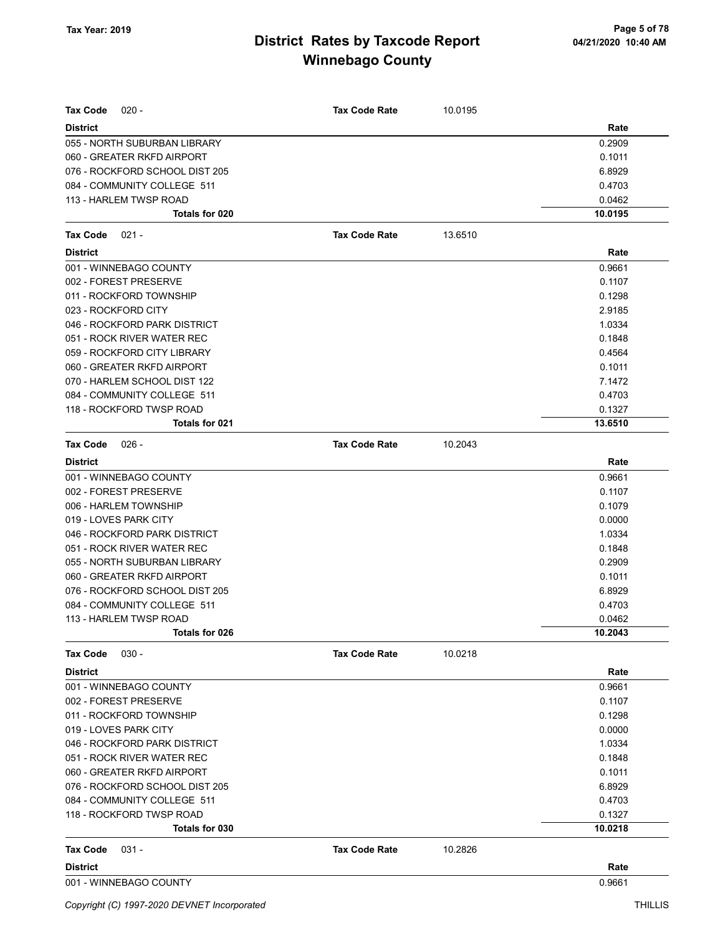| <b>Tax Code</b><br>$020 -$     | <b>Tax Code Rate</b> | 10.0195 |         |
|--------------------------------|----------------------|---------|---------|
| <b>District</b>                |                      |         | Rate    |
| 055 - NORTH SUBURBAN LIBRARY   |                      |         | 0.2909  |
| 060 - GREATER RKFD AIRPORT     |                      |         | 0.1011  |
| 076 - ROCKFORD SCHOOL DIST 205 |                      |         | 6.8929  |
| 084 - COMMUNITY COLLEGE 511    |                      |         | 0.4703  |
| 113 - HARLEM TWSP ROAD         |                      |         | 0.0462  |
| Totals for 020                 |                      |         | 10.0195 |
| <b>Tax Code</b><br>$021 -$     | <b>Tax Code Rate</b> | 13.6510 |         |
| <b>District</b>                |                      |         | Rate    |
| 001 - WINNEBAGO COUNTY         |                      |         | 0.9661  |
| 002 - FOREST PRESERVE          |                      |         | 0.1107  |
| 011 - ROCKFORD TOWNSHIP        |                      |         | 0.1298  |
| 023 - ROCKFORD CITY            |                      |         | 2.9185  |
| 046 - ROCKFORD PARK DISTRICT   |                      |         | 1.0334  |
| 051 - ROCK RIVER WATER REC     |                      |         | 0.1848  |
| 059 - ROCKFORD CITY LIBRARY    |                      |         | 0.4564  |
| 060 - GREATER RKFD AIRPORT     |                      |         | 0.1011  |
| 070 - HARLEM SCHOOL DIST 122   |                      |         | 7.1472  |
| 084 - COMMUNITY COLLEGE 511    |                      |         | 0.4703  |
| 118 - ROCKFORD TWSP ROAD       |                      |         | 0.1327  |
| Totals for 021                 |                      |         | 13.6510 |
| <b>Tax Code</b><br>026 -       | <b>Tax Code Rate</b> | 10.2043 |         |
| <b>District</b>                |                      |         | Rate    |
| 001 - WINNEBAGO COUNTY         |                      |         | 0.9661  |
| 002 - FOREST PRESERVE          |                      |         | 0.1107  |
| 006 - HARLEM TOWNSHIP          |                      |         | 0.1079  |
| 019 - LOVES PARK CITY          |                      |         | 0.0000  |
| 046 - ROCKFORD PARK DISTRICT   |                      |         | 1.0334  |
| 051 - ROCK RIVER WATER REC     |                      |         | 0.1848  |
| 055 - NORTH SUBURBAN LIBRARY   |                      |         | 0.2909  |
| 060 - GREATER RKFD AIRPORT     |                      |         | 0.1011  |
| 076 - ROCKFORD SCHOOL DIST 205 |                      |         | 6.8929  |
| 084 - COMMUNITY COLLEGE 511    |                      |         | 0.4703  |
| 113 - HARLEM TWSP ROAD         |                      |         | 0.0462  |
| Totals for 026                 |                      |         | 10.2043 |
| <b>Tax Code</b><br>$030 -$     | <b>Tax Code Rate</b> | 10.0218 |         |
| <b>District</b>                |                      |         | Rate    |
| 001 - WINNEBAGO COUNTY         |                      |         | 0.9661  |
| 002 - FOREST PRESERVE          |                      |         | 0.1107  |
| 011 - ROCKFORD TOWNSHIP        |                      |         | 0.1298  |
| 019 - LOVES PARK CITY          |                      |         | 0.0000  |
| 046 - ROCKFORD PARK DISTRICT   |                      |         | 1.0334  |
| 051 - ROCK RIVER WATER REC     |                      |         | 0.1848  |
| 060 - GREATER RKFD AIRPORT     |                      |         | 0.1011  |
| 076 - ROCKFORD SCHOOL DIST 205 |                      |         | 6.8929  |
| 084 - COMMUNITY COLLEGE 511    |                      |         | 0.4703  |
| 118 - ROCKFORD TWSP ROAD       |                      |         | 0.1327  |
| Totals for 030                 |                      |         | 10.0218 |
| Tax Code<br>$031 -$            | <b>Tax Code Rate</b> | 10.2826 |         |
| <b>District</b>                |                      |         | Rate    |
| 001 - WINNEBAGO COUNTY         |                      |         | 0.9661  |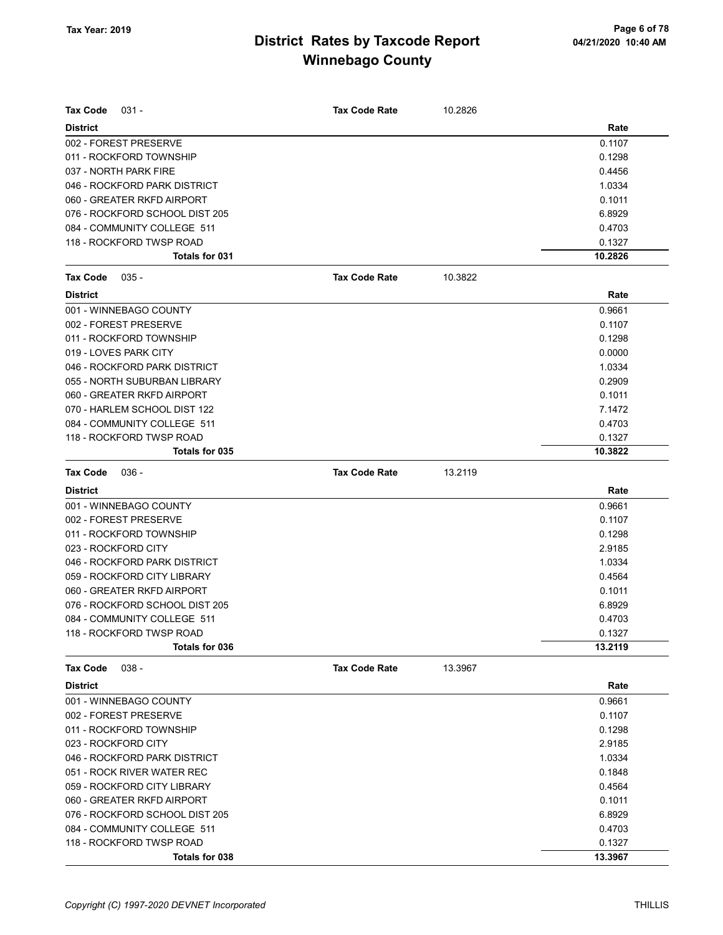| Tax Code<br>$031 -$            | <b>Tax Code Rate</b> | 10.2826 |         |
|--------------------------------|----------------------|---------|---------|
| <b>District</b>                |                      |         | Rate    |
| 002 - FOREST PRESERVE          |                      |         | 0.1107  |
| 011 - ROCKFORD TOWNSHIP        |                      |         | 0.1298  |
| 037 - NORTH PARK FIRE          |                      |         | 0.4456  |
| 046 - ROCKFORD PARK DISTRICT   |                      |         | 1.0334  |
| 060 - GREATER RKFD AIRPORT     |                      |         | 0.1011  |
| 076 - ROCKFORD SCHOOL DIST 205 |                      |         | 6.8929  |
| 084 - COMMUNITY COLLEGE 511    |                      |         | 0.4703  |
| 118 - ROCKFORD TWSP ROAD       |                      |         | 0.1327  |
| Totals for 031                 |                      |         | 10.2826 |
| <b>Tax Code</b><br>$035 -$     | <b>Tax Code Rate</b> | 10.3822 |         |
| <b>District</b>                |                      |         | Rate    |
| 001 - WINNEBAGO COUNTY         |                      |         | 0.9661  |
| 002 - FOREST PRESERVE          |                      |         | 0.1107  |
| 011 - ROCKFORD TOWNSHIP        |                      |         | 0.1298  |
| 019 - LOVES PARK CITY          |                      |         | 0.0000  |
| 046 - ROCKFORD PARK DISTRICT   |                      |         | 1.0334  |
| 055 - NORTH SUBURBAN LIBRARY   |                      |         | 0.2909  |
| 060 - GREATER RKFD AIRPORT     |                      |         | 0.1011  |
| 070 - HARLEM SCHOOL DIST 122   |                      |         | 7.1472  |
| 084 - COMMUNITY COLLEGE 511    |                      |         | 0.4703  |
| 118 - ROCKFORD TWSP ROAD       |                      |         | 0.1327  |
| Totals for 035                 |                      |         | 10.3822 |
| <b>Tax Code</b><br>$036 -$     | <b>Tax Code Rate</b> | 13.2119 |         |
| <b>District</b>                |                      |         | Rate    |
| 001 - WINNEBAGO COUNTY         |                      |         | 0.9661  |
| 002 - FOREST PRESERVE          |                      |         | 0.1107  |
| 011 - ROCKFORD TOWNSHIP        |                      |         | 0.1298  |
| 023 - ROCKFORD CITY            |                      |         | 2.9185  |
| 046 - ROCKFORD PARK DISTRICT   |                      |         | 1.0334  |
| 059 - ROCKFORD CITY LIBRARY    |                      |         | 0.4564  |
| 060 - GREATER RKFD AIRPORT     |                      |         | 0.1011  |
| 076 - ROCKFORD SCHOOL DIST 205 |                      |         | 6.8929  |
| 084 - COMMUNITY COLLEGE 511    |                      |         | 0.4703  |
| 118 - ROCKFORD TWSP ROAD       |                      |         | 0.1327  |
| Totals for 036                 |                      |         | 13.2119 |
| $038 -$<br><b>Tax Code</b>     | <b>Tax Code Rate</b> | 13.3967 |         |
| <b>District</b>                |                      |         | Rate    |
| 001 - WINNEBAGO COUNTY         |                      |         | 0.9661  |
| 002 - FOREST PRESERVE          |                      |         | 0.1107  |
| 011 - ROCKFORD TOWNSHIP        |                      |         | 0.1298  |
| 023 - ROCKFORD CITY            |                      |         | 2.9185  |
| 046 - ROCKFORD PARK DISTRICT   |                      |         | 1.0334  |
| 051 - ROCK RIVER WATER REC     |                      |         | 0.1848  |
| 059 - ROCKFORD CITY LIBRARY    |                      |         | 0.4564  |
| 060 - GREATER RKFD AIRPORT     |                      |         | 0.1011  |
| 076 - ROCKFORD SCHOOL DIST 205 |                      |         | 6.8929  |
| 084 - COMMUNITY COLLEGE 511    |                      |         | 0.4703  |
| 118 - ROCKFORD TWSP ROAD       |                      |         | 0.1327  |
| Totals for 038                 |                      |         | 13.3967 |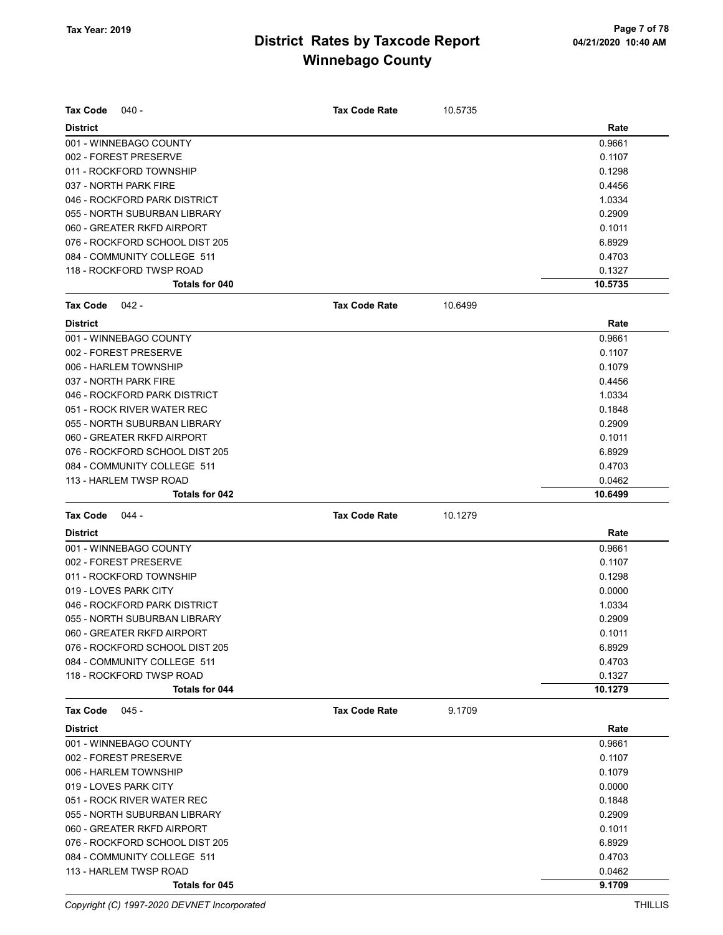| <b>Tax Code</b><br>040 -       | <b>Tax Code Rate</b> | 10.5735 |         |
|--------------------------------|----------------------|---------|---------|
| <b>District</b>                |                      |         | Rate    |
| 001 - WINNEBAGO COUNTY         |                      |         | 0.9661  |
| 002 - FOREST PRESERVE          |                      |         | 0.1107  |
| 011 - ROCKFORD TOWNSHIP        |                      |         | 0.1298  |
| 037 - NORTH PARK FIRE          |                      |         | 0.4456  |
| 046 - ROCKFORD PARK DISTRICT   |                      |         | 1.0334  |
| 055 - NORTH SUBURBAN LIBRARY   |                      |         | 0.2909  |
| 060 - GREATER RKFD AIRPORT     |                      |         | 0.1011  |
| 076 - ROCKFORD SCHOOL DIST 205 |                      |         | 6.8929  |
| 084 - COMMUNITY COLLEGE 511    |                      |         | 0.4703  |
| 118 - ROCKFORD TWSP ROAD       |                      |         | 0.1327  |
| Totals for 040                 |                      |         | 10.5735 |
| <b>Tax Code</b><br>042 -       | <b>Tax Code Rate</b> | 10.6499 |         |
| <b>District</b>                |                      |         | Rate    |
| 001 - WINNEBAGO COUNTY         |                      |         | 0.9661  |
| 002 - FOREST PRESERVE          |                      |         | 0.1107  |
| 006 - HARLEM TOWNSHIP          |                      |         | 0.1079  |
| 037 - NORTH PARK FIRE          |                      |         | 0.4456  |
| 046 - ROCKFORD PARK DISTRICT   |                      |         | 1.0334  |
| 051 - ROCK RIVER WATER REC     |                      |         | 0.1848  |
| 055 - NORTH SUBURBAN LIBRARY   |                      |         | 0.2909  |
| 060 - GREATER RKFD AIRPORT     |                      |         | 0.1011  |
| 076 - ROCKFORD SCHOOL DIST 205 |                      |         | 6.8929  |
| 084 - COMMUNITY COLLEGE 511    |                      |         | 0.4703  |
| 113 - HARLEM TWSP ROAD         |                      |         | 0.0462  |
| Totals for 042                 |                      |         | 10.6499 |
|                                |                      | 10.1279 |         |
| <b>Tax Code</b><br>044 -       | <b>Tax Code Rate</b> |         |         |
| <b>District</b>                |                      |         | Rate    |
| 001 - WINNEBAGO COUNTY         |                      |         | 0.9661  |
| 002 - FOREST PRESERVE          |                      |         | 0.1107  |
| 011 - ROCKFORD TOWNSHIP        |                      |         | 0.1298  |
| 019 - LOVES PARK CITY          |                      |         | 0.0000  |
| 046 - ROCKFORD PARK DISTRICT   |                      |         | 1.0334  |
| 055 - NORTH SUBURBAN LIBRARY   |                      |         | 0.2909  |
| 060 - GREATER RKFD AIRPORT     |                      |         | 0.1011  |
| 076 - ROCKFORD SCHOOL DIST 205 |                      |         | 6.8929  |
| 084 - COMMUNITY COLLEGE 511    |                      |         | 0.4703  |
| 118 - ROCKFORD TWSP ROAD       |                      |         | 0.1327  |
| <b>Totals for 044</b>          |                      |         | 10.1279 |
| <b>Tax Code</b><br>$045 -$     | <b>Tax Code Rate</b> | 9.1709  |         |
| <b>District</b>                |                      |         | Rate    |
| 001 - WINNEBAGO COUNTY         |                      |         | 0.9661  |
| 002 - FOREST PRESERVE          |                      |         | 0.1107  |
| 006 - HARLEM TOWNSHIP          |                      |         | 0.1079  |
| 019 - LOVES PARK CITY          |                      |         | 0.0000  |
| 051 - ROCK RIVER WATER REC     |                      |         | 0.1848  |
| 055 - NORTH SUBURBAN LIBRARY   |                      |         | 0.2909  |
| 060 - GREATER RKFD AIRPORT     |                      |         | 0.1011  |
| 076 - ROCKFORD SCHOOL DIST 205 |                      |         | 6.8929  |
| 084 - COMMUNITY COLLEGE 511    |                      |         | 0.4703  |
| 113 - HARLEM TWSP ROAD         |                      |         | 0.0462  |

Copyright (C) 1997-2020 DEVNET Incorporated THILLIS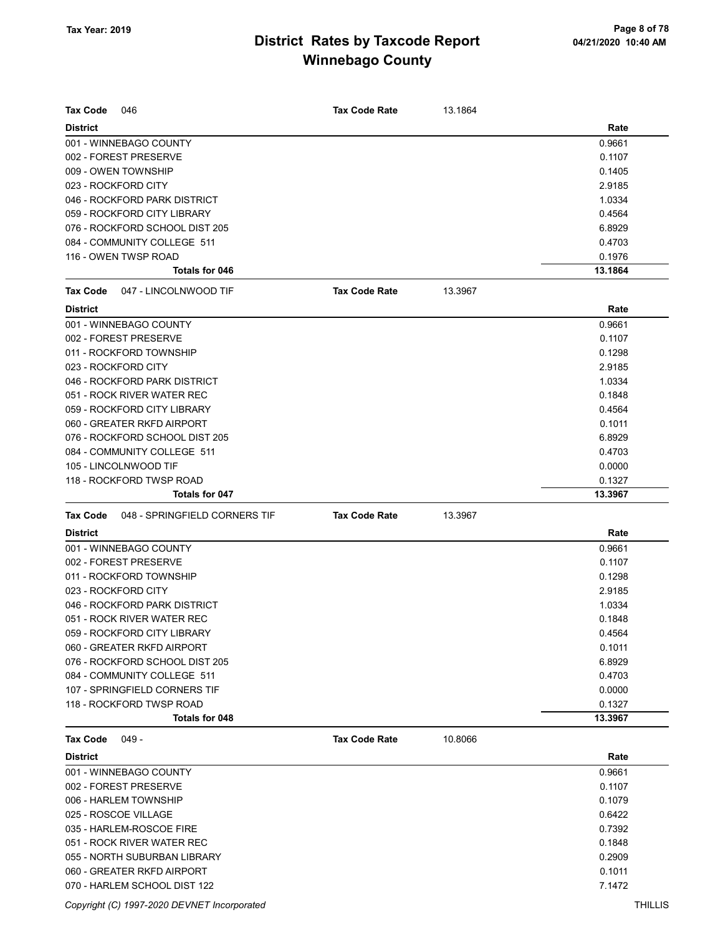| <b>Tax Code</b><br>046                           | <b>Tax Code Rate</b> | 13.1864 |         |
|--------------------------------------------------|----------------------|---------|---------|
| <b>District</b>                                  |                      |         | Rate    |
| 001 - WINNEBAGO COUNTY                           |                      |         | 0.9661  |
| 002 - FOREST PRESERVE                            |                      |         | 0.1107  |
| 009 - OWEN TOWNSHIP                              |                      |         | 0.1405  |
| 023 - ROCKFORD CITY                              |                      |         | 2.9185  |
| 046 - ROCKFORD PARK DISTRICT                     |                      |         | 1.0334  |
| 059 - ROCKFORD CITY LIBRARY                      |                      |         | 0.4564  |
| 076 - ROCKFORD SCHOOL DIST 205                   |                      |         | 6.8929  |
| 084 - COMMUNITY COLLEGE 511                      |                      |         | 0.4703  |
| 116 - OWEN TWSP ROAD                             |                      |         | 0.1976  |
| <b>Totals for 046</b>                            |                      |         | 13.1864 |
| <b>Tax Code</b><br>047 - LINCOLNWOOD TIF         | <b>Tax Code Rate</b> | 13.3967 |         |
| <b>District</b>                                  |                      |         | Rate    |
| 001 - WINNEBAGO COUNTY                           |                      |         | 0.9661  |
| 002 - FOREST PRESERVE                            |                      |         | 0.1107  |
| 011 - ROCKFORD TOWNSHIP                          |                      |         | 0.1298  |
| 023 - ROCKFORD CITY                              |                      |         | 2.9185  |
| 046 - ROCKFORD PARK DISTRICT                     |                      |         | 1.0334  |
| 051 - ROCK RIVER WATER REC                       |                      |         | 0.1848  |
| 059 - ROCKFORD CITY LIBRARY                      |                      |         | 0.4564  |
| 060 - GREATER RKFD AIRPORT                       |                      |         | 0.1011  |
| 076 - ROCKFORD SCHOOL DIST 205                   |                      |         | 6.8929  |
| 084 - COMMUNITY COLLEGE 511                      |                      |         | 0.4703  |
| 105 - LINCOLNWOOD TIF                            |                      |         | 0.0000  |
| 118 - ROCKFORD TWSP ROAD                         |                      |         | 0.1327  |
| Totals for 047                                   |                      |         | 13.3967 |
| 048 - SPRINGFIELD CORNERS TIF<br><b>Tax Code</b> | <b>Tax Code Rate</b> | 13.3967 |         |
| <b>District</b>                                  |                      |         | Rate    |
| 001 - WINNEBAGO COUNTY                           |                      |         | 0.9661  |
| 002 - FOREST PRESERVE                            |                      |         | 0.1107  |
| 011 - ROCKFORD TOWNSHIP                          |                      |         | 0.1298  |
| 023 - ROCKFORD CITY                              |                      |         | 2.9185  |
| 046 - ROCKFORD PARK DISTRICT                     |                      |         | 1.0334  |
| 051 - ROCK RIVER WATER REC                       |                      |         | 0.1848  |
| 059 - ROCKFORD CITY LIBRARY                      |                      |         | 0.4564  |
| 060 - GREATER RKFD AIRPORT                       |                      |         | 0.1011  |
| 076 - ROCKFORD SCHOOL DIST 205                   |                      |         | 6.8929  |
| 084 - COMMUNITY COLLEGE 511                      |                      |         | 0.4703  |
| 107 - SPRINGFIELD CORNERS TIF                    |                      |         | 0.0000  |
| 118 - ROCKFORD TWSP ROAD                         |                      |         | 0.1327  |
| Totals for 048                                   |                      |         | 13.3967 |
| <b>Tax Code</b><br>049 -                         | <b>Tax Code Rate</b> | 10.8066 |         |
| <b>District</b>                                  |                      |         | Rate    |
| 001 - WINNEBAGO COUNTY                           |                      |         | 0.9661  |
| 002 - FOREST PRESERVE                            |                      |         | 0.1107  |
| 006 - HARLEM TOWNSHIP                            |                      |         | 0.1079  |
| 025 - ROSCOE VILLAGE                             |                      |         | 0.6422  |
| 035 - HARLEM-ROSCOE FIRE                         |                      |         | 0.7392  |
| 051 - ROCK RIVER WATER REC                       |                      |         | 0.1848  |
| 055 - NORTH SUBURBAN LIBRARY                     |                      |         | 0.2909  |
| 060 - GREATER RKFD AIRPORT                       |                      |         | 0.1011  |
| 070 - HARLEM SCHOOL DIST 122                     |                      |         | 7.1472  |

Copyright (C) 1997-2020 DEVNET Incorporated THILLIS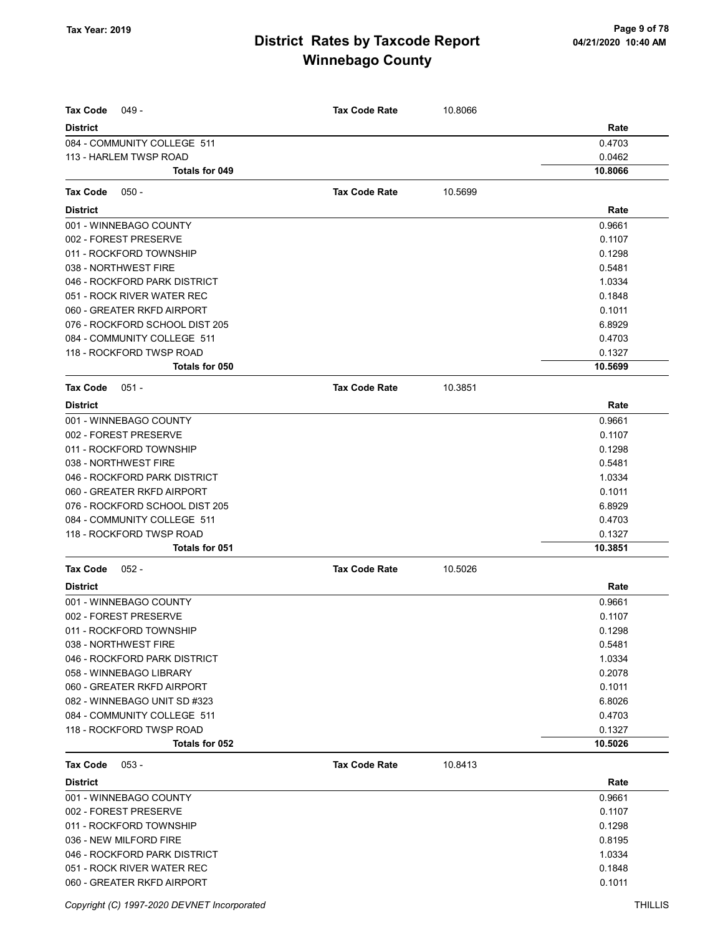| <b>Tax Code</b><br>049 -       | <b>Tax Code Rate</b> | 10.8066 |         |
|--------------------------------|----------------------|---------|---------|
| <b>District</b>                |                      |         | Rate    |
| 084 - COMMUNITY COLLEGE 511    |                      |         | 0.4703  |
| 113 - HARLEM TWSP ROAD         |                      |         | 0.0462  |
| <b>Totals for 049</b>          |                      |         | 10.8066 |
| Tax Code<br>$050 -$            | <b>Tax Code Rate</b> | 10.5699 |         |
| <b>District</b>                |                      |         | Rate    |
| 001 - WINNEBAGO COUNTY         |                      |         | 0.9661  |
| 002 - FOREST PRESERVE          |                      |         | 0.1107  |
| 011 - ROCKFORD TOWNSHIP        |                      |         | 0.1298  |
| 038 - NORTHWEST FIRE           |                      |         | 0.5481  |
| 046 - ROCKFORD PARK DISTRICT   |                      |         | 1.0334  |
| 051 - ROCK RIVER WATER REC     |                      |         | 0.1848  |
| 060 - GREATER RKFD AIRPORT     |                      |         | 0.1011  |
| 076 - ROCKFORD SCHOOL DIST 205 |                      |         | 6.8929  |
| 084 - COMMUNITY COLLEGE 511    |                      |         | 0.4703  |
| 118 - ROCKFORD TWSP ROAD       |                      |         | 0.1327  |
| Totals for 050                 |                      |         | 10.5699 |
| <b>Tax Code</b><br>$051 -$     | <b>Tax Code Rate</b> | 10.3851 |         |
| <b>District</b>                |                      |         | Rate    |
| 001 - WINNEBAGO COUNTY         |                      |         | 0.9661  |
| 002 - FOREST PRESERVE          |                      |         | 0.1107  |
| 011 - ROCKFORD TOWNSHIP        |                      |         | 0.1298  |
| 038 - NORTHWEST FIRE           |                      |         | 0.5481  |
| 046 - ROCKFORD PARK DISTRICT   |                      |         | 1.0334  |
| 060 - GREATER RKFD AIRPORT     |                      |         | 0.1011  |
| 076 - ROCKFORD SCHOOL DIST 205 |                      |         | 6.8929  |
| 084 - COMMUNITY COLLEGE 511    |                      |         | 0.4703  |
| 118 - ROCKFORD TWSP ROAD       |                      |         | 0.1327  |
| Totals for 051                 |                      |         | 10.3851 |
| <b>Tax Code</b><br>$052 -$     | <b>Tax Code Rate</b> | 10.5026 |         |
| <b>District</b>                |                      |         | Rate    |
| 001 - WINNEBAGO COUNTY         |                      |         | 0.9661  |
| 002 - FOREST PRESERVE          |                      |         | 0.1107  |
| 011 - ROCKFORD TOWNSHIP        |                      |         | 0.1298  |
| 038 - NORTHWEST FIRE           |                      |         | 0.5481  |
| 046 - ROCKFORD PARK DISTRICT   |                      |         | 1.0334  |
| 058 - WINNEBAGO LIBRARY        |                      |         | 0.2078  |
| 060 - GREATER RKFD AIRPORT     |                      |         | 0.1011  |
| 082 - WINNEBAGO UNIT SD #323   |                      |         | 6.8026  |
| 084 - COMMUNITY COLLEGE 511    |                      |         | 0.4703  |
| 118 - ROCKFORD TWSP ROAD       |                      |         | 0.1327  |
| Totals for 052                 |                      |         | 10.5026 |
| <b>Tax Code</b><br>$053 -$     | <b>Tax Code Rate</b> | 10.8413 |         |
| <b>District</b>                |                      |         | Rate    |
| 001 - WINNEBAGO COUNTY         |                      |         | 0.9661  |
| 002 - FOREST PRESERVE          |                      |         | 0.1107  |
| 011 - ROCKFORD TOWNSHIP        |                      |         | 0.1298  |
| 036 - NEW MILFORD FIRE         |                      |         | 0.8195  |
| 046 - ROCKFORD PARK DISTRICT   |                      |         | 1.0334  |
| 051 - ROCK RIVER WATER REC     |                      |         | 0.1848  |
| 060 - GREATER RKFD AIRPORT     |                      |         | 0.1011  |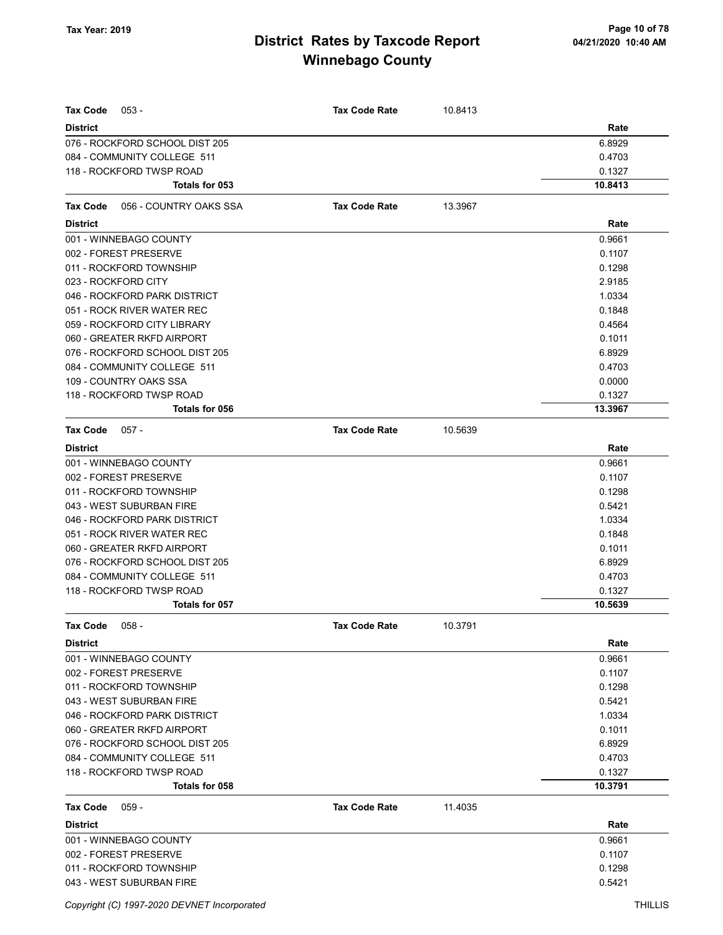| <b>Tax Code</b><br>$053 -$                 | <b>Tax Code Rate</b> | 10.8413 |                   |
|--------------------------------------------|----------------------|---------|-------------------|
| <b>District</b>                            |                      |         | Rate              |
| 076 - ROCKFORD SCHOOL DIST 205             |                      |         | 6.8929            |
| 084 - COMMUNITY COLLEGE 511                |                      |         | 0.4703            |
| 118 - ROCKFORD TWSP ROAD                   |                      |         | 0.1327            |
| Totals for 053                             |                      |         | 10.8413           |
| 056 - COUNTRY OAKS SSA<br><b>Tax Code</b>  | <b>Tax Code Rate</b> | 13.3967 |                   |
| <b>District</b>                            |                      |         | Rate              |
| 001 - WINNEBAGO COUNTY                     |                      |         | 0.9661            |
| 002 - FOREST PRESERVE                      |                      |         | 0.1107            |
| 011 - ROCKFORD TOWNSHIP                    |                      |         | 0.1298            |
| 023 - ROCKFORD CITY                        |                      |         | 2.9185            |
| 046 - ROCKFORD PARK DISTRICT               |                      |         | 1.0334            |
| 051 - ROCK RIVER WATER REC                 |                      |         | 0.1848            |
| 059 - ROCKFORD CITY LIBRARY                |                      |         | 0.4564            |
| 060 - GREATER RKFD AIRPORT                 |                      |         | 0.1011            |
| 076 - ROCKFORD SCHOOL DIST 205             |                      |         | 6.8929            |
| 084 - COMMUNITY COLLEGE 511                |                      |         | 0.4703            |
| 109 - COUNTRY OAKS SSA                     |                      |         | 0.0000            |
| 118 - ROCKFORD TWSP ROAD                   |                      |         | 0.1327            |
| Totals for 056                             |                      |         | 13.3967           |
| <b>Tax Code</b><br>$057 -$                 | <b>Tax Code Rate</b> | 10.5639 |                   |
| <b>District</b>                            |                      |         | Rate              |
| 001 - WINNEBAGO COUNTY                     |                      |         | 0.9661            |
| 002 - FOREST PRESERVE                      |                      |         | 0.1107            |
| 011 - ROCKFORD TOWNSHIP                    |                      |         | 0.1298            |
| 043 - WEST SUBURBAN FIRE                   |                      |         | 0.5421            |
| 046 - ROCKFORD PARK DISTRICT               |                      |         | 1.0334            |
| 051 - ROCK RIVER WATER REC                 |                      |         | 0.1848            |
| 060 - GREATER RKFD AIRPORT                 |                      |         | 0.1011            |
| 076 - ROCKFORD SCHOOL DIST 205             |                      |         | 6.8929            |
| 084 - COMMUNITY COLLEGE 511                |                      |         | 0.4703            |
| 118 - ROCKFORD TWSP ROAD                   |                      |         | 0.1327            |
| Totals for 057                             |                      |         | 10.5639           |
| Tax Code 058 -                             | <b>Tax Code Rate</b> | 10.3791 |                   |
| <b>District</b>                            |                      |         | Rate              |
| 001 - WINNEBAGO COUNTY                     |                      |         | 0.9661            |
| 002 - FOREST PRESERVE                      |                      |         | 0.1107            |
| 011 - ROCKFORD TOWNSHIP                    |                      |         | 0.1298            |
| 043 - WEST SUBURBAN FIRE                   |                      |         | 0.5421            |
| 046 - ROCKFORD PARK DISTRICT               |                      |         | 1.0334            |
| 060 - GREATER RKFD AIRPORT                 |                      |         | 0.1011            |
| 076 - ROCKFORD SCHOOL DIST 205             |                      |         | 6.8929            |
| 084 - COMMUNITY COLLEGE 511                |                      |         | 0.4703            |
| 118 - ROCKFORD TWSP ROAD<br>Totals for 058 |                      |         | 0.1327<br>10.3791 |
|                                            |                      |         |                   |
| Tax Code<br>$059 -$                        | <b>Tax Code Rate</b> | 11.4035 |                   |
| <b>District</b>                            |                      |         | Rate              |
| 001 - WINNEBAGO COUNTY                     |                      |         | 0.9661            |
| 002 - FOREST PRESERVE                      |                      |         | 0.1107            |
| 011 - ROCKFORD TOWNSHIP                    |                      |         | 0.1298            |
| 043 - WEST SUBURBAN FIRE                   |                      |         | 0.5421            |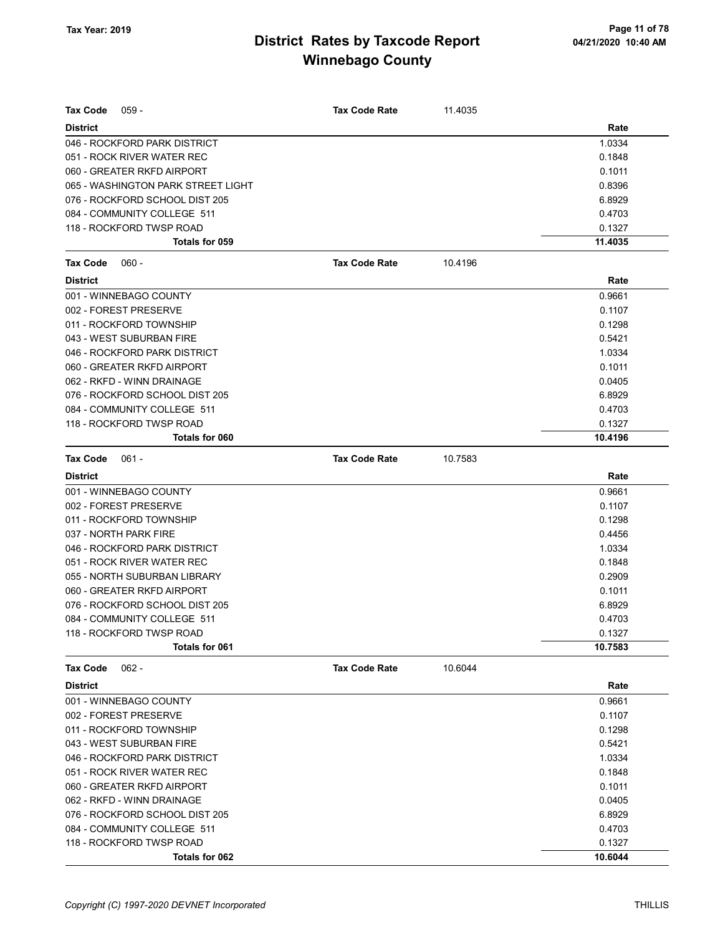| Tax Code<br>$059 -$                | Tax Code Rate        | 11.4035 |         |
|------------------------------------|----------------------|---------|---------|
| <b>District</b>                    |                      |         | Rate    |
| 046 - ROCKFORD PARK DISTRICT       |                      |         | 1.0334  |
| 051 - ROCK RIVER WATER REC         |                      |         | 0.1848  |
| 060 - GREATER RKFD AIRPORT         |                      |         | 0.1011  |
| 065 - WASHINGTON PARK STREET LIGHT |                      |         | 0.8396  |
| 076 - ROCKFORD SCHOOL DIST 205     |                      |         | 6.8929  |
| 084 - COMMUNITY COLLEGE 511        |                      |         | 0.4703  |
| 118 - ROCKFORD TWSP ROAD           |                      |         | 0.1327  |
| Totals for 059                     |                      |         | 11.4035 |
| <b>Tax Code</b><br>$060 -$         | <b>Tax Code Rate</b> | 10.4196 |         |
| <b>District</b>                    |                      |         | Rate    |
| 001 - WINNEBAGO COUNTY             |                      |         | 0.9661  |
| 002 - FOREST PRESERVE              |                      |         | 0.1107  |
| 011 - ROCKFORD TOWNSHIP            |                      |         | 0.1298  |
| 043 - WEST SUBURBAN FIRE           |                      |         | 0.5421  |
| 046 - ROCKFORD PARK DISTRICT       |                      |         | 1.0334  |
| 060 - GREATER RKFD AIRPORT         |                      |         | 0.1011  |
| 062 - RKFD - WINN DRAINAGE         |                      |         | 0.0405  |
| 076 - ROCKFORD SCHOOL DIST 205     |                      |         | 6.8929  |
| 084 - COMMUNITY COLLEGE 511        |                      |         | 0.4703  |
| 118 - ROCKFORD TWSP ROAD           |                      |         | 0.1327  |
| Totals for 060                     |                      |         | 10.4196 |
| Tax Code<br>$061 -$                | <b>Tax Code Rate</b> | 10.7583 |         |
| <b>District</b>                    |                      |         | Rate    |
| 001 - WINNEBAGO COUNTY             |                      |         | 0.9661  |
| 002 - FOREST PRESERVE              |                      |         | 0.1107  |
| 011 - ROCKFORD TOWNSHIP            |                      |         | 0.1298  |
| 037 - NORTH PARK FIRE              |                      |         | 0.4456  |
| 046 - ROCKFORD PARK DISTRICT       |                      |         | 1.0334  |
| 051 - ROCK RIVER WATER REC         |                      |         | 0.1848  |
| 055 - NORTH SUBURBAN LIBRARY       |                      |         | 0.2909  |
| 060 - GREATER RKFD AIRPORT         |                      |         | 0.1011  |
| 076 - ROCKFORD SCHOOL DIST 205     |                      |         | 6.8929  |
| 084 - COMMUNITY COLLEGE 511        |                      |         | 0.4703  |
| 118 - ROCKFORD TWSP ROAD           |                      |         | 0.1327  |
| Totals for 061                     |                      |         | 10.7583 |
| $062 -$<br><b>Tax Code</b>         | <b>Tax Code Rate</b> | 10.6044 |         |
| <b>District</b>                    |                      |         | Rate    |
| 001 - WINNEBAGO COUNTY             |                      |         | 0.9661  |
| 002 - FOREST PRESERVE              |                      |         | 0.1107  |
| 011 - ROCKFORD TOWNSHIP            |                      |         | 0.1298  |
| 043 - WEST SUBURBAN FIRE           |                      |         | 0.5421  |
| 046 - ROCKFORD PARK DISTRICT       |                      |         | 1.0334  |
| 051 - ROCK RIVER WATER REC         |                      |         | 0.1848  |
| 060 - GREATER RKFD AIRPORT         |                      |         | 0.1011  |
| 062 - RKFD - WINN DRAINAGE         |                      |         | 0.0405  |
| 076 - ROCKFORD SCHOOL DIST 205     |                      |         | 6.8929  |
| 084 - COMMUNITY COLLEGE 511        |                      |         | 0.4703  |
| 118 - ROCKFORD TWSP ROAD           |                      |         | 0.1327  |
| Totals for 062                     |                      |         | 10.6044 |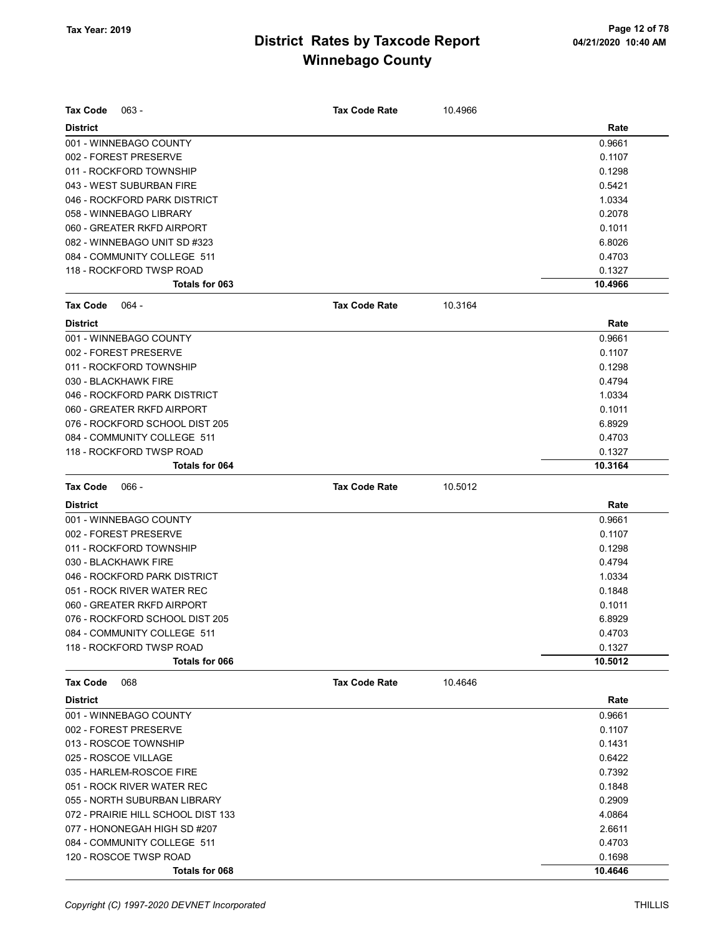| <b>Tax Code</b><br>$063 -$         | <b>Tax Code Rate</b> | 10.4966 |         |
|------------------------------------|----------------------|---------|---------|
| <b>District</b>                    |                      |         | Rate    |
| 001 - WINNEBAGO COUNTY             |                      |         | 0.9661  |
| 002 - FOREST PRESERVE              |                      |         | 0.1107  |
| 011 - ROCKFORD TOWNSHIP            |                      |         | 0.1298  |
| 043 - WEST SUBURBAN FIRE           |                      |         | 0.5421  |
| 046 - ROCKFORD PARK DISTRICT       |                      |         | 1.0334  |
| 058 - WINNEBAGO LIBRARY            |                      |         | 0.2078  |
| 060 - GREATER RKFD AIRPORT         |                      |         | 0.1011  |
| 082 - WINNEBAGO UNIT SD #323       |                      |         | 6.8026  |
| 084 - COMMUNITY COLLEGE 511        |                      |         | 0.4703  |
| 118 - ROCKFORD TWSP ROAD           |                      |         | 0.1327  |
| Totals for 063                     |                      |         | 10.4966 |
| <b>Tax Code</b><br>064 -           | <b>Tax Code Rate</b> | 10.3164 |         |
| <b>District</b>                    |                      |         | Rate    |
| 001 - WINNEBAGO COUNTY             |                      |         | 0.9661  |
| 002 - FOREST PRESERVE              |                      |         | 0.1107  |
| 011 - ROCKFORD TOWNSHIP            |                      |         | 0.1298  |
| 030 - BLACKHAWK FIRE               |                      |         | 0.4794  |
| 046 - ROCKFORD PARK DISTRICT       |                      |         | 1.0334  |
| 060 - GREATER RKFD AIRPORT         |                      |         | 0.1011  |
| 076 - ROCKFORD SCHOOL DIST 205     |                      |         | 6.8929  |
| 084 - COMMUNITY COLLEGE 511        |                      |         | 0.4703  |
| 118 - ROCKFORD TWSP ROAD           |                      |         | 0.1327  |
| Totals for 064                     |                      |         | 10.3164 |
| <b>Tax Code</b><br>$066 -$         | <b>Tax Code Rate</b> | 10.5012 |         |
| <b>District</b>                    |                      |         | Rate    |
| 001 - WINNEBAGO COUNTY             |                      |         | 0.9661  |
| 002 - FOREST PRESERVE              |                      |         | 0.1107  |
| 011 - ROCKFORD TOWNSHIP            |                      |         | 0.1298  |
| 030 - BLACKHAWK FIRE               |                      |         | 0.4794  |
| 046 - ROCKFORD PARK DISTRICT       |                      |         | 1.0334  |
| 051 - ROCK RIVER WATER REC         |                      |         | 0.1848  |
| 060 - GREATER RKFD AIRPORT         |                      |         | 0.1011  |
| 076 - ROCKFORD SCHOOL DIST 205     |                      |         | 6.8929  |
| 084 - COMMUNITY COLLEGE 511        |                      |         | 0.4703  |
| 118 - ROCKFORD TWSP ROAD           |                      |         | 0.1327  |
| Totals for 066                     |                      |         | 10.5012 |
| <b>Tax Code</b><br>068             | <b>Tax Code Rate</b> | 10.4646 |         |
| <b>District</b>                    |                      |         | Rate    |
| 001 - WINNEBAGO COUNTY             |                      |         | 0.9661  |
| 002 - FOREST PRESERVE              |                      |         | 0.1107  |
| 013 - ROSCOE TOWNSHIP              |                      |         | 0.1431  |
| 025 - ROSCOE VILLAGE               |                      |         | 0.6422  |
| 035 - HARLEM-ROSCOE FIRE           |                      |         | 0.7392  |
| 051 - ROCK RIVER WATER REC         |                      |         | 0.1848  |
| 055 - NORTH SUBURBAN LIBRARY       |                      |         | 0.2909  |
| 072 - PRAIRIE HILL SCHOOL DIST 133 |                      |         | 4.0864  |
| 077 - HONONEGAH HIGH SD #207       |                      |         | 2.6611  |
| 084 - COMMUNITY COLLEGE 511        |                      |         | 0.4703  |
| 120 - ROSCOE TWSP ROAD             |                      |         | 0.1698  |
| Totals for 068                     |                      |         | 10.4646 |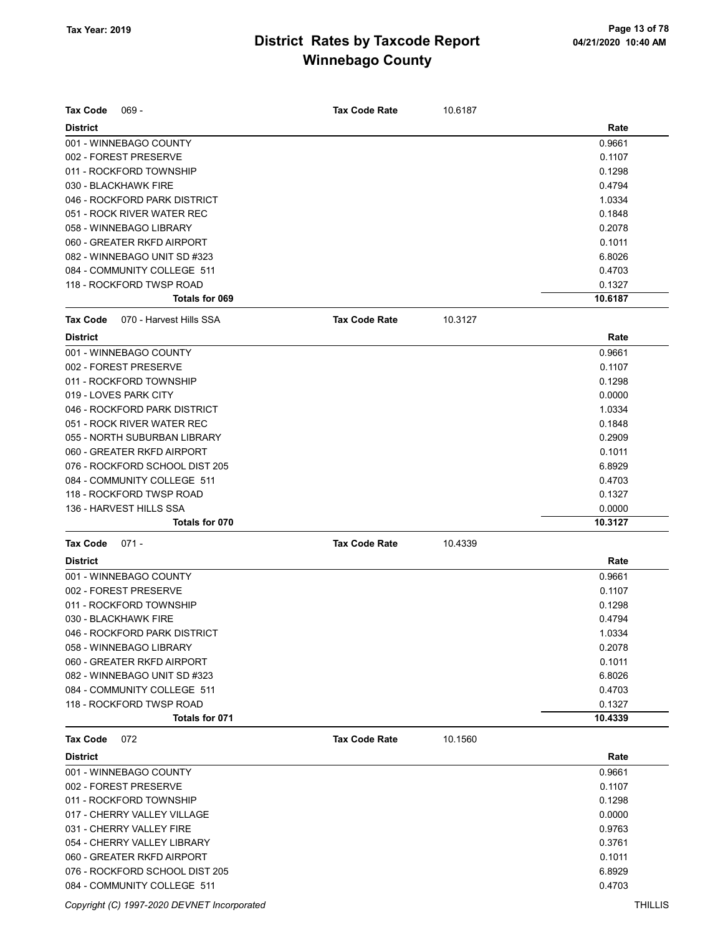| <b>Tax Code</b><br>$069 -$                 | <b>Tax Code Rate</b> | 10.6187 |         |
|--------------------------------------------|----------------------|---------|---------|
| <b>District</b>                            |                      |         | Rate    |
| 001 - WINNEBAGO COUNTY                     |                      |         | 0.9661  |
| 002 - FOREST PRESERVE                      |                      |         | 0.1107  |
| 011 - ROCKFORD TOWNSHIP                    |                      |         | 0.1298  |
| 030 - BLACKHAWK FIRE                       |                      |         | 0.4794  |
| 046 - ROCKFORD PARK DISTRICT               |                      |         | 1.0334  |
| 051 - ROCK RIVER WATER REC                 |                      |         | 0.1848  |
| 058 - WINNEBAGO LIBRARY                    |                      |         | 0.2078  |
| 060 - GREATER RKFD AIRPORT                 |                      |         | 0.1011  |
| 082 - WINNEBAGO UNIT SD #323               |                      |         | 6.8026  |
| 084 - COMMUNITY COLLEGE 511                |                      |         | 0.4703  |
| 118 - ROCKFORD TWSP ROAD                   |                      |         | 0.1327  |
| Totals for 069                             |                      |         | 10.6187 |
| <b>Tax Code</b><br>070 - Harvest Hills SSA | <b>Tax Code Rate</b> | 10.3127 |         |
| <b>District</b>                            |                      |         | Rate    |
| 001 - WINNEBAGO COUNTY                     |                      |         | 0.9661  |
| 002 - FOREST PRESERVE                      |                      |         | 0.1107  |
| 011 - ROCKFORD TOWNSHIP                    |                      |         | 0.1298  |
| 019 - LOVES PARK CITY                      |                      |         | 0.0000  |
| 046 - ROCKFORD PARK DISTRICT               |                      |         | 1.0334  |
| 051 - ROCK RIVER WATER REC                 |                      |         | 0.1848  |
| 055 - NORTH SUBURBAN LIBRARY               |                      |         | 0.2909  |
| 060 - GREATER RKFD AIRPORT                 |                      |         | 0.1011  |
| 076 - ROCKFORD SCHOOL DIST 205             |                      |         | 6.8929  |
| 084 - COMMUNITY COLLEGE 511                |                      |         | 0.4703  |
| 118 - ROCKFORD TWSP ROAD                   |                      |         | 0.1327  |
| 136 - HARVEST HILLS SSA                    |                      |         | 0.0000  |
| Totals for 070                             |                      |         | 10.3127 |
| <b>Tax Code</b><br>$071 -$                 | <b>Tax Code Rate</b> | 10.4339 |         |
| <b>District</b>                            |                      |         | Rate    |
| 001 - WINNEBAGO COUNTY                     |                      |         | 0.9661  |
| 002 - FOREST PRESERVE                      |                      |         | 0.1107  |
| 011 - ROCKFORD TOWNSHIP                    |                      |         | 0.1298  |
| 030 - BLACKHAWK FIRE                       |                      |         | 0.4794  |
| 046 - ROCKFORD PARK DISTRICT               |                      |         | 1.0334  |
| 058 - WINNEBAGO LIBRARY                    |                      |         | 0.2078  |
| 060 - GREATER RKFD AIRPORT                 |                      |         | 0.1011  |
| 082 - WINNEBAGO UNIT SD #323               |                      |         | 6.8026  |
| 084 - COMMUNITY COLLEGE 511                |                      |         | 0.4703  |
| 118 - ROCKFORD TWSP ROAD                   |                      |         | 0.1327  |
| Totals for 071                             |                      |         | 10.4339 |
| <b>Tax Code</b><br>072                     | <b>Tax Code Rate</b> | 10.1560 |         |
| <b>District</b>                            |                      |         | Rate    |
| 001 - WINNEBAGO COUNTY                     |                      |         | 0.9661  |
| 002 - FOREST PRESERVE                      |                      |         | 0.1107  |
| 011 - ROCKFORD TOWNSHIP                    |                      |         | 0.1298  |
| 017 - CHERRY VALLEY VILLAGE                |                      |         | 0.0000  |
| 031 - CHERRY VALLEY FIRE                   |                      |         | 0.9763  |
| 054 - CHERRY VALLEY LIBRARY                |                      |         | 0.3761  |
| 060 - GREATER RKFD AIRPORT                 |                      |         | 0.1011  |
| 076 - ROCKFORD SCHOOL DIST 205             |                      |         | 6.8929  |
| 084 - COMMUNITY COLLEGE 511                |                      |         | 0.4703  |

Copyright (C) 1997-2020 DEVNET Incorporated THILLIS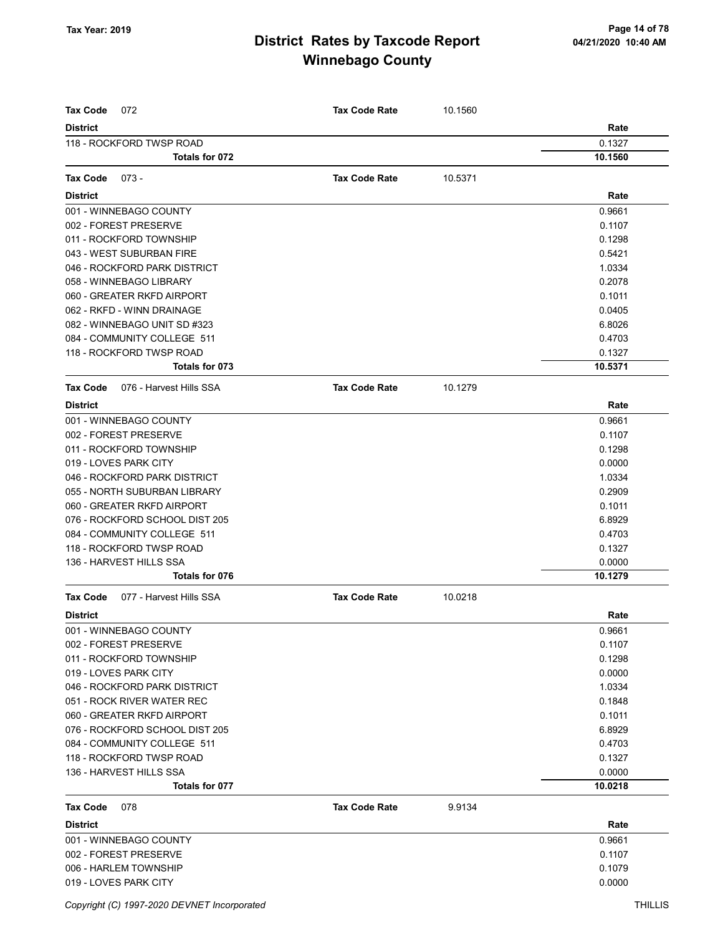| <b>Tax Code</b><br>072                     | <b>Tax Code Rate</b> | 10.1560 |         |
|--------------------------------------------|----------------------|---------|---------|
| <b>District</b>                            |                      |         | Rate    |
| 118 - ROCKFORD TWSP ROAD                   |                      |         | 0.1327  |
| Totals for 072                             |                      |         | 10.1560 |
|                                            |                      |         |         |
| <b>Tax Code</b><br>$073 -$                 | <b>Tax Code Rate</b> | 10.5371 |         |
| <b>District</b>                            |                      |         | Rate    |
| 001 - WINNEBAGO COUNTY                     |                      |         | 0.9661  |
| 002 - FOREST PRESERVE                      |                      |         | 0.1107  |
| 011 - ROCKFORD TOWNSHIP                    |                      |         | 0.1298  |
| 043 - WEST SUBURBAN FIRE                   |                      |         | 0.5421  |
| 046 - ROCKFORD PARK DISTRICT               |                      |         | 1.0334  |
| 058 - WINNEBAGO LIBRARY                    |                      |         | 0.2078  |
| 060 - GREATER RKFD AIRPORT                 |                      |         | 0.1011  |
| 062 - RKFD - WINN DRAINAGE                 |                      |         | 0.0405  |
| 082 - WINNEBAGO UNIT SD #323               |                      |         | 6.8026  |
| 084 - COMMUNITY COLLEGE 511                |                      |         | 0.4703  |
| 118 - ROCKFORD TWSP ROAD                   |                      |         | 0.1327  |
| Totals for 073                             |                      |         | 10.5371 |
| <b>Tax Code</b><br>076 - Harvest Hills SSA | <b>Tax Code Rate</b> | 10.1279 |         |
| <b>District</b>                            |                      |         | Rate    |
| 001 - WINNEBAGO COUNTY                     |                      |         | 0.9661  |
| 002 - FOREST PRESERVE                      |                      |         | 0.1107  |
| 011 - ROCKFORD TOWNSHIP                    |                      |         | 0.1298  |
| 019 - LOVES PARK CITY                      |                      |         | 0.0000  |
| 046 - ROCKFORD PARK DISTRICT               |                      |         | 1.0334  |
| 055 - NORTH SUBURBAN LIBRARY               |                      |         | 0.2909  |
| 060 - GREATER RKFD AIRPORT                 |                      |         | 0.1011  |
| 076 - ROCKFORD SCHOOL DIST 205             |                      |         | 6.8929  |
| 084 - COMMUNITY COLLEGE 511                |                      |         | 0.4703  |
| 118 - ROCKFORD TWSP ROAD                   |                      |         | 0.1327  |
| 136 - HARVEST HILLS SSA                    |                      |         | 0.0000  |
| Totals for 076                             |                      |         | 10.1279 |
| <b>Tax Code</b><br>077 - Harvest Hills SSA | <b>Tax Code Rate</b> | 10.0218 |         |
| <b>District</b>                            |                      |         | Rate    |
| 001 - WINNEBAGO COUNTY                     |                      |         | 0.9661  |
| 002 - FOREST PRESERVE                      |                      |         | 0.1107  |
| 011 - ROCKFORD TOWNSHIP                    |                      |         | 0.1298  |
| 019 - LOVES PARK CITY                      |                      |         | 0.0000  |
| 046 - ROCKFORD PARK DISTRICT               |                      |         | 1.0334  |
| 051 - ROCK RIVER WATER REC                 |                      |         | 0.1848  |
| 060 - GREATER RKFD AIRPORT                 |                      |         | 0.1011  |
| 076 - ROCKFORD SCHOOL DIST 205             |                      |         | 6.8929  |
| 084 - COMMUNITY COLLEGE 511                |                      |         | 0.4703  |
| 118 - ROCKFORD TWSP ROAD                   |                      |         | 0.1327  |
| 136 - HARVEST HILLS SSA                    |                      |         | 0.0000  |
| Totals for 077                             |                      |         | 10.0218 |
| <b>Tax Code</b><br>078                     | <b>Tax Code Rate</b> | 9.9134  |         |
| <b>District</b>                            |                      |         | Rate    |
| 001 - WINNEBAGO COUNTY                     |                      |         | 0.9661  |
| 002 - FOREST PRESERVE                      |                      |         | 0.1107  |
| 006 - HARLEM TOWNSHIP                      |                      |         | 0.1079  |
| 019 - LOVES PARK CITY                      |                      |         | 0.0000  |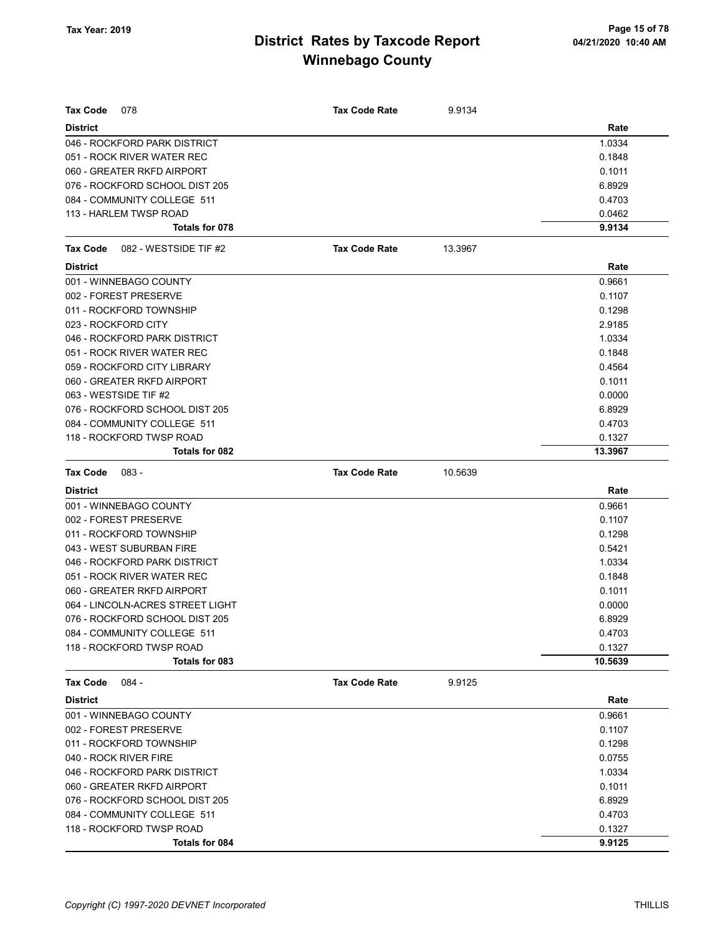| Tax Code<br>078                   | <b>Tax Code Rate</b> | 9.9134  |         |
|-----------------------------------|----------------------|---------|---------|
| <b>District</b>                   |                      |         | Rate    |
| 046 - ROCKFORD PARK DISTRICT      |                      |         | 1.0334  |
| 051 - ROCK RIVER WATER REC        |                      |         | 0.1848  |
| 060 - GREATER RKFD AIRPORT        |                      |         | 0.1011  |
| 076 - ROCKFORD SCHOOL DIST 205    |                      |         | 6.8929  |
| 084 - COMMUNITY COLLEGE 511       |                      |         | 0.4703  |
| 113 - HARLEM TWSP ROAD            |                      |         | 0.0462  |
| Totals for 078                    |                      |         | 9.9134  |
| 082 - WESTSIDE TIF #2<br>Tax Code | <b>Tax Code Rate</b> | 13.3967 |         |
| <b>District</b>                   |                      |         | Rate    |
| 001 - WINNEBAGO COUNTY            |                      |         | 0.9661  |
| 002 - FOREST PRESERVE             |                      |         | 0.1107  |
| 011 - ROCKFORD TOWNSHIP           |                      |         | 0.1298  |
| 023 - ROCKFORD CITY               |                      |         | 2.9185  |
| 046 - ROCKFORD PARK DISTRICT      |                      |         | 1.0334  |
| 051 - ROCK RIVER WATER REC        |                      |         | 0.1848  |
| 059 - ROCKFORD CITY LIBRARY       |                      |         | 0.4564  |
| 060 - GREATER RKFD AIRPORT        |                      |         | 0.1011  |
| 063 - WESTSIDE TIF #2             |                      |         | 0.0000  |
| 076 - ROCKFORD SCHOOL DIST 205    |                      |         | 6.8929  |
| 084 - COMMUNITY COLLEGE 511       |                      |         | 0.4703  |
| 118 - ROCKFORD TWSP ROAD          |                      |         | 0.1327  |
| Totals for 082                    |                      |         | 13.3967 |
| <b>Tax Code</b><br>$083 -$        | <b>Tax Code Rate</b> | 10.5639 |         |
| <b>District</b>                   |                      |         | Rate    |
| 001 - WINNEBAGO COUNTY            |                      |         | 0.9661  |
| 002 - FOREST PRESERVE             |                      |         | 0.1107  |
| 011 - ROCKFORD TOWNSHIP           |                      |         | 0.1298  |
| 043 - WEST SUBURBAN FIRE          |                      |         | 0.5421  |
| 046 - ROCKFORD PARK DISTRICT      |                      |         | 1.0334  |
| 051 - ROCK RIVER WATER REC        |                      |         | 0.1848  |
| 060 - GREATER RKFD AIRPORT        |                      |         | 0.1011  |
| 064 - LINCOLN-ACRES STREET LIGHT  |                      |         | 0.0000  |
| 076 - ROCKFORD SCHOOL DIST 205    |                      |         | 6.8929  |
| 084 - COMMUNITY COLLEGE 511       |                      |         | 0.4703  |
| 118 - ROCKFORD TWSP ROAD          |                      |         | 0.1327  |
| Totals for 083                    |                      |         | 10.5639 |
| <b>Tax Code</b><br>$084 -$        | <b>Tax Code Rate</b> | 9.9125  |         |
| <b>District</b>                   |                      |         | Rate    |
| 001 - WINNEBAGO COUNTY            |                      |         | 0.9661  |
| 002 - FOREST PRESERVE             |                      |         | 0.1107  |
| 011 - ROCKFORD TOWNSHIP           |                      |         | 0.1298  |
| 040 - ROCK RIVER FIRE             |                      |         | 0.0755  |
| 046 - ROCKFORD PARK DISTRICT      |                      |         | 1.0334  |
| 060 - GREATER RKFD AIRPORT        |                      |         | 0.1011  |
| 076 - ROCKFORD SCHOOL DIST 205    |                      |         | 6.8929  |
| 084 - COMMUNITY COLLEGE 511       |                      |         | 0.4703  |
| 118 - ROCKFORD TWSP ROAD          |                      |         | 0.1327  |
|                                   |                      |         | 9.9125  |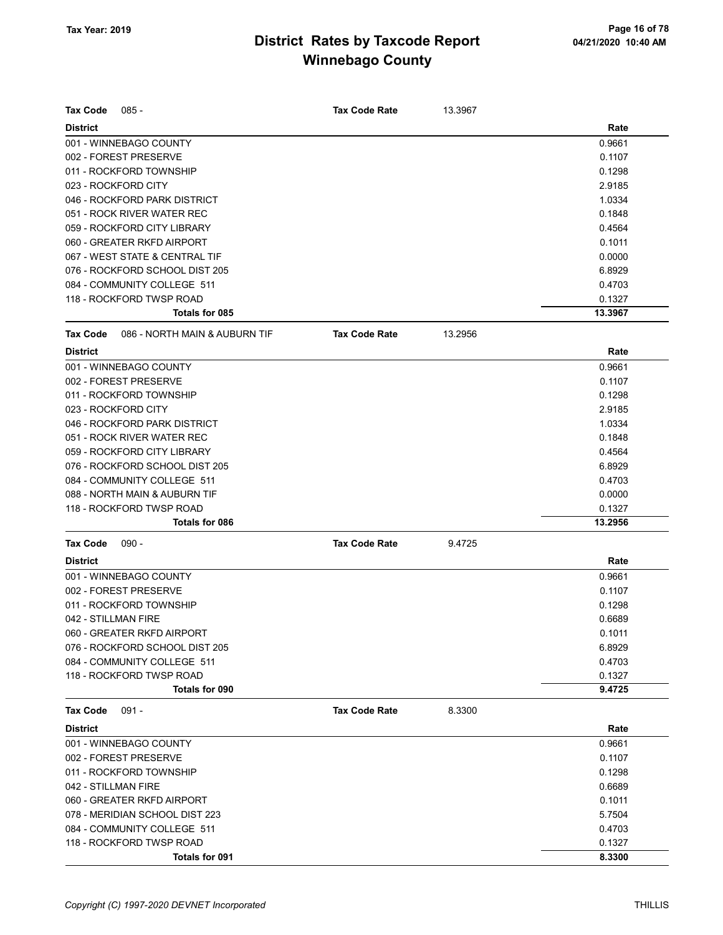| Tax Code            | $085 -$                        | <b>Tax Code Rate</b> | 13.3967 |         |
|---------------------|--------------------------------|----------------------|---------|---------|
| <b>District</b>     |                                |                      |         | Rate    |
|                     | 001 - WINNEBAGO COUNTY         |                      |         | 0.9661  |
|                     | 002 - FOREST PRESERVE          |                      |         | 0.1107  |
|                     | 011 - ROCKFORD TOWNSHIP        |                      |         | 0.1298  |
| 023 - ROCKFORD CITY |                                |                      |         | 2.9185  |
|                     | 046 - ROCKFORD PARK DISTRICT   |                      |         | 1.0334  |
|                     | 051 - ROCK RIVER WATER REC     |                      |         | 0.1848  |
|                     | 059 - ROCKFORD CITY LIBRARY    |                      |         | 0.4564  |
|                     | 060 - GREATER RKFD AIRPORT     |                      |         | 0.1011  |
|                     | 067 - WEST STATE & CENTRAL TIF |                      |         | 0.0000  |
|                     | 076 - ROCKFORD SCHOOL DIST 205 |                      |         | 6.8929  |
|                     | 084 - COMMUNITY COLLEGE 511    |                      |         | 0.4703  |
|                     | 118 - ROCKFORD TWSP ROAD       |                      |         | 0.1327  |
|                     | Totals for 085                 |                      |         | 13.3967 |
| Tax Code            | 086 - NORTH MAIN & AUBURN TIF  | <b>Tax Code Rate</b> | 13.2956 |         |
| <b>District</b>     |                                |                      |         | Rate    |
|                     | 001 - WINNEBAGO COUNTY         |                      |         | 0.9661  |
|                     | 002 - FOREST PRESERVE          |                      |         | 0.1107  |
|                     | 011 - ROCKFORD TOWNSHIP        |                      |         | 0.1298  |
| 023 - ROCKFORD CITY |                                |                      |         | 2.9185  |
|                     | 046 - ROCKFORD PARK DISTRICT   |                      |         | 1.0334  |
|                     | 051 - ROCK RIVER WATER REC     |                      |         | 0.1848  |
|                     | 059 - ROCKFORD CITY LIBRARY    |                      |         | 0.4564  |
|                     | 076 - ROCKFORD SCHOOL DIST 205 |                      |         | 6.8929  |
|                     | 084 - COMMUNITY COLLEGE 511    |                      |         | 0.4703  |
|                     | 088 - NORTH MAIN & AUBURN TIF  |                      |         | 0.0000  |
|                     | 118 - ROCKFORD TWSP ROAD       |                      |         | 0.1327  |
|                     | Totals for 086                 |                      |         | 13.2956 |
| <b>Tax Code</b>     | $090 -$                        | <b>Tax Code Rate</b> | 9.4725  |         |
| <b>District</b>     |                                |                      |         | Rate    |
|                     | 001 - WINNEBAGO COUNTY         |                      |         | 0.9661  |
|                     | 002 - FOREST PRESERVE          |                      |         | 0.1107  |
|                     | 011 - ROCKFORD TOWNSHIP        |                      |         | 0.1298  |
| 042 - STILLMAN FIRE |                                |                      |         | 0.6689  |
|                     | 060 - GREATER RKFD AIRPORT     |                      |         | 0.1011  |
|                     | 076 - ROCKFORD SCHOOL DIST 205 |                      |         | 6.8929  |
|                     | 084 - COMMUNITY COLLEGE 511    |                      |         | 0.4703  |
|                     | 118 - ROCKFORD TWSP ROAD       |                      |         | 0.1327  |
|                     | Totals for 090                 |                      |         | 9.4725  |
| <b>Tax Code</b>     | $091 -$                        | <b>Tax Code Rate</b> | 8.3300  |         |
| <b>District</b>     |                                |                      |         | Rate    |
|                     | 001 - WINNEBAGO COUNTY         |                      |         | 0.9661  |
|                     | 002 - FOREST PRESERVE          |                      |         | 0.1107  |
|                     | 011 - ROCKFORD TOWNSHIP        |                      |         | 0.1298  |
| 042 - STILLMAN FIRE |                                |                      |         | 0.6689  |
|                     | 060 - GREATER RKFD AIRPORT     |                      |         | 0.1011  |
|                     | 078 - MERIDIAN SCHOOL DIST 223 |                      |         | 5.7504  |
|                     | 084 - COMMUNITY COLLEGE 511    |                      |         | 0.4703  |
|                     | 118 - ROCKFORD TWSP ROAD       |                      |         | 0.1327  |
|                     | Totals for 091                 |                      |         | 8.3300  |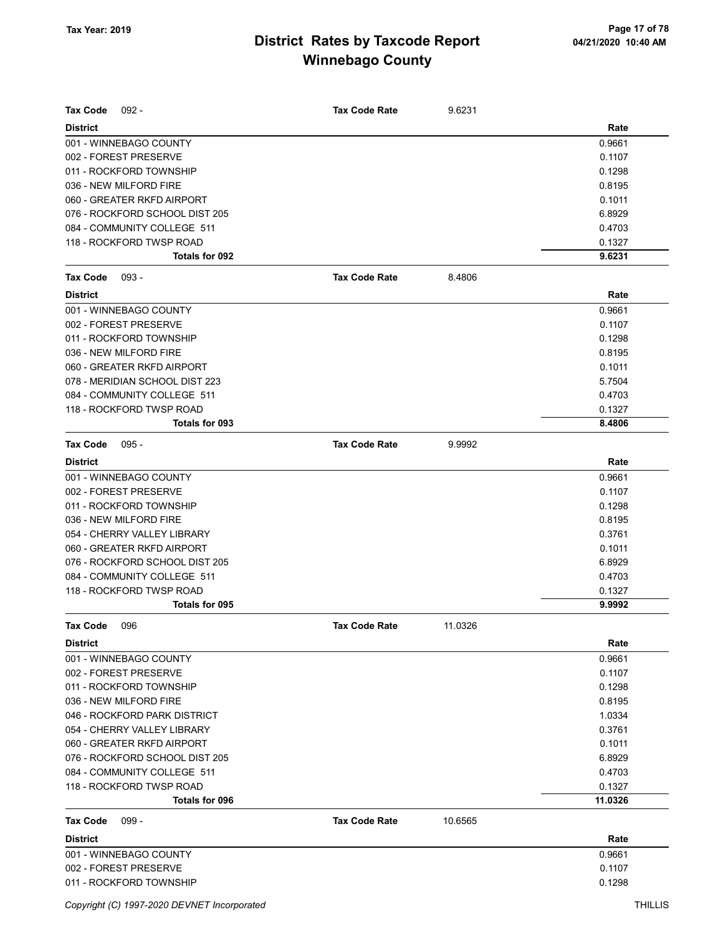| <b>Tax Code</b><br>$092 -$     | Tax Code Rate        | 9.6231  |         |
|--------------------------------|----------------------|---------|---------|
| <b>District</b>                |                      |         | Rate    |
| 001 - WINNEBAGO COUNTY         |                      |         | 0.9661  |
| 002 - FOREST PRESERVE          |                      |         | 0.1107  |
| 011 - ROCKFORD TOWNSHIP        |                      |         | 0.1298  |
| 036 - NEW MILFORD FIRE         |                      |         | 0.8195  |
| 060 - GREATER RKFD AIRPORT     |                      |         | 0.1011  |
| 076 - ROCKFORD SCHOOL DIST 205 |                      |         | 6.8929  |
| 084 - COMMUNITY COLLEGE 511    |                      |         | 0.4703  |
| 118 - ROCKFORD TWSP ROAD       |                      |         | 0.1327  |
| Totals for 092                 |                      |         | 9.6231  |
| <b>Tax Code</b><br>$093 -$     | <b>Tax Code Rate</b> | 8.4806  |         |
| <b>District</b>                |                      |         | Rate    |
| 001 - WINNEBAGO COUNTY         |                      |         | 0.9661  |
| 002 - FOREST PRESERVE          |                      |         | 0.1107  |
| 011 - ROCKFORD TOWNSHIP        |                      |         | 0.1298  |
| 036 - NEW MILFORD FIRE         |                      |         | 0.8195  |
| 060 - GREATER RKFD AIRPORT     |                      |         | 0.1011  |
| 078 - MERIDIAN SCHOOL DIST 223 |                      |         | 5.7504  |
| 084 - COMMUNITY COLLEGE 511    |                      |         | 0.4703  |
| 118 - ROCKFORD TWSP ROAD       |                      |         | 0.1327  |
| Totals for 093                 |                      |         | 8.4806  |
| <b>Tax Code</b><br>$095 -$     | <b>Tax Code Rate</b> | 9.9992  |         |
| <b>District</b>                |                      |         | Rate    |
| 001 - WINNEBAGO COUNTY         |                      |         | 0.9661  |
| 002 - FOREST PRESERVE          |                      |         | 0.1107  |
| 011 - ROCKFORD TOWNSHIP        |                      |         | 0.1298  |
| 036 - NEW MILFORD FIRE         |                      |         | 0.8195  |
| 054 - CHERRY VALLEY LIBRARY    |                      |         | 0.3761  |
| 060 - GREATER RKFD AIRPORT     |                      |         | 0.1011  |
| 076 - ROCKFORD SCHOOL DIST 205 |                      |         | 6.8929  |
| 084 - COMMUNITY COLLEGE 511    |                      |         | 0.4703  |
| 118 - ROCKFORD TWSP ROAD       |                      |         | 0.1327  |
| Totals for 095                 |                      |         | 9.9992  |
| 096<br>Tax Code                | <b>Tax Code Rate</b> | 11.0326 |         |
| <b>District</b>                |                      |         | Rate    |
| 001 - WINNEBAGO COUNTY         |                      |         | 0.9661  |
| 002 - FOREST PRESERVE          |                      |         | 0.1107  |
| 011 - ROCKFORD TOWNSHIP        |                      |         | 0.1298  |
| 036 - NEW MILFORD FIRE         |                      |         | 0.8195  |
| 046 - ROCKFORD PARK DISTRICT   |                      |         | 1.0334  |
| 054 - CHERRY VALLEY LIBRARY    |                      |         | 0.3761  |
| 060 - GREATER RKFD AIRPORT     |                      |         | 0.1011  |
| 076 - ROCKFORD SCHOOL DIST 205 |                      |         | 6.8929  |
| 084 - COMMUNITY COLLEGE 511    |                      |         | 0.4703  |
| 118 - ROCKFORD TWSP ROAD       |                      |         | 0.1327  |
| Totals for 096                 |                      |         | 11.0326 |
| Tax Code<br>$099 -$            | <b>Tax Code Rate</b> | 10.6565 |         |
| <b>District</b>                |                      |         | Rate    |
| 001 - WINNEBAGO COUNTY         |                      |         | 0.9661  |
| 002 - FOREST PRESERVE          |                      |         | 0.1107  |
| 011 - ROCKFORD TOWNSHIP        |                      |         | 0.1298  |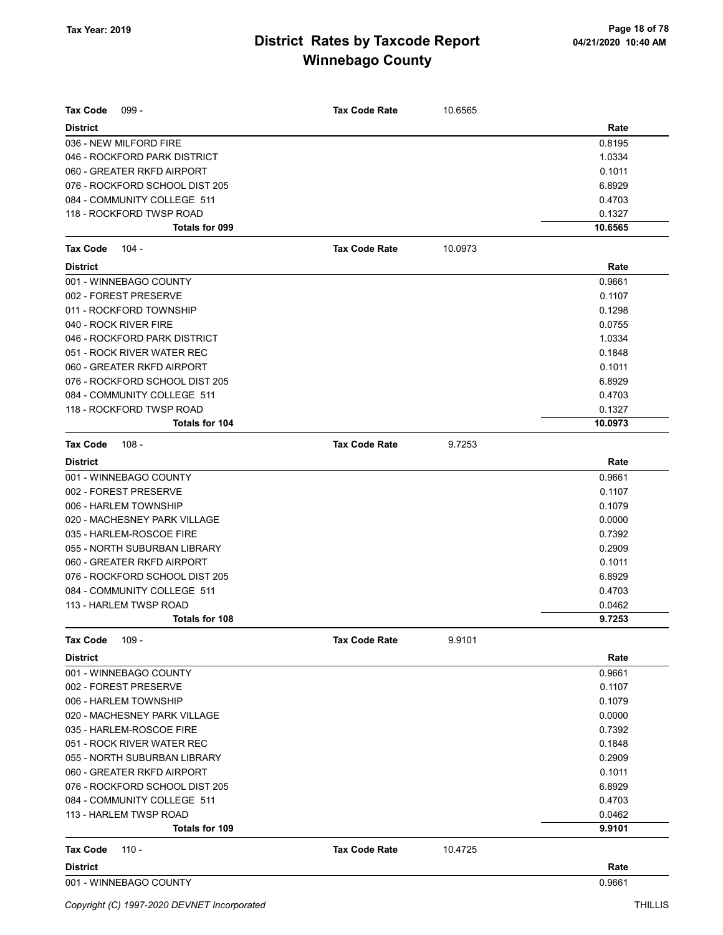| $099 -$<br>Tax Code            | <b>Tax Code Rate</b> | 10.6565 |         |
|--------------------------------|----------------------|---------|---------|
| <b>District</b>                |                      |         | Rate    |
| 036 - NEW MILFORD FIRE         |                      |         | 0.8195  |
| 046 - ROCKFORD PARK DISTRICT   |                      |         | 1.0334  |
| 060 - GREATER RKFD AIRPORT     |                      |         | 0.1011  |
| 076 - ROCKFORD SCHOOL DIST 205 |                      |         | 6.8929  |
| 084 - COMMUNITY COLLEGE 511    |                      |         | 0.4703  |
| 118 - ROCKFORD TWSP ROAD       |                      |         | 0.1327  |
| Totals for 099                 |                      |         | 10.6565 |
| $104 -$<br>Tax Code            | <b>Tax Code Rate</b> | 10.0973 |         |
| <b>District</b>                |                      |         | Rate    |
| 001 - WINNEBAGO COUNTY         |                      |         | 0.9661  |
| 002 - FOREST PRESERVE          |                      |         | 0.1107  |
| 011 - ROCKFORD TOWNSHIP        |                      |         | 0.1298  |
| 040 - ROCK RIVER FIRE          |                      |         | 0.0755  |
| 046 - ROCKFORD PARK DISTRICT   |                      |         | 1.0334  |
| 051 - ROCK RIVER WATER REC     |                      |         | 0.1848  |
| 060 - GREATER RKFD AIRPORT     |                      |         | 0.1011  |
| 076 - ROCKFORD SCHOOL DIST 205 |                      |         | 6.8929  |
| 084 - COMMUNITY COLLEGE 511    |                      |         | 0.4703  |
| 118 - ROCKFORD TWSP ROAD       |                      |         | 0.1327  |
| <b>Totals for 104</b>          |                      |         | 10.0973 |
| <b>Tax Code</b><br>$108 -$     | <b>Tax Code Rate</b> | 9.7253  |         |
| <b>District</b>                |                      |         | Rate    |
| 001 - WINNEBAGO COUNTY         |                      |         | 0.9661  |
| 002 - FOREST PRESERVE          |                      |         | 0.1107  |
| 006 - HARLEM TOWNSHIP          |                      |         | 0.1079  |
| 020 - MACHESNEY PARK VILLAGE   |                      |         | 0.0000  |
| 035 - HARLEM-ROSCOE FIRE       |                      |         | 0.7392  |
| 055 - NORTH SUBURBAN LIBRARY   |                      |         | 0.2909  |
| 060 - GREATER RKFD AIRPORT     |                      |         | 0.1011  |
| 076 - ROCKFORD SCHOOL DIST 205 |                      |         | 6.8929  |
| 084 - COMMUNITY COLLEGE 511    |                      |         | 0.4703  |
| 113 - HARLEM TWSP ROAD         |                      |         | 0.0462  |
| <b>Totals for 108</b>          |                      |         | 9.7253  |
| Tax Code<br>109 -              | <b>Tax Code Rate</b> | 9.9101  |         |
| <b>District</b>                |                      |         | Rate    |
| 001 - WINNEBAGO COUNTY         |                      |         | 0.9661  |
| 002 - FOREST PRESERVE          |                      |         | 0.1107  |
| 006 - HARLEM TOWNSHIP          |                      |         | 0.1079  |
| 020 - MACHESNEY PARK VILLAGE   |                      |         | 0.0000  |
| 035 - HARLEM-ROSCOE FIRE       |                      |         | 0.7392  |
| 051 - ROCK RIVER WATER REC     |                      |         | 0.1848  |
| 055 - NORTH SUBURBAN LIBRARY   |                      |         | 0.2909  |
| 060 - GREATER RKFD AIRPORT     |                      |         | 0.1011  |
| 076 - ROCKFORD SCHOOL DIST 205 |                      |         | 6.8929  |
| 084 - COMMUNITY COLLEGE 511    |                      |         | 0.4703  |
| 113 - HARLEM TWSP ROAD         |                      |         | 0.0462  |
| Totals for 109                 |                      |         | 9.9101  |
| Tax Code<br>$110 -$            | <b>Tax Code Rate</b> | 10.4725 |         |
| <b>District</b>                |                      |         | Rate    |
| 001 - WINNEBAGO COUNTY         |                      |         | 0.9661  |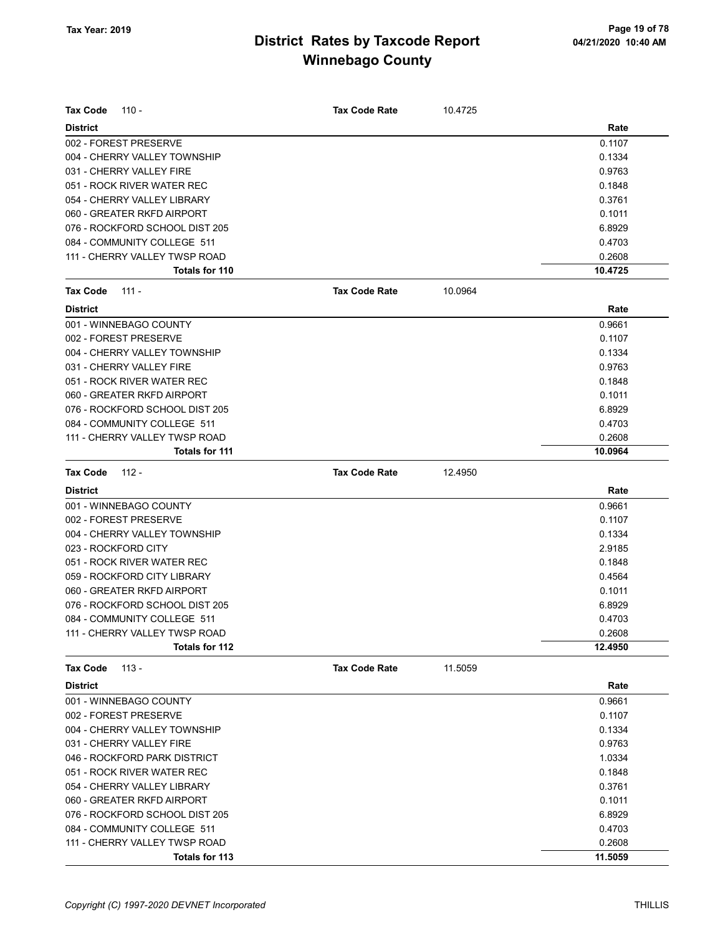| <b>District</b>                                               | Rate    |
|---------------------------------------------------------------|---------|
| 002 - FOREST PRESERVE                                         | 0.1107  |
| 004 - CHERRY VALLEY TOWNSHIP                                  | 0.1334  |
| 031 - CHERRY VALLEY FIRE                                      | 0.9763  |
| 051 - ROCK RIVER WATER REC                                    | 0.1848  |
| 054 - CHERRY VALLEY LIBRARY                                   | 0.3761  |
| 060 - GREATER RKFD AIRPORT                                    | 0.1011  |
| 076 - ROCKFORD SCHOOL DIST 205                                | 6.8929  |
| 084 - COMMUNITY COLLEGE 511                                   | 0.4703  |
| 111 - CHERRY VALLEY TWSP ROAD                                 | 0.2608  |
| Totals for 110                                                | 10.4725 |
| <b>Tax Code Rate</b><br>10.0964<br>Tax Code<br>$111 -$        |         |
| <b>District</b>                                               | Rate    |
| 001 - WINNEBAGO COUNTY                                        | 0.9661  |
| 002 - FOREST PRESERVE                                         | 0.1107  |
| 004 - CHERRY VALLEY TOWNSHIP                                  | 0.1334  |
| 031 - CHERRY VALLEY FIRE                                      | 0.9763  |
| 051 - ROCK RIVER WATER REC                                    | 0.1848  |
| 060 - GREATER RKFD AIRPORT                                    | 0.1011  |
| 076 - ROCKFORD SCHOOL DIST 205                                | 6.8929  |
| 084 - COMMUNITY COLLEGE 511                                   | 0.4703  |
| 111 - CHERRY VALLEY TWSP ROAD                                 | 0.2608  |
| Totals for 111                                                | 10.0964 |
| <b>Tax Code</b><br>$112 -$<br><b>Tax Code Rate</b><br>12.4950 |         |
| <b>District</b>                                               | Rate    |
| 001 - WINNEBAGO COUNTY                                        | 0.9661  |
| 002 - FOREST PRESERVE                                         | 0.1107  |
| 004 - CHERRY VALLEY TOWNSHIP                                  | 0.1334  |
| 023 - ROCKFORD CITY                                           | 2.9185  |
| 051 - ROCK RIVER WATER REC                                    | 0.1848  |
| 059 - ROCKFORD CITY LIBRARY                                   | 0.4564  |
| 060 - GREATER RKFD AIRPORT                                    | 0.1011  |
| 076 - ROCKFORD SCHOOL DIST 205                                | 6.8929  |
| 084 - COMMUNITY COLLEGE 511                                   | 0.4703  |
| 111 - CHERRY VALLEY TWSP ROAD                                 | 0.2608  |
| Totals for 112                                                | 12.4950 |
| <b>Tax Code</b><br>$113 -$<br><b>Tax Code Rate</b><br>11.5059 |         |
| <b>District</b>                                               | Rate    |
| 001 - WINNEBAGO COUNTY                                        | 0.9661  |
| 002 - FOREST PRESERVE                                         | 0.1107  |
| 004 - CHERRY VALLEY TOWNSHIP                                  | 0.1334  |
| 031 - CHERRY VALLEY FIRE                                      | 0.9763  |
| 046 - ROCKFORD PARK DISTRICT                                  | 1.0334  |
| 051 - ROCK RIVER WATER REC                                    | 0.1848  |
| 054 - CHERRY VALLEY LIBRARY                                   | 0.3761  |
| 060 - GREATER RKFD AIRPORT                                    | 0.1011  |
| 076 - ROCKFORD SCHOOL DIST 205                                | 6.8929  |
| 084 - COMMUNITY COLLEGE 511                                   | 0.4703  |
| 111 - CHERRY VALLEY TWSP ROAD                                 | 0.2608  |
| Totals for 113                                                | 11.5059 |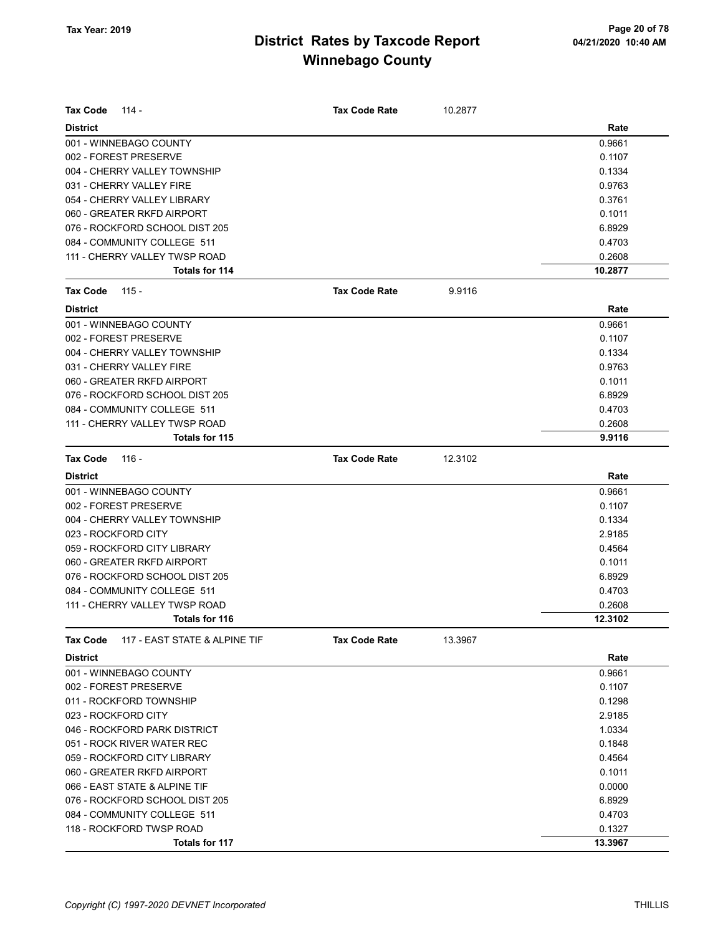| <b>Tax Code</b><br>114 -                  | <b>Tax Code Rate</b> | 10.2877 |         |
|-------------------------------------------|----------------------|---------|---------|
| <b>District</b>                           |                      |         | Rate    |
| 001 - WINNEBAGO COUNTY                    |                      |         | 0.9661  |
| 002 - FOREST PRESERVE                     |                      |         | 0.1107  |
| 004 - CHERRY VALLEY TOWNSHIP              |                      |         | 0.1334  |
| 031 - CHERRY VALLEY FIRE                  |                      |         | 0.9763  |
| 054 - CHERRY VALLEY LIBRARY               |                      |         | 0.3761  |
| 060 - GREATER RKFD AIRPORT                |                      |         | 0.1011  |
| 076 - ROCKFORD SCHOOL DIST 205            |                      |         | 6.8929  |
| 084 - COMMUNITY COLLEGE 511               |                      |         | 0.4703  |
| 111 - CHERRY VALLEY TWSP ROAD             |                      |         | 0.2608  |
| Totals for 114                            |                      |         | 10.2877 |
| Tax Code<br>$115 -$                       | <b>Tax Code Rate</b> | 9.9116  |         |
| <b>District</b>                           |                      |         | Rate    |
| 001 - WINNEBAGO COUNTY                    |                      |         | 0.9661  |
| 002 - FOREST PRESERVE                     |                      |         | 0.1107  |
| 004 - CHERRY VALLEY TOWNSHIP              |                      |         | 0.1334  |
| 031 - CHERRY VALLEY FIRE                  |                      |         | 0.9763  |
| 060 - GREATER RKFD AIRPORT                |                      |         | 0.1011  |
| 076 - ROCKFORD SCHOOL DIST 205            |                      |         | 6.8929  |
| 084 - COMMUNITY COLLEGE 511               |                      |         | 0.4703  |
| 111 - CHERRY VALLEY TWSP ROAD             |                      |         | 0.2608  |
| Totals for 115                            |                      |         | 9.9116  |
| <b>Tax Code</b><br>116 -                  | <b>Tax Code Rate</b> | 12.3102 |         |
| <b>District</b>                           |                      |         | Rate    |
| 001 - WINNEBAGO COUNTY                    |                      |         | 0.9661  |
| 002 - FOREST PRESERVE                     |                      |         | 0.1107  |
| 004 - CHERRY VALLEY TOWNSHIP              |                      |         | 0.1334  |
| 023 - ROCKFORD CITY                       |                      |         | 2.9185  |
| 059 - ROCKFORD CITY LIBRARY               |                      |         | 0.4564  |
| 060 - GREATER RKFD AIRPORT                |                      |         | 0.1011  |
| 076 - ROCKFORD SCHOOL DIST 205            |                      |         | 6.8929  |
| 084 - COMMUNITY COLLEGE 511               |                      |         | 0.4703  |
| 111 - CHERRY VALLEY TWSP ROAD             |                      |         | 0.2608  |
| Totals for 116                            |                      |         | 12.3102 |
| 117 - EAST STATE & ALPINE TIF<br>Tax Code | <b>Tax Code Rate</b> | 13.3967 |         |
| <b>District</b>                           |                      |         | Rate    |
| 001 - WINNEBAGO COUNTY                    |                      |         | 0.9661  |
| 002 - FOREST PRESERVE                     |                      |         | 0.1107  |
| 011 - ROCKFORD TOWNSHIP                   |                      |         | 0.1298  |
| 023 - ROCKFORD CITY                       |                      |         | 2.9185  |
| 046 - ROCKFORD PARK DISTRICT              |                      |         | 1.0334  |
| 051 - ROCK RIVER WATER REC                |                      |         | 0.1848  |
| 059 - ROCKFORD CITY LIBRARY               |                      |         | 0.4564  |
| 060 - GREATER RKFD AIRPORT                |                      |         | 0.1011  |
| 066 - EAST STATE & ALPINE TIF             |                      |         | 0.0000  |
| 076 - ROCKFORD SCHOOL DIST 205            |                      |         | 6.8929  |
| 084 - COMMUNITY COLLEGE 511               |                      |         | 0.4703  |
| 118 - ROCKFORD TWSP ROAD                  |                      |         | 0.1327  |
|                                           |                      |         |         |
| Totals for 117                            |                      |         | 13.3967 |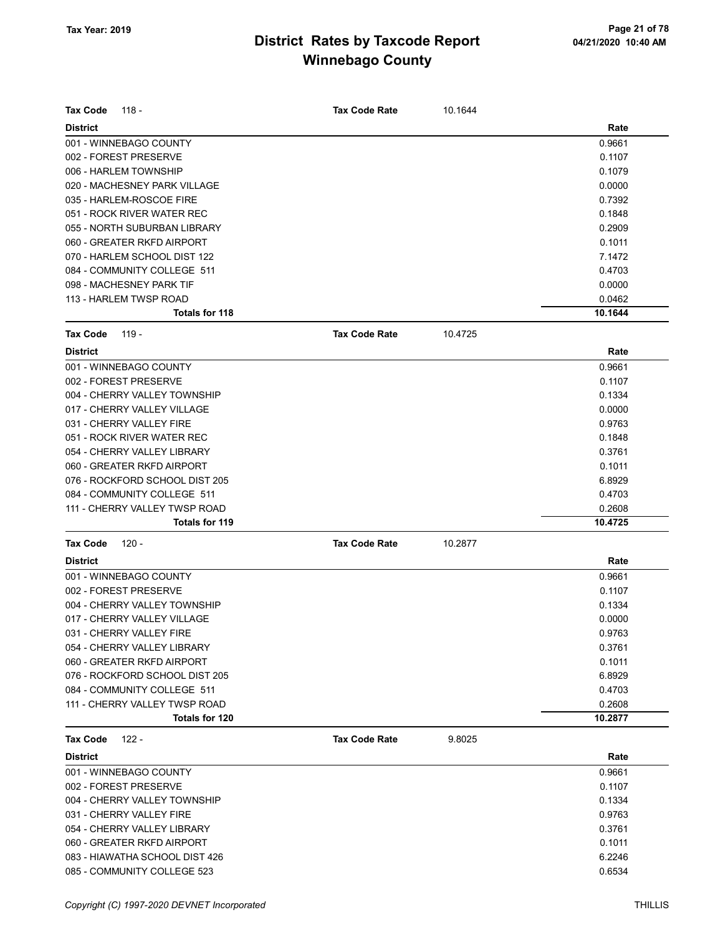| <b>Tax Code</b><br>118 -       | <b>Tax Code Rate</b> | 10.1644 |         |
|--------------------------------|----------------------|---------|---------|
| <b>District</b>                |                      |         | Rate    |
| 001 - WINNEBAGO COUNTY         |                      |         | 0.9661  |
| 002 - FOREST PRESERVE          |                      |         | 0.1107  |
| 006 - HARLEM TOWNSHIP          |                      |         | 0.1079  |
| 020 - MACHESNEY PARK VILLAGE   |                      |         | 0.0000  |
| 035 - HARLEM-ROSCOE FIRE       |                      |         | 0.7392  |
| 051 - ROCK RIVER WATER REC     |                      |         | 0.1848  |
| 055 - NORTH SUBURBAN LIBRARY   |                      |         | 0.2909  |
| 060 - GREATER RKFD AIRPORT     |                      |         | 0.1011  |
| 070 - HARLEM SCHOOL DIST 122   |                      |         | 7.1472  |
| 084 - COMMUNITY COLLEGE 511    |                      |         | 0.4703  |
| 098 - MACHESNEY PARK TIF       |                      |         | 0.0000  |
| 113 - HARLEM TWSP ROAD         |                      |         | 0.0462  |
| Totals for 118                 |                      |         | 10.1644 |
| <b>Tax Code</b><br>119 -       | <b>Tax Code Rate</b> | 10.4725 |         |
| <b>District</b>                |                      |         | Rate    |
| 001 - WINNEBAGO COUNTY         |                      |         | 0.9661  |
| 002 - FOREST PRESERVE          |                      |         | 0.1107  |
| 004 - CHERRY VALLEY TOWNSHIP   |                      |         | 0.1334  |
| 017 - CHERRY VALLEY VILLAGE    |                      |         | 0.0000  |
| 031 - CHERRY VALLEY FIRE       |                      |         | 0.9763  |
| 051 - ROCK RIVER WATER REC     |                      |         | 0.1848  |
| 054 - CHERRY VALLEY LIBRARY    |                      |         | 0.3761  |
| 060 - GREATER RKFD AIRPORT     |                      |         | 0.1011  |
| 076 - ROCKFORD SCHOOL DIST 205 |                      |         | 6.8929  |
| 084 - COMMUNITY COLLEGE 511    |                      |         | 0.4703  |
| 111 - CHERRY VALLEY TWSP ROAD  |                      |         | 0.2608  |
| Totals for 119                 |                      |         | 10.4725 |
| <b>Tax Code</b><br>120 -       | <b>Tax Code Rate</b> | 10.2877 |         |
| <b>District</b>                |                      |         | Rate    |
| 001 - WINNEBAGO COUNTY         |                      |         | 0.9661  |
| 002 - FOREST PRESERVE          |                      |         | 0.1107  |
| 004 - CHERRY VALLEY TOWNSHIP   |                      |         | 0.1334  |
| 017 - CHERRY VALLEY VILLAGE    |                      |         | 0.0000  |
| 031 - CHERRY VALLEY FIRE       |                      |         | 0.9763  |
| 054 - CHERRY VALLEY LIBRARY    |                      |         | 0.3761  |
| 060 - GREATER RKFD AIRPORT     |                      |         | 0.1011  |
| 076 - ROCKFORD SCHOOL DIST 205 |                      |         | 6.8929  |
| 084 - COMMUNITY COLLEGE 511    |                      |         | 0.4703  |
| 111 - CHERRY VALLEY TWSP ROAD  |                      |         | 0.2608  |
| Totals for 120                 |                      |         | 10.2877 |
| <b>Tax Code</b><br>$122 -$     | <b>Tax Code Rate</b> | 9.8025  |         |
| <b>District</b>                |                      |         | Rate    |
| 001 - WINNEBAGO COUNTY         |                      |         | 0.9661  |
| 002 - FOREST PRESERVE          |                      |         | 0.1107  |
| 004 - CHERRY VALLEY TOWNSHIP   |                      |         | 0.1334  |
| 031 - CHERRY VALLEY FIRE       |                      |         | 0.9763  |
| 054 - CHERRY VALLEY LIBRARY    |                      |         | 0.3761  |
| 060 - GREATER RKFD AIRPORT     |                      |         | 0.1011  |
| 083 - HIAWATHA SCHOOL DIST 426 |                      |         | 6.2246  |
| 085 - COMMUNITY COLLEGE 523    |                      |         | 0.6534  |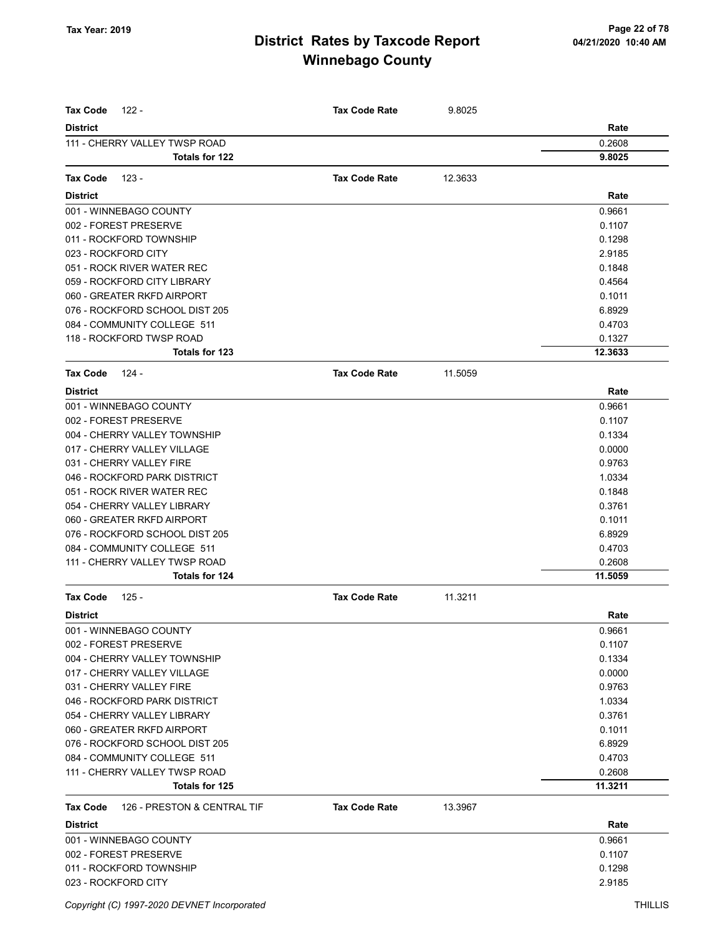| <b>Tax Code</b><br>122 -                | <b>Tax Code Rate</b> | 9.8025  |         |
|-----------------------------------------|----------------------|---------|---------|
| <b>District</b>                         |                      |         | Rate    |
| 111 - CHERRY VALLEY TWSP ROAD           |                      |         | 0.2608  |
| <b>Totals for 122</b>                   |                      |         | 9.8025  |
|                                         |                      |         |         |
| <b>Tax Code</b><br>$123 -$              | <b>Tax Code Rate</b> | 12.3633 |         |
| <b>District</b>                         |                      |         | Rate    |
| 001 - WINNEBAGO COUNTY                  |                      |         | 0.9661  |
| 002 - FOREST PRESERVE                   |                      |         | 0.1107  |
| 011 - ROCKFORD TOWNSHIP                 |                      |         | 0.1298  |
| 023 - ROCKFORD CITY                     |                      |         | 2.9185  |
| 051 - ROCK RIVER WATER REC              |                      |         | 0.1848  |
| 059 - ROCKFORD CITY LIBRARY             |                      |         | 0.4564  |
| 060 - GREATER RKFD AIRPORT              |                      |         | 0.1011  |
| 076 - ROCKFORD SCHOOL DIST 205          |                      |         | 6.8929  |
| 084 - COMMUNITY COLLEGE 511             |                      |         | 0.4703  |
| 118 - ROCKFORD TWSP ROAD                |                      |         | 0.1327  |
| Totals for 123                          |                      |         | 12.3633 |
| <b>Tax Code</b><br>124 -                | <b>Tax Code Rate</b> | 11.5059 |         |
| <b>District</b>                         |                      |         | Rate    |
| 001 - WINNEBAGO COUNTY                  |                      |         | 0.9661  |
| 002 - FOREST PRESERVE                   |                      |         | 0.1107  |
| 004 - CHERRY VALLEY TOWNSHIP            |                      |         | 0.1334  |
| 017 - CHERRY VALLEY VILLAGE             |                      |         | 0.0000  |
| 031 - CHERRY VALLEY FIRE                |                      |         | 0.9763  |
| 046 - ROCKFORD PARK DISTRICT            |                      |         | 1.0334  |
| 051 - ROCK RIVER WATER REC              |                      |         | 0.1848  |
| 054 - CHERRY VALLEY LIBRARY             |                      |         | 0.3761  |
| 060 - GREATER RKFD AIRPORT              |                      |         | 0.1011  |
| 076 - ROCKFORD SCHOOL DIST 205          |                      |         | 6.8929  |
| 084 - COMMUNITY COLLEGE 511             |                      |         | 0.4703  |
| 111 - CHERRY VALLEY TWSP ROAD           |                      |         | 0.2608  |
| Totals for 124                          |                      |         | 11.5059 |
| $125 -$<br><b>Tax Code</b>              | <b>Tax Code Rate</b> | 11.3211 |         |
| <b>District</b>                         |                      |         | Rate    |
| 001 - WINNEBAGO COUNTY                  |                      |         | 0.9661  |
| 002 - FOREST PRESERVE                   |                      |         | 0.1107  |
| 004 - CHERRY VALLEY TOWNSHIP            |                      |         | 0.1334  |
| 017 - CHERRY VALLEY VILLAGE             |                      |         | 0.0000  |
| 031 - CHERRY VALLEY FIRE                |                      |         | 0.9763  |
| 046 - ROCKFORD PARK DISTRICT            |                      |         | 1.0334  |
| 054 - CHERRY VALLEY LIBRARY             |                      |         | 0.3761  |
| 060 - GREATER RKFD AIRPORT              |                      |         | 0.1011  |
| 076 - ROCKFORD SCHOOL DIST 205          |                      |         | 6.8929  |
| 084 - COMMUNITY COLLEGE 511             |                      |         | 0.4703  |
| 111 - CHERRY VALLEY TWSP ROAD           |                      |         | 0.2608  |
| Totals for 125                          |                      |         | 11.3211 |
| 126 - PRESTON & CENTRAL TIF<br>Tax Code | <b>Tax Code Rate</b> | 13.3967 |         |
| <b>District</b>                         |                      |         | Rate    |
| 001 - WINNEBAGO COUNTY                  |                      |         | 0.9661  |
| 002 - FOREST PRESERVE                   |                      |         | 0.1107  |
| 011 - ROCKFORD TOWNSHIP                 |                      |         | 0.1298  |
| 023 - ROCKFORD CITY                     |                      |         | 2.9185  |
|                                         |                      |         |         |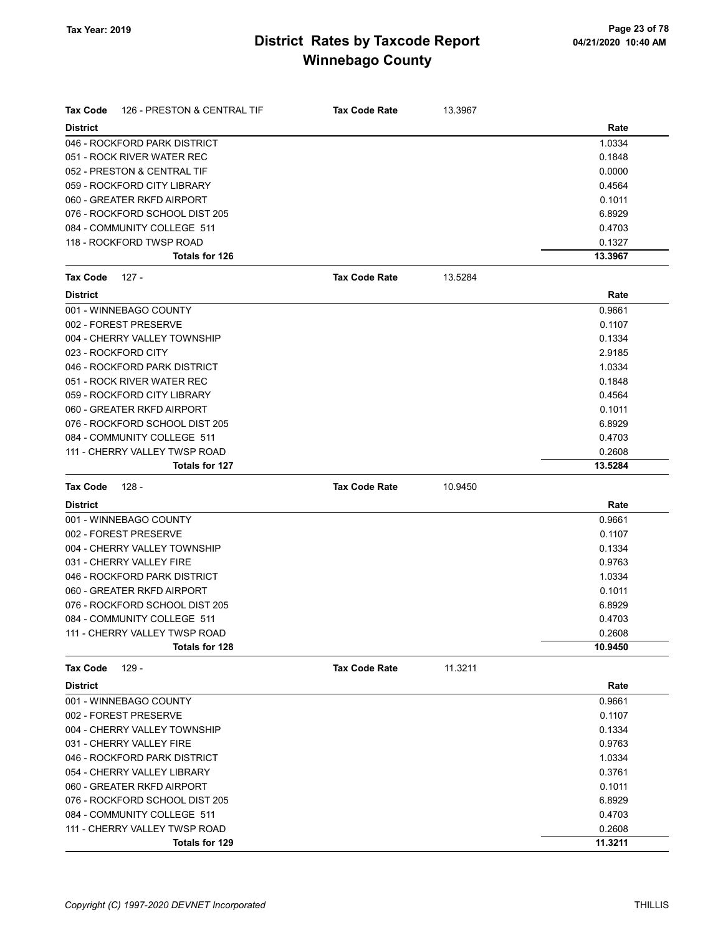| Tax Code<br>126 - PRESTON & CENTRAL TIF | <b>Tax Code Rate</b> | 13.3967 |         |
|-----------------------------------------|----------------------|---------|---------|
| <b>District</b>                         |                      |         | Rate    |
| 046 - ROCKFORD PARK DISTRICT            |                      |         | 1.0334  |
| 051 - ROCK RIVER WATER REC              |                      |         | 0.1848  |
| 052 - PRESTON & CENTRAL TIF             |                      |         | 0.0000  |
| 059 - ROCKFORD CITY LIBRARY             |                      |         | 0.4564  |
| 060 - GREATER RKFD AIRPORT              |                      |         | 0.1011  |
| 076 - ROCKFORD SCHOOL DIST 205          |                      |         | 6.8929  |
| 084 - COMMUNITY COLLEGE 511             |                      |         | 0.4703  |
| 118 - ROCKFORD TWSP ROAD                |                      |         | 0.1327  |
| <b>Totals for 126</b>                   |                      |         | 13.3967 |
| <b>Tax Code</b><br>$127 -$              | <b>Tax Code Rate</b> | 13.5284 |         |
| <b>District</b>                         |                      |         | Rate    |
| 001 - WINNEBAGO COUNTY                  |                      |         | 0.9661  |
| 002 - FOREST PRESERVE                   |                      |         | 0.1107  |
| 004 - CHERRY VALLEY TOWNSHIP            |                      |         | 0.1334  |
| 023 - ROCKFORD CITY                     |                      |         | 2.9185  |
| 046 - ROCKFORD PARK DISTRICT            |                      |         | 1.0334  |
| 051 - ROCK RIVER WATER REC              |                      |         | 0.1848  |
| 059 - ROCKFORD CITY LIBRARY             |                      |         | 0.4564  |
| 060 - GREATER RKFD AIRPORT              |                      |         | 0.1011  |
| 076 - ROCKFORD SCHOOL DIST 205          |                      |         | 6.8929  |
| 084 - COMMUNITY COLLEGE 511             |                      |         | 0.4703  |
| 111 - CHERRY VALLEY TWSP ROAD           |                      |         | 0.2608  |
| <b>Totals for 127</b>                   |                      |         | 13.5284 |
|                                         |                      |         |         |
| <b>Tax Code</b><br>128 -                | <b>Tax Code Rate</b> | 10.9450 |         |
| <b>District</b>                         |                      |         | Rate    |
| 001 - WINNEBAGO COUNTY                  |                      |         | 0.9661  |
| 002 - FOREST PRESERVE                   |                      |         | 0.1107  |
| 004 - CHERRY VALLEY TOWNSHIP            |                      |         | 0.1334  |
| 031 - CHERRY VALLEY FIRE                |                      |         | 0.9763  |
| 046 - ROCKFORD PARK DISTRICT            |                      |         | 1.0334  |
| 060 - GREATER RKFD AIRPORT              |                      |         | 0.1011  |
| 076 - ROCKFORD SCHOOL DIST 205          |                      |         | 6.8929  |
| 084 - COMMUNITY COLLEGE 511             |                      |         | 0.4703  |
| 111 - CHERRY VALLEY TWSP ROAD           |                      |         | 0.2608  |
| Totals for 128                          |                      |         | 10.9450 |
| $129 -$<br>Tax Code                     | <b>Tax Code Rate</b> | 11.3211 |         |
| <b>District</b>                         |                      |         | Rate    |
| 001 - WINNEBAGO COUNTY                  |                      |         | 0.9661  |
| 002 - FOREST PRESERVE                   |                      |         | 0.1107  |
| 004 - CHERRY VALLEY TOWNSHIP            |                      |         | 0.1334  |
| 031 - CHERRY VALLEY FIRE                |                      |         | 0.9763  |
| 046 - ROCKFORD PARK DISTRICT            |                      |         | 1.0334  |
| 054 - CHERRY VALLEY LIBRARY             |                      |         | 0.3761  |
| 060 - GREATER RKFD AIRPORT              |                      |         | 0.1011  |
| 076 - ROCKFORD SCHOOL DIST 205          |                      |         | 6.8929  |
| 084 - COMMUNITY COLLEGE 511             |                      |         | 0.4703  |
| 111 - CHERRY VALLEY TWSP ROAD           |                      |         | 0.2608  |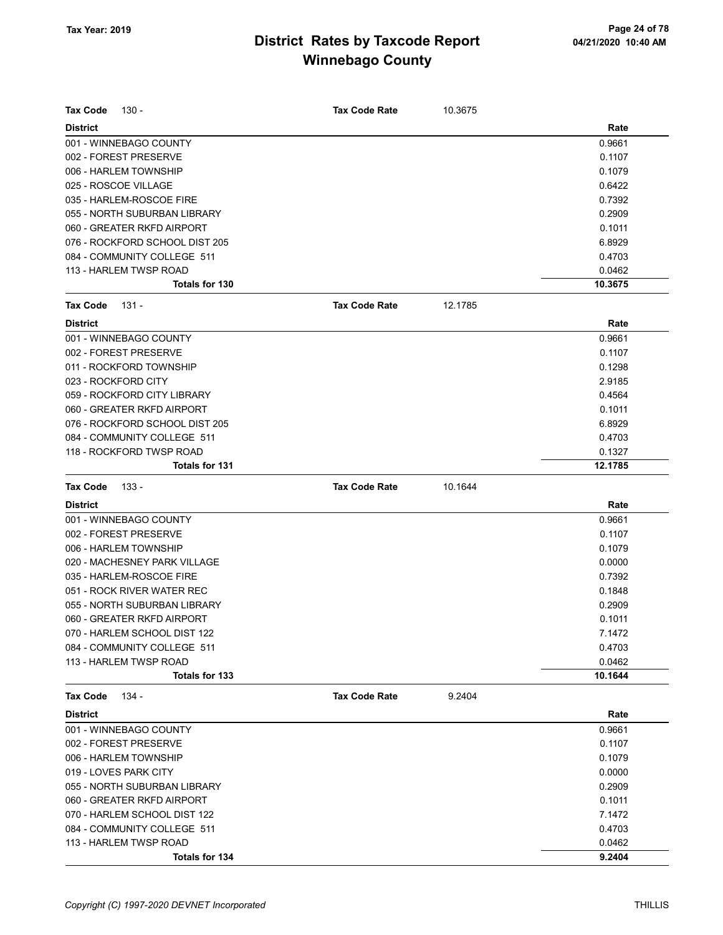| <b>Tax Code</b>       | 130 -                          | <b>Tax Code Rate</b> | 10.3675 |         |
|-----------------------|--------------------------------|----------------------|---------|---------|
| <b>District</b>       |                                |                      |         | Rate    |
|                       | 001 - WINNEBAGO COUNTY         |                      |         | 0.9661  |
|                       | 002 - FOREST PRESERVE          |                      |         | 0.1107  |
|                       | 006 - HARLEM TOWNSHIP          |                      |         | 0.1079  |
| 025 - ROSCOE VILLAGE  |                                |                      |         | 0.6422  |
|                       | 035 - HARLEM-ROSCOE FIRE       |                      |         | 0.7392  |
|                       | 055 - NORTH SUBURBAN LIBRARY   |                      |         | 0.2909  |
|                       | 060 - GREATER RKFD AIRPORT     |                      |         | 0.1011  |
|                       | 076 - ROCKFORD SCHOOL DIST 205 |                      |         | 6.8929  |
|                       | 084 - COMMUNITY COLLEGE 511    |                      |         | 0.4703  |
|                       | 113 - HARLEM TWSP ROAD         |                      |         | 0.0462  |
|                       | <b>Totals for 130</b>          |                      |         | 10.3675 |
| <b>Tax Code</b>       | $131 -$                        | <b>Tax Code Rate</b> | 12.1785 |         |
| <b>District</b>       |                                |                      |         | Rate    |
|                       | 001 - WINNEBAGO COUNTY         |                      |         | 0.9661  |
|                       | 002 - FOREST PRESERVE          |                      |         | 0.1107  |
|                       | 011 - ROCKFORD TOWNSHIP        |                      |         | 0.1298  |
| 023 - ROCKFORD CITY   |                                |                      |         | 2.9185  |
|                       | 059 - ROCKFORD CITY LIBRARY    |                      |         | 0.4564  |
|                       | 060 - GREATER RKFD AIRPORT     |                      |         | 0.1011  |
|                       | 076 - ROCKFORD SCHOOL DIST 205 |                      |         | 6.8929  |
|                       | 084 - COMMUNITY COLLEGE 511    |                      |         | 0.4703  |
|                       | 118 - ROCKFORD TWSP ROAD       |                      |         | 0.1327  |
|                       | <b>Totals for 131</b>          |                      |         | 12.1785 |
|                       |                                |                      |         |         |
| <b>Tax Code</b>       | 133 -                          | <b>Tax Code Rate</b> | 10.1644 |         |
| <b>District</b>       |                                |                      |         | Rate    |
|                       | 001 - WINNEBAGO COUNTY         |                      |         | 0.9661  |
|                       | 002 - FOREST PRESERVE          |                      |         | 0.1107  |
|                       | 006 - HARLEM TOWNSHIP          |                      |         | 0.1079  |
|                       | 020 - MACHESNEY PARK VILLAGE   |                      |         | 0.0000  |
|                       | 035 - HARLEM-ROSCOE FIRE       |                      |         | 0.7392  |
|                       | 051 - ROCK RIVER WATER REC     |                      |         | 0.1848  |
|                       | 055 - NORTH SUBURBAN LIBRARY   |                      |         | 0.2909  |
|                       | 060 - GREATER RKFD AIRPORT     |                      |         | 0.1011  |
|                       | 070 - HARLEM SCHOOL DIST 122   |                      |         | 7.1472  |
|                       | 084 - COMMUNITY COLLEGE 511    |                      |         | 0.4703  |
|                       | 113 - HARLEM TWSP ROAD         |                      |         | 0.0462  |
|                       | Totals for 133                 |                      |         | 10.1644 |
| Tax Code              | 134 -                          | <b>Tax Code Rate</b> | 9.2404  |         |
| <b>District</b>       |                                |                      |         | Rate    |
|                       | 001 - WINNEBAGO COUNTY         |                      |         | 0.9661  |
|                       | 002 - FOREST PRESERVE          |                      |         | 0.1107  |
|                       | 006 - HARLEM TOWNSHIP          |                      |         | 0.1079  |
| 019 - LOVES PARK CITY |                                |                      |         | 0.0000  |
|                       | 055 - NORTH SUBURBAN LIBRARY   |                      |         | 0.2909  |
|                       | 060 - GREATER RKFD AIRPORT     |                      |         | 0.1011  |
|                       | 070 - HARLEM SCHOOL DIST 122   |                      |         | 7.1472  |
|                       | 084 - COMMUNITY COLLEGE 511    |                      |         | 0.4703  |
|                       | 113 - HARLEM TWSP ROAD         |                      |         | 0.0462  |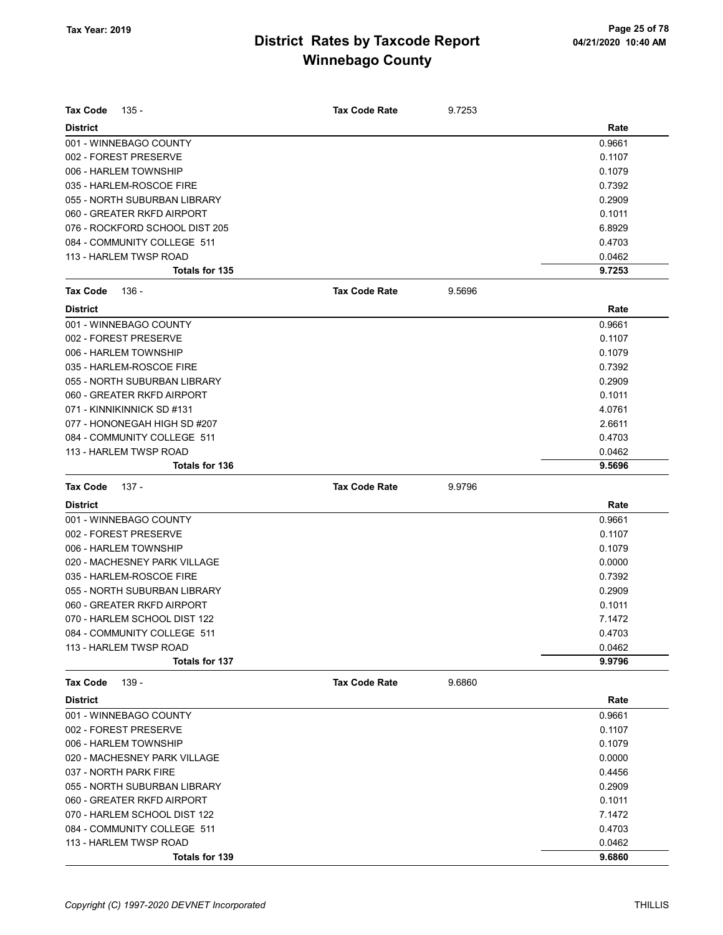| <b>Tax Code</b> | 135 -                          | <b>Tax Code Rate</b> | 9.7253 |        |
|-----------------|--------------------------------|----------------------|--------|--------|
| <b>District</b> |                                |                      |        | Rate   |
|                 | 001 - WINNEBAGO COUNTY         |                      |        | 0.9661 |
|                 | 002 - FOREST PRESERVE          |                      |        | 0.1107 |
|                 | 006 - HARLEM TOWNSHIP          |                      |        | 0.1079 |
|                 | 035 - HARLEM-ROSCOE FIRE       |                      |        | 0.7392 |
|                 | 055 - NORTH SUBURBAN LIBRARY   |                      |        | 0.2909 |
|                 | 060 - GREATER RKFD AIRPORT     |                      |        | 0.1011 |
|                 | 076 - ROCKFORD SCHOOL DIST 205 |                      |        | 6.8929 |
|                 | 084 - COMMUNITY COLLEGE 511    |                      |        | 0.4703 |
|                 | 113 - HARLEM TWSP ROAD         |                      |        | 0.0462 |
|                 | Totals for 135                 |                      |        | 9.7253 |
| Tax Code        | 136 -                          | <b>Tax Code Rate</b> | 9.5696 |        |
| <b>District</b> |                                |                      |        | Rate   |
|                 | 001 - WINNEBAGO COUNTY         |                      |        | 0.9661 |
|                 | 002 - FOREST PRESERVE          |                      |        | 0.1107 |
|                 | 006 - HARLEM TOWNSHIP          |                      |        | 0.1079 |
|                 | 035 - HARLEM-ROSCOE FIRE       |                      |        | 0.7392 |
|                 | 055 - NORTH SUBURBAN LIBRARY   |                      |        | 0.2909 |
|                 | 060 - GREATER RKFD AIRPORT     |                      |        | 0.1011 |
|                 | 071 - KINNIKINNICK SD #131     |                      |        | 4.0761 |
|                 | 077 - HONONEGAH HIGH SD #207   |                      |        | 2.6611 |
|                 | 084 - COMMUNITY COLLEGE 511    |                      |        | 0.4703 |
|                 | 113 - HARLEM TWSP ROAD         |                      |        | 0.0462 |
|                 | <b>Totals for 136</b>          |                      |        | 9.5696 |
| <b>Tax Code</b> | 137 -                          | <b>Tax Code Rate</b> | 9.9796 |        |
| <b>District</b> |                                |                      |        | Rate   |
|                 | 001 - WINNEBAGO COUNTY         |                      |        | 0.9661 |
|                 | 002 - FOREST PRESERVE          |                      |        | 0.1107 |
|                 | 006 - HARLEM TOWNSHIP          |                      |        | 0.1079 |
|                 | 020 - MACHESNEY PARK VILLAGE   |                      |        | 0.0000 |
|                 | 035 - HARLEM-ROSCOE FIRE       |                      |        | 0.7392 |
|                 | 055 - NORTH SUBURBAN LIBRARY   |                      |        | 0.2909 |
|                 | 060 - GREATER RKFD AIRPORT     |                      |        | 0.1011 |
|                 | 070 - HARLEM SCHOOL DIST 122   |                      |        | 7.1472 |
|                 | 084 - COMMUNITY COLLEGE 511    |                      |        | 0.4703 |
|                 | 113 - HARLEM TWSP ROAD         |                      |        | 0.0462 |
|                 | Totals for 137                 |                      |        | 9.9796 |
| <b>Tax Code</b> | 139 -                          | <b>Tax Code Rate</b> | 9.6860 |        |
| <b>District</b> |                                |                      |        | Rate   |
|                 | 001 - WINNEBAGO COUNTY         |                      |        | 0.9661 |
|                 | 002 - FOREST PRESERVE          |                      |        | 0.1107 |
|                 | 006 - HARLEM TOWNSHIP          |                      |        | 0.1079 |
|                 | 020 - MACHESNEY PARK VILLAGE   |                      |        | 0.0000 |
|                 | 037 - NORTH PARK FIRE          |                      |        | 0.4456 |
|                 | 055 - NORTH SUBURBAN LIBRARY   |                      |        | 0.2909 |
|                 | 060 - GREATER RKFD AIRPORT     |                      |        | 0.1011 |
|                 | 070 - HARLEM SCHOOL DIST 122   |                      |        | 7.1472 |
|                 | 084 - COMMUNITY COLLEGE 511    |                      |        | 0.4703 |
|                 | 113 - HARLEM TWSP ROAD         |                      |        | 0.0462 |
|                 | Totals for 139                 |                      |        | 9.6860 |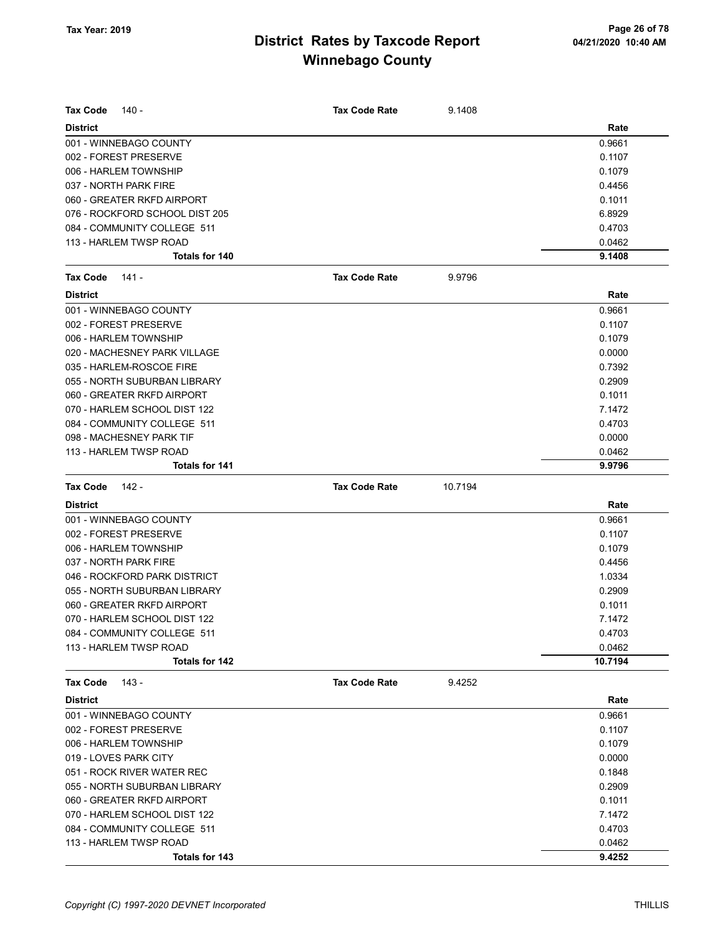| <b>Tax Code</b><br>140 -       |                       | <b>Tax Code Rate</b> | 9.1408  |         |
|--------------------------------|-----------------------|----------------------|---------|---------|
| <b>District</b>                |                       |                      |         | Rate    |
| 001 - WINNEBAGO COUNTY         |                       |                      |         | 0.9661  |
| 002 - FOREST PRESERVE          |                       |                      |         | 0.1107  |
| 006 - HARLEM TOWNSHIP          |                       |                      |         | 0.1079  |
| 037 - NORTH PARK FIRE          |                       |                      |         | 0.4456  |
| 060 - GREATER RKFD AIRPORT     |                       |                      |         | 0.1011  |
| 076 - ROCKFORD SCHOOL DIST 205 |                       |                      |         | 6.8929  |
| 084 - COMMUNITY COLLEGE 511    |                       |                      |         | 0.4703  |
| 113 - HARLEM TWSP ROAD         |                       |                      |         | 0.0462  |
|                                | <b>Totals for 140</b> |                      |         | 9.1408  |
| <b>Tax Code</b><br>141 -       |                       | <b>Tax Code Rate</b> | 9.9796  |         |
| <b>District</b>                |                       |                      |         | Rate    |
| 001 - WINNEBAGO COUNTY         |                       |                      |         | 0.9661  |
| 002 - FOREST PRESERVE          |                       |                      |         | 0.1107  |
| 006 - HARLEM TOWNSHIP          |                       |                      |         | 0.1079  |
| 020 - MACHESNEY PARK VILLAGE   |                       |                      |         | 0.0000  |
| 035 - HARLEM-ROSCOE FIRE       |                       |                      |         | 0.7392  |
| 055 - NORTH SUBURBAN LIBRARY   |                       |                      |         | 0.2909  |
| 060 - GREATER RKFD AIRPORT     |                       |                      |         | 0.1011  |
| 070 - HARLEM SCHOOL DIST 122   |                       |                      |         | 7.1472  |
| 084 - COMMUNITY COLLEGE 511    |                       |                      |         | 0.4703  |
| 098 - MACHESNEY PARK TIF       |                       |                      |         | 0.0000  |
| 113 - HARLEM TWSP ROAD         |                       |                      |         | 0.0462  |
|                                | <b>Totals for 141</b> |                      |         | 9.9796  |
| <b>Tax Code</b><br>142 -       |                       | <b>Tax Code Rate</b> | 10.7194 |         |
| <b>District</b>                |                       |                      |         | Rate    |
| 001 - WINNEBAGO COUNTY         |                       |                      |         | 0.9661  |
| 002 - FOREST PRESERVE          |                       |                      |         | 0.1107  |
| 006 - HARLEM TOWNSHIP          |                       |                      |         | 0.1079  |
|                                |                       |                      |         | 0.4456  |
| 037 - NORTH PARK FIRE          |                       |                      |         |         |
| 046 - ROCKFORD PARK DISTRICT   |                       |                      |         | 1.0334  |
| 055 - NORTH SUBURBAN LIBRARY   |                       |                      |         | 0.2909  |
| 060 - GREATER RKFD AIRPORT     |                       |                      |         | 0.1011  |
| 070 - HARLEM SCHOOL DIST 122   |                       |                      |         | 7.1472  |
| 084 - COMMUNITY COLLEGE 511    |                       |                      |         | 0.4703  |
| 113 - HARLEM TWSP ROAD         |                       |                      |         | 0.0462  |
|                                | <b>Totals for 142</b> |                      |         | 10.7194 |
| <b>Tax Code</b><br>143 -       |                       | <b>Tax Code Rate</b> | 9.4252  |         |
| <b>District</b>                |                       |                      |         | Rate    |
| 001 - WINNEBAGO COUNTY         |                       |                      |         | 0.9661  |
| 002 - FOREST PRESERVE          |                       |                      |         | 0.1107  |
| 006 - HARLEM TOWNSHIP          |                       |                      |         | 0.1079  |
| 019 - LOVES PARK CITY          |                       |                      |         | 0.0000  |
| 051 - ROCK RIVER WATER REC     |                       |                      |         | 0.1848  |
| 055 - NORTH SUBURBAN LIBRARY   |                       |                      |         | 0.2909  |
| 060 - GREATER RKFD AIRPORT     |                       |                      |         | 0.1011  |
| 070 - HARLEM SCHOOL DIST 122   |                       |                      |         | 7.1472  |
| 084 - COMMUNITY COLLEGE 511    |                       |                      |         | 0.4703  |
| 113 - HARLEM TWSP ROAD         |                       |                      |         | 0.0462  |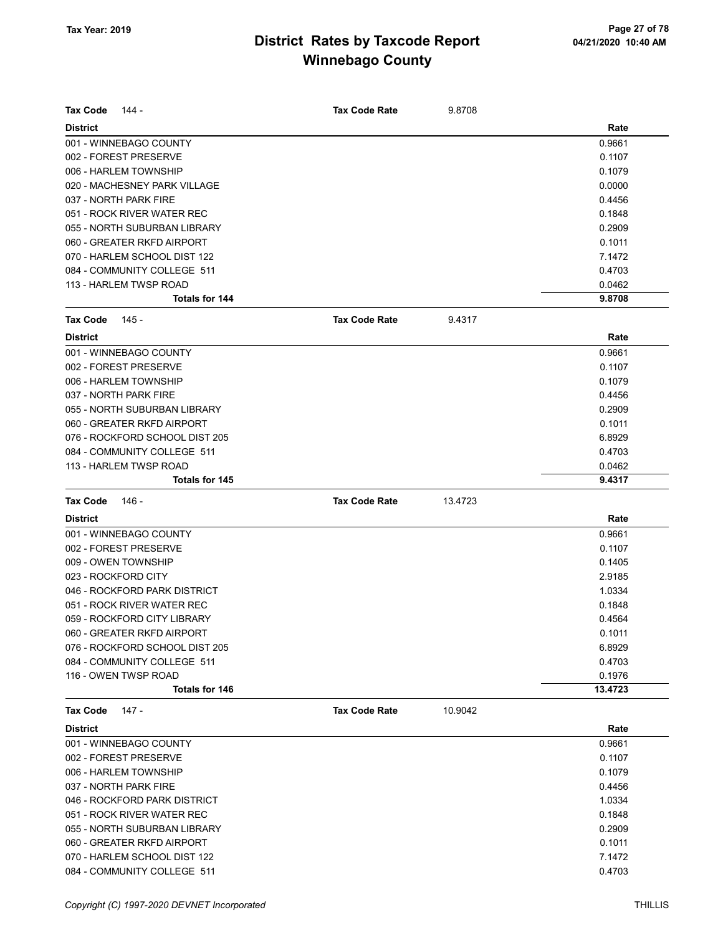| <b>Tax Code</b><br>144 -       | <b>Tax Code Rate</b> | 9.8708  |        |
|--------------------------------|----------------------|---------|--------|
| <b>District</b>                |                      |         | Rate   |
| 001 - WINNEBAGO COUNTY         |                      |         | 0.9661 |
| 002 - FOREST PRESERVE          |                      |         | 0.1107 |
| 006 - HARLEM TOWNSHIP          |                      |         | 0.1079 |
| 020 - MACHESNEY PARK VILLAGE   |                      |         | 0.0000 |
| 037 - NORTH PARK FIRE          |                      |         | 0.4456 |
| 051 - ROCK RIVER WATER REC     |                      |         | 0.1848 |
| 055 - NORTH SUBURBAN LIBRARY   |                      |         | 0.2909 |
| 060 - GREATER RKFD AIRPORT     |                      |         | 0.1011 |
| 070 - HARLEM SCHOOL DIST 122   |                      |         | 7.1472 |
| 084 - COMMUNITY COLLEGE 511    |                      |         | 0.4703 |
| 113 - HARLEM TWSP ROAD         |                      |         | 0.0462 |
| Totals for 144                 |                      |         | 9.8708 |
| <b>Tax Code</b><br>145 -       | <b>Tax Code Rate</b> | 9.4317  |        |
| <b>District</b>                |                      |         | Rate   |
| 001 - WINNEBAGO COUNTY         |                      |         | 0.9661 |
| 002 - FOREST PRESERVE          |                      |         | 0.1107 |
| 006 - HARLEM TOWNSHIP          |                      |         | 0.1079 |
| 037 - NORTH PARK FIRE          |                      |         | 0.4456 |
| 055 - NORTH SUBURBAN LIBRARY   |                      |         | 0.2909 |
| 060 - GREATER RKFD AIRPORT     |                      |         | 0.1011 |
| 076 - ROCKFORD SCHOOL DIST 205 |                      |         | 6.8929 |
| 084 - COMMUNITY COLLEGE 511    |                      |         | 0.4703 |
| 113 - HARLEM TWSP ROAD         |                      |         | 0.0462 |
| Totals for 145                 |                      |         | 9.4317 |
| <b>Tax Code</b><br>146 -       | <b>Tax Code Rate</b> | 13.4723 |        |
| <b>District</b>                |                      |         | Rate   |
| 001 - WINNEBAGO COUNTY         |                      |         | 0.9661 |
| 002 - FOREST PRESERVE          |                      |         | 0.1107 |
| 009 - OWEN TOWNSHIP            |                      |         | 0.1405 |
| 023 - ROCKFORD CITY            |                      |         | 2.9185 |
| 046 - ROCKFORD PARK DISTRICT   |                      |         | 1.0334 |
| 051 - ROCK RIVER WATER REC     |                      |         | 0.1848 |
| 059 - ROCKFORD CITY LIBRARY    |                      |         | 0.4564 |
| 060 - GREATER RKFD AIRPORT     |                      |         | 0.1011 |
| 076 - ROCKFORD SCHOOL DIST 205 |                      |         | 6.8929 |
| 084 - COMMUNITY COLLEGE 511    |                      |         | 0.4703 |
| 116 - OWEN TWSP ROAD           |                      |         | 0.1976 |
| Totals for 146                 |                      | 13.4723 |        |
| Tax Code<br>147 -              | <b>Tax Code Rate</b> | 10.9042 |        |
| <b>District</b>                |                      |         | Rate   |
| 001 - WINNEBAGO COUNTY         |                      |         | 0.9661 |
| 002 - FOREST PRESERVE          |                      |         | 0.1107 |
| 006 - HARLEM TOWNSHIP          |                      |         | 0.1079 |
| 037 - NORTH PARK FIRE          |                      |         | 0.4456 |
| 046 - ROCKFORD PARK DISTRICT   |                      |         | 1.0334 |
| 051 - ROCK RIVER WATER REC     |                      |         | 0.1848 |
| 055 - NORTH SUBURBAN LIBRARY   |                      |         | 0.2909 |
| 060 - GREATER RKFD AIRPORT     |                      |         | 0.1011 |

070 - HARLEM SCHOOL DIST 122 2008 122 2009 12:00 2010 12:00 2010 12:00 2010 12:00 2010 12:00 2010 12:00 2010 1 084 - COMMUNITY COLLEGE 511 0.4703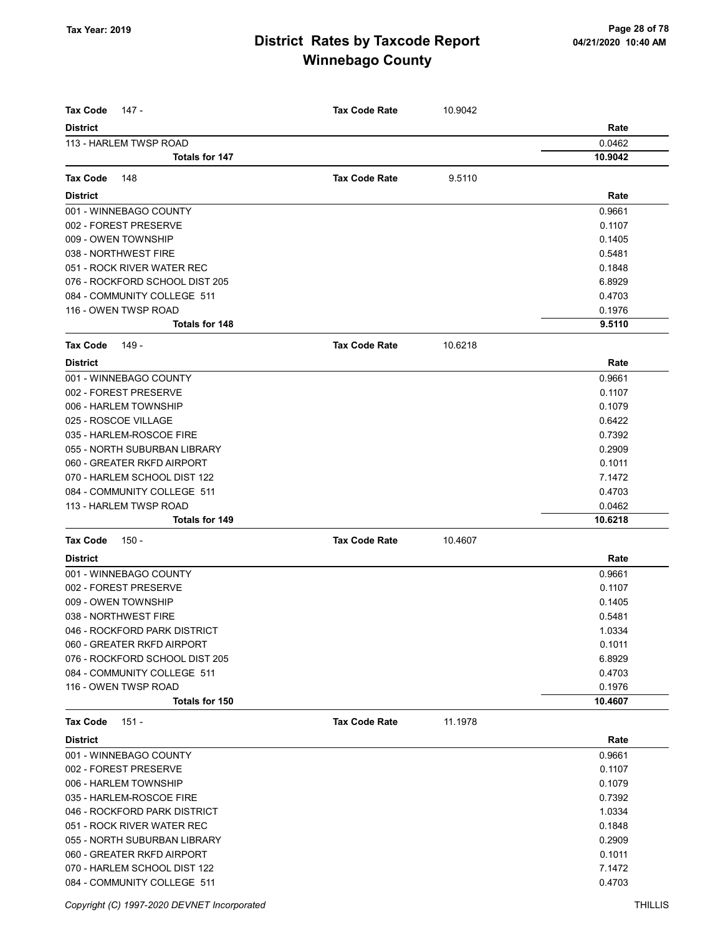| <b>Tax Code</b><br>147 -       | <b>Tax Code Rate</b> | 10.9042 |         |
|--------------------------------|----------------------|---------|---------|
| <b>District</b>                |                      |         | Rate    |
| 113 - HARLEM TWSP ROAD         |                      |         | 0.0462  |
| Totals for 147                 |                      |         | 10.9042 |
|                                |                      |         |         |
| <b>Tax Code</b><br>148         | <b>Tax Code Rate</b> | 9.5110  |         |
| <b>District</b>                |                      |         | Rate    |
| 001 - WINNEBAGO COUNTY         |                      |         | 0.9661  |
| 002 - FOREST PRESERVE          |                      |         | 0.1107  |
| 009 - OWEN TOWNSHIP            |                      |         | 0.1405  |
| 038 - NORTHWEST FIRE           |                      |         | 0.5481  |
| 051 - ROCK RIVER WATER REC     |                      |         | 0.1848  |
| 076 - ROCKFORD SCHOOL DIST 205 |                      |         | 6.8929  |
| 084 - COMMUNITY COLLEGE 511    |                      |         | 0.4703  |
| 116 - OWEN TWSP ROAD           |                      |         | 0.1976  |
| <b>Totals for 148</b>          |                      |         | 9.5110  |
| Tax Code<br>149 -              | <b>Tax Code Rate</b> | 10.6218 |         |
| <b>District</b>                |                      |         | Rate    |
| 001 - WINNEBAGO COUNTY         |                      |         | 0.9661  |
| 002 - FOREST PRESERVE          |                      |         | 0.1107  |
| 006 - HARLEM TOWNSHIP          |                      |         | 0.1079  |
| 025 - ROSCOE VILLAGE           |                      |         | 0.6422  |
| 035 - HARLEM-ROSCOE FIRE       |                      |         | 0.7392  |
| 055 - NORTH SUBURBAN LIBRARY   |                      |         | 0.2909  |
| 060 - GREATER RKFD AIRPORT     |                      |         | 0.1011  |
| 070 - HARLEM SCHOOL DIST 122   |                      |         | 7.1472  |
| 084 - COMMUNITY COLLEGE 511    |                      |         | 0.4703  |
| 113 - HARLEM TWSP ROAD         |                      |         | 0.0462  |
| <b>Totals for 149</b>          |                      |         | 10.6218 |
| Tax Code<br>150 -              | <b>Tax Code Rate</b> | 10.4607 |         |
| <b>District</b>                |                      |         | Rate    |
| 001 - WINNEBAGO COUNTY         |                      |         | 0.9661  |
| 002 - FOREST PRESERVE          |                      |         | 0.1107  |
| 009 - OWEN TOWNSHIP            |                      |         | 0.1405  |
| 038 - NORTHWEST FIRE           |                      |         | 0.5481  |
| 046 - ROCKFORD PARK DISTRICT   |                      |         | 1.0334  |
| 060 - GREATER RKFD AIRPORT     |                      |         | 0.1011  |
| 076 - ROCKFORD SCHOOL DIST 205 |                      |         | 6.8929  |
| 084 - COMMUNITY COLLEGE 511    |                      |         | 0.4703  |
| 116 - OWEN TWSP ROAD           |                      |         | 0.1976  |
| Totals for 150                 |                      |         | 10.4607 |
| Tax Code<br>151 -              | <b>Tax Code Rate</b> | 11.1978 |         |
| <b>District</b>                |                      |         | Rate    |
| 001 - WINNEBAGO COUNTY         |                      |         | 0.9661  |
| 002 - FOREST PRESERVE          |                      |         | 0.1107  |
| 006 - HARLEM TOWNSHIP          |                      |         | 0.1079  |
| 035 - HARLEM-ROSCOE FIRE       |                      |         | 0.7392  |
| 046 - ROCKFORD PARK DISTRICT   |                      |         | 1.0334  |
| 051 - ROCK RIVER WATER REC     |                      |         | 0.1848  |
| 055 - NORTH SUBURBAN LIBRARY   |                      |         | 0.2909  |
| 060 - GREATER RKFD AIRPORT     |                      |         | 0.1011  |
| 070 - HARLEM SCHOOL DIST 122   |                      |         | 7.1472  |
| 084 - COMMUNITY COLLEGE 511    |                      |         | 0.4703  |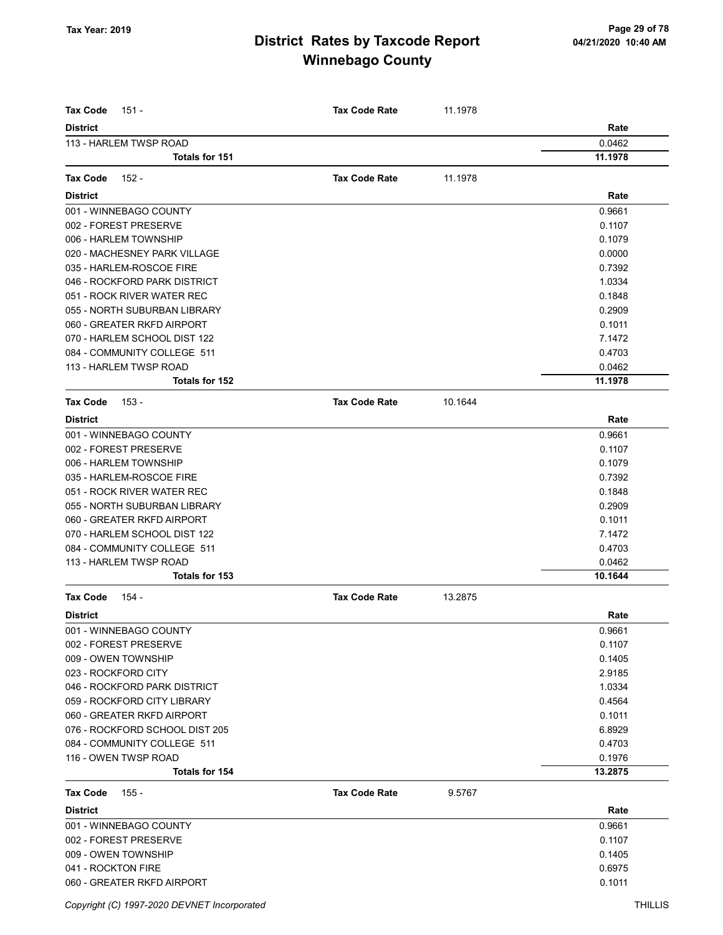| <b>Tax Code</b><br>151 -                        | <b>Tax Code Rate</b> | 11.1978 |                   |
|-------------------------------------------------|----------------------|---------|-------------------|
| <b>District</b>                                 |                      |         | Rate              |
| 113 - HARLEM TWSP ROAD<br><b>Totals for 151</b> |                      |         | 0.0462<br>11.1978 |
|                                                 |                      |         |                   |
| <b>Tax Code</b><br>152 -                        | <b>Tax Code Rate</b> | 11.1978 |                   |
| <b>District</b>                                 |                      |         | Rate              |
| 001 - WINNEBAGO COUNTY                          |                      |         | 0.9661            |
| 002 - FOREST PRESERVE                           |                      |         | 0.1107            |
| 006 - HARLEM TOWNSHIP                           |                      |         | 0.1079            |
| 020 - MACHESNEY PARK VILLAGE                    |                      |         | 0.0000            |
| 035 - HARLEM-ROSCOE FIRE                        |                      |         | 0.7392            |
| 046 - ROCKFORD PARK DISTRICT                    |                      |         | 1.0334            |
| 051 - ROCK RIVER WATER REC                      |                      |         | 0.1848            |
| 055 - NORTH SUBURBAN LIBRARY                    |                      |         | 0.2909            |
| 060 - GREATER RKFD AIRPORT                      |                      |         | 0.1011            |
| 070 - HARLEM SCHOOL DIST 122                    |                      |         | 7.1472            |
| 084 - COMMUNITY COLLEGE 511                     |                      |         | 0.4703            |
| 113 - HARLEM TWSP ROAD                          |                      |         | 0.0462            |
| Totals for 152                                  |                      |         | 11.1978           |
| <b>Tax Code</b><br>153 -                        | <b>Tax Code Rate</b> | 10.1644 |                   |
| <b>District</b>                                 |                      |         | Rate              |
| 001 - WINNEBAGO COUNTY                          |                      |         | 0.9661            |
| 002 - FOREST PRESERVE                           |                      |         | 0.1107            |
| 006 - HARLEM TOWNSHIP                           |                      |         | 0.1079            |
| 035 - HARLEM-ROSCOE FIRE                        |                      |         | 0.7392            |
| 051 - ROCK RIVER WATER REC                      |                      |         | 0.1848            |
| 055 - NORTH SUBURBAN LIBRARY                    |                      |         | 0.2909            |
| 060 - GREATER RKFD AIRPORT                      |                      |         | 0.1011            |
| 070 - HARLEM SCHOOL DIST 122                    |                      |         | 7.1472            |
| 084 - COMMUNITY COLLEGE 511                     |                      |         | 0.4703            |
| 113 - HARLEM TWSP ROAD                          |                      |         | 0.0462            |
| Totals for 153                                  |                      |         | 10.1644           |
| <b>Tax Code</b><br>154 -                        | <b>Tax Code Rate</b> | 13.2875 |                   |
| <b>District</b>                                 |                      |         | Rate              |
| 001 - WINNEBAGO COUNTY                          |                      |         | 0.9661            |
| 002 - FOREST PRESERVE                           |                      |         | 0.1107            |
| 009 - OWEN TOWNSHIP                             |                      |         | 0.1405            |
| 023 - ROCKFORD CITY                             |                      |         | 2.9185            |
| 046 - ROCKFORD PARK DISTRICT                    |                      |         | 1.0334            |
| 059 - ROCKFORD CITY LIBRARY                     |                      |         | 0.4564            |
| 060 - GREATER RKFD AIRPORT                      |                      |         | 0.1011            |
| 076 - ROCKFORD SCHOOL DIST 205                  |                      |         | 6.8929            |
| 084 - COMMUNITY COLLEGE 511                     |                      |         | 0.4703            |
| 116 - OWEN TWSP ROAD                            |                      |         | 0.1976            |
| Totals for 154                                  |                      |         | 13.2875           |
| <b>Tax Code</b><br>155 -                        | <b>Tax Code Rate</b> | 9.5767  |                   |
| <b>District</b>                                 |                      |         | Rate              |
| 001 - WINNEBAGO COUNTY                          |                      |         | 0.9661            |
| 002 - FOREST PRESERVE                           |                      |         | 0.1107            |
| 009 - OWEN TOWNSHIP                             |                      |         | 0.1405            |
| 041 - ROCKTON FIRE                              |                      |         | 0.6975            |
| 060 - GREATER RKFD AIRPORT                      |                      |         | 0.1011            |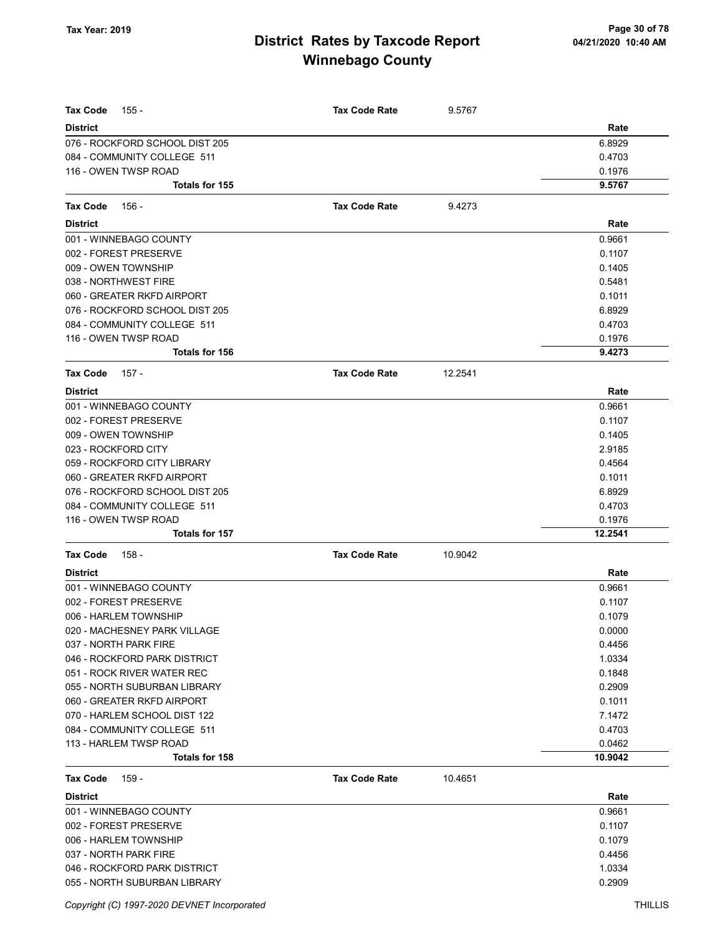| <b>Tax Code</b><br>155 -                        | <b>Tax Code Rate</b> | 9.5767  |                   |
|-------------------------------------------------|----------------------|---------|-------------------|
| <b>District</b>                                 |                      |         | Rate              |
| 076 - ROCKFORD SCHOOL DIST 205                  |                      |         | 6.8929            |
| 084 - COMMUNITY COLLEGE 511                     |                      |         | 0.4703            |
| 116 - OWEN TWSP ROAD                            |                      |         | 0.1976            |
| <b>Totals for 155</b>                           |                      |         | 9.5767            |
| <b>Tax Code</b><br>156 -                        | <b>Tax Code Rate</b> | 9.4273  |                   |
| <b>District</b>                                 |                      |         | Rate              |
| 001 - WINNEBAGO COUNTY                          |                      |         | 0.9661            |
| 002 - FOREST PRESERVE                           |                      |         | 0.1107            |
| 009 - OWEN TOWNSHIP                             |                      |         | 0.1405            |
| 038 - NORTHWEST FIRE                            |                      |         | 0.5481            |
| 060 - GREATER RKFD AIRPORT                      |                      |         | 0.1011            |
| 076 - ROCKFORD SCHOOL DIST 205                  |                      |         | 6.8929            |
| 084 - COMMUNITY COLLEGE 511                     |                      |         | 0.4703            |
| 116 - OWEN TWSP ROAD                            |                      |         | 0.1976            |
| <b>Totals for 156</b>                           |                      |         | 9.4273            |
| <b>Tax Code</b><br>157 -                        | <b>Tax Code Rate</b> | 12.2541 |                   |
| <b>District</b>                                 |                      |         | Rate              |
| 001 - WINNEBAGO COUNTY                          |                      |         | 0.9661            |
| 002 - FOREST PRESERVE                           |                      |         | 0.1107            |
| 009 - OWEN TOWNSHIP                             |                      |         | 0.1405            |
| 023 - ROCKFORD CITY                             |                      |         | 2.9185            |
| 059 - ROCKFORD CITY LIBRARY                     |                      |         | 0.4564            |
| 060 - GREATER RKFD AIRPORT                      |                      |         | 0.1011            |
| 076 - ROCKFORD SCHOOL DIST 205                  |                      |         | 6.8929            |
| 084 - COMMUNITY COLLEGE 511                     |                      |         | 0.4703            |
| 116 - OWEN TWSP ROAD                            |                      |         | 0.1976            |
| <b>Totals for 157</b>                           |                      |         | 12.2541           |
| <b>Tax Code</b><br>158 -                        | <b>Tax Code Rate</b> | 10.9042 |                   |
| <b>District</b>                                 |                      |         | Rate              |
| 001 - WINNEBAGO COUNTY                          |                      |         | 0.9661            |
| 002 - FOREST PRESERVE                           |                      |         | 0.1107            |
| 006 - HARLEM TOWNSHIP                           |                      |         | 0.1079            |
| 020 - MACHESNEY PARK VILLAGE                    |                      |         | 0.0000            |
| 037 - NORTH PARK FIRE                           |                      |         | 0.4456            |
| 046 - ROCKFORD PARK DISTRICT                    |                      |         | 1.0334            |
| 051 - ROCK RIVER WATER REC                      |                      |         | 0.1848            |
| 055 - NORTH SUBURBAN LIBRARY                    |                      |         | 0.2909            |
| 060 - GREATER RKFD AIRPORT                      |                      |         | 0.1011            |
| 070 - HARLEM SCHOOL DIST 122                    |                      |         | 7.1472            |
| 084 - COMMUNITY COLLEGE 511                     |                      |         | 0.4703            |
| 113 - HARLEM TWSP ROAD<br><b>Totals for 158</b> |                      |         | 0.0462<br>10.9042 |
| <b>Tax Code</b><br>159 -                        | <b>Tax Code Rate</b> | 10.4651 |                   |
| <b>District</b>                                 |                      |         | Rate              |
| 001 - WINNEBAGO COUNTY                          |                      |         | 0.9661            |
| 002 - FOREST PRESERVE                           |                      |         | 0.1107            |
| 006 - HARLEM TOWNSHIP                           |                      |         | 0.1079            |
| 037 - NORTH PARK FIRE                           |                      |         | 0.4456            |
| 046 - ROCKFORD PARK DISTRICT                    |                      |         | 1.0334            |
| 055 - NORTH SUBURBAN LIBRARY                    |                      |         | 0.2909            |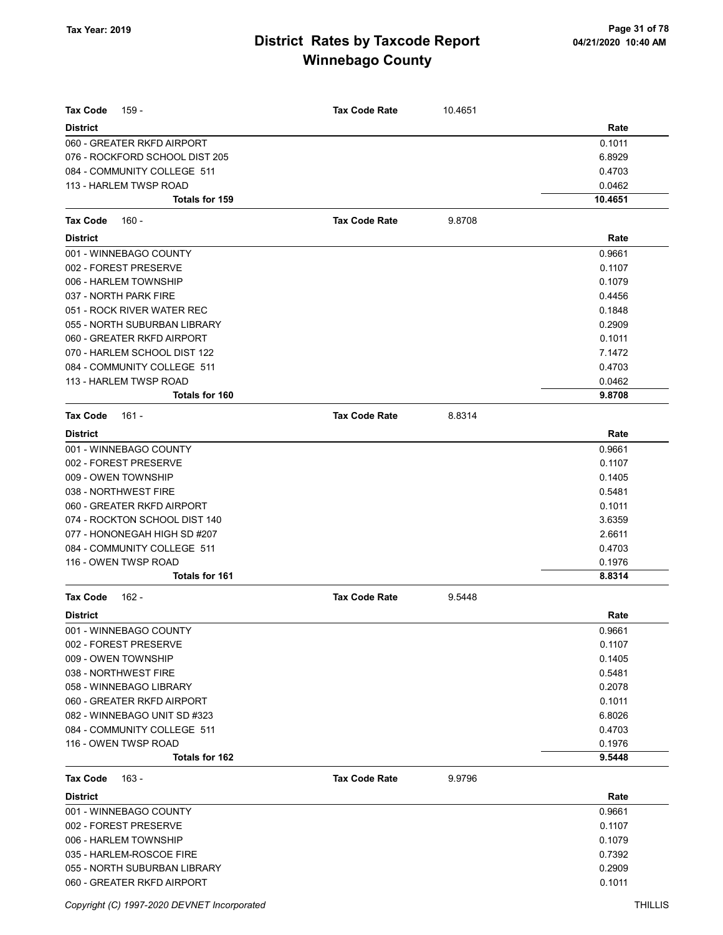| <b>Tax Code</b><br>159 -                          | <b>Tax Code Rate</b> | 10.4651 |                  |
|---------------------------------------------------|----------------------|---------|------------------|
| <b>District</b>                                   |                      |         | Rate             |
| 060 - GREATER RKFD AIRPORT                        |                      |         | 0.1011           |
| 076 - ROCKFORD SCHOOL DIST 205                    |                      |         | 6.8929           |
| 084 - COMMUNITY COLLEGE 511                       |                      |         | 0.4703           |
| 113 - HARLEM TWSP ROAD                            |                      |         | 0.0462           |
| Totals for 159                                    |                      |         | 10.4651          |
| <b>Tax Code</b>                                   | <b>Tax Code Rate</b> |         |                  |
| 160 -                                             |                      | 9.8708  |                  |
| <b>District</b>                                   |                      |         | Rate             |
| 001 - WINNEBAGO COUNTY                            |                      |         | 0.9661           |
| 002 - FOREST PRESERVE                             |                      |         | 0.1107           |
| 006 - HARLEM TOWNSHIP                             |                      |         | 0.1079           |
| 037 - NORTH PARK FIRE                             |                      |         | 0.4456           |
| 051 - ROCK RIVER WATER REC                        |                      |         | 0.1848           |
| 055 - NORTH SUBURBAN LIBRARY                      |                      |         | 0.2909           |
| 060 - GREATER RKFD AIRPORT                        |                      |         | 0.1011           |
| 070 - HARLEM SCHOOL DIST 122                      |                      |         | 7.1472           |
| 084 - COMMUNITY COLLEGE 511                       |                      |         | 0.4703           |
| 113 - HARLEM TWSP ROAD<br>Totals for 160          |                      |         | 0.0462<br>9.8708 |
|                                                   |                      |         |                  |
| <b>Tax Code</b><br>161 -                          | <b>Tax Code Rate</b> | 8.8314  |                  |
| <b>District</b>                                   |                      |         | Rate             |
| 001 - WINNEBAGO COUNTY                            |                      |         | 0.9661           |
| 002 - FOREST PRESERVE                             |                      |         | 0.1107           |
| 009 - OWEN TOWNSHIP                               |                      |         | 0.1405           |
| 038 - NORTHWEST FIRE                              |                      |         | 0.5481           |
| 060 - GREATER RKFD AIRPORT                        |                      |         | 0.1011           |
| 074 - ROCKTON SCHOOL DIST 140                     |                      |         | 3.6359           |
| 077 - HONONEGAH HIGH SD #207                      |                      |         | 2.6611           |
| 084 - COMMUNITY COLLEGE 511                       |                      |         | 0.4703           |
| 116 - OWEN TWSP ROAD<br><b>Totals for 161</b>     |                      |         | 0.1976<br>8.8314 |
|                                                   |                      |         |                  |
| $162 -$<br><b>Tax Code</b>                        | <b>Tax Code Rate</b> | 9.5448  |                  |
| <b>District</b>                                   |                      |         | Rate             |
| 001 - WINNEBAGO COUNTY                            |                      |         | 0.9661           |
| 002 - FOREST PRESERVE                             |                      |         | 0.1107           |
| 009 - OWEN TOWNSHIP                               |                      |         | 0.1405           |
| 038 - NORTHWEST FIRE                              |                      |         | 0.5481           |
| 058 - WINNEBAGO LIBRARY                           |                      |         | 0.2078           |
| 060 - GREATER RKFD AIRPORT                        |                      |         | 0.1011           |
| 082 - WINNEBAGO UNIT SD #323                      |                      |         | 6.8026           |
| 084 - COMMUNITY COLLEGE 511                       |                      |         | 0.4703           |
| 116 - OWEN TWSP ROAD<br>Totals for 162            |                      |         | 0.1976<br>9.5448 |
|                                                   |                      |         |                  |
| <b>Tax Code</b><br>163 -                          | <b>Tax Code Rate</b> | 9.9796  |                  |
| <b>District</b>                                   |                      |         | Rate             |
| 001 - WINNEBAGO COUNTY                            |                      |         | 0.9661<br>0.1107 |
| 002 - FOREST PRESERVE                             |                      |         |                  |
| 006 - HARLEM TOWNSHIP<br>035 - HARLEM-ROSCOE FIRE |                      |         | 0.1079<br>0.7392 |
| 055 - NORTH SUBURBAN LIBRARY                      |                      |         | 0.2909           |
| 060 - GREATER RKFD AIRPORT                        |                      |         | 0.1011           |
|                                                   |                      |         |                  |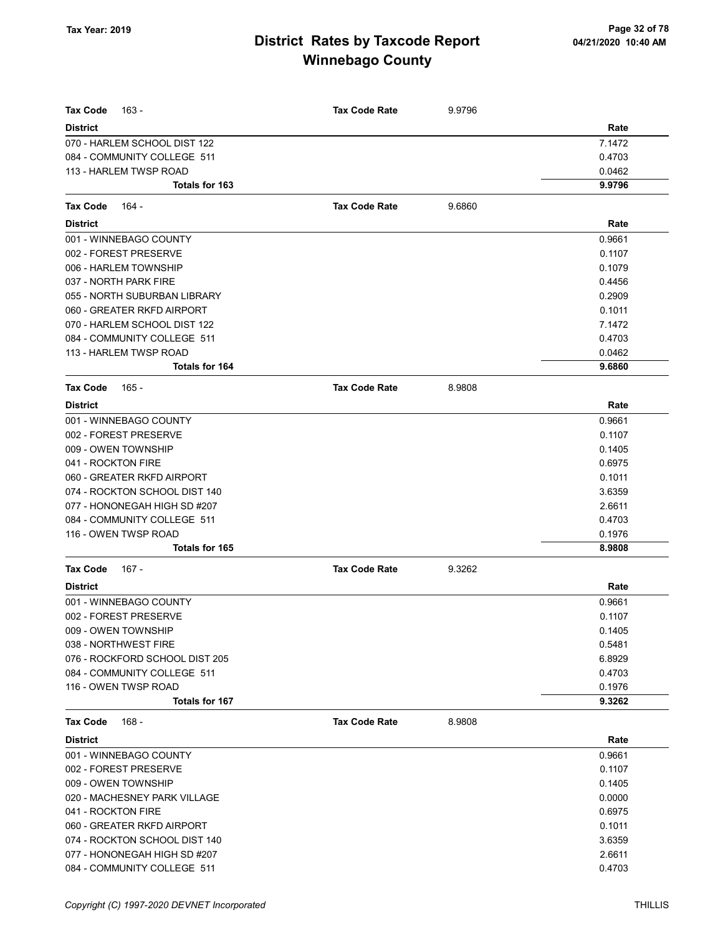| <b>Tax Code</b><br>163 -       | <b>Tax Code Rate</b> | 9.9796 |        |
|--------------------------------|----------------------|--------|--------|
| District                       |                      |        | Rate   |
| 070 - HARLEM SCHOOL DIST 122   |                      |        | 7.1472 |
| 084 - COMMUNITY COLLEGE 511    |                      |        | 0.4703 |
| 113 - HARLEM TWSP ROAD         |                      |        | 0.0462 |
| <b>Totals for 163</b>          |                      |        | 9.9796 |
| <b>Tax Code</b><br>- 164       | <b>Tax Code Rate</b> | 9.6860 |        |
| <b>District</b>                |                      |        | Rate   |
| 001 - WINNEBAGO COUNTY         |                      |        | 0.9661 |
| 002 - FOREST PRESERVE          |                      |        | 0.1107 |
| 006 - HARLEM TOWNSHIP          |                      |        | 0.1079 |
| 037 - NORTH PARK FIRE          |                      |        | 0.4456 |
| 055 - NORTH SUBURBAN LIBRARY   |                      |        | 0.2909 |
| 060 - GREATER RKFD AIRPORT     |                      |        | 0.1011 |
| 070 - HARLEM SCHOOL DIST 122   |                      |        | 7.1472 |
| 084 - COMMUNITY COLLEGE 511    |                      |        | 0.4703 |
| 113 - HARLEM TWSP ROAD         |                      |        | 0.0462 |
| <b>Totals for 164</b>          |                      |        | 9.6860 |
| Tax Code<br>165 -              | <b>Tax Code Rate</b> | 8.9808 |        |
| <b>District</b>                |                      |        | Rate   |
| 001 - WINNEBAGO COUNTY         |                      |        | 0.9661 |
| 002 - FOREST PRESERVE          |                      |        | 0.1107 |
| 009 - OWEN TOWNSHIP            |                      |        | 0.1405 |
| 041 - ROCKTON FIRE             |                      |        | 0.6975 |
| 060 - GREATER RKFD AIRPORT     |                      |        | 0.1011 |
| 074 - ROCKTON SCHOOL DIST 140  |                      |        | 3.6359 |
| 077 - HONONEGAH HIGH SD #207   |                      |        | 2.6611 |
| 084 - COMMUNITY COLLEGE 511    |                      |        | 0.4703 |
| 116 - OWEN TWSP ROAD           |                      |        | 0.1976 |
| Totals for 165                 |                      |        | 8.9808 |
| Tax Code<br>167 -              | <b>Tax Code Rate</b> | 9.3262 |        |
| <b>District</b>                |                      |        | Rate   |
| 001 - WINNEBAGO COUNTY         |                      |        | 0.9661 |
| 002 - FOREST PRESERVE          |                      |        | 0.1107 |
| 009 - OWEN TOWNSHIP            |                      |        | 0.1405 |
| 038 - NORTHWEST FIRE           |                      |        | 0.5481 |
| 076 - ROCKFORD SCHOOL DIST 205 |                      |        | 6.8929 |
| 084 - COMMUNITY COLLEGE 511    |                      |        | 0.4703 |
| 116 - OWEN TWSP ROAD           |                      |        | 0.1976 |
| <b>Totals for 167</b>          |                      |        | 9.3262 |
| $168 -$<br>Tax Code            | <b>Tax Code Rate</b> | 8.9808 |        |
| <b>District</b>                |                      |        | Rate   |
| 001 - WINNEBAGO COUNTY         |                      |        | 0.9661 |
| 002 - FOREST PRESERVE          |                      |        | 0.1107 |
| 009 - OWEN TOWNSHIP            |                      |        | 0.1405 |
| 020 - MACHESNEY PARK VILLAGE   |                      |        | 0.0000 |
| 041 - ROCKTON FIRE             |                      |        | 0.6975 |
| 060 - GREATER RKFD AIRPORT     |                      |        | 0.1011 |
| 074 - ROCKTON SCHOOL DIST 140  |                      |        | 3.6359 |
| 077 - HONONEGAH HIGH SD #207   |                      |        | 2.6611 |
| 084 - COMMUNITY COLLEGE 511    |                      |        | 0.4703 |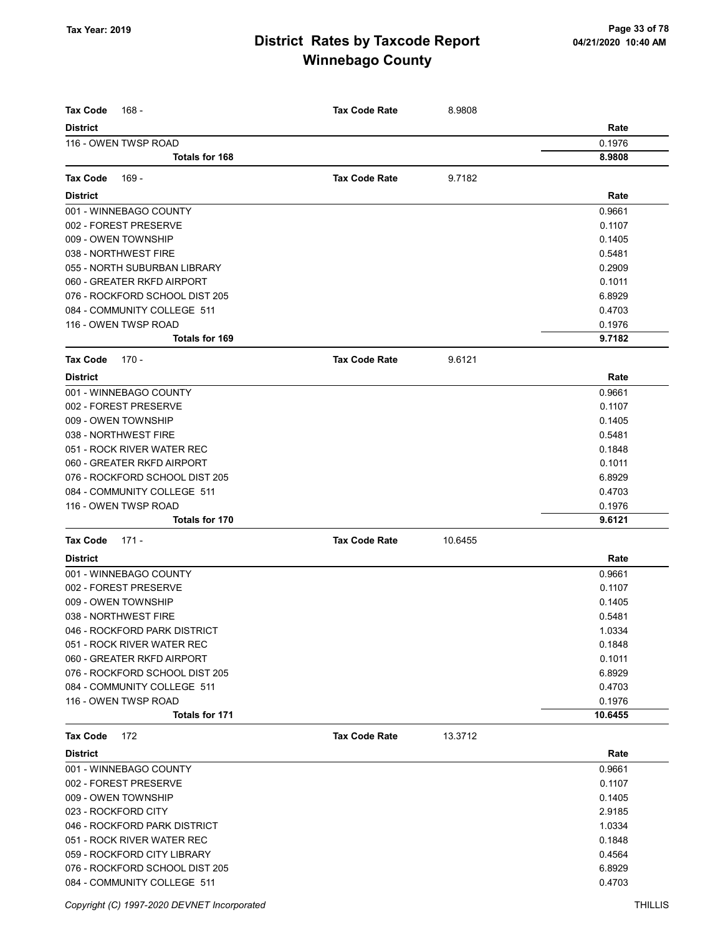| <b>Tax Code</b><br>168 -       | <b>Tax Code Rate</b> | 8.9808  |         |
|--------------------------------|----------------------|---------|---------|
| <b>District</b>                |                      |         | Rate    |
| 116 - OWEN TWSP ROAD           |                      |         | 0.1976  |
| Totals for 168                 |                      |         | 8.9808  |
| <b>Tax Code</b><br>169 -       | <b>Tax Code Rate</b> | 9.7182  |         |
| <b>District</b>                |                      |         | Rate    |
| 001 - WINNEBAGO COUNTY         |                      |         | 0.9661  |
| 002 - FOREST PRESERVE          |                      |         | 0.1107  |
| 009 - OWEN TOWNSHIP            |                      |         | 0.1405  |
| 038 - NORTHWEST FIRE           |                      |         | 0.5481  |
| 055 - NORTH SUBURBAN LIBRARY   |                      |         | 0.2909  |
| 060 - GREATER RKFD AIRPORT     |                      |         | 0.1011  |
| 076 - ROCKFORD SCHOOL DIST 205 |                      |         | 6.8929  |
| 084 - COMMUNITY COLLEGE 511    |                      |         | 0.4703  |
| 116 - OWEN TWSP ROAD           |                      |         | 0.1976  |
| <b>Totals for 169</b>          |                      |         | 9.7182  |
| <b>Tax Code</b><br>170 -       | <b>Tax Code Rate</b> | 9.6121  |         |
| <b>District</b>                |                      |         | Rate    |
| 001 - WINNEBAGO COUNTY         |                      |         | 0.9661  |
| 002 - FOREST PRESERVE          |                      |         | 0.1107  |
| 009 - OWEN TOWNSHIP            |                      |         | 0.1405  |
| 038 - NORTHWEST FIRE           |                      |         | 0.5481  |
| 051 - ROCK RIVER WATER REC     |                      |         | 0.1848  |
| 060 - GREATER RKFD AIRPORT     |                      |         | 0.1011  |
| 076 - ROCKFORD SCHOOL DIST 205 |                      |         | 6.8929  |
| 084 - COMMUNITY COLLEGE 511    |                      |         | 0.4703  |
| 116 - OWEN TWSP ROAD           |                      |         | 0.1976  |
| <b>Totals for 170</b>          |                      |         | 9.6121  |
| <b>Tax Code</b><br>171 -       | <b>Tax Code Rate</b> | 10.6455 |         |
| <b>District</b>                |                      |         | Rate    |
| 001 - WINNEBAGO COUNTY         |                      |         | 0.9661  |
| 002 - FOREST PRESERVE          |                      |         | 0.1107  |
| 009 - OWEN TOWNSHIP            |                      |         | 0.1405  |
| 038 - NORTHWEST FIRE           |                      |         | 0.5481  |
| 046 - ROCKFORD PARK DISTRICT   |                      |         | 1.0334  |
| 051 - ROCK RIVER WATER REC     |                      |         | 0.1848  |
| 060 - GREATER RKFD AIRPORT     |                      |         | 0.1011  |
| 076 - ROCKFORD SCHOOL DIST 205 |                      |         | 6.8929  |
| 084 - COMMUNITY COLLEGE 511    |                      |         | 0.4703  |
| 116 - OWEN TWSP ROAD           |                      |         | 0.1976  |
| Totals for 171                 |                      |         | 10.6455 |
| <b>Tax Code</b><br>172         | <b>Tax Code Rate</b> | 13.3712 |         |
| <b>District</b>                |                      |         | Rate    |
| 001 - WINNEBAGO COUNTY         |                      |         | 0.9661  |
| 002 - FOREST PRESERVE          |                      |         | 0.1107  |
| 009 - OWEN TOWNSHIP            |                      |         | 0.1405  |
| 023 - ROCKFORD CITY            |                      |         | 2.9185  |
| 046 - ROCKFORD PARK DISTRICT   |                      |         | 1.0334  |
| 051 - ROCK RIVER WATER REC     |                      |         | 0.1848  |
| 059 - ROCKFORD CITY LIBRARY    |                      |         | 0.4564  |
| 076 - ROCKFORD SCHOOL DIST 205 |                      |         | 6.8929  |
| 084 - COMMUNITY COLLEGE 511    |                      |         | 0.4703  |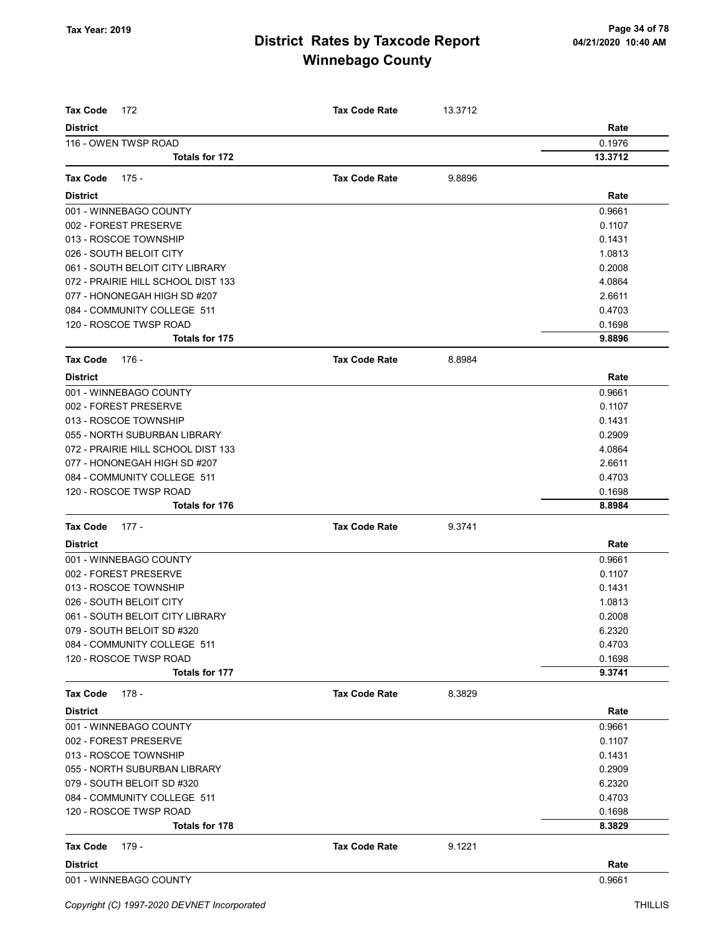| <b>Tax Code</b><br>172                    | <b>Tax Code Rate</b> | 13.3712 |                  |
|-------------------------------------------|----------------------|---------|------------------|
| <b>District</b>                           |                      |         | Rate             |
| 116 - OWEN TWSP ROAD                      |                      |         | 0.1976           |
| <b>Totals for 172</b>                     |                      |         | 13.3712          |
| <b>Tax Code</b><br>175 -                  | <b>Tax Code Rate</b> | 9.8896  |                  |
|                                           |                      |         |                  |
| <b>District</b><br>001 - WINNEBAGO COUNTY |                      |         | Rate             |
| 002 - FOREST PRESERVE                     |                      |         | 0.9661<br>0.1107 |
| 013 - ROSCOE TOWNSHIP                     |                      |         | 0.1431           |
| 026 - SOUTH BELOIT CITY                   |                      |         | 1.0813           |
| 061 - SOUTH BELOIT CITY LIBRARY           |                      |         | 0.2008           |
| 072 - PRAIRIE HILL SCHOOL DIST 133        |                      |         | 4.0864           |
| 077 - HONONEGAH HIGH SD #207              |                      |         | 2.6611           |
| 084 - COMMUNITY COLLEGE 511               |                      |         | 0.4703           |
| 120 - ROSCOE TWSP ROAD                    |                      |         | 0.1698           |
| <b>Totals for 175</b>                     |                      |         | 9.8896           |
| <b>Tax Code</b><br>176 -                  | <b>Tax Code Rate</b> | 8.8984  |                  |
| <b>District</b>                           |                      |         | Rate             |
| 001 - WINNEBAGO COUNTY                    |                      |         | 0.9661           |
| 002 - FOREST PRESERVE                     |                      |         | 0.1107           |
| 013 - ROSCOE TOWNSHIP                     |                      |         | 0.1431           |
| 055 - NORTH SUBURBAN LIBRARY              |                      |         | 0.2909           |
| 072 - PRAIRIE HILL SCHOOL DIST 133        |                      |         | 4.0864           |
| 077 - HONONEGAH HIGH SD #207              |                      |         | 2.6611           |
| 084 - COMMUNITY COLLEGE 511               |                      |         | 0.4703           |
| 120 - ROSCOE TWSP ROAD                    |                      |         | 0.1698           |
| <b>Totals for 176</b>                     |                      |         | 8.8984           |
| <b>Tax Code</b><br>$177 -$                | <b>Tax Code Rate</b> | 9.3741  |                  |
| <b>District</b>                           |                      |         | Rate             |
| 001 - WINNEBAGO COUNTY                    |                      |         | 0.9661           |
| 002 - FOREST PRESERVE                     |                      |         | 0.1107           |
| 013 - ROSCOE TOWNSHIP                     |                      |         | 0.1431           |
| 026 - SOUTH BELOIT CITY                   |                      |         | 1.0813           |
| 061 - SOUTH BELOIT CITY LIBRARY           |                      |         | 0.2008           |
| 079 - SOUTH BELOIT SD #320                |                      |         | 6.2320           |
| 084 - COMMUNITY COLLEGE 511               |                      |         | 0.4703           |
| 120 - ROSCOE TWSP ROAD                    |                      |         | 0.1698           |
| Totals for 177                            |                      |         | 9.3741           |
| <b>Tax Code</b><br>178 -                  | <b>Tax Code Rate</b> | 8.3829  |                  |
| <b>District</b>                           |                      |         | Rate             |
| 001 - WINNEBAGO COUNTY                    |                      |         | 0.9661           |
| 002 - FOREST PRESERVE                     |                      |         | 0.1107           |
| 013 - ROSCOE TOWNSHIP                     |                      |         | 0.1431           |
| 055 - NORTH SUBURBAN LIBRARY              |                      |         | 0.2909           |
| 079 - SOUTH BELOIT SD #320                |                      |         | 6.2320           |
| 084 - COMMUNITY COLLEGE 511               |                      |         | 0.4703           |
| 120 - ROSCOE TWSP ROAD                    |                      |         | 0.1698           |
| <b>Totals for 178</b>                     |                      |         | 8.3829           |
| $179 -$<br><b>Tax Code</b>                | <b>Tax Code Rate</b> | 9.1221  |                  |
| <b>District</b>                           |                      |         | Rate             |
| 001 - WINNEBAGO COUNTY                    |                      |         | 0.9661           |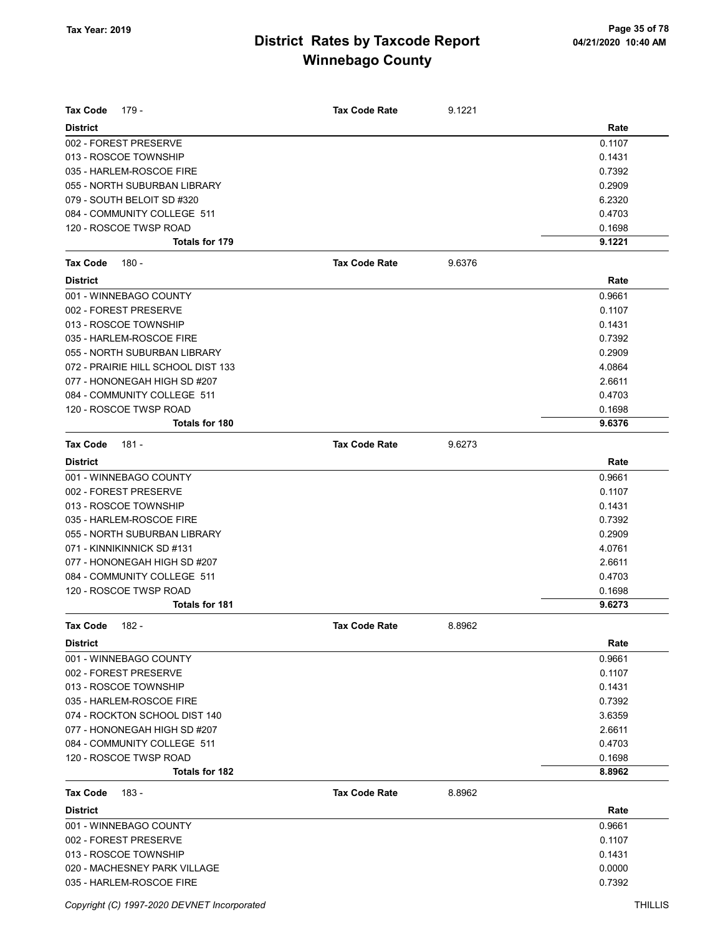| <b>Tax Code</b><br>179 -           | <b>Tax Code Rate</b> | 9.1221 |        |
|------------------------------------|----------------------|--------|--------|
| <b>District</b>                    |                      |        | Rate   |
| 002 - FOREST PRESERVE              |                      |        | 0.1107 |
| 013 - ROSCOE TOWNSHIP              |                      |        | 0.1431 |
| 035 - HARLEM-ROSCOE FIRE           |                      |        | 0.7392 |
| 055 - NORTH SUBURBAN LIBRARY       |                      |        | 0.2909 |
| 079 - SOUTH BELOIT SD #320         |                      |        | 6.2320 |
| 084 - COMMUNITY COLLEGE 511        |                      |        | 0.4703 |
| 120 - ROSCOE TWSP ROAD             |                      |        | 0.1698 |
| Totals for 179                     |                      |        | 9.1221 |
| <b>Tax Code</b><br>180 -           | <b>Tax Code Rate</b> | 9.6376 |        |
| <b>District</b>                    |                      |        | Rate   |
| 001 - WINNEBAGO COUNTY             |                      |        | 0.9661 |
| 002 - FOREST PRESERVE              |                      |        | 0.1107 |
| 013 - ROSCOE TOWNSHIP              |                      |        | 0.1431 |
| 035 - HARLEM-ROSCOE FIRE           |                      |        | 0.7392 |
| 055 - NORTH SUBURBAN LIBRARY       |                      |        | 0.2909 |
| 072 - PRAIRIE HILL SCHOOL DIST 133 |                      |        | 4.0864 |
| 077 - HONONEGAH HIGH SD #207       |                      |        | 2.6611 |
| 084 - COMMUNITY COLLEGE 511        |                      |        | 0.4703 |
| 120 - ROSCOE TWSP ROAD             |                      |        | 0.1698 |
| Totals for 180                     |                      |        | 9.6376 |
| <b>Tax Code</b><br>$181 -$         | <b>Tax Code Rate</b> | 9.6273 |        |
| <b>District</b>                    |                      |        | Rate   |
| 001 - WINNEBAGO COUNTY             |                      |        | 0.9661 |
| 002 - FOREST PRESERVE              |                      |        | 0.1107 |
| 013 - ROSCOE TOWNSHIP              |                      |        | 0.1431 |
| 035 - HARLEM-ROSCOE FIRE           |                      |        | 0.7392 |
| 055 - NORTH SUBURBAN LIBRARY       |                      |        | 0.2909 |
| 071 - KINNIKINNICK SD #131         |                      |        | 4.0761 |
| 077 - HONONEGAH HIGH SD #207       |                      |        | 2.6611 |
| 084 - COMMUNITY COLLEGE 511        |                      |        | 0.4703 |
| 120 - ROSCOE TWSP ROAD             |                      |        | 0.1698 |
| <b>Totals for 181</b>              |                      |        | 9.6273 |
|                                    |                      |        |        |
| <b>Tax Code</b><br>$182 -$         | Tax Code Rate        | 8.8962 |        |
| <b>District</b>                    |                      |        | Rate   |
| 001 - WINNEBAGO COUNTY             |                      |        | 0.9661 |
| 002 - FOREST PRESERVE              |                      |        | 0.1107 |
| 013 - ROSCOE TOWNSHIP              |                      |        | 0.1431 |
| 035 - HARLEM-ROSCOE FIRE           |                      |        | 0.7392 |
| 074 - ROCKTON SCHOOL DIST 140      |                      |        | 3.6359 |
| 077 - HONONEGAH HIGH SD #207       |                      |        | 2.6611 |
| 084 - COMMUNITY COLLEGE 511        |                      |        | 0.4703 |
| 120 - ROSCOE TWSP ROAD             |                      |        | 0.1698 |
| Totals for 182                     |                      |        | 8.8962 |
| <b>Tax Code</b><br>183 -           | <b>Tax Code Rate</b> | 8.8962 |        |
| <b>District</b>                    |                      |        | Rate   |
| 001 - WINNEBAGO COUNTY             |                      |        | 0.9661 |
| 002 - FOREST PRESERVE              |                      |        | 0.1107 |
| 013 - ROSCOE TOWNSHIP              |                      |        | 0.1431 |
| 020 - MACHESNEY PARK VILLAGE       |                      |        | 0.0000 |
| 035 - HARLEM-ROSCOE FIRE           |                      |        | 0.7392 |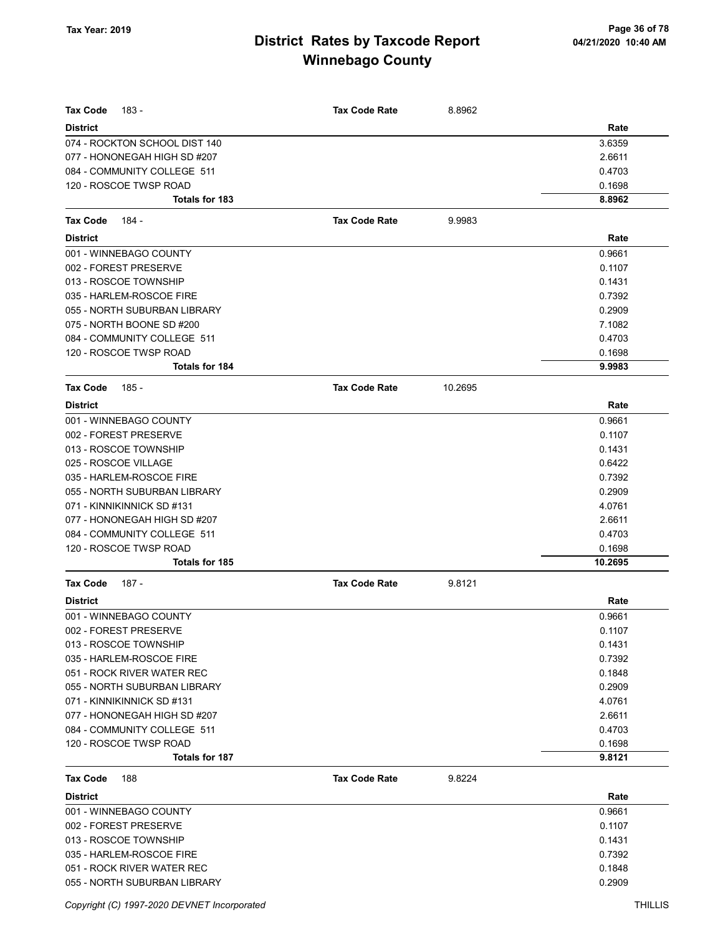| Tax Code<br>183 -                                             | <b>Tax Code Rate</b> | 8.8962  |                  |
|---------------------------------------------------------------|----------------------|---------|------------------|
|                                                               |                      |         |                  |
| <b>District</b>                                               |                      |         | Rate             |
| 074 - ROCKTON SCHOOL DIST 140<br>077 - HONONEGAH HIGH SD #207 |                      |         | 3.6359<br>2.6611 |
| 084 - COMMUNITY COLLEGE 511                                   |                      |         | 0.4703           |
| 120 - ROSCOE TWSP ROAD                                        |                      |         | 0.1698           |
| Totals for 183                                                |                      |         | 8.8962           |
|                                                               |                      |         |                  |
| <b>Tax Code</b><br>184 -                                      | <b>Tax Code Rate</b> | 9.9983  |                  |
| <b>District</b>                                               |                      |         | Rate             |
| 001 - WINNEBAGO COUNTY                                        |                      |         | 0.9661           |
| 002 - FOREST PRESERVE                                         |                      |         | 0.1107           |
| 013 - ROSCOE TOWNSHIP                                         |                      |         | 0.1431           |
| 035 - HARLEM-ROSCOE FIRE                                      |                      |         | 0.7392           |
| 055 - NORTH SUBURBAN LIBRARY                                  |                      |         | 0.2909           |
| 075 - NORTH BOONE SD #200                                     |                      |         | 7.1082           |
| 084 - COMMUNITY COLLEGE 511                                   |                      |         | 0.4703           |
| 120 - ROSCOE TWSP ROAD                                        |                      |         | 0.1698           |
| <b>Totals for 184</b>                                         |                      |         | 9.9983           |
| Tax Code<br>185 -                                             | <b>Tax Code Rate</b> | 10.2695 |                  |
| <b>District</b>                                               |                      |         | Rate             |
| 001 - WINNEBAGO COUNTY                                        |                      |         | 0.9661           |
| 002 - FOREST PRESERVE                                         |                      |         | 0.1107           |
| 013 - ROSCOE TOWNSHIP                                         |                      |         | 0.1431           |
| 025 - ROSCOE VILLAGE                                          |                      |         | 0.6422           |
| 035 - HARLEM-ROSCOE FIRE                                      |                      |         | 0.7392           |
| 055 - NORTH SUBURBAN LIBRARY                                  |                      |         | 0.2909           |
| 071 - KINNIKINNICK SD #131                                    |                      |         | 4.0761           |
| 077 - HONONEGAH HIGH SD #207                                  |                      |         | 2.6611           |
| 084 - COMMUNITY COLLEGE 511                                   |                      |         | 0.4703           |
| 120 - ROSCOE TWSP ROAD                                        |                      |         | 0.1698           |
| Totals for 185                                                |                      |         | 10.2695          |
| Tax Code<br>187 -                                             | <b>Tax Code Rate</b> | 9.8121  |                  |
| <b>District</b>                                               |                      |         | Rate             |
| 001 - WINNEBAGO COUNTY                                        |                      |         | 0.9661           |
| 002 - FOREST PRESERVE                                         |                      |         | 0.1107           |
| 013 - ROSCOE TOWNSHIP                                         |                      |         | 0.1431           |
| 035 - HARLEM-ROSCOE FIRE                                      |                      |         | 0.7392           |
| 051 - ROCK RIVER WATER REC                                    |                      |         | 0.1848           |
| 055 - NORTH SUBURBAN LIBRARY                                  |                      |         | 0.2909           |
| 071 - KINNIKINNICK SD #131                                    |                      |         | 4.0761           |
| 077 - HONONEGAH HIGH SD #207                                  |                      |         | 2.6611           |
| 084 - COMMUNITY COLLEGE 511                                   |                      |         | 0.4703           |
| 120 - ROSCOE TWSP ROAD                                        |                      |         | 0.1698           |
| Totals for 187                                                |                      |         | 9.8121           |
| <b>Tax Code</b><br>188                                        | <b>Tax Code Rate</b> | 9.8224  |                  |
| <b>District</b>                                               |                      |         | Rate             |
| 001 - WINNEBAGO COUNTY                                        |                      |         | 0.9661           |
| 002 - FOREST PRESERVE                                         |                      |         | 0.1107           |
| 013 - ROSCOE TOWNSHIP                                         |                      |         | 0.1431           |
| 035 - HARLEM-ROSCOE FIRE                                      |                      |         | 0.7392           |
| 051 - ROCK RIVER WATER REC                                    |                      |         | 0.1848           |
| 055 - NORTH SUBURBAN LIBRARY                                  |                      |         | 0.2909           |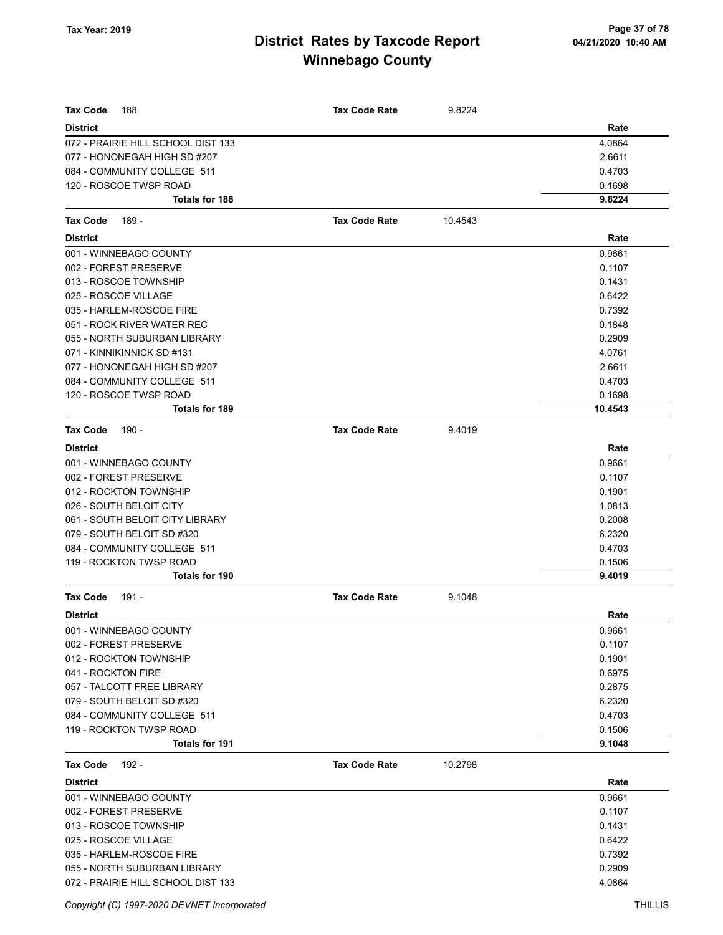| <b>Tax Code</b><br>188             | <b>Tax Code Rate</b> | 9.8224  |         |
|------------------------------------|----------------------|---------|---------|
| <b>District</b>                    |                      |         | Rate    |
| 072 - PRAIRIE HILL SCHOOL DIST 133 |                      |         | 4.0864  |
| 077 - HONONEGAH HIGH SD #207       |                      |         | 2.6611  |
| 084 - COMMUNITY COLLEGE 511        |                      |         | 0.4703  |
| 120 - ROSCOE TWSP ROAD             |                      |         | 0.1698  |
| <b>Totals for 188</b>              |                      |         | 9.8224  |
| <b>Tax Code</b><br>189 -           | <b>Tax Code Rate</b> | 10.4543 |         |
| <b>District</b>                    |                      |         | Rate    |
| 001 - WINNEBAGO COUNTY             |                      |         | 0.9661  |
| 002 - FOREST PRESERVE              |                      |         | 0.1107  |
| 013 - ROSCOE TOWNSHIP              |                      |         | 0.1431  |
| 025 - ROSCOE VILLAGE               |                      |         | 0.6422  |
| 035 - HARLEM-ROSCOE FIRE           |                      |         | 0.7392  |
| 051 - ROCK RIVER WATER REC         |                      |         | 0.1848  |
| 055 - NORTH SUBURBAN LIBRARY       |                      |         | 0.2909  |
| 071 - KINNIKINNICK SD #131         |                      |         | 4.0761  |
| 077 - HONONEGAH HIGH SD #207       |                      |         | 2.6611  |
| 084 - COMMUNITY COLLEGE 511        |                      |         | 0.4703  |
| 120 - ROSCOE TWSP ROAD             |                      |         | 0.1698  |
| <b>Totals for 189</b>              |                      |         | 10.4543 |
| <b>Tax Code</b><br>190 -           | <b>Tax Code Rate</b> | 9.4019  |         |
| <b>District</b>                    |                      |         | Rate    |
| 001 - WINNEBAGO COUNTY             |                      |         | 0.9661  |
| 002 - FOREST PRESERVE              |                      |         | 0.1107  |
| 012 - ROCKTON TOWNSHIP             |                      |         | 0.1901  |
| 026 - SOUTH BELOIT CITY            |                      |         | 1.0813  |
| 061 - SOUTH BELOIT CITY LIBRARY    |                      |         | 0.2008  |
| 079 - SOUTH BELOIT SD #320         |                      |         | 6.2320  |
| 084 - COMMUNITY COLLEGE 511        |                      |         | 0.4703  |
| 119 - ROCKTON TWSP ROAD            |                      |         | 0.1506  |
| <b>Totals for 190</b>              |                      |         | 9.4019  |
| $191 -$<br><b>Tax Code</b>         | <b>Tax Code Rate</b> | 9.1048  |         |
| <b>District</b>                    |                      |         | Rate    |
| 001 - WINNEBAGO COUNTY             |                      |         | 0.9661  |
| 002 - FOREST PRESERVE              |                      |         | 0.1107  |
| 012 - ROCKTON TOWNSHIP             |                      |         | 0.1901  |
| 041 - ROCKTON FIRE                 |                      |         | 0.6975  |
| 057 - TALCOTT FREE LIBRARY         |                      |         | 0.2875  |
| 079 - SOUTH BELOIT SD #320         |                      |         | 6.2320  |
| 084 - COMMUNITY COLLEGE 511        |                      |         | 0.4703  |
| 119 - ROCKTON TWSP ROAD            |                      |         | 0.1506  |
| <b>Totals for 191</b>              |                      |         | 9.1048  |
| <b>Tax Code</b><br>192 -           | <b>Tax Code Rate</b> | 10.2798 |         |
| <b>District</b>                    |                      |         | Rate    |
| 001 - WINNEBAGO COUNTY             |                      |         | 0.9661  |
| 002 - FOREST PRESERVE              |                      |         | 0.1107  |
| 013 - ROSCOE TOWNSHIP              |                      |         | 0.1431  |
| 025 - ROSCOE VILLAGE               |                      |         | 0.6422  |
| 035 - HARLEM-ROSCOE FIRE           |                      |         | 0.7392  |
| 055 - NORTH SUBURBAN LIBRARY       |                      |         | 0.2909  |
| 072 - PRAIRIE HILL SCHOOL DIST 133 |                      |         | 4.0864  |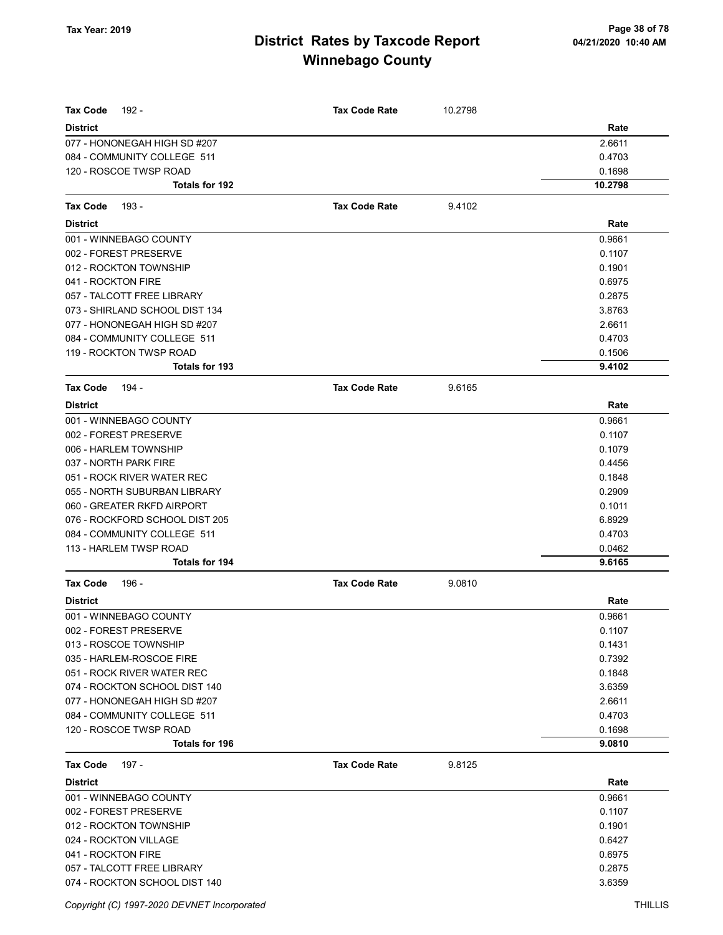| <b>Tax Code</b><br>192 -       | <b>Tax Code Rate</b> | 10.2798 |         |
|--------------------------------|----------------------|---------|---------|
| <b>District</b>                |                      |         | Rate    |
| 077 - HONONEGAH HIGH SD #207   |                      |         | 2.6611  |
| 084 - COMMUNITY COLLEGE 511    |                      |         | 0.4703  |
| 120 - ROSCOE TWSP ROAD         |                      |         | 0.1698  |
| Totals for 192                 |                      |         | 10.2798 |
| <b>Tax Code</b><br>193 -       | <b>Tax Code Rate</b> | 9.4102  |         |
| <b>District</b>                |                      |         | Rate    |
| 001 - WINNEBAGO COUNTY         |                      |         | 0.9661  |
| 002 - FOREST PRESERVE          |                      |         | 0.1107  |
| 012 - ROCKTON TOWNSHIP         |                      |         | 0.1901  |
| 041 - ROCKTON FIRE             |                      |         | 0.6975  |
| 057 - TALCOTT FREE LIBRARY     |                      |         | 0.2875  |
| 073 - SHIRLAND SCHOOL DIST 134 |                      |         | 3.8763  |
| 077 - HONONEGAH HIGH SD #207   |                      |         | 2.6611  |
| 084 - COMMUNITY COLLEGE 511    |                      |         | 0.4703  |
| 119 - ROCKTON TWSP ROAD        |                      |         | 0.1506  |
| <b>Totals for 193</b>          |                      |         | 9.4102  |
| <b>Tax Code</b><br>194 -       | <b>Tax Code Rate</b> | 9.6165  |         |
| <b>District</b>                |                      |         | Rate    |
| 001 - WINNEBAGO COUNTY         |                      |         | 0.9661  |
| 002 - FOREST PRESERVE          |                      |         | 0.1107  |
| 006 - HARLEM TOWNSHIP          |                      |         | 0.1079  |
| 037 - NORTH PARK FIRE          |                      |         | 0.4456  |
| 051 - ROCK RIVER WATER REC     |                      |         | 0.1848  |
| 055 - NORTH SUBURBAN LIBRARY   |                      |         | 0.2909  |
| 060 - GREATER RKFD AIRPORT     |                      |         | 0.1011  |
| 076 - ROCKFORD SCHOOL DIST 205 |                      |         | 6.8929  |
| 084 - COMMUNITY COLLEGE 511    |                      |         | 0.4703  |
| 113 - HARLEM TWSP ROAD         |                      |         | 0.0462  |
| Totals for 194                 |                      |         | 9.6165  |
| <b>Tax Code</b><br>196 -       | <b>Tax Code Rate</b> | 9.0810  |         |
| <b>District</b>                |                      |         | Rate    |
| 001 - WINNEBAGO COUNTY         |                      |         | 0.9661  |
| 002 - FOREST PRESERVE          |                      |         | 0.1107  |
| 013 - ROSCOE TOWNSHIP          |                      |         | 0.1431  |
| 035 - HARLEM-ROSCOE FIRE       |                      |         | 0.7392  |
| 051 - ROCK RIVER WATER REC     |                      |         | 0.1848  |
| 074 - ROCKTON SCHOOL DIST 140  |                      |         | 3.6359  |
| 077 - HONONEGAH HIGH SD #207   |                      |         | 2.6611  |
| 084 - COMMUNITY COLLEGE 511    |                      |         | 0.4703  |
| 120 - ROSCOE TWSP ROAD         |                      |         | 0.1698  |
| Totals for 196                 |                      |         | 9.0810  |
| <b>Tax Code</b><br>197 -       | <b>Tax Code Rate</b> | 9.8125  |         |
| <b>District</b>                |                      |         | Rate    |
| 001 - WINNEBAGO COUNTY         |                      |         | 0.9661  |
| 002 - FOREST PRESERVE          |                      |         | 0.1107  |
| 012 - ROCKTON TOWNSHIP         |                      |         | 0.1901  |
| 024 - ROCKTON VILLAGE          |                      |         | 0.6427  |
| 041 - ROCKTON FIRE             |                      |         | 0.6975  |
| 057 - TALCOTT FREE LIBRARY     |                      |         | 0.2875  |
| 074 - ROCKTON SCHOOL DIST 140  |                      |         | 3.6359  |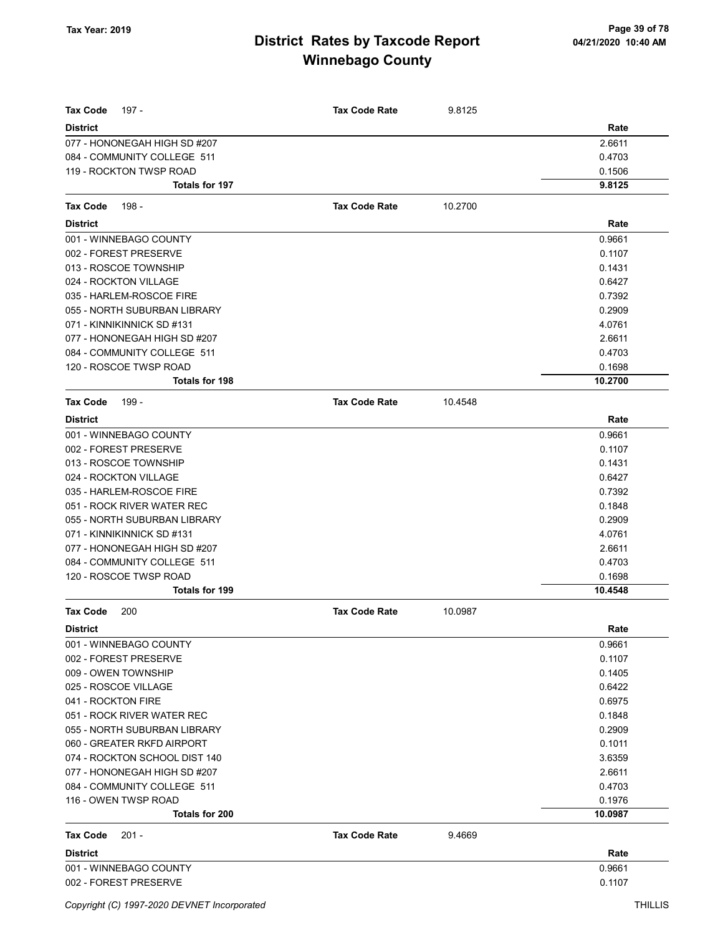| <b>Tax Code</b><br>197 -               | <b>Tax Code Rate</b> | 9.8125  |                   |
|----------------------------------------|----------------------|---------|-------------------|
| <b>District</b>                        |                      |         | Rate              |
| 077 - HONONEGAH HIGH SD #207           |                      |         | 2.6611            |
| 084 - COMMUNITY COLLEGE 511            |                      |         | 0.4703            |
| 119 - ROCKTON TWSP ROAD                |                      |         | 0.1506            |
| <b>Totals for 197</b>                  |                      |         | 9.8125            |
| 198 -<br>Tax Code                      | <b>Tax Code Rate</b> | 10.2700 |                   |
| <b>District</b>                        |                      |         | Rate              |
| 001 - WINNEBAGO COUNTY                 |                      |         | 0.9661            |
| 002 - FOREST PRESERVE                  |                      |         | 0.1107            |
| 013 - ROSCOE TOWNSHIP                  |                      |         | 0.1431            |
| 024 - ROCKTON VILLAGE                  |                      |         | 0.6427            |
| 035 - HARLEM-ROSCOE FIRE               |                      |         | 0.7392            |
| 055 - NORTH SUBURBAN LIBRARY           |                      |         | 0.2909            |
| 071 - KINNIKINNICK SD #131             |                      |         | 4.0761            |
| 077 - HONONEGAH HIGH SD #207           |                      |         | 2.6611            |
| 084 - COMMUNITY COLLEGE 511            |                      |         | 0.4703            |
| 120 - ROSCOE TWSP ROAD                 |                      |         | 0.1698            |
| Totals for 198                         |                      |         | 10.2700           |
| <b>Tax Code</b><br>199 -               | <b>Tax Code Rate</b> | 10.4548 |                   |
| <b>District</b>                        |                      |         | Rate              |
| 001 - WINNEBAGO COUNTY                 |                      |         | 0.9661            |
| 002 - FOREST PRESERVE                  |                      |         | 0.1107            |
| 013 - ROSCOE TOWNSHIP                  |                      |         | 0.1431            |
| 024 - ROCKTON VILLAGE                  |                      |         | 0.6427            |
| 035 - HARLEM-ROSCOE FIRE               |                      |         | 0.7392            |
| 051 - ROCK RIVER WATER REC             |                      |         | 0.1848            |
| 055 - NORTH SUBURBAN LIBRARY           |                      |         | 0.2909            |
| 071 - KINNIKINNICK SD #131             |                      |         | 4.0761            |
| 077 - HONONEGAH HIGH SD #207           |                      |         | 2.6611            |
| 084 - COMMUNITY COLLEGE 511            |                      |         | 0.4703            |
| 120 - ROSCOE TWSP ROAD                 |                      |         | 0.1698            |
| Totals for 199                         |                      |         | 10.4548           |
| <b>Tax Code</b><br>200                 | <b>Tax Code Rate</b> | 10.0987 |                   |
| <b>District</b>                        |                      |         | Rate              |
| 001 - WINNEBAGO COUNTY                 |                      |         | 0.9661            |
| 002 - FOREST PRESERVE                  |                      |         | 0.1107            |
| 009 - OWEN TOWNSHIP                    |                      |         | 0.1405            |
| 025 - ROSCOE VILLAGE                   |                      |         | 0.6422            |
| 041 - ROCKTON FIRE                     |                      |         | 0.6975            |
| 051 - ROCK RIVER WATER REC             |                      |         | 0.1848            |
| 055 - NORTH SUBURBAN LIBRARY           |                      |         | 0.2909            |
| 060 - GREATER RKFD AIRPORT             |                      |         | 0.1011            |
| 074 - ROCKTON SCHOOL DIST 140          |                      |         | 3.6359            |
| 077 - HONONEGAH HIGH SD #207           |                      |         | 2.6611            |
| 084 - COMMUNITY COLLEGE 511            |                      |         | 0.4703            |
| 116 - OWEN TWSP ROAD<br>Totals for 200 |                      |         | 0.1976<br>10.0987 |
|                                        |                      |         |                   |
| <b>Tax Code</b><br>$201 -$             | <b>Tax Code Rate</b> | 9.4669  |                   |
| <b>District</b>                        |                      |         | Rate              |
| 001 - WINNEBAGO COUNTY                 |                      |         | 0.9661            |
| 002 - FOREST PRESERVE                  |                      |         | 0.1107            |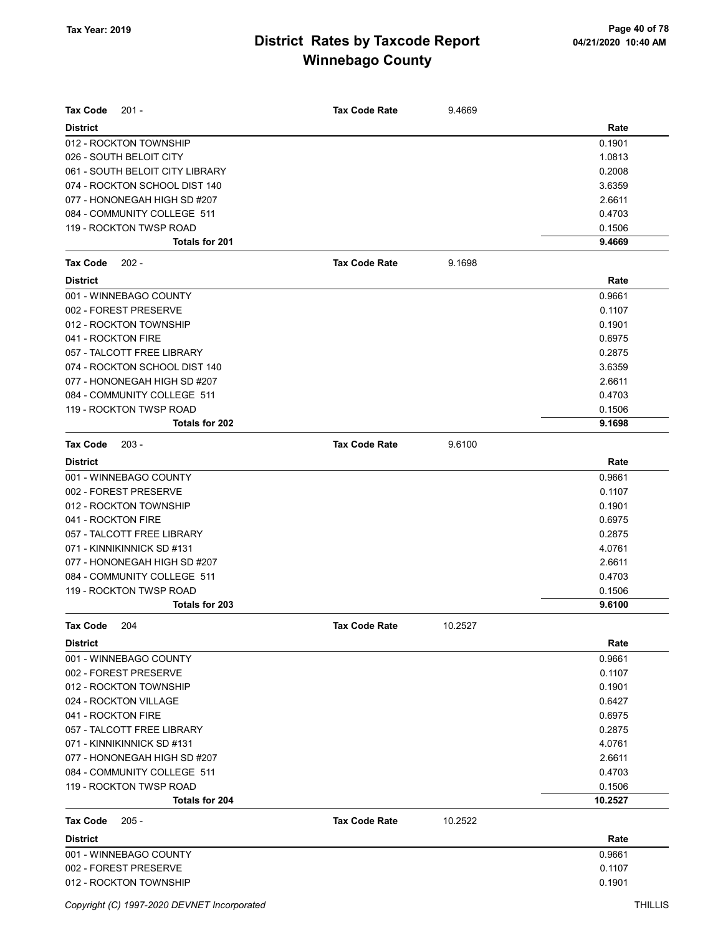| $201 -$<br>Tax Code             | <b>Tax Code Rate</b> | 9.4669  |         |
|---------------------------------|----------------------|---------|---------|
| <b>District</b>                 |                      |         | Rate    |
| 012 - ROCKTON TOWNSHIP          |                      |         | 0.1901  |
| 026 - SOUTH BELOIT CITY         |                      |         | 1.0813  |
| 061 - SOUTH BELOIT CITY LIBRARY |                      |         | 0.2008  |
| 074 - ROCKTON SCHOOL DIST 140   |                      |         | 3.6359  |
| 077 - HONONEGAH HIGH SD #207    |                      |         | 2.6611  |
| 084 - COMMUNITY COLLEGE 511     |                      |         | 0.4703  |
| 119 - ROCKTON TWSP ROAD         |                      |         | 0.1506  |
| <b>Totals for 201</b>           |                      |         | 9.4669  |
| <b>Tax Code</b><br>$202 -$      | <b>Tax Code Rate</b> | 9.1698  |         |
| <b>District</b>                 |                      |         | Rate    |
| 001 - WINNEBAGO COUNTY          |                      |         | 0.9661  |
| 002 - FOREST PRESERVE           |                      |         | 0.1107  |
| 012 - ROCKTON TOWNSHIP          |                      |         | 0.1901  |
| 041 - ROCKTON FIRE              |                      |         | 0.6975  |
| 057 - TALCOTT FREE LIBRARY      |                      |         | 0.2875  |
| 074 - ROCKTON SCHOOL DIST 140   |                      |         | 3.6359  |
| 077 - HONONEGAH HIGH SD #207    |                      |         | 2.6611  |
| 084 - COMMUNITY COLLEGE 511     |                      |         | 0.4703  |
| 119 - ROCKTON TWSP ROAD         |                      |         | 0.1506  |
| Totals for 202                  |                      |         | 9.1698  |
| <b>Tax Code</b><br>$203 -$      | <b>Tax Code Rate</b> | 9.6100  |         |
| <b>District</b>                 |                      |         | Rate    |
| 001 - WINNEBAGO COUNTY          |                      |         | 0.9661  |
| 002 - FOREST PRESERVE           |                      |         | 0.1107  |
| 012 - ROCKTON TOWNSHIP          |                      |         | 0.1901  |
| 041 - ROCKTON FIRE              |                      |         | 0.6975  |
| 057 - TALCOTT FREE LIBRARY      |                      |         | 0.2875  |
| 071 - KINNIKINNICK SD #131      |                      |         | 4.0761  |
| 077 - HONONEGAH HIGH SD #207    |                      |         | 2.6611  |
| 084 - COMMUNITY COLLEGE 511     |                      |         | 0.4703  |
| 119 - ROCKTON TWSP ROAD         |                      |         | 0.1506  |
| Totals for 203                  |                      |         | 9.6100  |
| Tax Code<br>204                 | Tax Code Rate        | 10.2527 |         |
| District                        |                      |         | Rate    |
| 001 - WINNEBAGO COUNTY          |                      |         | 0.9661  |
| 002 - FOREST PRESERVE           |                      |         | 0.1107  |
| 012 - ROCKTON TOWNSHIP          |                      |         | 0.1901  |
| 024 - ROCKTON VILLAGE           |                      |         | 0.6427  |
| 041 - ROCKTON FIRE              |                      |         | 0.6975  |
| 057 - TALCOTT FREE LIBRARY      |                      |         | 0.2875  |
| 071 - KINNIKINNICK SD #131      |                      |         | 4.0761  |
| 077 - HONONEGAH HIGH SD #207    |                      |         | 2.6611  |
| 084 - COMMUNITY COLLEGE 511     |                      |         | 0.4703  |
| 119 - ROCKTON TWSP ROAD         |                      |         | 0.1506  |
| Totals for 204                  |                      |         | 10.2527 |
| Tax Code<br>$205 -$             | <b>Tax Code Rate</b> | 10.2522 |         |
| <b>District</b>                 |                      |         | Rate    |
| 001 - WINNEBAGO COUNTY          |                      |         | 0.9661  |
| 002 - FOREST PRESERVE           |                      |         | 0.1107  |
| 012 - ROCKTON TOWNSHIP          |                      |         | 0.1901  |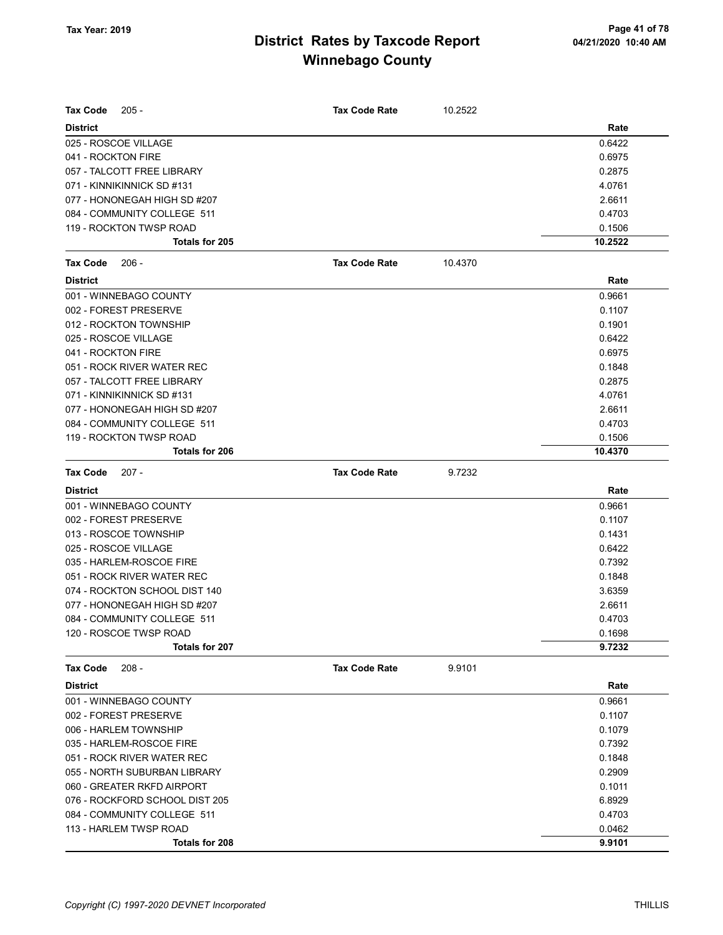| <b>Tax Code</b><br>$205 -$     | <b>Tax Code Rate</b> | 10.2522 |         |
|--------------------------------|----------------------|---------|---------|
| <b>District</b>                |                      |         | Rate    |
| 025 - ROSCOE VILLAGE           |                      |         | 0.6422  |
| 041 - ROCKTON FIRE             |                      |         | 0.6975  |
| 057 - TALCOTT FREE LIBRARY     |                      |         | 0.2875  |
| 071 - KINNIKINNICK SD #131     |                      |         | 4.0761  |
| 077 - HONONEGAH HIGH SD #207   |                      |         | 2.6611  |
| 084 - COMMUNITY COLLEGE 511    |                      |         | 0.4703  |
| 119 - ROCKTON TWSP ROAD        |                      |         | 0.1506  |
| Totals for 205                 |                      |         | 10.2522 |
| <b>Tax Code</b><br>$206 -$     | <b>Tax Code Rate</b> | 10.4370 |         |
| <b>District</b>                |                      |         | Rate    |
| 001 - WINNEBAGO COUNTY         |                      |         | 0.9661  |
| 002 - FOREST PRESERVE          |                      |         | 0.1107  |
| 012 - ROCKTON TOWNSHIP         |                      |         | 0.1901  |
| 025 - ROSCOE VILLAGE           |                      |         | 0.6422  |
| 041 - ROCKTON FIRE             |                      |         | 0.6975  |
| 051 - ROCK RIVER WATER REC     |                      |         | 0.1848  |
| 057 - TALCOTT FREE LIBRARY     |                      |         | 0.2875  |
| 071 - KINNIKINNICK SD #131     |                      |         | 4.0761  |
| 077 - HONONEGAH HIGH SD #207   |                      |         | 2.6611  |
| 084 - COMMUNITY COLLEGE 511    |                      |         | 0.4703  |
| 119 - ROCKTON TWSP ROAD        |                      |         | 0.1506  |
| Totals for 206                 |                      |         | 10.4370 |
| <b>Tax Code</b><br>$207 -$     | <b>Tax Code Rate</b> | 9.7232  |         |
| <b>District</b>                |                      |         | Rate    |
| 001 - WINNEBAGO COUNTY         |                      |         | 0.9661  |
| 002 - FOREST PRESERVE          |                      |         | 0.1107  |
| 013 - ROSCOE TOWNSHIP          |                      |         | 0.1431  |
| 025 - ROSCOE VILLAGE           |                      |         | 0.6422  |
| 035 - HARLEM-ROSCOE FIRE       |                      |         | 0.7392  |
| 051 - ROCK RIVER WATER REC     |                      |         | 0.1848  |
| 074 - ROCKTON SCHOOL DIST 140  |                      |         | 3.6359  |
| 077 - HONONEGAH HIGH SD #207   |                      |         | 2.6611  |
| 084 - COMMUNITY COLLEGE 511    |                      |         | 0.4703  |
| 120 - ROSCOE TWSP ROAD         |                      |         | 0.1698  |
| Totals for 207                 |                      |         | 9.7232  |
| $208 -$<br><b>Tax Code</b>     | <b>Tax Code Rate</b> | 9.9101  |         |
| <b>District</b>                |                      |         | Rate    |
| 001 - WINNEBAGO COUNTY         |                      |         | 0.9661  |
| 002 - FOREST PRESERVE          |                      |         | 0.1107  |
| 006 - HARLEM TOWNSHIP          |                      |         | 0.1079  |
| 035 - HARLEM-ROSCOE FIRE       |                      |         | 0.7392  |
| 051 - ROCK RIVER WATER REC     |                      |         | 0.1848  |
| 055 - NORTH SUBURBAN LIBRARY   |                      |         | 0.2909  |
| 060 - GREATER RKFD AIRPORT     |                      |         | 0.1011  |
| 076 - ROCKFORD SCHOOL DIST 205 |                      |         | 6.8929  |
| 084 - COMMUNITY COLLEGE 511    |                      |         | 0.4703  |
| 113 - HARLEM TWSP ROAD         |                      |         | 0.0462  |
| Totals for 208                 |                      |         | 9.9101  |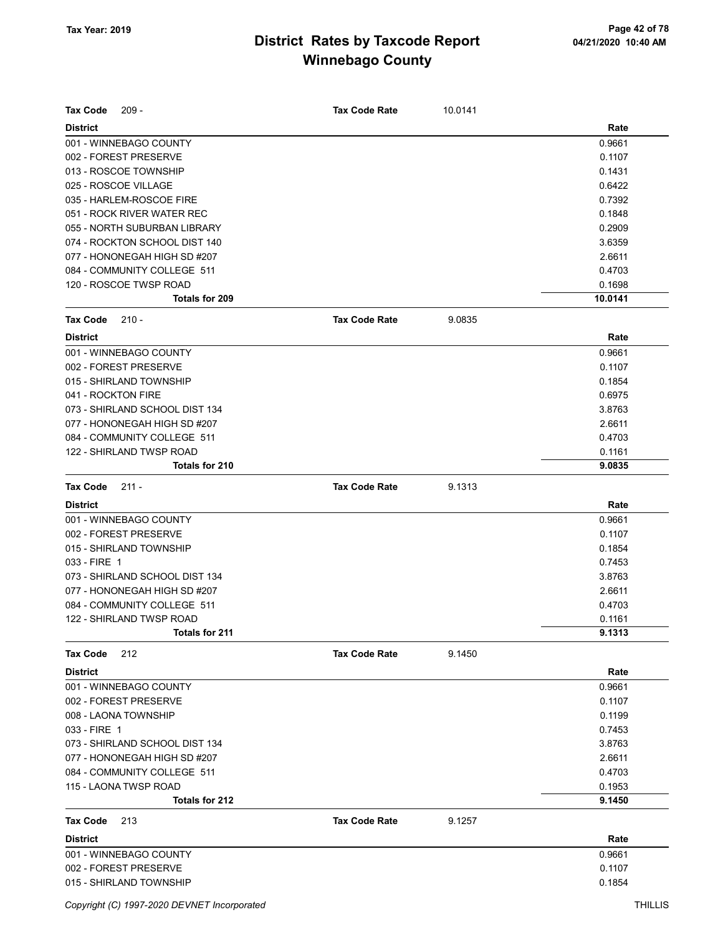| Tax Code<br>$209 -$                             | <b>Tax Code Rate</b> | 10.0141 |                   |
|-------------------------------------------------|----------------------|---------|-------------------|
|                                                 |                      |         |                   |
| <b>District</b>                                 |                      |         | Rate              |
| 001 - WINNEBAGO COUNTY                          |                      |         | 0.9661            |
| 002 - FOREST PRESERVE                           |                      |         | 0.1107            |
| 013 - ROSCOE TOWNSHIP                           |                      |         | 0.1431            |
| 025 - ROSCOE VILLAGE                            |                      |         | 0.6422            |
| 035 - HARLEM-ROSCOE FIRE                        |                      |         | 0.7392            |
| 051 - ROCK RIVER WATER REC                      |                      |         | 0.1848            |
| 055 - NORTH SUBURBAN LIBRARY                    |                      |         | 0.2909            |
| 074 - ROCKTON SCHOOL DIST 140                   |                      |         | 3.6359            |
| 077 - HONONEGAH HIGH SD #207                    |                      |         | 2.6611            |
| 084 - COMMUNITY COLLEGE 511                     |                      |         | 0.4703            |
| 120 - ROSCOE TWSP ROAD<br><b>Totals for 209</b> |                      |         | 0.1698<br>10.0141 |
|                                                 |                      |         |                   |
| <b>Tax Code</b><br>$210 -$                      | <b>Tax Code Rate</b> | 9.0835  |                   |
| <b>District</b>                                 |                      |         | Rate              |
| 001 - WINNEBAGO COUNTY                          |                      |         | 0.9661            |
| 002 - FOREST PRESERVE                           |                      |         | 0.1107            |
| 015 - SHIRLAND TOWNSHIP                         |                      |         | 0.1854            |
| 041 - ROCKTON FIRE                              |                      |         | 0.6975            |
| 073 - SHIRLAND SCHOOL DIST 134                  |                      |         | 3.8763            |
| 077 - HONONEGAH HIGH SD #207                    |                      |         | 2.6611            |
| 084 - COMMUNITY COLLEGE 511                     |                      |         | 0.4703            |
| 122 - SHIRLAND TWSP ROAD                        |                      |         | 0.1161            |
| Totals for 210                                  |                      |         | 9.0835            |
| <b>Tax Code</b><br>$211 -$                      | <b>Tax Code Rate</b> | 9.1313  |                   |
| <b>District</b>                                 |                      |         | Rate              |
| 001 - WINNEBAGO COUNTY                          |                      |         | 0.9661            |
| 002 - FOREST PRESERVE                           |                      |         | 0.1107            |
| 015 - SHIRLAND TOWNSHIP                         |                      |         | 0.1854            |
| 033 - FIRE 1                                    |                      |         | 0.7453            |
| 073 - SHIRLAND SCHOOL DIST 134                  |                      |         | 3.8763            |
| 077 - HONONEGAH HIGH SD #207                    |                      |         | 2.6611            |
| 084 - COMMUNITY COLLEGE 511                     |                      |         | 0.4703            |
| 122 - SHIRLAND TWSP ROAD                        |                      |         | 0.1161            |
| <b>Totals for 211</b>                           |                      |         | 9.1313            |
| <b>Tax Code</b><br>212                          | <b>Tax Code Rate</b> | 9.1450  |                   |
| <b>District</b>                                 |                      |         | Rate              |
| 001 - WINNEBAGO COUNTY                          |                      |         | 0.9661            |
| 002 - FOREST PRESERVE                           |                      |         | 0.1107            |
| 008 - LAONA TOWNSHIP                            |                      |         | 0.1199            |
| 033 - FIRE 1                                    |                      |         | 0.7453            |
| 073 - SHIRLAND SCHOOL DIST 134                  |                      |         | 3.8763            |
| 077 - HONONEGAH HIGH SD #207                    |                      |         | 2.6611            |
| 084 - COMMUNITY COLLEGE 511                     |                      |         | 0.4703            |
| 115 - LAONA TWSP ROAD                           |                      |         | 0.1953            |
| <b>Totals for 212</b>                           |                      |         | 9.1450            |
| Tax Code<br>213                                 | <b>Tax Code Rate</b> | 9.1257  |                   |
| <b>District</b>                                 |                      |         | Rate              |
| 001 - WINNEBAGO COUNTY                          |                      |         | 0.9661            |
| 002 - FOREST PRESERVE                           |                      |         | 0.1107            |
| 015 - SHIRLAND TOWNSHIP                         |                      |         | 0.1854            |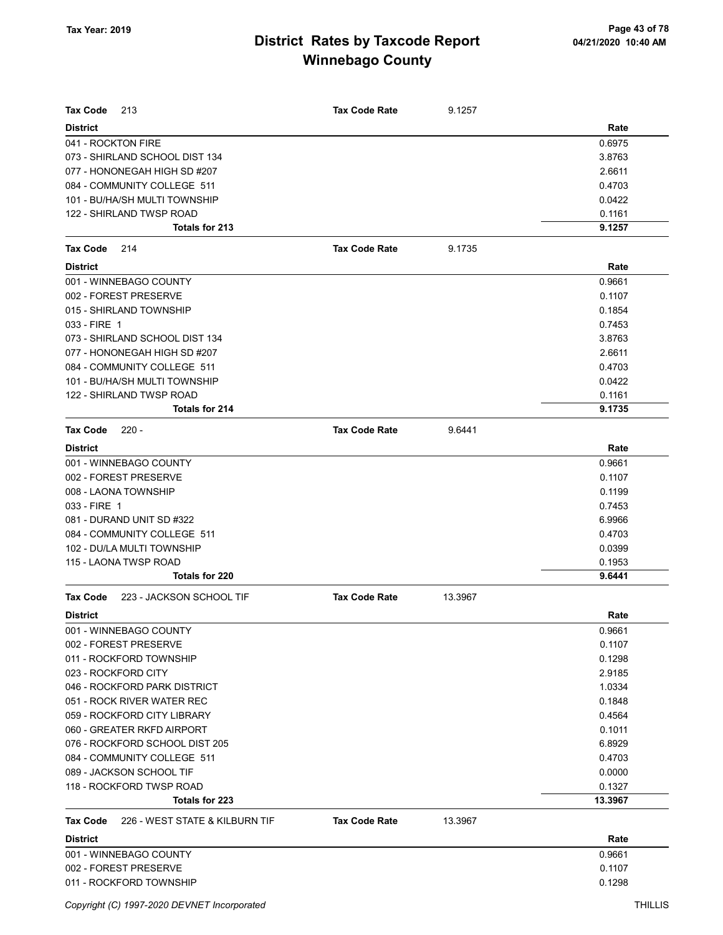| <b>Tax Code</b><br>213                            | <b>Tax Code Rate</b> | 9.1257  |         |
|---------------------------------------------------|----------------------|---------|---------|
| <b>District</b>                                   |                      |         | Rate    |
| 041 - ROCKTON FIRE                                |                      |         | 0.6975  |
| 073 - SHIRLAND SCHOOL DIST 134                    |                      |         | 3.8763  |
| 077 - HONONEGAH HIGH SD #207                      |                      |         | 2.6611  |
| 084 - COMMUNITY COLLEGE 511                       |                      |         | 0.4703  |
| 101 - BU/HA/SH MULTI TOWNSHIP                     |                      |         | 0.0422  |
| 122 - SHIRLAND TWSP ROAD                          |                      |         | 0.1161  |
| Totals for 213                                    |                      |         | 9.1257  |
| Tax Code<br>214                                   | <b>Tax Code Rate</b> | 9.1735  |         |
| <b>District</b>                                   |                      |         | Rate    |
| 001 - WINNEBAGO COUNTY                            |                      |         | 0.9661  |
| 002 - FOREST PRESERVE                             |                      |         | 0.1107  |
| 015 - SHIRLAND TOWNSHIP                           |                      |         | 0.1854  |
| 033 - FIRE 1                                      |                      |         | 0.7453  |
| 073 - SHIRLAND SCHOOL DIST 134                    |                      |         | 3.8763  |
| 077 - HONONEGAH HIGH SD #207                      |                      |         | 2.6611  |
| 084 - COMMUNITY COLLEGE 511                       |                      |         | 0.4703  |
| 101 - BU/HA/SH MULTI TOWNSHIP                     |                      |         | 0.0422  |
| 122 - SHIRLAND TWSP ROAD                          |                      |         | 0.1161  |
| Totals for 214                                    |                      |         | 9.1735  |
| <b>Tax Code</b><br>$220 -$                        | <b>Tax Code Rate</b> | 9.6441  |         |
| <b>District</b>                                   |                      |         | Rate    |
| 001 - WINNEBAGO COUNTY                            |                      |         | 0.9661  |
| 002 - FOREST PRESERVE                             |                      |         | 0.1107  |
| 008 - LAONA TOWNSHIP                              |                      |         | 0.1199  |
| 033 - FIRE 1                                      |                      |         | 0.7453  |
| 081 - DURAND UNIT SD #322                         |                      |         | 6.9966  |
| 084 - COMMUNITY COLLEGE 511                       |                      |         | 0.4703  |
| 102 - DU/LA MULTI TOWNSHIP                        |                      |         | 0.0399  |
| 115 - LAONA TWSP ROAD                             |                      |         | 0.1953  |
| Totals for 220                                    |                      |         | 9.6441  |
| 223 - JACKSON SCHOOL TIF<br>Tax Code              | <b>Tax Code Rate</b> | 13.3967 |         |
| <b>District</b>                                   |                      |         | Rate    |
| 001 - WINNEBAGO COUNTY                            |                      |         | 0.9661  |
| 002 - FOREST PRESERVE                             |                      |         | 0.1107  |
| 011 - ROCKFORD TOWNSHIP                           |                      |         | 0.1298  |
| 023 - ROCKFORD CITY                               |                      |         | 2.9185  |
| 046 - ROCKFORD PARK DISTRICT                      |                      |         | 1.0334  |
| 051 - ROCK RIVER WATER REC                        |                      |         | 0.1848  |
| 059 - ROCKFORD CITY LIBRARY                       |                      |         | 0.4564  |
| 060 - GREATER RKFD AIRPORT                        |                      |         | 0.1011  |
| 076 - ROCKFORD SCHOOL DIST 205                    |                      |         | 6.8929  |
| 084 - COMMUNITY COLLEGE 511                       |                      |         | 0.4703  |
| 089 - JACKSON SCHOOL TIF                          |                      |         | 0.0000  |
| 118 - ROCKFORD TWSP ROAD                          |                      |         | 0.1327  |
| Totals for 223                                    |                      |         | 13.3967 |
| 226 - WEST STATE & KILBURN TIF<br><b>Tax Code</b> | <b>Tax Code Rate</b> | 13.3967 |         |
| <b>District</b>                                   |                      |         | Rate    |
| 001 - WINNEBAGO COUNTY                            |                      |         | 0.9661  |
| 002 - FOREST PRESERVE                             |                      |         | 0.1107  |
| 011 - ROCKFORD TOWNSHIP                           |                      |         | 0.1298  |
|                                                   |                      |         |         |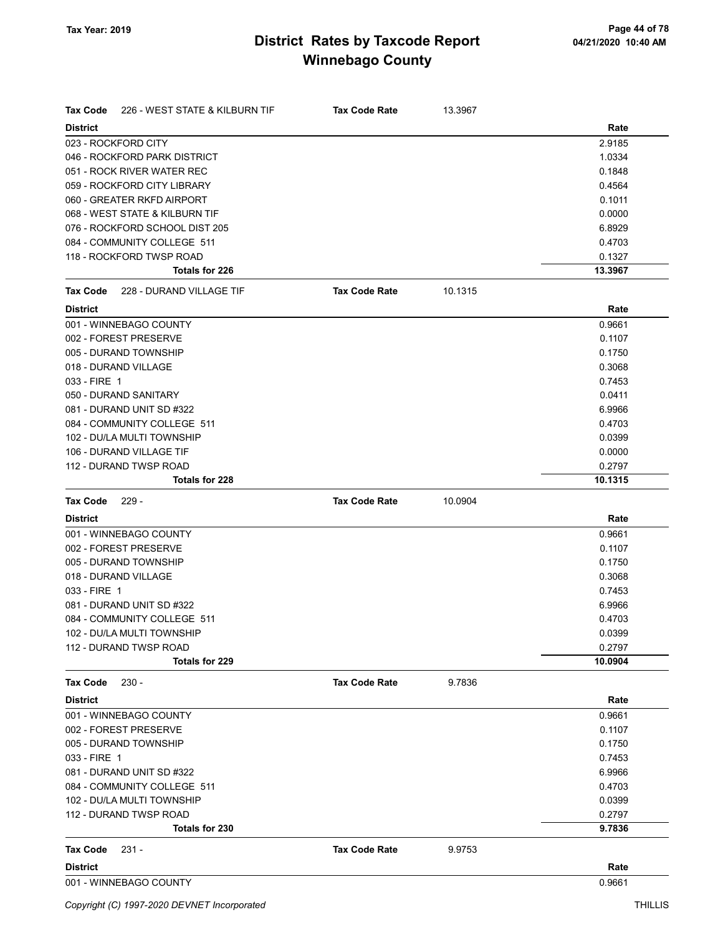| Tax Code        | 226 - WEST STATE & KILBURN TIF           | <b>Tax Code Rate</b> | 13.3967 |                   |
|-----------------|------------------------------------------|----------------------|---------|-------------------|
| <b>District</b> |                                          |                      |         | Rate              |
|                 | 023 - ROCKFORD CITY                      |                      |         | 2.9185            |
|                 | 046 - ROCKFORD PARK DISTRICT             |                      |         | 1.0334            |
|                 | 051 - ROCK RIVER WATER REC               |                      |         | 0.1848            |
|                 | 059 - ROCKFORD CITY LIBRARY              |                      |         | 0.4564            |
|                 | 060 - GREATER RKFD AIRPORT               |                      |         | 0.1011            |
|                 | 068 - WEST STATE & KILBURN TIF           |                      |         | 0.0000            |
|                 | 076 - ROCKFORD SCHOOL DIST 205           |                      |         | 6.8929            |
|                 | 084 - COMMUNITY COLLEGE 511              |                      |         | 0.4703            |
|                 | 118 - ROCKFORD TWSP ROAD                 |                      |         | 0.1327            |
|                 | Totals for 226                           |                      |         | 13.3967           |
| Tax Code        | 228 - DURAND VILLAGE TIF                 | <b>Tax Code Rate</b> | 10.1315 |                   |
| <b>District</b> |                                          |                      |         | Rate              |
|                 | 001 - WINNEBAGO COUNTY                   |                      |         | 0.9661            |
|                 | 002 - FOREST PRESERVE                    |                      |         | 0.1107            |
|                 | 005 - DURAND TOWNSHIP                    |                      |         | 0.1750            |
|                 | 018 - DURAND VILLAGE                     |                      |         | 0.3068            |
| 033 - FIRE 1    |                                          |                      |         | 0.7453            |
|                 | 050 - DURAND SANITARY                    |                      |         | 0.0411            |
|                 | 081 - DURAND UNIT SD #322                |                      |         | 6.9966            |
|                 | 084 - COMMUNITY COLLEGE 511              |                      |         | 0.4703            |
|                 | 102 - DU/LA MULTI TOWNSHIP               |                      |         | 0.0399            |
|                 | 106 - DURAND VILLAGE TIF                 |                      |         | 0.0000            |
|                 | 112 - DURAND TWSP ROAD                   |                      |         | 0.2797            |
|                 | Totals for 228                           |                      |         | 10.1315           |
| <b>Tax Code</b> | $229 -$                                  | <b>Tax Code Rate</b> | 10.0904 |                   |
| <b>District</b> |                                          |                      |         | Rate              |
|                 | 001 - WINNEBAGO COUNTY                   |                      |         | 0.9661            |
|                 | 002 - FOREST PRESERVE                    |                      |         | 0.1107            |
|                 | 005 - DURAND TOWNSHIP                    |                      |         | 0.1750            |
|                 | 018 - DURAND VILLAGE                     |                      |         | 0.3068            |
| 033 - FIRE 1    |                                          |                      |         | 0.7453            |
|                 | 081 - DURAND UNIT SD #322                |                      |         | 6.9966            |
|                 | 084 - COMMUNITY COLLEGE 511              |                      |         | 0.4703            |
|                 | 102 - DU/LA MULTI TOWNSHIP               |                      |         | 0.0399            |
|                 | 112 - DURAND TWSP ROAD<br>Totals for 229 |                      |         | 0.2797<br>10.0904 |
|                 |                                          |                      |         |                   |
| <b>Tax Code</b> | $230 -$                                  | <b>Tax Code Rate</b> | 9.7836  |                   |
| <b>District</b> | 001 - WINNEBAGO COUNTY                   |                      |         | Rate<br>0.9661    |
|                 | 002 - FOREST PRESERVE                    |                      |         | 0.1107            |
|                 | 005 - DURAND TOWNSHIP                    |                      |         | 0.1750            |
| 033 - FIRE 1    |                                          |                      |         | 0.7453            |
|                 | 081 - DURAND UNIT SD #322                |                      |         | 6.9966            |
|                 | 084 - COMMUNITY COLLEGE 511              |                      |         | 0.4703            |
|                 | 102 - DU/LA MULTI TOWNSHIP               |                      |         | 0.0399            |
|                 | 112 - DURAND TWSP ROAD                   |                      |         | 0.2797            |
|                 | Totals for 230                           |                      |         | 9.7836            |
| <b>Tax Code</b> | $231 -$                                  | <b>Tax Code Rate</b> | 9.9753  |                   |
| <b>District</b> |                                          |                      |         | Rate              |
|                 | 001 - WINNEBAGO COUNTY                   |                      |         | 0.9661            |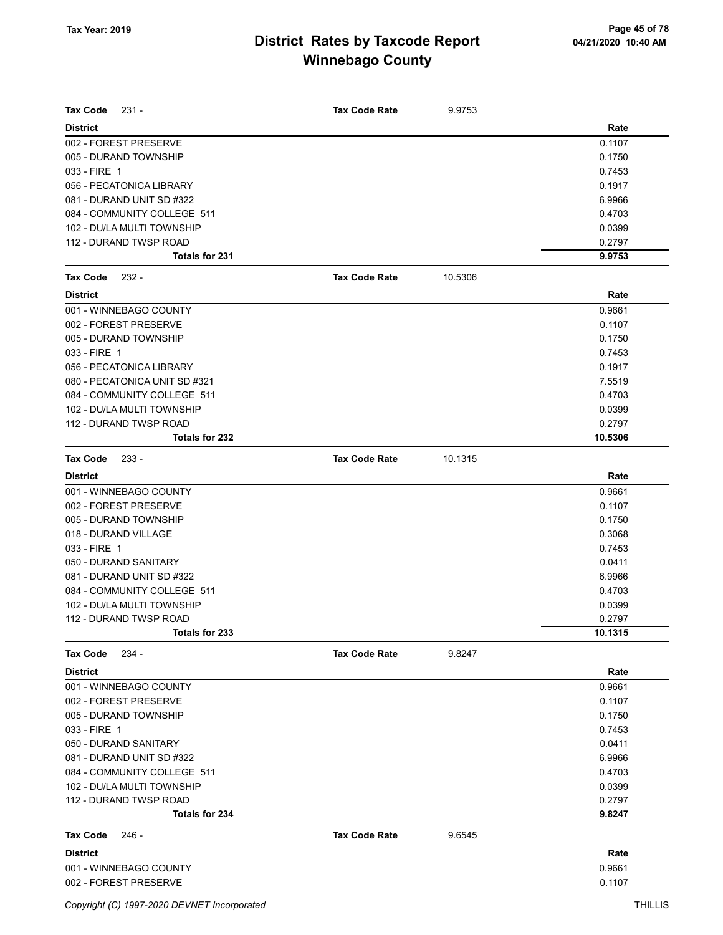| $231 -$<br>Tax Code           | <b>Tax Code Rate</b> | 9.9753  |         |
|-------------------------------|----------------------|---------|---------|
| <b>District</b>               |                      |         | Rate    |
| 002 - FOREST PRESERVE         |                      |         | 0.1107  |
| 005 - DURAND TOWNSHIP         |                      |         | 0.1750  |
| 033 - FIRE 1                  |                      |         | 0.7453  |
| 056 - PECATONICA LIBRARY      |                      |         | 0.1917  |
| 081 - DURAND UNIT SD #322     |                      |         | 6.9966  |
| 084 - COMMUNITY COLLEGE 511   |                      |         | 0.4703  |
| 102 - DU/LA MULTI TOWNSHIP    |                      |         | 0.0399  |
| 112 - DURAND TWSP ROAD        |                      |         | 0.2797  |
| Totals for 231                |                      |         | 9.9753  |
| <b>Tax Code</b><br>$232 -$    | <b>Tax Code Rate</b> | 10.5306 |         |
| <b>District</b>               |                      |         | Rate    |
| 001 - WINNEBAGO COUNTY        |                      |         | 0.9661  |
| 002 - FOREST PRESERVE         |                      |         | 0.1107  |
| 005 - DURAND TOWNSHIP         |                      |         | 0.1750  |
| 033 - FIRE 1                  |                      |         | 0.7453  |
| 056 - PECATONICA LIBRARY      |                      |         | 0.1917  |
| 080 - PECATONICA UNIT SD #321 |                      |         | 7.5519  |
| 084 - COMMUNITY COLLEGE 511   |                      |         | 0.4703  |
| 102 - DU/LA MULTI TOWNSHIP    |                      |         | 0.0399  |
| 112 - DURAND TWSP ROAD        |                      |         | 0.2797  |
| <b>Totals for 232</b>         |                      |         | 10.5306 |
| Tax Code<br>$233 -$           | <b>Tax Code Rate</b> | 10.1315 |         |
| <b>District</b>               |                      |         | Rate    |
| 001 - WINNEBAGO COUNTY        |                      |         | 0.9661  |
| 002 - FOREST PRESERVE         |                      |         | 0.1107  |
| 005 - DURAND TOWNSHIP         |                      |         | 0.1750  |
| 018 - DURAND VILLAGE          |                      |         | 0.3068  |
| 033 - FIRE 1                  |                      |         | 0.7453  |
| 050 - DURAND SANITARY         |                      |         | 0.0411  |
| 081 - DURAND UNIT SD #322     |                      |         | 6.9966  |
| 084 - COMMUNITY COLLEGE 511   |                      |         | 0.4703  |
| 102 - DU/LA MULTI TOWNSHIP    |                      |         | 0.0399  |
| 112 - DURAND TWSP ROAD        |                      |         | 0.2797  |
| Totals for 233                |                      |         | 10.1315 |
| <b>Tax Code</b><br>$234 -$    | <b>Tax Code Rate</b> | 9.8247  |         |
| <b>District</b>               |                      |         | Rate    |
| 001 - WINNEBAGO COUNTY        |                      |         | 0.9661  |
| 002 - FOREST PRESERVE         |                      |         | 0.1107  |
| 005 - DURAND TOWNSHIP         |                      |         | 0.1750  |
| 033 - FIRE 1                  |                      |         | 0.7453  |
| 050 - DURAND SANITARY         |                      |         | 0.0411  |
| 081 - DURAND UNIT SD #322     |                      |         | 6.9966  |
| 084 - COMMUNITY COLLEGE 511   |                      |         | 0.4703  |
| 102 - DU/LA MULTI TOWNSHIP    |                      |         | 0.0399  |
| 112 - DURAND TWSP ROAD        |                      |         | 0.2797  |
| Totals for 234                |                      |         | 9.8247  |
| Tax Code<br>246 -             | <b>Tax Code Rate</b> | 9.6545  |         |
| <b>District</b>               |                      |         | Rate    |
| 001 - WINNEBAGO COUNTY        |                      |         | 0.9661  |
| 002 - FOREST PRESERVE         |                      |         | 0.1107  |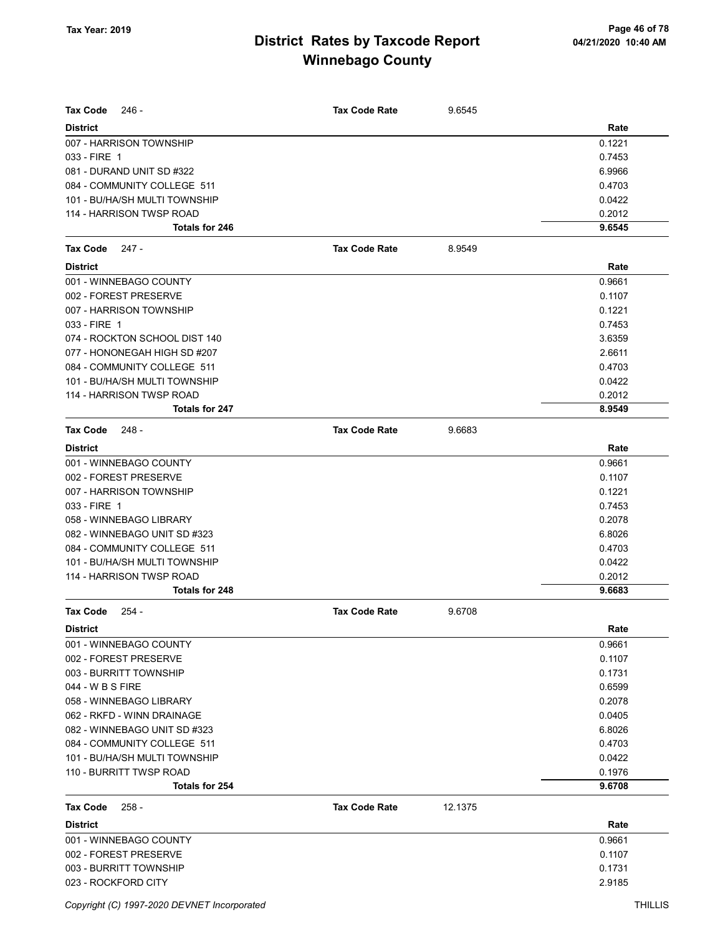| <b>Tax Code</b><br>$246 -$    | <b>Tax Code Rate</b> | 9.6545  |        |
|-------------------------------|----------------------|---------|--------|
| <b>District</b>               |                      |         | Rate   |
| 007 - HARRISON TOWNSHIP       |                      |         | 0.1221 |
| 033 - FIRE 1                  |                      |         | 0.7453 |
| 081 - DURAND UNIT SD #322     |                      |         | 6.9966 |
| 084 - COMMUNITY COLLEGE 511   |                      |         | 0.4703 |
| 101 - BU/HA/SH MULTI TOWNSHIP |                      |         | 0.0422 |
| 114 - HARRISON TWSP ROAD      |                      |         | 0.2012 |
| <b>Totals for 246</b>         |                      |         | 9.6545 |
| Tax Code<br>247 -             | <b>Tax Code Rate</b> | 8.9549  |        |
| <b>District</b>               |                      |         | Rate   |
| 001 - WINNEBAGO COUNTY        |                      |         | 0.9661 |
| 002 - FOREST PRESERVE         |                      |         | 0.1107 |
| 007 - HARRISON TOWNSHIP       |                      |         | 0.1221 |
| 033 - FIRE 1                  |                      |         | 0.7453 |
| 074 - ROCKTON SCHOOL DIST 140 |                      |         | 3.6359 |
| 077 - HONONEGAH HIGH SD #207  |                      |         | 2.6611 |
| 084 - COMMUNITY COLLEGE 511   |                      |         | 0.4703 |
| 101 - BU/HA/SH MULTI TOWNSHIP |                      |         | 0.0422 |
| 114 - HARRISON TWSP ROAD      |                      |         | 0.2012 |
| <b>Totals for 247</b>         |                      |         | 8.9549 |
| <b>Tax Code</b><br>- 248      | <b>Tax Code Rate</b> | 9.6683  |        |
| <b>District</b>               |                      |         | Rate   |
| 001 - WINNEBAGO COUNTY        |                      |         | 0.9661 |
| 002 - FOREST PRESERVE         |                      |         | 0.1107 |
| 007 - HARRISON TOWNSHIP       |                      |         | 0.1221 |
| 033 - FIRE 1                  |                      |         | 0.7453 |
| 058 - WINNEBAGO LIBRARY       |                      |         | 0.2078 |
| 082 - WINNEBAGO UNIT SD #323  |                      |         | 6.8026 |
| 084 - COMMUNITY COLLEGE 511   |                      |         | 0.4703 |
| 101 - BU/HA/SH MULTI TOWNSHIP |                      |         | 0.0422 |
| 114 - HARRISON TWSP ROAD      |                      |         | 0.2012 |
| Totals for 248                |                      |         | 9.6683 |
| Tax Code<br>$254 -$           | <b>Tax Code Rate</b> | 9.6708  |        |
| District                      |                      |         | Rate   |
| 001 - WINNEBAGO COUNTY        |                      |         | 0.9661 |
| 002 - FOREST PRESERVE         |                      |         | 0.1107 |
| 003 - BURRITT TOWNSHIP        |                      |         | 0.1731 |
| 044 - W B S FIRE              |                      |         | 0.6599 |
| 058 - WINNEBAGO LIBRARY       |                      |         | 0.2078 |
| 062 - RKFD - WINN DRAINAGE    |                      |         | 0.0405 |
| 082 - WINNEBAGO UNIT SD #323  |                      |         | 6.8026 |
| 084 - COMMUNITY COLLEGE 511   |                      |         | 0.4703 |
| 101 - BU/HA/SH MULTI TOWNSHIP |                      |         | 0.0422 |
| 110 - BURRITT TWSP ROAD       |                      |         | 0.1976 |
| Totals for 254                |                      |         | 9.6708 |
| <b>Tax Code</b><br>$258 -$    | <b>Tax Code Rate</b> | 12.1375 |        |
| <b>District</b>               |                      |         | Rate   |
| 001 - WINNEBAGO COUNTY        |                      |         | 0.9661 |
| 002 - FOREST PRESERVE         |                      |         | 0.1107 |
| 003 - BURRITT TOWNSHIP        |                      |         | 0.1731 |
| 023 - ROCKFORD CITY           |                      |         | 2.9185 |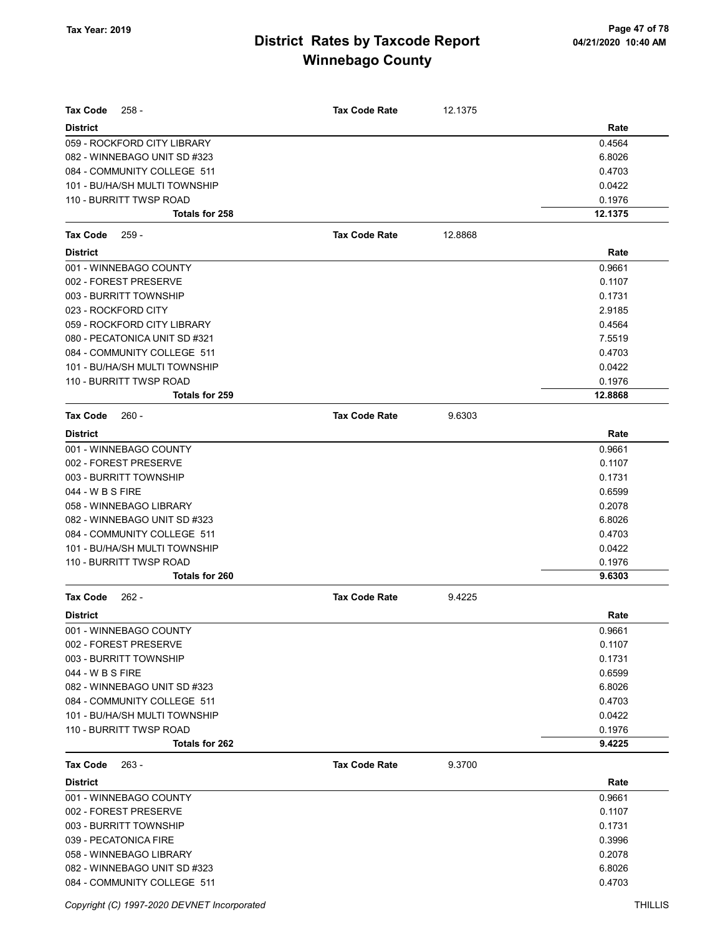| <b>Tax Code</b><br>$258 -$    | <b>Tax Code Rate</b> | 12.1375 |         |
|-------------------------------|----------------------|---------|---------|
| <b>District</b>               |                      |         | Rate    |
| 059 - ROCKFORD CITY LIBRARY   |                      |         | 0.4564  |
| 082 - WINNEBAGO UNIT SD #323  |                      |         | 6.8026  |
| 084 - COMMUNITY COLLEGE 511   |                      |         | 0.4703  |
| 101 - BU/HA/SH MULTI TOWNSHIP |                      |         | 0.0422  |
| 110 - BURRITT TWSP ROAD       |                      |         | 0.1976  |
| Totals for 258                |                      |         | 12.1375 |
| $259 -$<br><b>Tax Code</b>    | <b>Tax Code Rate</b> | 12.8868 |         |
| <b>District</b>               |                      |         | Rate    |
| 001 - WINNEBAGO COUNTY        |                      |         | 0.9661  |
| 002 - FOREST PRESERVE         |                      |         | 0.1107  |
| 003 - BURRITT TOWNSHIP        |                      |         | 0.1731  |
| 023 - ROCKFORD CITY           |                      |         | 2.9185  |
| 059 - ROCKFORD CITY LIBRARY   |                      |         | 0.4564  |
| 080 - PECATONICA UNIT SD #321 |                      |         | 7.5519  |
| 084 - COMMUNITY COLLEGE 511   |                      |         | 0.4703  |
| 101 - BU/HA/SH MULTI TOWNSHIP |                      |         | 0.0422  |
| 110 - BURRITT TWSP ROAD       |                      |         | 0.1976  |
| Totals for 259                |                      |         | 12.8868 |
| <b>Tax Code</b><br>$260 -$    | <b>Tax Code Rate</b> | 9.6303  |         |
| <b>District</b>               |                      |         | Rate    |
| 001 - WINNEBAGO COUNTY        |                      |         | 0.9661  |
| 002 - FOREST PRESERVE         |                      |         | 0.1107  |
| 003 - BURRITT TOWNSHIP        |                      |         | 0.1731  |
| 044 - W B S FIRE              |                      |         | 0.6599  |
| 058 - WINNEBAGO LIBRARY       |                      |         | 0.2078  |
| 082 - WINNEBAGO UNIT SD #323  |                      |         | 6.8026  |
| 084 - COMMUNITY COLLEGE 511   |                      |         | 0.4703  |
| 101 - BU/HA/SH MULTI TOWNSHIP |                      |         | 0.0422  |
| 110 - BURRITT TWSP ROAD       |                      |         | 0.1976  |
| Totals for 260                |                      |         | 9.6303  |
| <b>Tax Code</b><br>$262 -$    | <b>Tax Code Rate</b> | 9.4225  |         |
| <b>District</b>               |                      |         | Rate    |
| 001 - WINNEBAGO COUNTY        |                      |         | 0.9661  |
| 002 - FOREST PRESERVE         |                      |         | 0.1107  |
| 003 - BURRITT TOWNSHIP        |                      |         | 0.1731  |
| 044 - W B S FIRE              |                      |         | 0.6599  |
| 082 - WINNEBAGO UNIT SD #323  |                      |         | 6.8026  |
| 084 - COMMUNITY COLLEGE 511   |                      |         | 0.4703  |
| 101 - BU/HA/SH MULTI TOWNSHIP |                      |         | 0.0422  |
| 110 - BURRITT TWSP ROAD       |                      |         | 0.1976  |
| Totals for 262                |                      |         | 9.4225  |
| Tax Code<br>$263 -$           | <b>Tax Code Rate</b> | 9.3700  |         |
| <b>District</b>               |                      |         | Rate    |
| 001 - WINNEBAGO COUNTY        |                      |         | 0.9661  |
| 002 - FOREST PRESERVE         |                      |         | 0.1107  |
| 003 - BURRITT TOWNSHIP        |                      |         | 0.1731  |
| 039 - PECATONICA FIRE         |                      |         | 0.3996  |
| 058 - WINNEBAGO LIBRARY       |                      |         | 0.2078  |
| 082 - WINNEBAGO UNIT SD #323  |                      |         | 6.8026  |
| 084 - COMMUNITY COLLEGE 511   |                      |         | 0.4703  |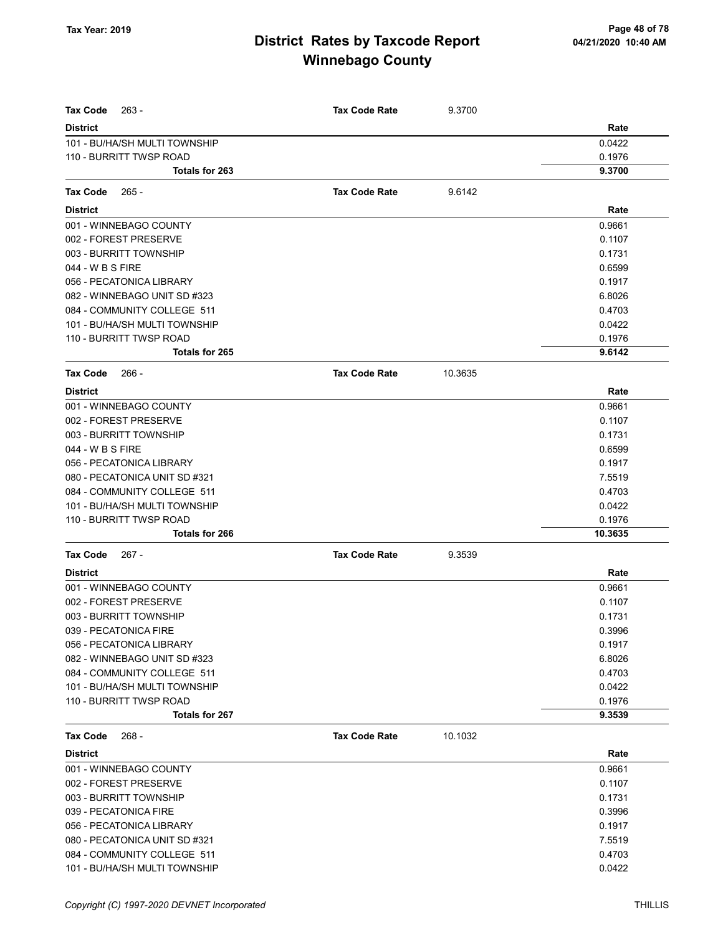| <b>Tax Code</b><br>$263 -$    | <b>Tax Code Rate</b> | 9.3700  |         |
|-------------------------------|----------------------|---------|---------|
| <b>District</b>               |                      |         | Rate    |
| 101 - BU/HA/SH MULTI TOWNSHIP |                      |         | 0.0422  |
| 110 - BURRITT TWSP ROAD       |                      |         | 0.1976  |
| <b>Totals for 263</b>         |                      |         | 9.3700  |
| Tax Code<br>$265 -$           | <b>Tax Code Rate</b> | 9.6142  |         |
| <b>District</b>               |                      |         | Rate    |
| 001 - WINNEBAGO COUNTY        |                      |         | 0.9661  |
| 002 - FOREST PRESERVE         |                      |         | 0.1107  |
| 003 - BURRITT TOWNSHIP        |                      |         | 0.1731  |
| 044 - W B S FIRE              |                      |         | 0.6599  |
| 056 - PECATONICA LIBRARY      |                      |         | 0.1917  |
| 082 - WINNEBAGO UNIT SD #323  |                      |         | 6.8026  |
| 084 - COMMUNITY COLLEGE 511   |                      |         | 0.4703  |
| 101 - BU/HA/SH MULTI TOWNSHIP |                      |         | 0.0422  |
| 110 - BURRITT TWSP ROAD       |                      |         | 0.1976  |
| Totals for 265                |                      |         | 9.6142  |
| Tax Code<br>- 266             | <b>Tax Code Rate</b> | 10.3635 |         |
| <b>District</b>               |                      |         | Rate    |
| 001 - WINNEBAGO COUNTY        |                      |         | 0.9661  |
| 002 - FOREST PRESERVE         |                      |         | 0.1107  |
| 003 - BURRITT TOWNSHIP        |                      |         | 0.1731  |
| 044 - W B S FIRE              |                      |         | 0.6599  |
| 056 - PECATONICA LIBRARY      |                      |         | 0.1917  |
| 080 - PECATONICA UNIT SD #321 |                      |         | 7.5519  |
| 084 - COMMUNITY COLLEGE 511   |                      |         | 0.4703  |
| 101 - BU/HA/SH MULTI TOWNSHIP |                      |         | 0.0422  |
| 110 - BURRITT TWSP ROAD       |                      |         | 0.1976  |
| Totals for 266                |                      |         | 10.3635 |
| <b>Tax Code</b><br>267 -      | <b>Tax Code Rate</b> | 9.3539  |         |
| <b>District</b>               |                      |         | Rate    |
| 001 - WINNEBAGO COUNTY        |                      |         | 0.9661  |
| 002 - FOREST PRESERVE         |                      |         | 0.1107  |
| 003 - BURRITT TOWNSHIP        |                      |         | 0.1731  |
| 039 - PECATONICA FIRE         |                      |         | 0.3996  |
| 056 - PECATONICA LIBRARY      |                      |         | 0.1917  |
| 082 - WINNEBAGO UNIT SD #323  |                      |         | 6.8026  |
| 084 - COMMUNITY COLLEGE 511   |                      |         | 0.4703  |
| 101 - BU/HA/SH MULTI TOWNSHIP |                      |         | 0.0422  |
| 110 - BURRITT TWSP ROAD       |                      |         | 0.1976  |
| Totals for 267                |                      |         | 9.3539  |
| $268 -$<br>Tax Code           | <b>Tax Code Rate</b> | 10.1032 |         |
| <b>District</b>               |                      |         | Rate    |
| 001 - WINNEBAGO COUNTY        |                      |         | 0.9661  |
| 002 - FOREST PRESERVE         |                      |         | 0.1107  |
| 003 - BURRITT TOWNSHIP        |                      |         | 0.1731  |
| 039 - PECATONICA FIRE         |                      |         | 0.3996  |
| 056 - PECATONICA LIBRARY      |                      |         | 0.1917  |
| 080 - PECATONICA UNIT SD #321 |                      |         | 7.5519  |
| 084 - COMMUNITY COLLEGE 511   |                      |         | 0.4703  |
| 101 - BU/HA/SH MULTI TOWNSHIP |                      |         | 0.0422  |
|                               |                      |         |         |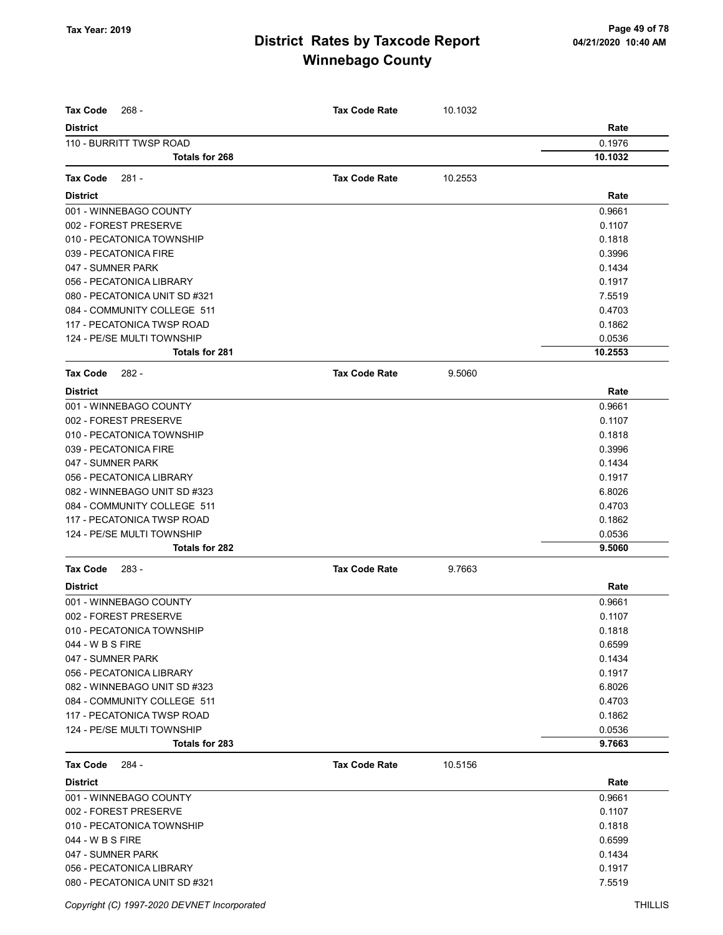| <b>Tax Code</b><br>268 -      | <b>Tax Code Rate</b> | 10.1032 |         |
|-------------------------------|----------------------|---------|---------|
| <b>District</b>               |                      |         | Rate    |
| 110 - BURRITT TWSP ROAD       |                      |         | 0.1976  |
| Totals for 268                |                      |         | 10.1032 |
|                               |                      |         |         |
| <b>Tax Code</b><br>281 -      | <b>Tax Code Rate</b> | 10.2553 |         |
| <b>District</b>               |                      |         | Rate    |
| 001 - WINNEBAGO COUNTY        |                      |         | 0.9661  |
| 002 - FOREST PRESERVE         |                      |         | 0.1107  |
| 010 - PECATONICA TOWNSHIP     |                      |         | 0.1818  |
| 039 - PECATONICA FIRE         |                      |         | 0.3996  |
| 047 - SUMNER PARK             |                      |         | 0.1434  |
| 056 - PECATONICA LIBRARY      |                      |         | 0.1917  |
| 080 - PECATONICA UNIT SD #321 |                      |         | 7.5519  |
| 084 - COMMUNITY COLLEGE 511   |                      |         | 0.4703  |
| 117 - PECATONICA TWSP ROAD    |                      |         | 0.1862  |
| 124 - PE/SE MULTI TOWNSHIP    |                      |         | 0.0536  |
| <b>Totals for 281</b>         |                      |         | 10.2553 |
| <b>Tax Code</b><br>282 -      | <b>Tax Code Rate</b> | 9.5060  |         |
| <b>District</b>               |                      |         | Rate    |
| 001 - WINNEBAGO COUNTY        |                      |         | 0.9661  |
| 002 - FOREST PRESERVE         |                      |         | 0.1107  |
| 010 - PECATONICA TOWNSHIP     |                      |         | 0.1818  |
| 039 - PECATONICA FIRE         |                      |         | 0.3996  |
| 047 - SUMNER PARK             |                      |         | 0.1434  |
| 056 - PECATONICA LIBRARY      |                      |         | 0.1917  |
| 082 - WINNEBAGO UNIT SD #323  |                      |         | 6.8026  |
| 084 - COMMUNITY COLLEGE 511   |                      |         | 0.4703  |
| 117 - PECATONICA TWSP ROAD    |                      |         | 0.1862  |
| 124 - PE/SE MULTI TOWNSHIP    |                      |         | 0.0536  |
| Totals for 282                |                      |         | 9.5060  |
| Tax Code<br>283 -             | <b>Tax Code Rate</b> | 9.7663  |         |
| <b>District</b>               |                      |         | Rate    |
| 001 - WINNEBAGO COUNTY        |                      |         | 0.9661  |
| 002 - FOREST PRESERVE         |                      |         | 0.1107  |
| 010 - PECATONICA TOWNSHIP     |                      |         | 0.1818  |
| 044 - W B S FIRE              |                      |         | 0.6599  |
| 047 - SUMNER PARK             |                      |         | 0.1434  |
| 056 - PECATONICA LIBRARY      |                      |         | 0.1917  |
| 082 - WINNEBAGO UNIT SD #323  |                      |         | 6.8026  |
| 084 - COMMUNITY COLLEGE 511   |                      |         | 0.4703  |
| 117 - PECATONICA TWSP ROAD    |                      |         | 0.1862  |
| 124 - PE/SE MULTI TOWNSHIP    |                      |         | 0.0536  |
| Totals for 283                |                      |         | 9.7663  |
| Tax Code<br>284 -             | <b>Tax Code Rate</b> | 10.5156 |         |
| <b>District</b>               |                      |         | Rate    |
| 001 - WINNEBAGO COUNTY        |                      |         | 0.9661  |
| 002 - FOREST PRESERVE         |                      |         | 0.1107  |
| 010 - PECATONICA TOWNSHIP     |                      |         | 0.1818  |
| 044 - W B S FIRE              |                      |         | 0.6599  |
| 047 - SUMNER PARK             |                      |         | 0.1434  |
| 056 - PECATONICA LIBRARY      |                      |         | 0.1917  |
| 080 - PECATONICA UNIT SD #321 |                      |         | 7.5519  |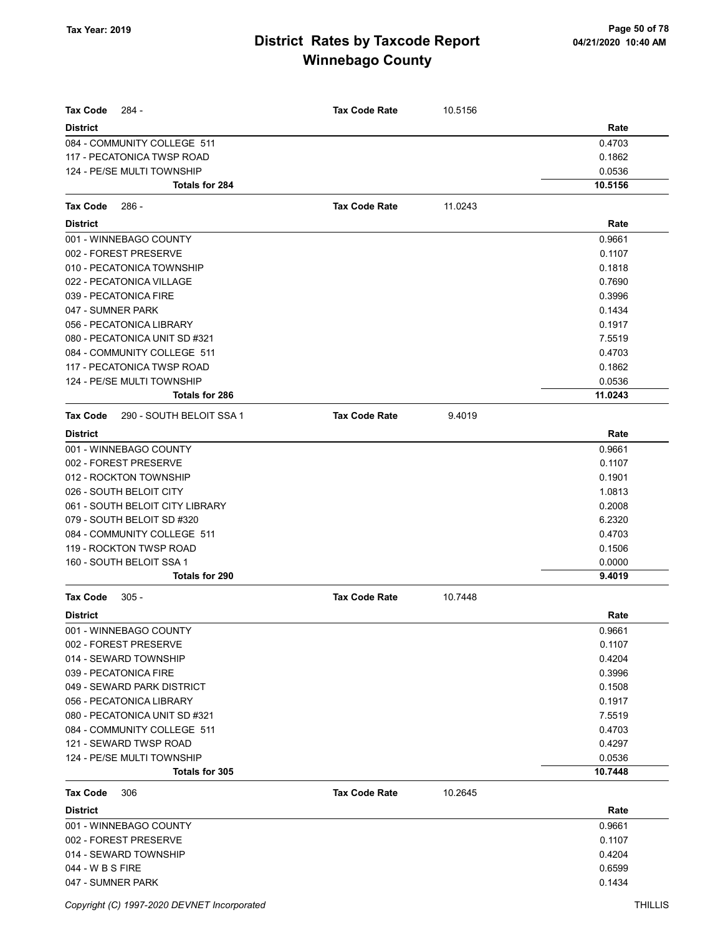| <b>Tax Code</b><br>284 -                    | <b>Tax Code Rate</b> | 10.5156 |         |
|---------------------------------------------|----------------------|---------|---------|
| <b>District</b>                             |                      |         | Rate    |
| 084 - COMMUNITY COLLEGE 511                 |                      |         | 0.4703  |
| 117 - PECATONICA TWSP ROAD                  |                      |         | 0.1862  |
| 124 - PE/SE MULTI TOWNSHIP                  |                      |         | 0.0536  |
| Totals for 284                              |                      |         | 10.5156 |
| <b>Tax Code</b><br>286 -                    | <b>Tax Code Rate</b> | 11.0243 |         |
| <b>District</b>                             |                      |         | Rate    |
| 001 - WINNEBAGO COUNTY                      |                      |         | 0.9661  |
| 002 - FOREST PRESERVE                       |                      |         | 0.1107  |
| 010 - PECATONICA TOWNSHIP                   |                      |         | 0.1818  |
| 022 - PECATONICA VILLAGE                    |                      |         | 0.7690  |
| 039 - PECATONICA FIRE                       |                      |         | 0.3996  |
| 047 - SUMNER PARK                           |                      |         | 0.1434  |
| 056 - PECATONICA LIBRARY                    |                      |         | 0.1917  |
| 080 - PECATONICA UNIT SD #321               |                      |         | 7.5519  |
| 084 - COMMUNITY COLLEGE 511                 |                      |         | 0.4703  |
| 117 - PECATONICA TWSP ROAD                  |                      |         | 0.1862  |
| 124 - PE/SE MULTI TOWNSHIP                  |                      |         | 0.0536  |
| Totals for 286                              |                      |         | 11.0243 |
| 290 - SOUTH BELOIT SSA 1<br><b>Tax Code</b> | <b>Tax Code Rate</b> | 9.4019  |         |
| <b>District</b>                             |                      |         | Rate    |
| 001 - WINNEBAGO COUNTY                      |                      |         | 0.9661  |
| 002 - FOREST PRESERVE                       |                      |         | 0.1107  |
| 012 - ROCKTON TOWNSHIP                      |                      |         | 0.1901  |
| 026 - SOUTH BELOIT CITY                     |                      |         | 1.0813  |
| 061 - SOUTH BELOIT CITY LIBRARY             |                      |         | 0.2008  |
| 079 - SOUTH BELOIT SD #320                  |                      |         | 6.2320  |
| 084 - COMMUNITY COLLEGE 511                 |                      |         | 0.4703  |
| 119 - ROCKTON TWSP ROAD                     |                      |         | 0.1506  |
| 160 - SOUTH BELOIT SSA 1                    |                      |         | 0.0000  |
| Totals for 290                              |                      |         | 9.4019  |
| $305 -$<br><b>Tax Code</b>                  | <b>Tax Code Rate</b> | 10.7448 |         |
| <b>District</b>                             |                      |         | Rate    |
| 001 - WINNEBAGO COUNTY                      |                      |         | 0.9661  |
| 002 - FOREST PRESERVE                       |                      |         | 0.1107  |
| 014 - SEWARD TOWNSHIP                       |                      |         | 0.4204  |
| 039 - PECATONICA FIRE                       |                      |         | 0.3996  |
| 049 - SEWARD PARK DISTRICT                  |                      |         | 0.1508  |
| 056 - PECATONICA LIBRARY                    |                      |         | 0.1917  |
| 080 - PECATONICA UNIT SD #321               |                      |         | 7.5519  |
| 084 - COMMUNITY COLLEGE 511                 |                      |         | 0.4703  |
| 121 - SEWARD TWSP ROAD                      |                      |         | 0.4297  |
| 124 - PE/SE MULTI TOWNSHIP                  |                      |         | 0.0536  |
| Totals for 305                              |                      |         | 10.7448 |
| <b>Tax Code</b><br>306                      | <b>Tax Code Rate</b> | 10.2645 |         |
| <b>District</b>                             |                      |         | Rate    |
| 001 - WINNEBAGO COUNTY                      |                      |         | 0.9661  |
| 002 - FOREST PRESERVE                       |                      |         | 0.1107  |
| 014 - SEWARD TOWNSHIP                       |                      |         | 0.4204  |
| 044 - W B S FIRE                            |                      |         | 0.6599  |
| 047 - SUMNER PARK                           |                      |         | 0.1434  |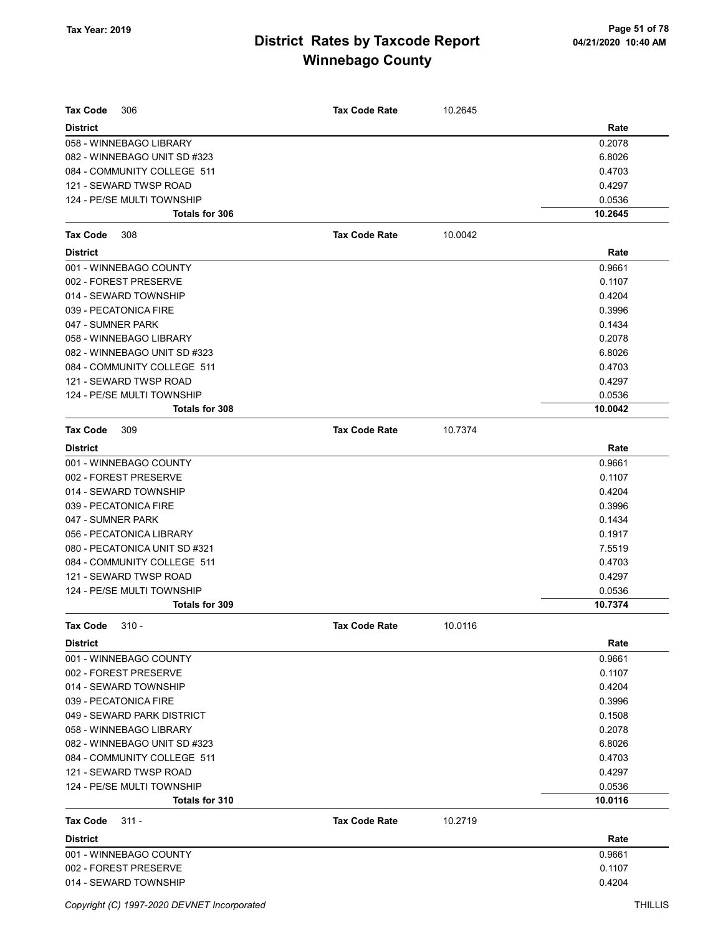| <b>Tax Code</b><br>306        | <b>Tax Code Rate</b> | 10.2645 |         |
|-------------------------------|----------------------|---------|---------|
| <b>District</b>               |                      |         | Rate    |
| 058 - WINNEBAGO LIBRARY       |                      |         | 0.2078  |
| 082 - WINNEBAGO UNIT SD #323  |                      |         | 6.8026  |
| 084 - COMMUNITY COLLEGE 511   |                      |         | 0.4703  |
| 121 - SEWARD TWSP ROAD        |                      |         | 0.4297  |
| 124 - PE/SE MULTI TOWNSHIP    |                      |         | 0.0536  |
| <b>Totals for 306</b>         |                      |         | 10.2645 |
| <b>Tax Code</b><br>308        | <b>Tax Code Rate</b> | 10.0042 |         |
| <b>District</b>               |                      |         | Rate    |
| 001 - WINNEBAGO COUNTY        |                      |         | 0.9661  |
| 002 - FOREST PRESERVE         |                      |         | 0.1107  |
| 014 - SEWARD TOWNSHIP         |                      |         | 0.4204  |
| 039 - PECATONICA FIRE         |                      |         | 0.3996  |
| 047 - SUMNER PARK             |                      |         | 0.1434  |
| 058 - WINNEBAGO LIBRARY       |                      |         | 0.2078  |
| 082 - WINNEBAGO UNIT SD #323  |                      |         | 6.8026  |
| 084 - COMMUNITY COLLEGE 511   |                      |         | 0.4703  |
| 121 - SEWARD TWSP ROAD        |                      |         | 0.4297  |
| 124 - PE/SE MULTI TOWNSHIP    |                      |         | 0.0536  |
| Totals for 308                |                      |         | 10.0042 |
| <b>Tax Code</b><br>309        | <b>Tax Code Rate</b> | 10.7374 |         |
| <b>District</b>               |                      |         | Rate    |
| 001 - WINNEBAGO COUNTY        |                      |         | 0.9661  |
| 002 - FOREST PRESERVE         |                      |         | 0.1107  |
| 014 - SEWARD TOWNSHIP         |                      |         | 0.4204  |
| 039 - PECATONICA FIRE         |                      |         | 0.3996  |
| 047 - SUMNER PARK             |                      |         | 0.1434  |
| 056 - PECATONICA LIBRARY      |                      |         | 0.1917  |
| 080 - PECATONICA UNIT SD #321 |                      |         | 7.5519  |
| 084 - COMMUNITY COLLEGE 511   |                      |         | 0.4703  |
| 121 - SEWARD TWSP ROAD        |                      |         | 0.4297  |
| 124 - PE/SE MULTI TOWNSHIP    |                      |         | 0.0536  |
| <b>Totals for 309</b>         |                      |         | 10.7374 |
| <b>Tax Code</b><br>$310 -$    | <b>Tax Code Rate</b> | 10.0116 |         |
| <b>District</b>               |                      |         | Rate    |
| 001 - WINNEBAGO COUNTY        |                      |         | 0.9661  |
| 002 - FOREST PRESERVE         |                      |         | 0.1107  |
| 014 - SEWARD TOWNSHIP         |                      |         | 0.4204  |
| 039 - PECATONICA FIRE         |                      |         | 0.3996  |
| 049 - SEWARD PARK DISTRICT    |                      |         | 0.1508  |
| 058 - WINNEBAGO LIBRARY       |                      |         | 0.2078  |
| 082 - WINNEBAGO UNIT SD #323  |                      |         | 6.8026  |
| 084 - COMMUNITY COLLEGE 511   |                      |         | 0.4703  |
| 121 - SEWARD TWSP ROAD        |                      |         | 0.4297  |
| 124 - PE/SE MULTI TOWNSHIP    |                      |         | 0.0536  |
| Totals for 310                |                      |         | 10.0116 |
| <b>Tax Code</b><br>311 -      | <b>Tax Code Rate</b> | 10.2719 |         |
| <b>District</b>               |                      |         | Rate    |
| 001 - WINNEBAGO COUNTY        |                      |         | 0.9661  |
| 002 - FOREST PRESERVE         |                      |         | 0.1107  |
| 014 - SEWARD TOWNSHIP         |                      |         | 0.4204  |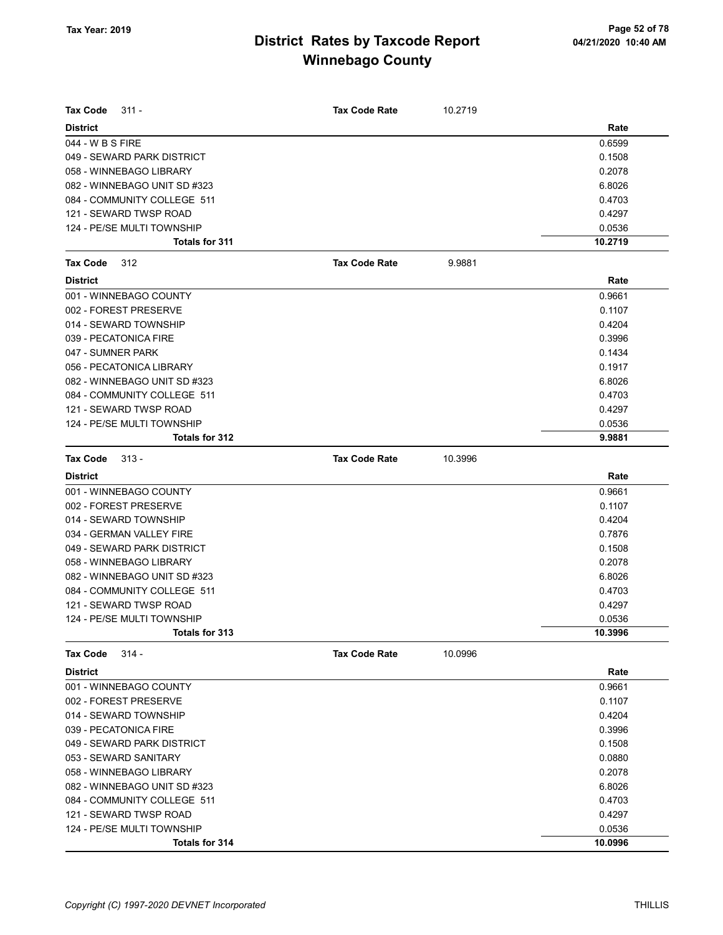| Tax Code<br>$311 -$          | <b>Tax Code Rate</b> | 10.2719 |         |
|------------------------------|----------------------|---------|---------|
| <b>District</b>              |                      |         | Rate    |
| 044 - W B S FIRE             |                      |         | 0.6599  |
| 049 - SEWARD PARK DISTRICT   |                      |         | 0.1508  |
| 058 - WINNEBAGO LIBRARY      |                      |         | 0.2078  |
| 082 - WINNEBAGO UNIT SD #323 |                      |         | 6.8026  |
| 084 - COMMUNITY COLLEGE 511  |                      |         | 0.4703  |
| 121 - SEWARD TWSP ROAD       |                      |         | 0.4297  |
| 124 - PE/SE MULTI TOWNSHIP   |                      |         | 0.0536  |
| Totals for 311               |                      |         | 10.2719 |
| <b>Tax Code</b><br>312       | <b>Tax Code Rate</b> | 9.9881  |         |
| <b>District</b>              |                      |         | Rate    |
| 001 - WINNEBAGO COUNTY       |                      |         | 0.9661  |
| 002 - FOREST PRESERVE        |                      |         | 0.1107  |
| 014 - SEWARD TOWNSHIP        |                      |         | 0.4204  |
| 039 - PECATONICA FIRE        |                      |         | 0.3996  |
| 047 - SUMNER PARK            |                      |         | 0.1434  |
| 056 - PECATONICA LIBRARY     |                      |         | 0.1917  |
| 082 - WINNEBAGO UNIT SD #323 |                      |         | 6.8026  |
| 084 - COMMUNITY COLLEGE 511  |                      |         | 0.4703  |
| 121 - SEWARD TWSP ROAD       |                      |         | 0.4297  |
| 124 - PE/SE MULTI TOWNSHIP   |                      |         | 0.0536  |
| Totals for 312               |                      |         | 9.9881  |
| Tax Code<br>$313 -$          | <b>Tax Code Rate</b> | 10.3996 |         |
| <b>District</b>              |                      |         | Rate    |
| 001 - WINNEBAGO COUNTY       |                      |         | 0.9661  |
| 002 - FOREST PRESERVE        |                      |         | 0.1107  |
| 014 - SEWARD TOWNSHIP        |                      |         | 0.4204  |
| 034 - GERMAN VALLEY FIRE     |                      |         | 0.7876  |
| 049 - SEWARD PARK DISTRICT   |                      |         | 0.1508  |
| 058 - WINNEBAGO LIBRARY      |                      |         | 0.2078  |
| 082 - WINNEBAGO UNIT SD #323 |                      |         | 6.8026  |
| 084 - COMMUNITY COLLEGE 511  |                      |         | 0.4703  |
| 121 - SEWARD TWSP ROAD       |                      |         | 0.4297  |
| 124 - PE/SE MULTI TOWNSHIP   |                      |         | 0.0536  |
| Totals for 313               |                      |         | 10.3996 |
| $314 -$<br><b>Tax Code</b>   | <b>Tax Code Rate</b> | 10.0996 |         |
| <b>District</b>              |                      |         | Rate    |
| 001 - WINNEBAGO COUNTY       |                      |         | 0.9661  |
| 002 - FOREST PRESERVE        |                      |         | 0.1107  |
| 014 - SEWARD TOWNSHIP        |                      |         | 0.4204  |
| 039 - PECATONICA FIRE        |                      |         | 0.3996  |
| 049 - SEWARD PARK DISTRICT   |                      |         | 0.1508  |
| 053 - SEWARD SANITARY        |                      |         | 0.0880  |
| 058 - WINNEBAGO LIBRARY      |                      |         | 0.2078  |
| 082 - WINNEBAGO UNIT SD #323 |                      |         | 6.8026  |
| 084 - COMMUNITY COLLEGE 511  |                      |         | 0.4703  |
| 121 - SEWARD TWSP ROAD       |                      |         | 0.4297  |
| 124 - PE/SE MULTI TOWNSHIP   |                      |         | 0.0536  |
| Totals for 314               |                      |         | 10.0996 |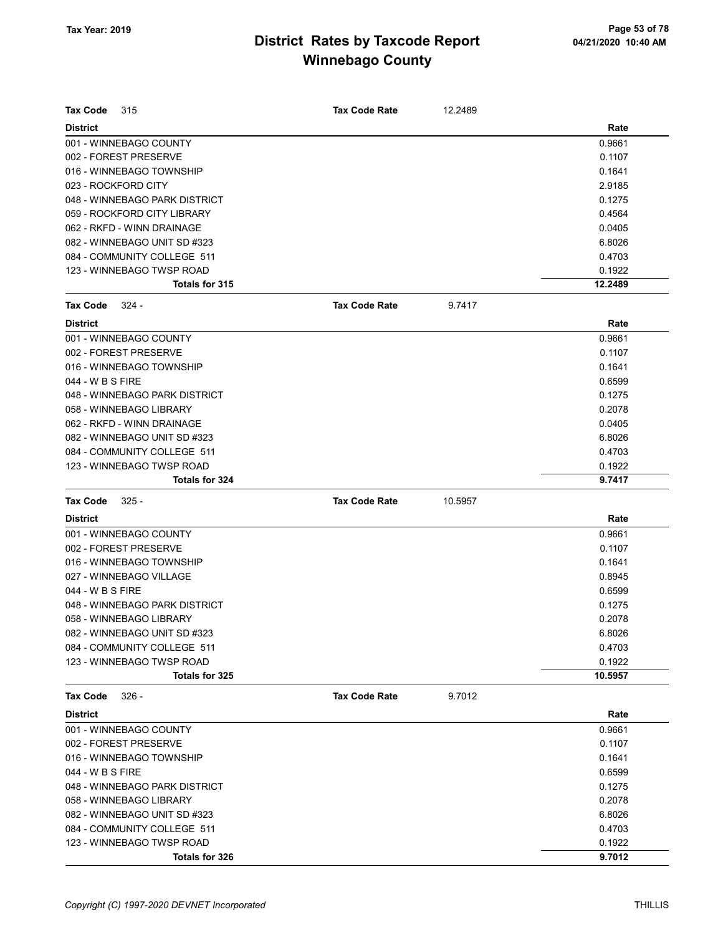| <b>Tax Code</b>     | 315                           | <b>Tax Code Rate</b> | 12.2489 |         |
|---------------------|-------------------------------|----------------------|---------|---------|
| <b>District</b>     |                               |                      |         | Rate    |
|                     | 001 - WINNEBAGO COUNTY        |                      |         | 0.9661  |
|                     | 002 - FOREST PRESERVE         |                      |         | 0.1107  |
|                     | 016 - WINNEBAGO TOWNSHIP      |                      |         | 0.1641  |
| 023 - ROCKFORD CITY |                               |                      |         | 2.9185  |
|                     | 048 - WINNEBAGO PARK DISTRICT |                      |         | 0.1275  |
|                     | 059 - ROCKFORD CITY LIBRARY   |                      |         | 0.4564  |
|                     | 062 - RKFD - WINN DRAINAGE    |                      |         | 0.0405  |
|                     | 082 - WINNEBAGO UNIT SD #323  |                      |         | 6.8026  |
|                     | 084 - COMMUNITY COLLEGE 511   |                      |         | 0.4703  |
|                     | 123 - WINNEBAGO TWSP ROAD     |                      |         | 0.1922  |
|                     | Totals for 315                |                      |         | 12.2489 |
| Tax Code            | 324 -                         | <b>Tax Code Rate</b> | 9.7417  |         |
| <b>District</b>     |                               |                      |         | Rate    |
|                     | 001 - WINNEBAGO COUNTY        |                      |         | 0.9661  |
|                     | 002 - FOREST PRESERVE         |                      |         | 0.1107  |
|                     | 016 - WINNEBAGO TOWNSHIP      |                      |         | 0.1641  |
| 044 - W B S FIRE    |                               |                      |         | 0.6599  |
|                     | 048 - WINNEBAGO PARK DISTRICT |                      |         | 0.1275  |
|                     | 058 - WINNEBAGO LIBRARY       |                      |         | 0.2078  |
|                     | 062 - RKFD - WINN DRAINAGE    |                      |         | 0.0405  |
|                     | 082 - WINNEBAGO UNIT SD #323  |                      |         | 6.8026  |
|                     | 084 - COMMUNITY COLLEGE 511   |                      |         | 0.4703  |
|                     | 123 - WINNEBAGO TWSP ROAD     |                      |         | 0.1922  |
|                     | <b>Totals for 324</b>         |                      |         | 9.7417  |
| <b>Tax Code</b>     | $325 -$                       | <b>Tax Code Rate</b> | 10.5957 |         |
| <b>District</b>     |                               |                      |         | Rate    |
|                     | 001 - WINNEBAGO COUNTY        |                      |         | 0.9661  |
|                     | 002 - FOREST PRESERVE         |                      |         | 0.1107  |
|                     | 016 - WINNEBAGO TOWNSHIP      |                      |         | 0.1641  |
|                     | 027 - WINNEBAGO VILLAGE       |                      |         | 0.8945  |
| 044 - W B S FIRE    |                               |                      |         | 0.6599  |
|                     | 048 - WINNEBAGO PARK DISTRICT |                      |         | 0.1275  |
|                     | 058 - WINNEBAGO LIBRARY       |                      |         | 0.2078  |
|                     | 082 - WINNEBAGO UNIT SD #323  |                      |         | 6.8026  |
|                     | 084 - COMMUNITY COLLEGE 511   |                      |         | 0.4703  |
|                     | 123 - WINNEBAGO TWSP ROAD     |                      |         | 0.1922  |
|                     | Totals for 325                |                      |         | 10.5957 |
| <b>Tax Code</b>     | $326 -$                       | <b>Tax Code Rate</b> | 9.7012  |         |
| <b>District</b>     |                               |                      |         | Rate    |
|                     | 001 - WINNEBAGO COUNTY        |                      |         | 0.9661  |
|                     | 002 - FOREST PRESERVE         |                      |         | 0.1107  |
|                     | 016 - WINNEBAGO TOWNSHIP      |                      |         | 0.1641  |
| 044 - W B S FIRE    |                               |                      |         | 0.6599  |
|                     | 048 - WINNEBAGO PARK DISTRICT |                      |         | 0.1275  |
|                     | 058 - WINNEBAGO LIBRARY       |                      |         | 0.2078  |
|                     | 082 - WINNEBAGO UNIT SD #323  |                      |         | 6.8026  |
|                     | 084 - COMMUNITY COLLEGE 511   |                      |         | 0.4703  |
|                     | 123 - WINNEBAGO TWSP ROAD     |                      |         | 0.1922  |
|                     | Totals for 326                |                      |         | 9.7012  |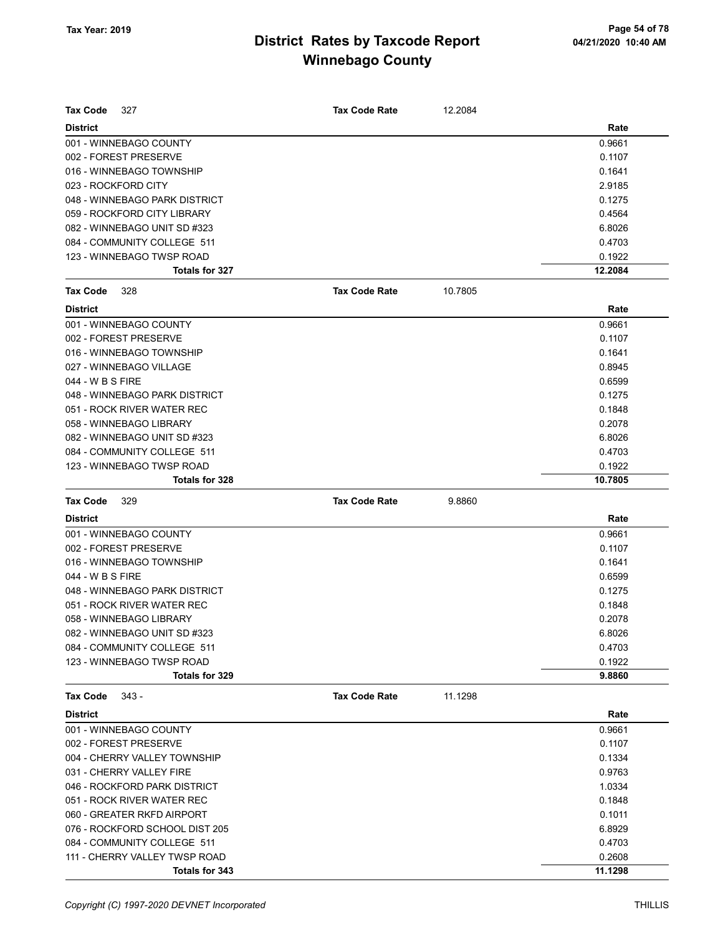| <b>Tax Code</b><br>327         | <b>Tax Code Rate</b> | 12.2084 |         |
|--------------------------------|----------------------|---------|---------|
| <b>District</b>                |                      |         | Rate    |
| 001 - WINNEBAGO COUNTY         |                      |         | 0.9661  |
| 002 - FOREST PRESERVE          |                      |         | 0.1107  |
| 016 - WINNEBAGO TOWNSHIP       |                      |         | 0.1641  |
| 023 - ROCKFORD CITY            |                      |         | 2.9185  |
| 048 - WINNEBAGO PARK DISTRICT  |                      |         | 0.1275  |
| 059 - ROCKFORD CITY LIBRARY    |                      |         | 0.4564  |
| 082 - WINNEBAGO UNIT SD #323   |                      |         | 6.8026  |
| 084 - COMMUNITY COLLEGE 511    |                      |         | 0.4703  |
| 123 - WINNEBAGO TWSP ROAD      |                      |         | 0.1922  |
| Totals for 327                 |                      |         | 12.2084 |
| Tax Code<br>328                | <b>Tax Code Rate</b> | 10.7805 |         |
| <b>District</b>                |                      |         | Rate    |
| 001 - WINNEBAGO COUNTY         |                      |         | 0.9661  |
| 002 - FOREST PRESERVE          |                      |         | 0.1107  |
| 016 - WINNEBAGO TOWNSHIP       |                      |         | 0.1641  |
| 027 - WINNEBAGO VILLAGE        |                      |         | 0.8945  |
| 044 - W B S FIRE               |                      |         | 0.6599  |
| 048 - WINNEBAGO PARK DISTRICT  |                      |         | 0.1275  |
| 051 - ROCK RIVER WATER REC     |                      |         | 0.1848  |
| 058 - WINNEBAGO LIBRARY        |                      |         | 0.2078  |
| 082 - WINNEBAGO UNIT SD #323   |                      |         | 6.8026  |
| 084 - COMMUNITY COLLEGE 511    |                      |         | 0.4703  |
| 123 - WINNEBAGO TWSP ROAD      |                      |         | 0.1922  |
| Totals for 328                 |                      |         | 10.7805 |
|                                |                      |         |         |
| <b>Tax Code</b><br>329         | <b>Tax Code Rate</b> | 9.8860  |         |
| <b>District</b>                |                      |         | Rate    |
| 001 - WINNEBAGO COUNTY         |                      |         | 0.9661  |
| 002 - FOREST PRESERVE          |                      |         | 0.1107  |
| 016 - WINNEBAGO TOWNSHIP       |                      |         | 0.1641  |
| 044 - W B S FIRE               |                      |         | 0.6599  |
| 048 - WINNEBAGO PARK DISTRICT  |                      |         | 0.1275  |
| 051 - ROCK RIVER WATER REC     |                      |         | 0.1848  |
| 058 - WINNEBAGO LIBRARY        |                      |         | 0.2078  |
| 082 - WINNEBAGO UNIT SD #323   |                      |         | 6.8026  |
| 084 - COMMUNITY COLLEGE 511    |                      |         | 0.4703  |
| 123 - WINNEBAGO TWSP ROAD      |                      |         | 0.1922  |
| Totals for 329                 |                      |         | 9.8860  |
| <b>Tax Code</b><br>343 -       | <b>Tax Code Rate</b> | 11.1298 |         |
| <b>District</b>                |                      |         | Rate    |
| 001 - WINNEBAGO COUNTY         |                      |         | 0.9661  |
| 002 - FOREST PRESERVE          |                      |         | 0.1107  |
| 004 - CHERRY VALLEY TOWNSHIP   |                      |         | 0.1334  |
| 031 - CHERRY VALLEY FIRE       |                      |         | 0.9763  |
| 046 - ROCKFORD PARK DISTRICT   |                      |         | 1.0334  |
| 051 - ROCK RIVER WATER REC     |                      |         | 0.1848  |
| 060 - GREATER RKFD AIRPORT     |                      |         | 0.1011  |
| 076 - ROCKFORD SCHOOL DIST 205 |                      |         | 6.8929  |
| 084 - COMMUNITY COLLEGE 511    |                      |         | 0.4703  |
| 111 - CHERRY VALLEY TWSP ROAD  |                      |         | 0.2608  |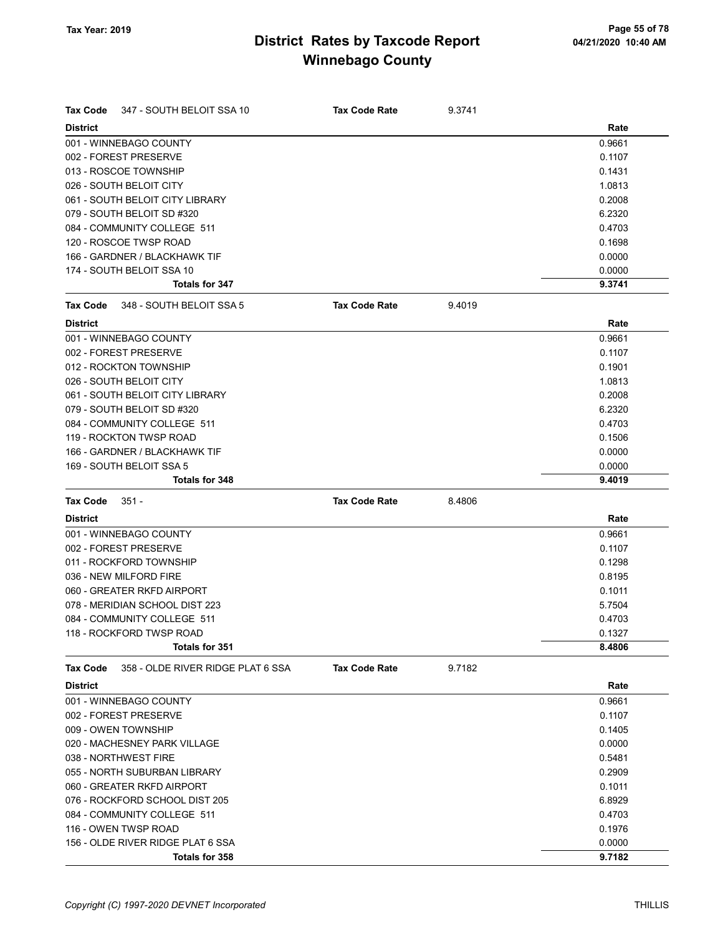| Tax Code        | 347 - SOUTH BELOIT SSA 10         | <b>Tax Code Rate</b> | 9.3741 |        |
|-----------------|-----------------------------------|----------------------|--------|--------|
| <b>District</b> |                                   |                      |        | Rate   |
|                 | 001 - WINNEBAGO COUNTY            |                      |        | 0.9661 |
|                 | 002 - FOREST PRESERVE             |                      |        | 0.1107 |
|                 | 013 - ROSCOE TOWNSHIP             |                      |        | 0.1431 |
|                 | 026 - SOUTH BELOIT CITY           |                      |        | 1.0813 |
|                 | 061 - SOUTH BELOIT CITY LIBRARY   |                      |        | 0.2008 |
|                 | 079 - SOUTH BELOIT SD #320        |                      |        | 6.2320 |
|                 | 084 - COMMUNITY COLLEGE 511       |                      |        | 0.4703 |
|                 | 120 - ROSCOE TWSP ROAD            |                      |        | 0.1698 |
|                 | 166 - GARDNER / BLACKHAWK TIF     |                      |        | 0.0000 |
|                 | 174 - SOUTH BELOIT SSA 10         |                      |        | 0.0000 |
|                 | Totals for 347                    |                      |        | 9.3741 |
| Tax Code        | 348 - SOUTH BELOIT SSA 5          | <b>Tax Code Rate</b> | 9.4019 |        |
| <b>District</b> |                                   |                      |        | Rate   |
|                 | 001 - WINNEBAGO COUNTY            |                      |        | 0.9661 |
|                 | 002 - FOREST PRESERVE             |                      |        | 0.1107 |
|                 | 012 - ROCKTON TOWNSHIP            |                      |        | 0.1901 |
|                 | 026 - SOUTH BELOIT CITY           |                      |        | 1.0813 |
|                 | 061 - SOUTH BELOIT CITY LIBRARY   |                      |        | 0.2008 |
|                 | 079 - SOUTH BELOIT SD #320        |                      |        | 6.2320 |
|                 | 084 - COMMUNITY COLLEGE 511       |                      |        | 0.4703 |
|                 | 119 - ROCKTON TWSP ROAD           |                      |        | 0.1506 |
|                 | 166 - GARDNER / BLACKHAWK TIF     |                      |        | 0.0000 |
|                 | 169 - SOUTH BELOIT SSA 5          |                      |        | 0.0000 |
|                 | Totals for 348                    |                      |        | 9.4019 |
| Tax Code        | $351 -$                           | <b>Tax Code Rate</b> | 8.4806 |        |
| <b>District</b> |                                   |                      |        | Rate   |
|                 | 001 - WINNEBAGO COUNTY            |                      |        | 0.9661 |
|                 | 002 - FOREST PRESERVE             |                      |        | 0.1107 |
|                 | 011 - ROCKFORD TOWNSHIP           |                      |        | 0.1298 |
|                 | 036 - NEW MILFORD FIRE            |                      |        | 0.8195 |
|                 | 060 - GREATER RKFD AIRPORT        |                      |        | 0.1011 |
|                 | 078 - MERIDIAN SCHOOL DIST 223    |                      |        | 5.7504 |
|                 | 084 - COMMUNITY COLLEGE 511       |                      |        | 0.4703 |
|                 | 118 - ROCKFORD TWSP ROAD          |                      |        | 0.1327 |
|                 | Totals for 351                    |                      |        | 8.4806 |
| <b>Tax Code</b> | 358 - OLDE RIVER RIDGE PLAT 6 SSA | <b>Tax Code Rate</b> | 9.7182 |        |
| <b>District</b> |                                   |                      |        | Rate   |
|                 | 001 - WINNEBAGO COUNTY            |                      |        | 0.9661 |
|                 | 002 - FOREST PRESERVE             |                      |        | 0.1107 |
|                 | 009 - OWEN TOWNSHIP               |                      |        | 0.1405 |
|                 | 020 - MACHESNEY PARK VILLAGE      |                      |        | 0.0000 |
|                 | 038 - NORTHWEST FIRE              |                      |        | 0.5481 |
|                 | 055 - NORTH SUBURBAN LIBRARY      |                      |        | 0.2909 |
|                 | 060 - GREATER RKFD AIRPORT        |                      |        | 0.1011 |
|                 |                                   |                      |        |        |
|                 | 076 - ROCKFORD SCHOOL DIST 205    |                      |        | 6.8929 |
|                 | 084 - COMMUNITY COLLEGE 511       |                      |        | 0.4703 |
|                 | 116 - OWEN TWSP ROAD              |                      |        | 0.1976 |
|                 | 156 - OLDE RIVER RIDGE PLAT 6 SSA |                      |        | 0.0000 |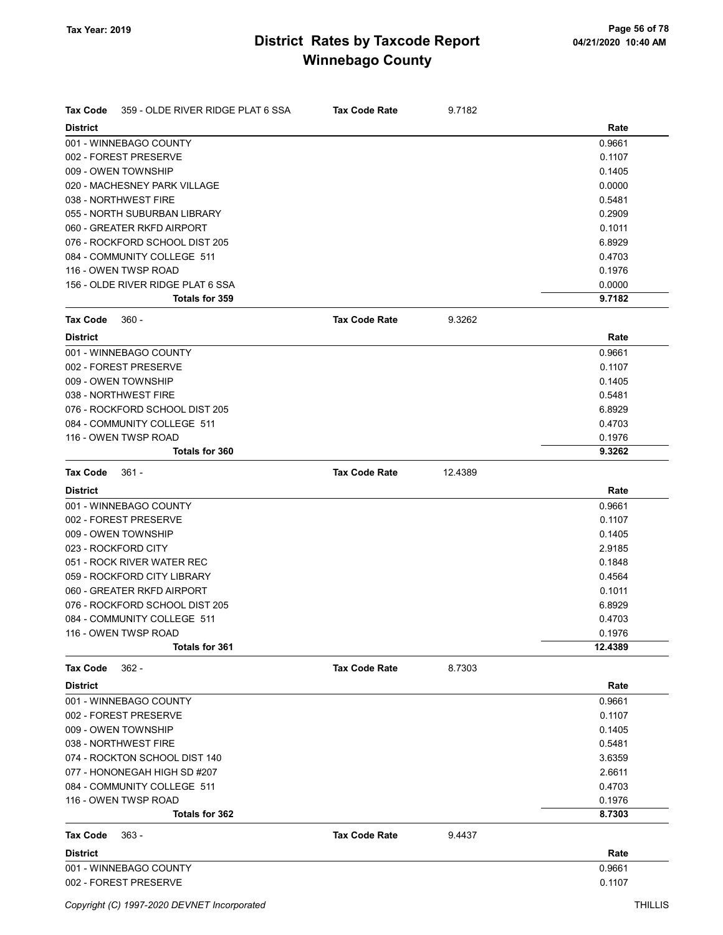| Tax Code        | 359 - OLDE RIVER RIDGE PLAT 6 SSA | <b>Tax Code Rate</b> | 9.7182  |         |
|-----------------|-----------------------------------|----------------------|---------|---------|
| <b>District</b> |                                   |                      |         | Rate    |
|                 | 001 - WINNEBAGO COUNTY            |                      |         | 0.9661  |
|                 | 002 - FOREST PRESERVE             |                      |         | 0.1107  |
|                 | 009 - OWEN TOWNSHIP               |                      |         | 0.1405  |
|                 | 020 - MACHESNEY PARK VILLAGE      |                      |         | 0.0000  |
|                 | 038 - NORTHWEST FIRE              |                      |         | 0.5481  |
|                 | 055 - NORTH SUBURBAN LIBRARY      |                      |         | 0.2909  |
|                 | 060 - GREATER RKFD AIRPORT        |                      |         | 0.1011  |
|                 | 076 - ROCKFORD SCHOOL DIST 205    |                      |         | 6.8929  |
|                 | 084 - COMMUNITY COLLEGE 511       |                      |         | 0.4703  |
|                 | 116 - OWEN TWSP ROAD              |                      |         | 0.1976  |
|                 | 156 - OLDE RIVER RIDGE PLAT 6 SSA |                      |         | 0.0000  |
|                 | Totals for 359                    |                      |         | 9.7182  |
| Tax Code        | $360 -$                           | <b>Tax Code Rate</b> | 9.3262  |         |
| <b>District</b> |                                   |                      |         | Rate    |
|                 | 001 - WINNEBAGO COUNTY            |                      |         | 0.9661  |
|                 | 002 - FOREST PRESERVE             |                      |         | 0.1107  |
|                 | 009 - OWEN TOWNSHIP               |                      |         | 0.1405  |
|                 | 038 - NORTHWEST FIRE              |                      |         | 0.5481  |
|                 | 076 - ROCKFORD SCHOOL DIST 205    |                      |         | 6.8929  |
|                 | 084 - COMMUNITY COLLEGE 511       |                      |         | 0.4703  |
|                 | 116 - OWEN TWSP ROAD              |                      |         | 0.1976  |
|                 | Totals for 360                    |                      |         | 9.3262  |
| Tax Code        | $361 -$                           | <b>Tax Code Rate</b> | 12.4389 |         |
| <b>District</b> |                                   |                      |         | Rate    |
|                 | 001 - WINNEBAGO COUNTY            |                      |         | 0.9661  |
|                 | 002 - FOREST PRESERVE             |                      |         | 0.1107  |
|                 | 009 - OWEN TOWNSHIP               |                      |         | 0.1405  |
|                 | 023 - ROCKFORD CITY               |                      |         | 2.9185  |
|                 | 051 - ROCK RIVER WATER REC        |                      |         | 0.1848  |
|                 | 059 - ROCKFORD CITY LIBRARY       |                      |         | 0.4564  |
|                 | 060 - GREATER RKFD AIRPORT        |                      |         | 0.1011  |
|                 | 076 - ROCKFORD SCHOOL DIST 205    |                      |         | 6.8929  |
|                 | 084 - COMMUNITY COLLEGE 511       |                      |         | 0.4703  |
|                 | 116 - OWEN TWSP ROAD              |                      |         | 0.1976  |
|                 | Totals for 361                    |                      |         | 12.4389 |
| <b>Tax Code</b> | $362 -$                           | <b>Tax Code Rate</b> | 8.7303  |         |
| <b>District</b> |                                   |                      |         | Rate    |
|                 | 001 - WINNEBAGO COUNTY            |                      |         | 0.9661  |
|                 | 002 - FOREST PRESERVE             |                      |         | 0.1107  |
|                 | 009 - OWEN TOWNSHIP               |                      |         | 0.1405  |
|                 | 038 - NORTHWEST FIRE              |                      |         | 0.5481  |
|                 | 074 - ROCKTON SCHOOL DIST 140     |                      |         | 3.6359  |
|                 | 077 - HONONEGAH HIGH SD #207      |                      |         | 2.6611  |
|                 | 084 - COMMUNITY COLLEGE 511       |                      |         | 0.4703  |
|                 | 116 - OWEN TWSP ROAD              |                      |         | 0.1976  |
|                 | Totals for 362                    |                      |         | 8.7303  |
| <b>Tax Code</b> | $363 -$                           | <b>Tax Code Rate</b> | 9.4437  |         |
| <b>District</b> |                                   |                      |         | Rate    |
|                 | 001 - WINNEBAGO COUNTY            |                      |         | 0.9661  |
|                 | 002 - FOREST PRESERVE             |                      |         | 0.1107  |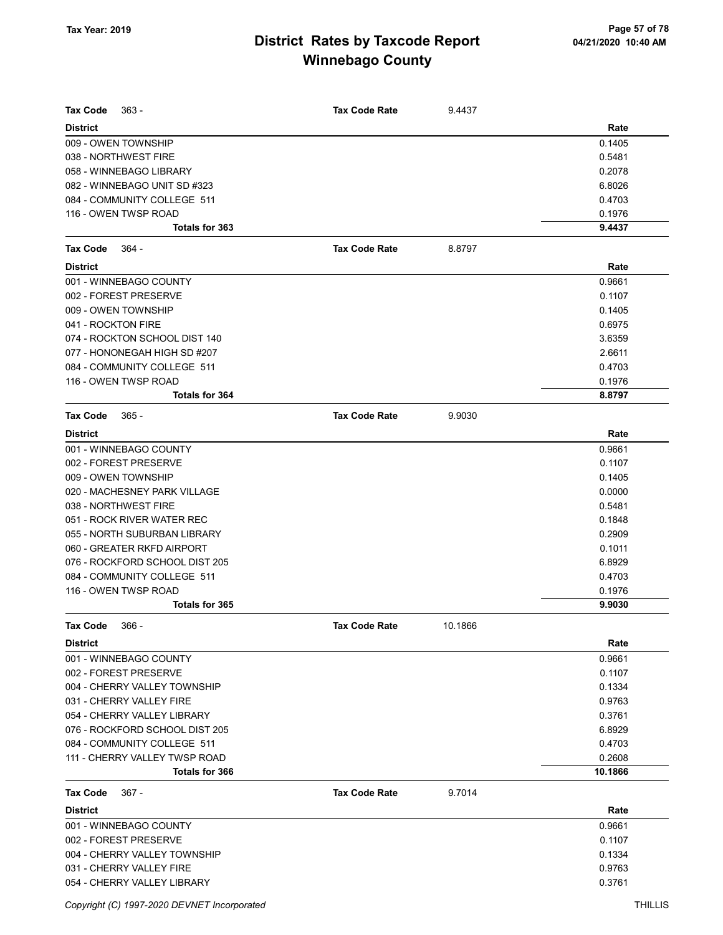| <b>Tax Code</b><br>$363 -$                      | <b>Tax Code Rate</b> | 9.4437  |                  |
|-------------------------------------------------|----------------------|---------|------------------|
| <b>District</b>                                 |                      |         | Rate             |
| 009 - OWEN TOWNSHIP                             |                      |         | 0.1405           |
| 038 - NORTHWEST FIRE                            |                      |         | 0.5481           |
| 058 - WINNEBAGO LIBRARY                         |                      |         | 0.2078           |
| 082 - WINNEBAGO UNIT SD #323                    |                      |         | 6.8026           |
| 084 - COMMUNITY COLLEGE 511                     |                      |         | 0.4703           |
| 116 - OWEN TWSP ROAD                            |                      |         | 0.1976           |
| Totals for 363                                  |                      |         | 9.4437           |
| <b>Tax Code</b><br>- 364                        | <b>Tax Code Rate</b> | 8.8797  |                  |
| <b>District</b>                                 |                      |         | Rate             |
| 001 - WINNEBAGO COUNTY                          |                      |         | 0.9661           |
| 002 - FOREST PRESERVE                           |                      |         | 0.1107           |
| 009 - OWEN TOWNSHIP                             |                      |         | 0.1405           |
| 041 - ROCKTON FIRE                              |                      |         | 0.6975           |
| 074 - ROCKTON SCHOOL DIST 140                   |                      |         | 3.6359           |
| 077 - HONONEGAH HIGH SD #207                    |                      |         | 2.6611           |
| 084 - COMMUNITY COLLEGE 511                     |                      |         | 0.4703           |
| 116 - OWEN TWSP ROAD                            |                      |         | 0.1976           |
| <b>Totals for 364</b>                           |                      |         | 8.8797           |
| <b>Tax Code</b><br>$365 -$                      | <b>Tax Code Rate</b> | 9.9030  |                  |
| <b>District</b>                                 |                      |         | Rate             |
| 001 - WINNEBAGO COUNTY                          |                      |         | 0.9661           |
| 002 - FOREST PRESERVE                           |                      |         | 0.1107           |
| 009 - OWEN TOWNSHIP                             |                      |         | 0.1405           |
| 020 - MACHESNEY PARK VILLAGE                    |                      |         | 0.0000           |
| 038 - NORTHWEST FIRE                            |                      |         | 0.5481           |
| 051 - ROCK RIVER WATER REC                      |                      |         | 0.1848           |
| 055 - NORTH SUBURBAN LIBRARY                    |                      |         | 0.2909           |
| 060 - GREATER RKFD AIRPORT                      |                      |         | 0.1011           |
| 076 - ROCKFORD SCHOOL DIST 205                  |                      |         | 6.8929           |
| 084 - COMMUNITY COLLEGE 511                     |                      |         | 0.4703           |
| 116 - OWEN TWSP ROAD                            |                      |         | 0.1976           |
| Totals for 365                                  |                      |         | 9.9030           |
| Tax Code                                        |                      |         |                  |
| 366 -                                           | Tax Code Rate        | 10.1866 |                  |
| <b>District</b>                                 |                      |         | Rate             |
| 001 - WINNEBAGO COUNTY<br>002 - FOREST PRESERVE |                      |         | 0.9661           |
| 004 - CHERRY VALLEY TOWNSHIP                    |                      |         | 0.1107<br>0.1334 |
| 031 - CHERRY VALLEY FIRE                        |                      |         | 0.9763           |
| 054 - CHERRY VALLEY LIBRARY                     |                      |         | 0.3761           |
| 076 - ROCKFORD SCHOOL DIST 205                  |                      |         | 6.8929           |
| 084 - COMMUNITY COLLEGE 511                     |                      |         | 0.4703           |
| 111 - CHERRY VALLEY TWSP ROAD                   |                      |         | 0.2608           |
| <b>Totals for 366</b>                           |                      |         | 10.1866          |
|                                                 |                      |         |                  |
| <b>Tax Code</b><br>$367 -$                      | <b>Tax Code Rate</b> | 9.7014  |                  |
| <b>District</b>                                 |                      |         | Rate             |
| 001 - WINNEBAGO COUNTY                          |                      |         | 0.9661           |
| 002 - FOREST PRESERVE                           |                      |         | 0.1107           |
| 004 - CHERRY VALLEY TOWNSHIP                    |                      |         | 0.1334           |
| 031 - CHERRY VALLEY FIRE                        |                      |         | 0.9763           |
| 054 - CHERRY VALLEY LIBRARY                     |                      |         | 0.3761           |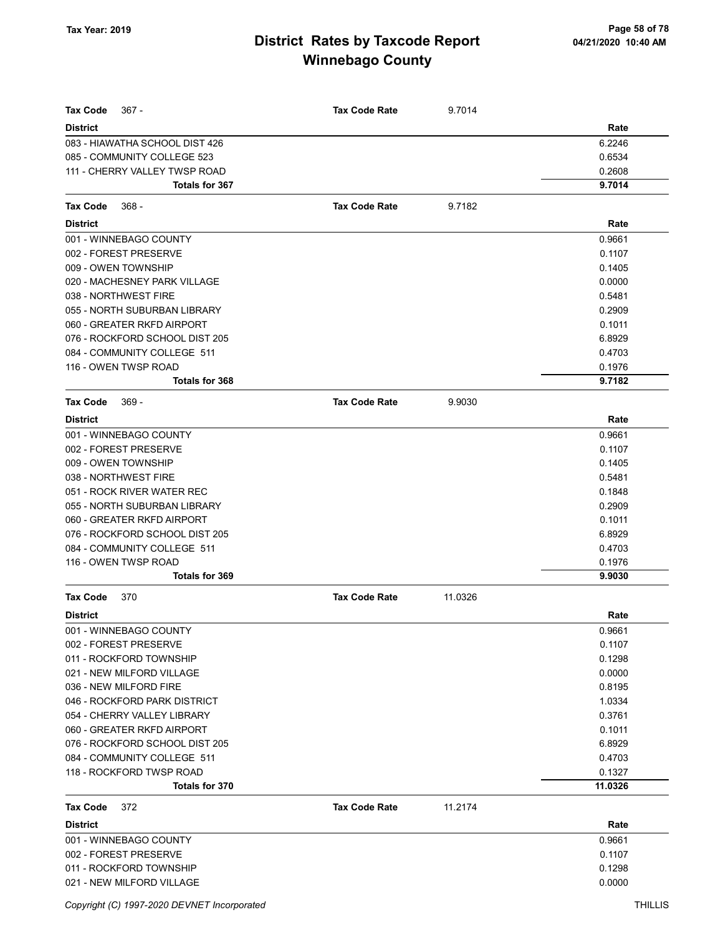| <b>Tax Code</b><br>$367 -$     | <b>Tax Code Rate</b> | 9.7014  |         |
|--------------------------------|----------------------|---------|---------|
| <b>District</b>                |                      |         | Rate    |
| 083 - HIAWATHA SCHOOL DIST 426 |                      |         | 6.2246  |
| 085 - COMMUNITY COLLEGE 523    |                      |         | 0.6534  |
| 111 - CHERRY VALLEY TWSP ROAD  |                      |         | 0.2608  |
| Totals for 367                 |                      |         | 9.7014  |
| Tax Code<br>$368 -$            | <b>Tax Code Rate</b> | 9.7182  |         |
| <b>District</b>                |                      |         | Rate    |
| 001 - WINNEBAGO COUNTY         |                      |         | 0.9661  |
| 002 - FOREST PRESERVE          |                      |         | 0.1107  |
| 009 - OWEN TOWNSHIP            |                      |         | 0.1405  |
| 020 - MACHESNEY PARK VILLAGE   |                      |         | 0.0000  |
| 038 - NORTHWEST FIRE           |                      |         | 0.5481  |
| 055 - NORTH SUBURBAN LIBRARY   |                      |         | 0.2909  |
| 060 - GREATER RKFD AIRPORT     |                      |         | 0.1011  |
| 076 - ROCKFORD SCHOOL DIST 205 |                      |         | 6.8929  |
| 084 - COMMUNITY COLLEGE 511    |                      |         | 0.4703  |
| 116 - OWEN TWSP ROAD           |                      |         | 0.1976  |
| Totals for 368                 |                      |         | 9.7182  |
| <b>Tax Code</b><br>$369 -$     | <b>Tax Code Rate</b> | 9.9030  |         |
| <b>District</b>                |                      |         | Rate    |
| 001 - WINNEBAGO COUNTY         |                      |         | 0.9661  |
| 002 - FOREST PRESERVE          |                      |         | 0.1107  |
| 009 - OWEN TOWNSHIP            |                      |         | 0.1405  |
| 038 - NORTHWEST FIRE           |                      |         | 0.5481  |
| 051 - ROCK RIVER WATER REC     |                      |         | 0.1848  |
| 055 - NORTH SUBURBAN LIBRARY   |                      |         | 0.2909  |
| 060 - GREATER RKFD AIRPORT     |                      |         | 0.1011  |
| 076 - ROCKFORD SCHOOL DIST 205 |                      |         | 6.8929  |
| 084 - COMMUNITY COLLEGE 511    |                      |         | 0.4703  |
| 116 - OWEN TWSP ROAD           |                      |         | 0.1976  |
| Totals for 369                 |                      |         | 9.9030  |
| <b>Tax Code</b><br>370         | <b>Tax Code Rate</b> | 11.0326 |         |
| <b>District</b>                |                      |         | Rate    |
| 001 - WINNEBAGO COUNTY         |                      |         | 0.9661  |
| 002 - FOREST PRESERVE          |                      |         | 0.1107  |
| 011 - ROCKFORD TOWNSHIP        |                      |         | 0.1298  |
| 021 - NEW MILFORD VILLAGE      |                      |         | 0.0000  |
| 036 - NEW MILFORD FIRE         |                      |         | 0.8195  |
| 046 - ROCKFORD PARK DISTRICT   |                      |         | 1.0334  |
| 054 - CHERRY VALLEY LIBRARY    |                      |         | 0.3761  |
| 060 - GREATER RKFD AIRPORT     |                      |         | 0.1011  |
| 076 - ROCKFORD SCHOOL DIST 205 |                      |         | 6.8929  |
| 084 - COMMUNITY COLLEGE 511    |                      |         | 0.4703  |
| 118 - ROCKFORD TWSP ROAD       |                      |         | 0.1327  |
| Totals for 370                 |                      |         | 11.0326 |
| <b>Tax Code</b><br>372         | <b>Tax Code Rate</b> | 11.2174 |         |
| <b>District</b>                |                      |         | Rate    |
| 001 - WINNEBAGO COUNTY         |                      |         | 0.9661  |
| 002 - FOREST PRESERVE          |                      |         | 0.1107  |
| 011 - ROCKFORD TOWNSHIP        |                      |         | 0.1298  |
| 021 - NEW MILFORD VILLAGE      |                      |         | 0.0000  |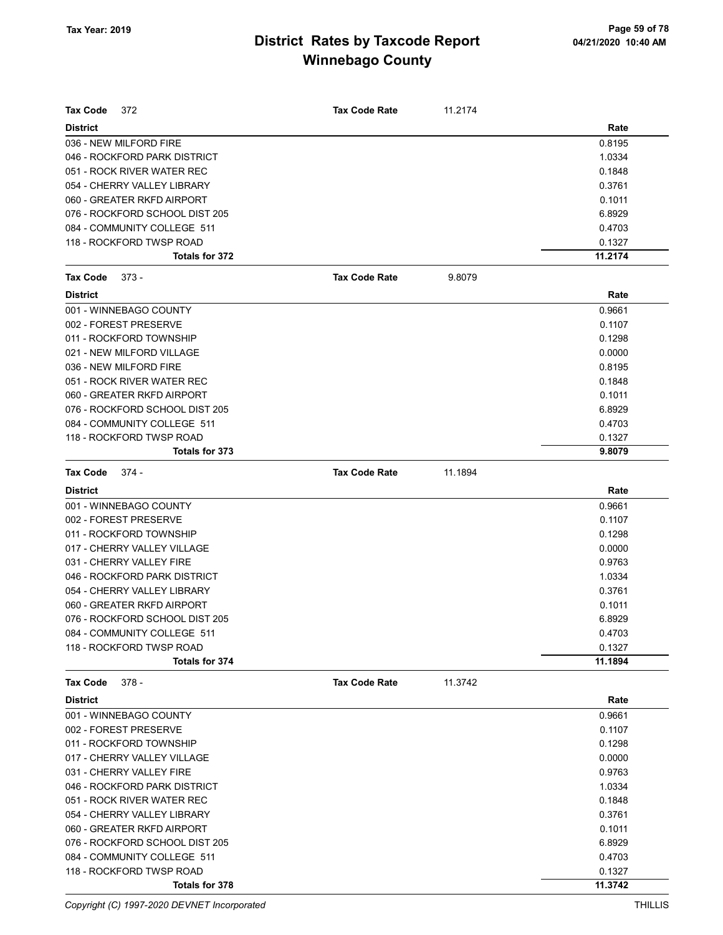| Tax Code<br>372                | <b>Tax Code Rate</b> | 11.2174 |         |
|--------------------------------|----------------------|---------|---------|
| <b>District</b>                |                      |         | Rate    |
| 036 - NEW MILFORD FIRE         |                      |         | 0.8195  |
| 046 - ROCKFORD PARK DISTRICT   |                      |         | 1.0334  |
| 051 - ROCK RIVER WATER REC     |                      |         | 0.1848  |
| 054 - CHERRY VALLEY LIBRARY    |                      |         | 0.3761  |
| 060 - GREATER RKFD AIRPORT     |                      |         | 0.1011  |
| 076 - ROCKFORD SCHOOL DIST 205 |                      |         | 6.8929  |
| 084 - COMMUNITY COLLEGE 511    |                      |         | 0.4703  |
| 118 - ROCKFORD TWSP ROAD       |                      |         | 0.1327  |
| Totals for 372                 |                      |         | 11.2174 |
| <b>Tax Code</b><br>$373 -$     | <b>Tax Code Rate</b> | 9.8079  |         |
| <b>District</b>                |                      |         | Rate    |
| 001 - WINNEBAGO COUNTY         |                      |         | 0.9661  |
| 002 - FOREST PRESERVE          |                      |         | 0.1107  |
| 011 - ROCKFORD TOWNSHIP        |                      |         | 0.1298  |
| 021 - NEW MILFORD VILLAGE      |                      |         | 0.0000  |
| 036 - NEW MILFORD FIRE         |                      |         | 0.8195  |
| 051 - ROCK RIVER WATER REC     |                      |         | 0.1848  |
| 060 - GREATER RKFD AIRPORT     |                      |         | 0.1011  |
| 076 - ROCKFORD SCHOOL DIST 205 |                      |         | 6.8929  |
| 084 - COMMUNITY COLLEGE 511    |                      |         | 0.4703  |
| 118 - ROCKFORD TWSP ROAD       |                      |         | 0.1327  |
| Totals for 373                 |                      |         | 9.8079  |
| <b>Tax Code</b><br>374 -       | <b>Tax Code Rate</b> | 11.1894 |         |
| <b>District</b>                |                      |         | Rate    |
| 001 - WINNEBAGO COUNTY         |                      |         | 0.9661  |
| 002 - FOREST PRESERVE          |                      |         | 0.1107  |
| 011 - ROCKFORD TOWNSHIP        |                      |         | 0.1298  |
| 017 - CHERRY VALLEY VILLAGE    |                      |         | 0.0000  |
| 031 - CHERRY VALLEY FIRE       |                      |         | 0.9763  |
| 046 - ROCKFORD PARK DISTRICT   |                      |         | 1.0334  |
| 054 - CHERRY VALLEY LIBRARY    |                      |         | 0.3761  |
| 060 - GREATER RKFD AIRPORT     |                      |         | 0.1011  |
| 076 - ROCKFORD SCHOOL DIST 205 |                      |         | 6.8929  |
| 084 - COMMUNITY COLLEGE 511    |                      |         | 0.4703  |
| 118 - ROCKFORD TWSP ROAD       |                      |         | 0.1327  |
| Totals for 374                 |                      |         | 11.1894 |
| $378 -$<br>Tax Code            | <b>Tax Code Rate</b> | 11.3742 |         |
| <b>District</b>                |                      |         | Rate    |
| 001 - WINNEBAGO COUNTY         |                      |         | 0.9661  |
| 002 - FOREST PRESERVE          |                      |         | 0.1107  |
| 011 - ROCKFORD TOWNSHIP        |                      |         | 0.1298  |
| 017 - CHERRY VALLEY VILLAGE    |                      |         | 0.0000  |
| 031 - CHERRY VALLEY FIRE       |                      |         | 0.9763  |
| 046 - ROCKFORD PARK DISTRICT   |                      |         | 1.0334  |
| 051 - ROCK RIVER WATER REC     |                      |         | 0.1848  |
| 054 - CHERRY VALLEY LIBRARY    |                      |         | 0.3761  |
| 060 - GREATER RKFD AIRPORT     |                      |         | 0.1011  |
| 076 - ROCKFORD SCHOOL DIST 205 |                      |         | 6.8929  |
| 084 - COMMUNITY COLLEGE 511    |                      |         | 0.4703  |
| 118 - ROCKFORD TWSP ROAD       |                      |         | 0.1327  |
| Totals for 378                 |                      |         | 11.3742 |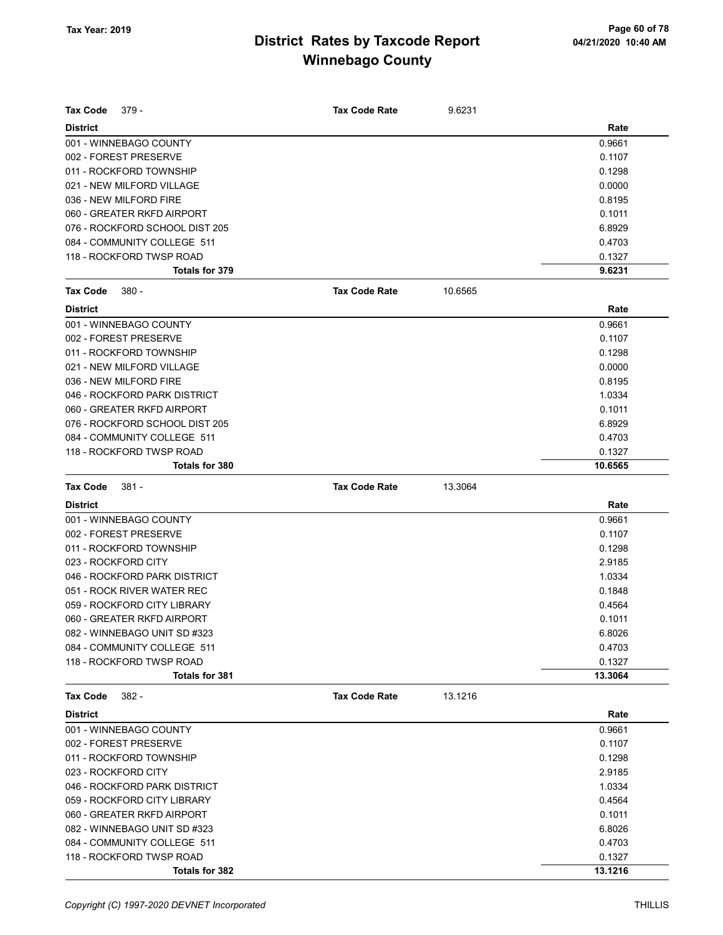| <b>Tax Code</b><br>379 -       | <b>Tax Code Rate</b> | 9.6231  |         |
|--------------------------------|----------------------|---------|---------|
| <b>District</b>                |                      |         | Rate    |
| 001 - WINNEBAGO COUNTY         |                      |         | 0.9661  |
| 002 - FOREST PRESERVE          |                      |         | 0.1107  |
| 011 - ROCKFORD TOWNSHIP        |                      |         | 0.1298  |
| 021 - NEW MILFORD VILLAGE      |                      |         | 0.0000  |
| 036 - NEW MILFORD FIRE         |                      |         | 0.8195  |
| 060 - GREATER RKFD AIRPORT     |                      |         | 0.1011  |
| 076 - ROCKFORD SCHOOL DIST 205 |                      |         | 6.8929  |
| 084 - COMMUNITY COLLEGE 511    |                      |         | 0.4703  |
| 118 - ROCKFORD TWSP ROAD       |                      |         | 0.1327  |
| Totals for 379                 |                      |         | 9.6231  |
| <b>Tax Code</b><br>380 -       | <b>Tax Code Rate</b> | 10.6565 |         |
| <b>District</b>                |                      |         | Rate    |
| 001 - WINNEBAGO COUNTY         |                      |         | 0.9661  |
| 002 - FOREST PRESERVE          |                      |         | 0.1107  |
| 011 - ROCKFORD TOWNSHIP        |                      |         | 0.1298  |
| 021 - NEW MILFORD VILLAGE      |                      |         | 0.0000  |
| 036 - NEW MILFORD FIRE         |                      |         | 0.8195  |
| 046 - ROCKFORD PARK DISTRICT   |                      |         | 1.0334  |
| 060 - GREATER RKFD AIRPORT     |                      |         | 0.1011  |
| 076 - ROCKFORD SCHOOL DIST 205 |                      |         | 6.8929  |
| 084 - COMMUNITY COLLEGE 511    |                      |         | 0.4703  |
| 118 - ROCKFORD TWSP ROAD       |                      |         | 0.1327  |
| <b>Totals for 380</b>          |                      |         | 10.6565 |
| $381 -$<br><b>Tax Code</b>     | <b>Tax Code Rate</b> | 13.3064 |         |
| <b>District</b>                |                      |         | Rate    |
| 001 - WINNEBAGO COUNTY         |                      |         | 0.9661  |
| 002 - FOREST PRESERVE          |                      |         | 0.1107  |
| 011 - ROCKFORD TOWNSHIP        |                      |         | 0.1298  |
| 023 - ROCKFORD CITY            |                      |         | 2.9185  |
| 046 - ROCKFORD PARK DISTRICT   |                      |         | 1.0334  |
| 051 - ROCK RIVER WATER REC     |                      |         | 0.1848  |
| 059 - ROCKFORD CITY LIBRARY    |                      |         | 0.4564  |
| 060 - GREATER RKFD AIRPORT     |                      |         | 0.1011  |
| 082 - WINNEBAGO UNIT SD #323   |                      |         | 6.8026  |
| 084 - COMMUNITY COLLEGE 511    |                      |         | 0.4703  |
| 118 - ROCKFORD TWSP ROAD       |                      |         | 0.1327  |
| Totals for 381                 |                      |         | 13.3064 |
| Tax Code<br>382 -              | <b>Tax Code Rate</b> | 13.1216 |         |
| <b>District</b>                |                      |         | Rate    |
| 001 - WINNEBAGO COUNTY         |                      |         | 0.9661  |
| 002 - FOREST PRESERVE          |                      |         | 0.1107  |
| 011 - ROCKFORD TOWNSHIP        |                      |         | 0.1298  |
| 023 - ROCKFORD CITY            |                      |         | 2.9185  |
| 046 - ROCKFORD PARK DISTRICT   |                      |         | 1.0334  |
| 059 - ROCKFORD CITY LIBRARY    |                      |         | 0.4564  |
| 060 - GREATER RKFD AIRPORT     |                      |         | 0.1011  |
| 082 - WINNEBAGO UNIT SD #323   |                      |         | 6.8026  |
| 084 - COMMUNITY COLLEGE 511    |                      |         | 0.4703  |
| 118 - ROCKFORD TWSP ROAD       |                      |         | 0.1327  |
| Totals for 382                 |                      |         | 13.1216 |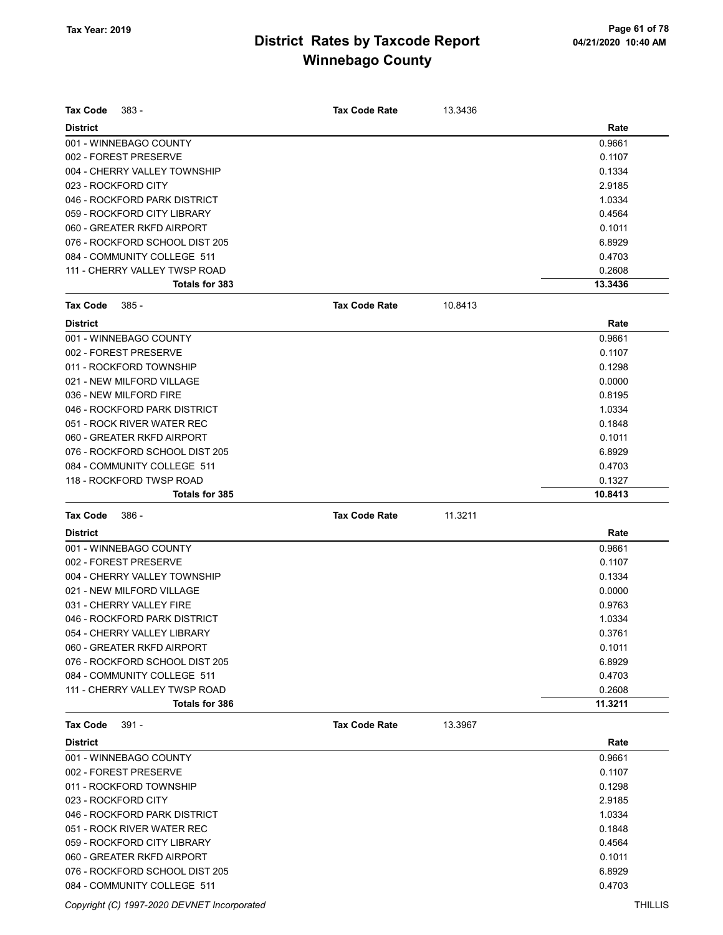| Tax Code                 | $383 -$                        | <b>Tax Code Rate</b> | 13.3436 |         |
|--------------------------|--------------------------------|----------------------|---------|---------|
| <b>District</b>          |                                |                      |         | Rate    |
| 001 - WINNEBAGO COUNTY   |                                |                      |         | 0.9661  |
| 002 - FOREST PRESERVE    |                                |                      |         | 0.1107  |
|                          | 004 - CHERRY VALLEY TOWNSHIP   |                      |         | 0.1334  |
| 023 - ROCKFORD CITY      |                                |                      |         | 2.9185  |
|                          | 046 - ROCKFORD PARK DISTRICT   |                      |         | 1.0334  |
|                          | 059 - ROCKFORD CITY LIBRARY    |                      |         | 0.4564  |
|                          | 060 - GREATER RKFD AIRPORT     |                      |         | 0.1011  |
|                          | 076 - ROCKFORD SCHOOL DIST 205 |                      |         | 6.8929  |
|                          | 084 - COMMUNITY COLLEGE 511    |                      |         | 0.4703  |
|                          | 111 - CHERRY VALLEY TWSP ROAD  |                      |         | 0.2608  |
|                          | <b>Totals for 383</b>          |                      |         | 13.3436 |
| Tax Code                 | $385 -$                        | <b>Tax Code Rate</b> | 10.8413 |         |
| <b>District</b>          |                                |                      |         | Rate    |
| 001 - WINNEBAGO COUNTY   |                                |                      |         | 0.9661  |
| 002 - FOREST PRESERVE    |                                |                      |         | 0.1107  |
| 011 - ROCKFORD TOWNSHIP  |                                |                      |         | 0.1298  |
|                          | 021 - NEW MILFORD VILLAGE      |                      |         | 0.0000  |
| 036 - NEW MILFORD FIRE   |                                |                      |         | 0.8195  |
|                          | 046 - ROCKFORD PARK DISTRICT   |                      |         | 1.0334  |
|                          | 051 - ROCK RIVER WATER REC     |                      |         | 0.1848  |
|                          | 060 - GREATER RKFD AIRPORT     |                      |         | 0.1011  |
|                          | 076 - ROCKFORD SCHOOL DIST 205 |                      |         | 6.8929  |
|                          | 084 - COMMUNITY COLLEGE 511    |                      |         | 0.4703  |
|                          | 118 - ROCKFORD TWSP ROAD       |                      |         | 0.1327  |
|                          | <b>Totals for 385</b>          |                      |         | 10.8413 |
|                          |                                |                      |         |         |
|                          |                                |                      |         |         |
| Tax Code                 | $386 -$                        | <b>Tax Code Rate</b> | 11.3211 |         |
| <b>District</b>          |                                |                      |         | Rate    |
| 001 - WINNEBAGO COUNTY   |                                |                      |         | 0.9661  |
| 002 - FOREST PRESERVE    |                                |                      |         | 0.1107  |
|                          | 004 - CHERRY VALLEY TOWNSHIP   |                      |         | 0.1334  |
|                          | 021 - NEW MILFORD VILLAGE      |                      |         | 0.0000  |
| 031 - CHERRY VALLEY FIRE |                                |                      |         | 0.9763  |
|                          | 046 - ROCKFORD PARK DISTRICT   |                      |         | 1.0334  |
|                          | 054 - CHERRY VALLEY LIBRARY    |                      |         | 0.3761  |
|                          | 060 - GREATER RKFD AIRPORT     |                      |         | 0.1011  |
|                          | 076 - ROCKFORD SCHOOL DIST 205 |                      |         | 6.8929  |
|                          | 084 - COMMUNITY COLLEGE 511    |                      |         | 0.4703  |
|                          | 111 - CHERRY VALLEY TWSP ROAD  |                      |         | 0.2608  |
|                          | Totals for 386                 |                      |         | 11.3211 |
| Tax Code                 | 391 -                          | <b>Tax Code Rate</b> | 13.3967 |         |
| <b>District</b>          |                                |                      |         | Rate    |
| 001 - WINNEBAGO COUNTY   |                                |                      |         | 0.9661  |
| 002 - FOREST PRESERVE    |                                |                      |         | 0.1107  |
| 011 - ROCKFORD TOWNSHIP  |                                |                      |         | 0.1298  |
| 023 - ROCKFORD CITY      |                                |                      |         | 2.9185  |
|                          | 046 - ROCKFORD PARK DISTRICT   |                      |         | 1.0334  |
|                          | 051 - ROCK RIVER WATER REC     |                      |         | 0.1848  |
|                          | 059 - ROCKFORD CITY LIBRARY    |                      |         | 0.4564  |
|                          | 060 - GREATER RKFD AIRPORT     |                      |         | 0.1011  |
|                          | 076 - ROCKFORD SCHOOL DIST 205 |                      |         | 6.8929  |

Copyright (C) 1997-2020 DEVNET Incorporated THILLIS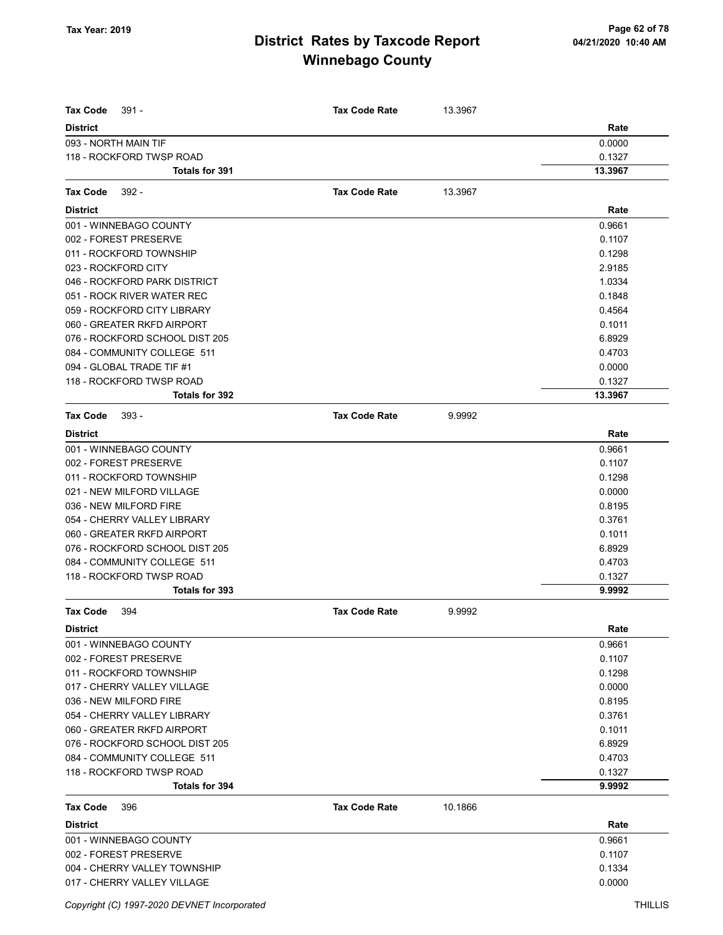| <b>Tax Code</b><br>$391 -$     | <b>Tax Code Rate</b> | 13.3967 |         |
|--------------------------------|----------------------|---------|---------|
| <b>District</b>                |                      |         | Rate    |
| 093 - NORTH MAIN TIF           |                      |         | 0.0000  |
| 118 - ROCKFORD TWSP ROAD       |                      |         | 0.1327  |
| <b>Totals for 391</b>          |                      |         | 13.3967 |
| <b>Tax Code</b><br>$392 -$     | <b>Tax Code Rate</b> | 13.3967 |         |
| <b>District</b>                |                      |         | Rate    |
| 001 - WINNEBAGO COUNTY         |                      |         | 0.9661  |
| 002 - FOREST PRESERVE          |                      |         | 0.1107  |
| 011 - ROCKFORD TOWNSHIP        |                      |         | 0.1298  |
| 023 - ROCKFORD CITY            |                      |         | 2.9185  |
| 046 - ROCKFORD PARK DISTRICT   |                      |         | 1.0334  |
| 051 - ROCK RIVER WATER REC     |                      |         | 0.1848  |
| 059 - ROCKFORD CITY LIBRARY    |                      |         | 0.4564  |
| 060 - GREATER RKFD AIRPORT     |                      |         | 0.1011  |
| 076 - ROCKFORD SCHOOL DIST 205 |                      |         | 6.8929  |
| 084 - COMMUNITY COLLEGE 511    |                      |         | 0.4703  |
| 094 - GLOBAL TRADE TIF #1      |                      |         | 0.0000  |
| 118 - ROCKFORD TWSP ROAD       |                      |         | 0.1327  |
| Totals for 392                 |                      |         | 13.3967 |
| <b>Tax Code</b><br>$393 -$     | <b>Tax Code Rate</b> | 9.9992  |         |
| <b>District</b>                |                      |         | Rate    |
| 001 - WINNEBAGO COUNTY         |                      |         | 0.9661  |
| 002 - FOREST PRESERVE          |                      |         | 0.1107  |
| 011 - ROCKFORD TOWNSHIP        |                      |         | 0.1298  |
| 021 - NEW MILFORD VILLAGE      |                      |         | 0.0000  |
| 036 - NEW MILFORD FIRE         |                      |         | 0.8195  |
| 054 - CHERRY VALLEY LIBRARY    |                      |         | 0.3761  |
| 060 - GREATER RKFD AIRPORT     |                      |         | 0.1011  |
| 076 - ROCKFORD SCHOOL DIST 205 |                      |         | 6.8929  |
| 084 - COMMUNITY COLLEGE 511    |                      |         | 0.4703  |
| 118 - ROCKFORD TWSP ROAD       |                      |         | 0.1327  |
| Totals for 393                 |                      |         | 9.9992  |
| <b>Tax Code</b><br>394         | <b>Tax Code Rate</b> | 9.9992  |         |
| <b>District</b>                |                      |         | Rate    |
| 001 - WINNEBAGO COUNTY         |                      |         | 0.9661  |
| 002 - FOREST PRESERVE          |                      |         | 0.1107  |
| 011 - ROCKFORD TOWNSHIP        |                      |         | 0.1298  |
| 017 - CHERRY VALLEY VILLAGE    |                      |         | 0.0000  |
| 036 - NEW MILFORD FIRE         |                      |         | 0.8195  |
| 054 - CHERRY VALLEY LIBRARY    |                      |         | 0.3761  |
| 060 - GREATER RKFD AIRPORT     |                      |         | 0.1011  |
| 076 - ROCKFORD SCHOOL DIST 205 |                      |         | 6.8929  |
| 084 - COMMUNITY COLLEGE 511    |                      |         | 0.4703  |
| 118 - ROCKFORD TWSP ROAD       |                      |         | 0.1327  |
| <b>Totals for 394</b>          |                      |         | 9.9992  |
| <b>Tax Code</b><br>396         | <b>Tax Code Rate</b> | 10.1866 |         |
| <b>District</b>                |                      |         | Rate    |
| 001 - WINNEBAGO COUNTY         |                      |         | 0.9661  |
| 002 - FOREST PRESERVE          |                      |         | 0.1107  |
| 004 - CHERRY VALLEY TOWNSHIP   |                      |         | 0.1334  |
| 017 - CHERRY VALLEY VILLAGE    |                      |         | 0.0000  |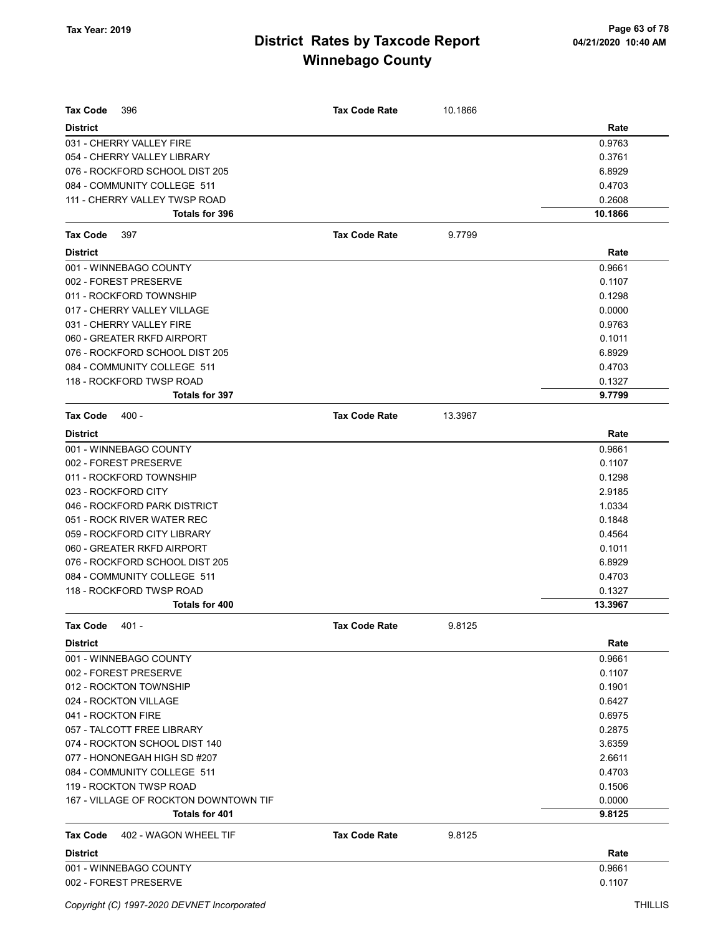| Tax Code<br>396                          | <b>Tax Code Rate</b> | 10.1866 |         |
|------------------------------------------|----------------------|---------|---------|
| <b>District</b>                          |                      |         | Rate    |
| 031 - CHERRY VALLEY FIRE                 |                      |         | 0.9763  |
| 054 - CHERRY VALLEY LIBRARY              |                      |         | 0.3761  |
| 076 - ROCKFORD SCHOOL DIST 205           |                      |         | 6.8929  |
| 084 - COMMUNITY COLLEGE 511              |                      |         | 0.4703  |
| 111 - CHERRY VALLEY TWSP ROAD            |                      |         | 0.2608  |
| Totals for 396                           |                      |         | 10.1866 |
| <b>Tax Code</b><br>397                   | <b>Tax Code Rate</b> | 9.7799  |         |
| <b>District</b>                          |                      |         | Rate    |
| 001 - WINNEBAGO COUNTY                   |                      |         | 0.9661  |
| 002 - FOREST PRESERVE                    |                      |         | 0.1107  |
| 011 - ROCKFORD TOWNSHIP                  |                      |         | 0.1298  |
| 017 - CHERRY VALLEY VILLAGE              |                      |         | 0.0000  |
| 031 - CHERRY VALLEY FIRE                 |                      |         | 0.9763  |
| 060 - GREATER RKFD AIRPORT               |                      |         | 0.1011  |
| 076 - ROCKFORD SCHOOL DIST 205           |                      |         | 6.8929  |
| 084 - COMMUNITY COLLEGE 511              |                      |         | 0.4703  |
| 118 - ROCKFORD TWSP ROAD                 |                      |         | 0.1327  |
| Totals for 397                           |                      |         | 9.7799  |
| <b>Tax Code</b><br>$400 -$               | <b>Tax Code Rate</b> | 13.3967 |         |
| <b>District</b>                          |                      |         | Rate    |
| 001 - WINNEBAGO COUNTY                   |                      |         | 0.9661  |
| 002 - FOREST PRESERVE                    |                      |         | 0.1107  |
| 011 - ROCKFORD TOWNSHIP                  |                      |         | 0.1298  |
| 023 - ROCKFORD CITY                      |                      |         | 2.9185  |
| 046 - ROCKFORD PARK DISTRICT             |                      |         | 1.0334  |
| 051 - ROCK RIVER WATER REC               |                      |         | 0.1848  |
| 059 - ROCKFORD CITY LIBRARY              |                      |         | 0.4564  |
| 060 - GREATER RKFD AIRPORT               |                      |         | 0.1011  |
| 076 - ROCKFORD SCHOOL DIST 205           |                      |         | 6.8929  |
| 084 - COMMUNITY COLLEGE 511              |                      |         | 0.4703  |
| 118 - ROCKFORD TWSP ROAD                 |                      |         | 0.1327  |
| Totals for 400                           |                      |         | 13.3967 |
| <b>Tax Code</b><br>$401 -$               | <b>Tax Code Rate</b> | 9.8125  |         |
| <b>District</b>                          |                      |         | Rate    |
| 001 - WINNEBAGO COUNTY                   |                      |         | 0.9661  |
| 002 - FOREST PRESERVE                    |                      |         | 0.1107  |
| 012 - ROCKTON TOWNSHIP                   |                      |         | 0.1901  |
| 024 - ROCKTON VILLAGE                    |                      |         | 0.6427  |
| 041 - ROCKTON FIRE                       |                      |         | 0.6975  |
| 057 - TALCOTT FREE LIBRARY               |                      |         | 0.2875  |
| 074 - ROCKTON SCHOOL DIST 140            |                      |         | 3.6359  |
| 077 - HONONEGAH HIGH SD #207             |                      |         | 2.6611  |
| 084 - COMMUNITY COLLEGE 511              |                      |         | 0.4703  |
| 119 - ROCKTON TWSP ROAD                  |                      |         | 0.1506  |
| 167 - VILLAGE OF ROCKTON DOWNTOWN TIF    |                      |         | 0.0000  |
| Totals for 401                           |                      |         | 9.8125  |
| <b>Tax Code</b><br>402 - WAGON WHEEL TIF | <b>Tax Code Rate</b> | 9.8125  |         |
| <b>District</b>                          |                      |         | Rate    |
| 001 - WINNEBAGO COUNTY                   |                      |         | 0.9661  |
| 002 - FOREST PRESERVE                    |                      |         | 0.1107  |
|                                          |                      |         |         |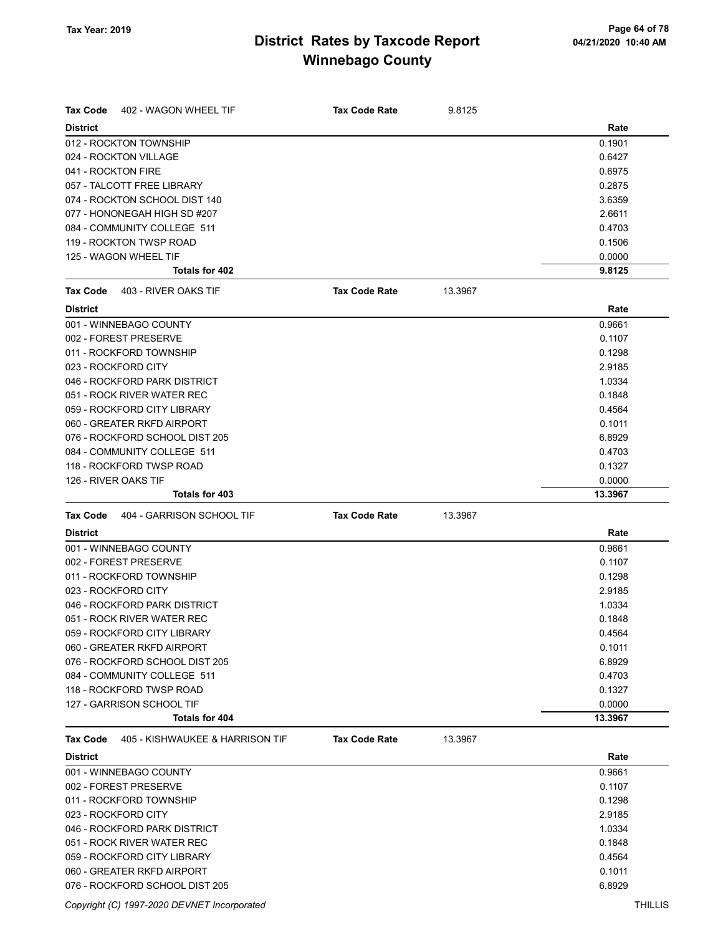| <b>Tax Code</b><br>402 - WAGON WHEEL TIF     | <b>Tax Code Rate</b> | 9.8125  |         |
|----------------------------------------------|----------------------|---------|---------|
| <b>District</b>                              |                      |         | Rate    |
| 012 - ROCKTON TOWNSHIP                       |                      |         | 0.1901  |
| 024 - ROCKTON VILLAGE                        |                      |         | 0.6427  |
| 041 - ROCKTON FIRE                           |                      |         | 0.6975  |
| 057 - TALCOTT FREE LIBRARY                   |                      |         | 0.2875  |
| 074 - ROCKTON SCHOOL DIST 140                |                      |         | 3.6359  |
| 077 - HONONEGAH HIGH SD #207                 |                      |         | 2.6611  |
| 084 - COMMUNITY COLLEGE 511                  |                      |         | 0.4703  |
| 119 - ROCKTON TWSP ROAD                      |                      |         | 0.1506  |
| 125 - WAGON WHEEL TIF                        |                      |         | 0.0000  |
| Totals for 402                               |                      |         | 9.8125  |
| <b>Tax Code</b><br>403 - RIVER OAKS TIF      | <b>Tax Code Rate</b> | 13.3967 |         |
| <b>District</b>                              |                      |         | Rate    |
| 001 - WINNEBAGO COUNTY                       |                      |         | 0.9661  |
| 002 - FOREST PRESERVE                        |                      |         | 0.1107  |
| 011 - ROCKFORD TOWNSHIP                      |                      |         | 0.1298  |
| 023 - ROCKFORD CITY                          |                      |         | 2.9185  |
| 046 - ROCKFORD PARK DISTRICT                 |                      |         | 1.0334  |
| 051 - ROCK RIVER WATER REC                   |                      |         | 0.1848  |
| 059 - ROCKFORD CITY LIBRARY                  |                      |         | 0.4564  |
| 060 - GREATER RKFD AIRPORT                   |                      |         | 0.1011  |
| 076 - ROCKFORD SCHOOL DIST 205               |                      |         | 6.8929  |
| 084 - COMMUNITY COLLEGE 511                  |                      |         | 0.4703  |
| 118 - ROCKFORD TWSP ROAD                     |                      |         | 0.1327  |
| 126 - RIVER OAKS TIF                         |                      |         | 0.0000  |
| <b>Totals for 403</b>                        |                      |         | 13.3967 |
| 404 - GARRISON SCHOOL TIF<br><b>Tax Code</b> | <b>Tax Code Rate</b> | 13.3967 |         |
| <b>District</b>                              |                      |         | Rate    |
| 001 - WINNEBAGO COUNTY                       |                      |         | 0.9661  |
| 002 - FOREST PRESERVE                        |                      |         | 0.1107  |
| 011 - ROCKFORD TOWNSHIP                      |                      |         | 0.1298  |
| 023 - ROCKFORD CITY                          |                      |         | 2.9185  |
| 046 - ROCKFORD PARK DISTRICT                 |                      |         | 1.0334  |
| 051 - ROCK RIVER WATER REC                   |                      |         | 0.1848  |
| 059 - ROCKFORD CITY LIBRARY                  |                      |         | 0.4564  |
| 060 - GREATER RKFD AIRPORT                   |                      |         | 0.1011  |
| 076 - ROCKFORD SCHOOL DIST 205               |                      |         | 6.8929  |
| 084 - COMMUNITY COLLEGE 511                  |                      |         | 0.4703  |
| 118 - ROCKFORD TWSP ROAD                     |                      |         | 0.1327  |
| 127 - GARRISON SCHOOL TIF                    |                      |         | 0.0000  |
| Totals for 404                               |                      |         | 13.3967 |
| Tax Code<br>405 - KISHWAUKEE & HARRISON TIF  | <b>Tax Code Rate</b> | 13.3967 |         |
| <b>District</b>                              |                      |         | Rate    |
| 001 - WINNEBAGO COUNTY                       |                      |         | 0.9661  |
| 002 - FOREST PRESERVE                        |                      |         | 0.1107  |
| 011 - ROCKFORD TOWNSHIP                      |                      |         | 0.1298  |
| 023 - ROCKFORD CITY                          |                      |         | 2.9185  |
| 046 - ROCKFORD PARK DISTRICT                 |                      |         | 1.0334  |
| 051 - ROCK RIVER WATER REC                   |                      |         | 0.1848  |
| 059 - ROCKFORD CITY LIBRARY                  |                      |         | 0.4564  |
| 060 - GREATER RKFD AIRPORT                   |                      |         | 0.1011  |
| 076 - ROCKFORD SCHOOL DIST 205               |                      |         | 6.8929  |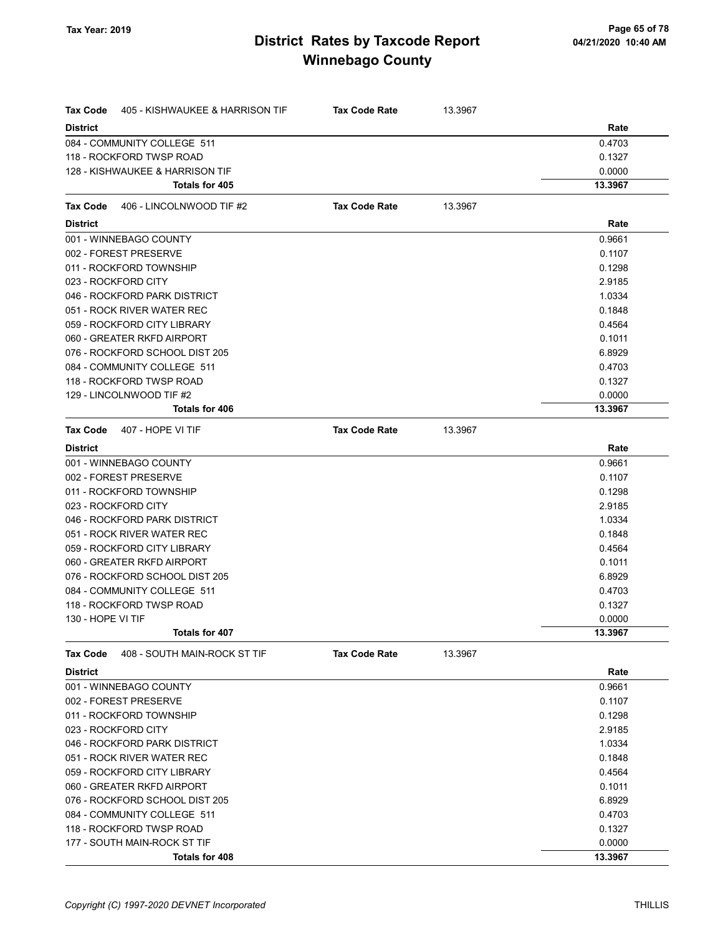| Tax Code          | 405 - KISHWAUKEE & HARRISON TIF | <b>Tax Code Rate</b> | 13.3967 |         |
|-------------------|---------------------------------|----------------------|---------|---------|
| <b>District</b>   |                                 |                      |         | Rate    |
|                   | 084 - COMMUNITY COLLEGE 511     |                      |         | 0.4703  |
|                   | 118 - ROCKFORD TWSP ROAD        |                      |         | 0.1327  |
|                   | 128 - KISHWAUKEE & HARRISON TIF |                      |         | 0.0000  |
|                   | Totals for 405                  |                      |         | 13.3967 |
| Tax Code          | 406 - LINCOLNWOOD TIF #2        | <b>Tax Code Rate</b> | 13.3967 |         |
| <b>District</b>   |                                 |                      |         | Rate    |
|                   | 001 - WINNEBAGO COUNTY          |                      |         | 0.9661  |
|                   | 002 - FOREST PRESERVE           |                      |         | 0.1107  |
|                   | 011 - ROCKFORD TOWNSHIP         |                      |         | 0.1298  |
|                   | 023 - ROCKFORD CITY             |                      |         | 2.9185  |
|                   | 046 - ROCKFORD PARK DISTRICT    |                      |         | 1.0334  |
|                   | 051 - ROCK RIVER WATER REC      |                      |         | 0.1848  |
|                   | 059 - ROCKFORD CITY LIBRARY     |                      |         | 0.4564  |
|                   | 060 - GREATER RKFD AIRPORT      |                      |         | 0.1011  |
|                   | 076 - ROCKFORD SCHOOL DIST 205  |                      |         | 6.8929  |
|                   | 084 - COMMUNITY COLLEGE 511     |                      |         | 0.4703  |
|                   | 118 - ROCKFORD TWSP ROAD        |                      |         | 0.1327  |
|                   | 129 - LINCOLNWOOD TIF #2        |                      |         | 0.0000  |
|                   | Totals for 406                  |                      |         | 13.3967 |
| Tax Code          | 407 - HOPE VI TIF               | <b>Tax Code Rate</b> | 13.3967 |         |
| <b>District</b>   |                                 |                      |         | Rate    |
|                   | 001 - WINNEBAGO COUNTY          |                      |         | 0.9661  |
|                   | 002 - FOREST PRESERVE           |                      |         | 0.1107  |
|                   | 011 - ROCKFORD TOWNSHIP         |                      |         | 0.1298  |
|                   | 023 - ROCKFORD CITY             |                      |         | 2.9185  |
|                   | 046 - ROCKFORD PARK DISTRICT    |                      |         | 1.0334  |
|                   | 051 - ROCK RIVER WATER REC      |                      |         | 0.1848  |
|                   | 059 - ROCKFORD CITY LIBRARY     |                      |         | 0.4564  |
|                   | 060 - GREATER RKFD AIRPORT      |                      |         | 0.1011  |
|                   | 076 - ROCKFORD SCHOOL DIST 205  |                      |         | 6.8929  |
|                   | 084 - COMMUNITY COLLEGE 511     |                      |         | 0.4703  |
|                   | 118 - ROCKFORD TWSP ROAD        |                      |         | 0.1327  |
| 130 - HOPE VI TIF |                                 |                      |         | 0.0000  |
|                   | Totals for 407                  |                      |         | 13.3967 |
| Tax Code          | 408 - SOUTH MAIN-ROCK ST TIF    | <b>Tax Code Rate</b> | 13.3967 |         |
| <b>District</b>   |                                 |                      |         | Rate    |
|                   | 001 - WINNEBAGO COUNTY          |                      |         | 0.9661  |
|                   | 002 - FOREST PRESERVE           |                      |         | 0.1107  |
|                   | 011 - ROCKFORD TOWNSHIP         |                      |         | 0.1298  |
|                   | 023 - ROCKFORD CITY             |                      |         | 2.9185  |
|                   | 046 - ROCKFORD PARK DISTRICT    |                      |         | 1.0334  |
|                   | 051 - ROCK RIVER WATER REC      |                      |         | 0.1848  |
|                   | 059 - ROCKFORD CITY LIBRARY     |                      |         | 0.4564  |
|                   | 060 - GREATER RKFD AIRPORT      |                      |         | 0.1011  |
|                   | 076 - ROCKFORD SCHOOL DIST 205  |                      |         | 6.8929  |
|                   | 084 - COMMUNITY COLLEGE 511     |                      |         | 0.4703  |
|                   | 118 - ROCKFORD TWSP ROAD        |                      |         | 0.1327  |
|                   | 177 - SOUTH MAIN-ROCK ST TIF    |                      |         | 0.0000  |
|                   | Totals for 408                  |                      |         | 13.3967 |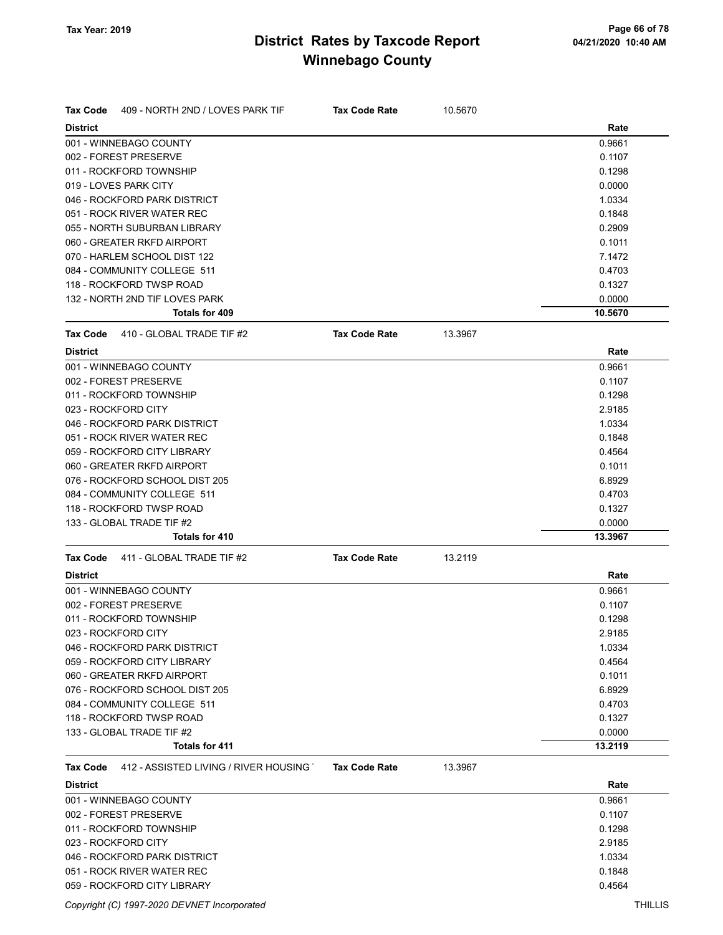| <b>District</b><br>Rate<br>001 - WINNEBAGO COUNTY<br>0.9661<br>002 - FOREST PRESERVE<br>0.1107<br>011 - ROCKFORD TOWNSHIP<br>0.1298<br>019 - LOVES PARK CITY<br>0.0000<br>046 - ROCKFORD PARK DISTRICT<br>1.0334<br>051 - ROCK RIVER WATER REC<br>0.1848<br>0.2909<br>055 - NORTH SUBURBAN LIBRARY<br>060 - GREATER RKFD AIRPORT<br>0.1011<br>070 - HARLEM SCHOOL DIST 122<br>7.1472<br>084 - COMMUNITY COLLEGE 511<br>0.4703<br>118 - ROCKFORD TWSP ROAD<br>0.1327<br>132 - NORTH 2ND TIF LOVES PARK<br>0.0000<br><b>Totals for 409</b><br>10.5670<br>410 - GLOBAL TRADE TIF #2<br><b>Tax Code Rate</b><br>13.3967<br><b>Tax Code</b><br>Rate<br><b>District</b><br>001 - WINNEBAGO COUNTY<br>0.9661<br>002 - FOREST PRESERVE<br>0.1107<br>0.1298<br>011 - ROCKFORD TOWNSHIP<br>023 - ROCKFORD CITY<br>2.9185<br>046 - ROCKFORD PARK DISTRICT<br>1.0334<br>051 - ROCK RIVER WATER REC<br>0.1848<br>059 - ROCKFORD CITY LIBRARY<br>0.4564<br>060 - GREATER RKFD AIRPORT<br>0.1011<br>076 - ROCKFORD SCHOOL DIST 205<br>6.8929<br>084 - COMMUNITY COLLEGE 511<br>0.4703<br>118 - ROCKFORD TWSP ROAD<br>0.1327<br>133 - GLOBAL TRADE TIF #2<br>0.0000<br><b>Totals for 410</b><br>13.3967<br>411 - GLOBAL TRADE TIF #2<br><b>Tax Code Rate</b><br>13.2119<br><b>Tax Code</b><br><b>District</b><br>Rate<br>001 - WINNEBAGO COUNTY<br>0.9661<br>002 - FOREST PRESERVE<br>0.1107<br>011 - ROCKFORD TOWNSHIP<br>0.1298<br>023 - ROCKFORD CITY<br>2.9185<br>046 - ROCKFORD PARK DISTRICT<br>1.0334<br>0.4564<br>059 - ROCKFORD CITY LIBRARY<br>060 - GREATER RKFD AIRPORT<br>0.1011<br>076 - ROCKFORD SCHOOL DIST 205<br>6.8929<br>084 - COMMUNITY COLLEGE 511<br>0.4703<br>118 - ROCKFORD TWSP ROAD<br>0.1327<br>133 - GLOBAL TRADE TIF #2<br>0.0000<br>Totals for 411<br>13.2119<br>412 - ASSISTED LIVING / RIVER HOUSING<br>Tax Code<br><b>Tax Code Rate</b><br>13.3967<br><b>District</b><br>Rate<br>001 - WINNEBAGO COUNTY<br>0.9661<br>002 - FOREST PRESERVE<br>0.1107<br>011 - ROCKFORD TOWNSHIP<br>0.1298<br>023 - ROCKFORD CITY<br>2.9185<br>046 - ROCKFORD PARK DISTRICT<br>1.0334<br>051 - ROCK RIVER WATER REC<br>0.1848 | <b>Tax Code</b><br>409 - NORTH 2ND / LOVES PARK TIF | <b>Tax Code Rate</b> | 10.5670 |        |
|--------------------------------------------------------------------------------------------------------------------------------------------------------------------------------------------------------------------------------------------------------------------------------------------------------------------------------------------------------------------------------------------------------------------------------------------------------------------------------------------------------------------------------------------------------------------------------------------------------------------------------------------------------------------------------------------------------------------------------------------------------------------------------------------------------------------------------------------------------------------------------------------------------------------------------------------------------------------------------------------------------------------------------------------------------------------------------------------------------------------------------------------------------------------------------------------------------------------------------------------------------------------------------------------------------------------------------------------------------------------------------------------------------------------------------------------------------------------------------------------------------------------------------------------------------------------------------------------------------------------------------------------------------------------------------------------------------------------------------------------------------------------------------------------------------------------------------------------------------------------------------------------------------------------------------------------------------------------------------------------------------------------------------------------------------------------------------------------------------------------------------|-----------------------------------------------------|----------------------|---------|--------|
|                                                                                                                                                                                                                                                                                                                                                                                                                                                                                                                                                                                                                                                                                                                                                                                                                                                                                                                                                                                                                                                                                                                                                                                                                                                                                                                                                                                                                                                                                                                                                                                                                                                                                                                                                                                                                                                                                                                                                                                                                                                                                                                                |                                                     |                      |         |        |
|                                                                                                                                                                                                                                                                                                                                                                                                                                                                                                                                                                                                                                                                                                                                                                                                                                                                                                                                                                                                                                                                                                                                                                                                                                                                                                                                                                                                                                                                                                                                                                                                                                                                                                                                                                                                                                                                                                                                                                                                                                                                                                                                |                                                     |                      |         |        |
|                                                                                                                                                                                                                                                                                                                                                                                                                                                                                                                                                                                                                                                                                                                                                                                                                                                                                                                                                                                                                                                                                                                                                                                                                                                                                                                                                                                                                                                                                                                                                                                                                                                                                                                                                                                                                                                                                                                                                                                                                                                                                                                                |                                                     |                      |         |        |
|                                                                                                                                                                                                                                                                                                                                                                                                                                                                                                                                                                                                                                                                                                                                                                                                                                                                                                                                                                                                                                                                                                                                                                                                                                                                                                                                                                                                                                                                                                                                                                                                                                                                                                                                                                                                                                                                                                                                                                                                                                                                                                                                |                                                     |                      |         |        |
|                                                                                                                                                                                                                                                                                                                                                                                                                                                                                                                                                                                                                                                                                                                                                                                                                                                                                                                                                                                                                                                                                                                                                                                                                                                                                                                                                                                                                                                                                                                                                                                                                                                                                                                                                                                                                                                                                                                                                                                                                                                                                                                                |                                                     |                      |         |        |
|                                                                                                                                                                                                                                                                                                                                                                                                                                                                                                                                                                                                                                                                                                                                                                                                                                                                                                                                                                                                                                                                                                                                                                                                                                                                                                                                                                                                                                                                                                                                                                                                                                                                                                                                                                                                                                                                                                                                                                                                                                                                                                                                |                                                     |                      |         |        |
|                                                                                                                                                                                                                                                                                                                                                                                                                                                                                                                                                                                                                                                                                                                                                                                                                                                                                                                                                                                                                                                                                                                                                                                                                                                                                                                                                                                                                                                                                                                                                                                                                                                                                                                                                                                                                                                                                                                                                                                                                                                                                                                                |                                                     |                      |         |        |
|                                                                                                                                                                                                                                                                                                                                                                                                                                                                                                                                                                                                                                                                                                                                                                                                                                                                                                                                                                                                                                                                                                                                                                                                                                                                                                                                                                                                                                                                                                                                                                                                                                                                                                                                                                                                                                                                                                                                                                                                                                                                                                                                |                                                     |                      |         |        |
|                                                                                                                                                                                                                                                                                                                                                                                                                                                                                                                                                                                                                                                                                                                                                                                                                                                                                                                                                                                                                                                                                                                                                                                                                                                                                                                                                                                                                                                                                                                                                                                                                                                                                                                                                                                                                                                                                                                                                                                                                                                                                                                                |                                                     |                      |         |        |
|                                                                                                                                                                                                                                                                                                                                                                                                                                                                                                                                                                                                                                                                                                                                                                                                                                                                                                                                                                                                                                                                                                                                                                                                                                                                                                                                                                                                                                                                                                                                                                                                                                                                                                                                                                                                                                                                                                                                                                                                                                                                                                                                |                                                     |                      |         |        |
|                                                                                                                                                                                                                                                                                                                                                                                                                                                                                                                                                                                                                                                                                                                                                                                                                                                                                                                                                                                                                                                                                                                                                                                                                                                                                                                                                                                                                                                                                                                                                                                                                                                                                                                                                                                                                                                                                                                                                                                                                                                                                                                                |                                                     |                      |         |        |
|                                                                                                                                                                                                                                                                                                                                                                                                                                                                                                                                                                                                                                                                                                                                                                                                                                                                                                                                                                                                                                                                                                                                                                                                                                                                                                                                                                                                                                                                                                                                                                                                                                                                                                                                                                                                                                                                                                                                                                                                                                                                                                                                |                                                     |                      |         |        |
|                                                                                                                                                                                                                                                                                                                                                                                                                                                                                                                                                                                                                                                                                                                                                                                                                                                                                                                                                                                                                                                                                                                                                                                                                                                                                                                                                                                                                                                                                                                                                                                                                                                                                                                                                                                                                                                                                                                                                                                                                                                                                                                                |                                                     |                      |         |        |
|                                                                                                                                                                                                                                                                                                                                                                                                                                                                                                                                                                                                                                                                                                                                                                                                                                                                                                                                                                                                                                                                                                                                                                                                                                                                                                                                                                                                                                                                                                                                                                                                                                                                                                                                                                                                                                                                                                                                                                                                                                                                                                                                |                                                     |                      |         |        |
|                                                                                                                                                                                                                                                                                                                                                                                                                                                                                                                                                                                                                                                                                                                                                                                                                                                                                                                                                                                                                                                                                                                                                                                                                                                                                                                                                                                                                                                                                                                                                                                                                                                                                                                                                                                                                                                                                                                                                                                                                                                                                                                                |                                                     |                      |         |        |
|                                                                                                                                                                                                                                                                                                                                                                                                                                                                                                                                                                                                                                                                                                                                                                                                                                                                                                                                                                                                                                                                                                                                                                                                                                                                                                                                                                                                                                                                                                                                                                                                                                                                                                                                                                                                                                                                                                                                                                                                                                                                                                                                |                                                     |                      |         |        |
|                                                                                                                                                                                                                                                                                                                                                                                                                                                                                                                                                                                                                                                                                                                                                                                                                                                                                                                                                                                                                                                                                                                                                                                                                                                                                                                                                                                                                                                                                                                                                                                                                                                                                                                                                                                                                                                                                                                                                                                                                                                                                                                                |                                                     |                      |         |        |
|                                                                                                                                                                                                                                                                                                                                                                                                                                                                                                                                                                                                                                                                                                                                                                                                                                                                                                                                                                                                                                                                                                                                                                                                                                                                                                                                                                                                                                                                                                                                                                                                                                                                                                                                                                                                                                                                                                                                                                                                                                                                                                                                |                                                     |                      |         |        |
|                                                                                                                                                                                                                                                                                                                                                                                                                                                                                                                                                                                                                                                                                                                                                                                                                                                                                                                                                                                                                                                                                                                                                                                                                                                                                                                                                                                                                                                                                                                                                                                                                                                                                                                                                                                                                                                                                                                                                                                                                                                                                                                                |                                                     |                      |         |        |
|                                                                                                                                                                                                                                                                                                                                                                                                                                                                                                                                                                                                                                                                                                                                                                                                                                                                                                                                                                                                                                                                                                                                                                                                                                                                                                                                                                                                                                                                                                                                                                                                                                                                                                                                                                                                                                                                                                                                                                                                                                                                                                                                |                                                     |                      |         |        |
|                                                                                                                                                                                                                                                                                                                                                                                                                                                                                                                                                                                                                                                                                                                                                                                                                                                                                                                                                                                                                                                                                                                                                                                                                                                                                                                                                                                                                                                                                                                                                                                                                                                                                                                                                                                                                                                                                                                                                                                                                                                                                                                                |                                                     |                      |         |        |
|                                                                                                                                                                                                                                                                                                                                                                                                                                                                                                                                                                                                                                                                                                                                                                                                                                                                                                                                                                                                                                                                                                                                                                                                                                                                                                                                                                                                                                                                                                                                                                                                                                                                                                                                                                                                                                                                                                                                                                                                                                                                                                                                |                                                     |                      |         |        |
|                                                                                                                                                                                                                                                                                                                                                                                                                                                                                                                                                                                                                                                                                                                                                                                                                                                                                                                                                                                                                                                                                                                                                                                                                                                                                                                                                                                                                                                                                                                                                                                                                                                                                                                                                                                                                                                                                                                                                                                                                                                                                                                                |                                                     |                      |         |        |
|                                                                                                                                                                                                                                                                                                                                                                                                                                                                                                                                                                                                                                                                                                                                                                                                                                                                                                                                                                                                                                                                                                                                                                                                                                                                                                                                                                                                                                                                                                                                                                                                                                                                                                                                                                                                                                                                                                                                                                                                                                                                                                                                |                                                     |                      |         |        |
|                                                                                                                                                                                                                                                                                                                                                                                                                                                                                                                                                                                                                                                                                                                                                                                                                                                                                                                                                                                                                                                                                                                                                                                                                                                                                                                                                                                                                                                                                                                                                                                                                                                                                                                                                                                                                                                                                                                                                                                                                                                                                                                                |                                                     |                      |         |        |
|                                                                                                                                                                                                                                                                                                                                                                                                                                                                                                                                                                                                                                                                                                                                                                                                                                                                                                                                                                                                                                                                                                                                                                                                                                                                                                                                                                                                                                                                                                                                                                                                                                                                                                                                                                                                                                                                                                                                                                                                                                                                                                                                |                                                     |                      |         |        |
|                                                                                                                                                                                                                                                                                                                                                                                                                                                                                                                                                                                                                                                                                                                                                                                                                                                                                                                                                                                                                                                                                                                                                                                                                                                                                                                                                                                                                                                                                                                                                                                                                                                                                                                                                                                                                                                                                                                                                                                                                                                                                                                                |                                                     |                      |         |        |
|                                                                                                                                                                                                                                                                                                                                                                                                                                                                                                                                                                                                                                                                                                                                                                                                                                                                                                                                                                                                                                                                                                                                                                                                                                                                                                                                                                                                                                                                                                                                                                                                                                                                                                                                                                                                                                                                                                                                                                                                                                                                                                                                |                                                     |                      |         |        |
|                                                                                                                                                                                                                                                                                                                                                                                                                                                                                                                                                                                                                                                                                                                                                                                                                                                                                                                                                                                                                                                                                                                                                                                                                                                                                                                                                                                                                                                                                                                                                                                                                                                                                                                                                                                                                                                                                                                                                                                                                                                                                                                                |                                                     |                      |         |        |
|                                                                                                                                                                                                                                                                                                                                                                                                                                                                                                                                                                                                                                                                                                                                                                                                                                                                                                                                                                                                                                                                                                                                                                                                                                                                                                                                                                                                                                                                                                                                                                                                                                                                                                                                                                                                                                                                                                                                                                                                                                                                                                                                |                                                     |                      |         |        |
|                                                                                                                                                                                                                                                                                                                                                                                                                                                                                                                                                                                                                                                                                                                                                                                                                                                                                                                                                                                                                                                                                                                                                                                                                                                                                                                                                                                                                                                                                                                                                                                                                                                                                                                                                                                                                                                                                                                                                                                                                                                                                                                                |                                                     |                      |         |        |
|                                                                                                                                                                                                                                                                                                                                                                                                                                                                                                                                                                                                                                                                                                                                                                                                                                                                                                                                                                                                                                                                                                                                                                                                                                                                                                                                                                                                                                                                                                                                                                                                                                                                                                                                                                                                                                                                                                                                                                                                                                                                                                                                |                                                     |                      |         |        |
|                                                                                                                                                                                                                                                                                                                                                                                                                                                                                                                                                                                                                                                                                                                                                                                                                                                                                                                                                                                                                                                                                                                                                                                                                                                                                                                                                                                                                                                                                                                                                                                                                                                                                                                                                                                                                                                                                                                                                                                                                                                                                                                                |                                                     |                      |         |        |
|                                                                                                                                                                                                                                                                                                                                                                                                                                                                                                                                                                                                                                                                                                                                                                                                                                                                                                                                                                                                                                                                                                                                                                                                                                                                                                                                                                                                                                                                                                                                                                                                                                                                                                                                                                                                                                                                                                                                                                                                                                                                                                                                |                                                     |                      |         |        |
|                                                                                                                                                                                                                                                                                                                                                                                                                                                                                                                                                                                                                                                                                                                                                                                                                                                                                                                                                                                                                                                                                                                                                                                                                                                                                                                                                                                                                                                                                                                                                                                                                                                                                                                                                                                                                                                                                                                                                                                                                                                                                                                                |                                                     |                      |         |        |
|                                                                                                                                                                                                                                                                                                                                                                                                                                                                                                                                                                                                                                                                                                                                                                                                                                                                                                                                                                                                                                                                                                                                                                                                                                                                                                                                                                                                                                                                                                                                                                                                                                                                                                                                                                                                                                                                                                                                                                                                                                                                                                                                |                                                     |                      |         |        |
|                                                                                                                                                                                                                                                                                                                                                                                                                                                                                                                                                                                                                                                                                                                                                                                                                                                                                                                                                                                                                                                                                                                                                                                                                                                                                                                                                                                                                                                                                                                                                                                                                                                                                                                                                                                                                                                                                                                                                                                                                                                                                                                                |                                                     |                      |         |        |
|                                                                                                                                                                                                                                                                                                                                                                                                                                                                                                                                                                                                                                                                                                                                                                                                                                                                                                                                                                                                                                                                                                                                                                                                                                                                                                                                                                                                                                                                                                                                                                                                                                                                                                                                                                                                                                                                                                                                                                                                                                                                                                                                |                                                     |                      |         |        |
|                                                                                                                                                                                                                                                                                                                                                                                                                                                                                                                                                                                                                                                                                                                                                                                                                                                                                                                                                                                                                                                                                                                                                                                                                                                                                                                                                                                                                                                                                                                                                                                                                                                                                                                                                                                                                                                                                                                                                                                                                                                                                                                                |                                                     |                      |         |        |
|                                                                                                                                                                                                                                                                                                                                                                                                                                                                                                                                                                                                                                                                                                                                                                                                                                                                                                                                                                                                                                                                                                                                                                                                                                                                                                                                                                                                                                                                                                                                                                                                                                                                                                                                                                                                                                                                                                                                                                                                                                                                                                                                |                                                     |                      |         |        |
|                                                                                                                                                                                                                                                                                                                                                                                                                                                                                                                                                                                                                                                                                                                                                                                                                                                                                                                                                                                                                                                                                                                                                                                                                                                                                                                                                                                                                                                                                                                                                                                                                                                                                                                                                                                                                                                                                                                                                                                                                                                                                                                                |                                                     |                      |         |        |
|                                                                                                                                                                                                                                                                                                                                                                                                                                                                                                                                                                                                                                                                                                                                                                                                                                                                                                                                                                                                                                                                                                                                                                                                                                                                                                                                                                                                                                                                                                                                                                                                                                                                                                                                                                                                                                                                                                                                                                                                                                                                                                                                |                                                     |                      |         |        |
|                                                                                                                                                                                                                                                                                                                                                                                                                                                                                                                                                                                                                                                                                                                                                                                                                                                                                                                                                                                                                                                                                                                                                                                                                                                                                                                                                                                                                                                                                                                                                                                                                                                                                                                                                                                                                                                                                                                                                                                                                                                                                                                                |                                                     |                      |         |        |
|                                                                                                                                                                                                                                                                                                                                                                                                                                                                                                                                                                                                                                                                                                                                                                                                                                                                                                                                                                                                                                                                                                                                                                                                                                                                                                                                                                                                                                                                                                                                                                                                                                                                                                                                                                                                                                                                                                                                                                                                                                                                                                                                |                                                     |                      |         |        |
|                                                                                                                                                                                                                                                                                                                                                                                                                                                                                                                                                                                                                                                                                                                                                                                                                                                                                                                                                                                                                                                                                                                                                                                                                                                                                                                                                                                                                                                                                                                                                                                                                                                                                                                                                                                                                                                                                                                                                                                                                                                                                                                                |                                                     |                      |         |        |
|                                                                                                                                                                                                                                                                                                                                                                                                                                                                                                                                                                                                                                                                                                                                                                                                                                                                                                                                                                                                                                                                                                                                                                                                                                                                                                                                                                                                                                                                                                                                                                                                                                                                                                                                                                                                                                                                                                                                                                                                                                                                                                                                |                                                     |                      |         |        |
|                                                                                                                                                                                                                                                                                                                                                                                                                                                                                                                                                                                                                                                                                                                                                                                                                                                                                                                                                                                                                                                                                                                                                                                                                                                                                                                                                                                                                                                                                                                                                                                                                                                                                                                                                                                                                                                                                                                                                                                                                                                                                                                                |                                                     |                      |         |        |
|                                                                                                                                                                                                                                                                                                                                                                                                                                                                                                                                                                                                                                                                                                                                                                                                                                                                                                                                                                                                                                                                                                                                                                                                                                                                                                                                                                                                                                                                                                                                                                                                                                                                                                                                                                                                                                                                                                                                                                                                                                                                                                                                |                                                     |                      |         |        |
|                                                                                                                                                                                                                                                                                                                                                                                                                                                                                                                                                                                                                                                                                                                                                                                                                                                                                                                                                                                                                                                                                                                                                                                                                                                                                                                                                                                                                                                                                                                                                                                                                                                                                                                                                                                                                                                                                                                                                                                                                                                                                                                                |                                                     |                      |         |        |
|                                                                                                                                                                                                                                                                                                                                                                                                                                                                                                                                                                                                                                                                                                                                                                                                                                                                                                                                                                                                                                                                                                                                                                                                                                                                                                                                                                                                                                                                                                                                                                                                                                                                                                                                                                                                                                                                                                                                                                                                                                                                                                                                |                                                     |                      |         |        |
|                                                                                                                                                                                                                                                                                                                                                                                                                                                                                                                                                                                                                                                                                                                                                                                                                                                                                                                                                                                                                                                                                                                                                                                                                                                                                                                                                                                                                                                                                                                                                                                                                                                                                                                                                                                                                                                                                                                                                                                                                                                                                                                                |                                                     |                      |         |        |
|                                                                                                                                                                                                                                                                                                                                                                                                                                                                                                                                                                                                                                                                                                                                                                                                                                                                                                                                                                                                                                                                                                                                                                                                                                                                                                                                                                                                                                                                                                                                                                                                                                                                                                                                                                                                                                                                                                                                                                                                                                                                                                                                | 059 - ROCKFORD CITY LIBRARY                         |                      |         | 0.4564 |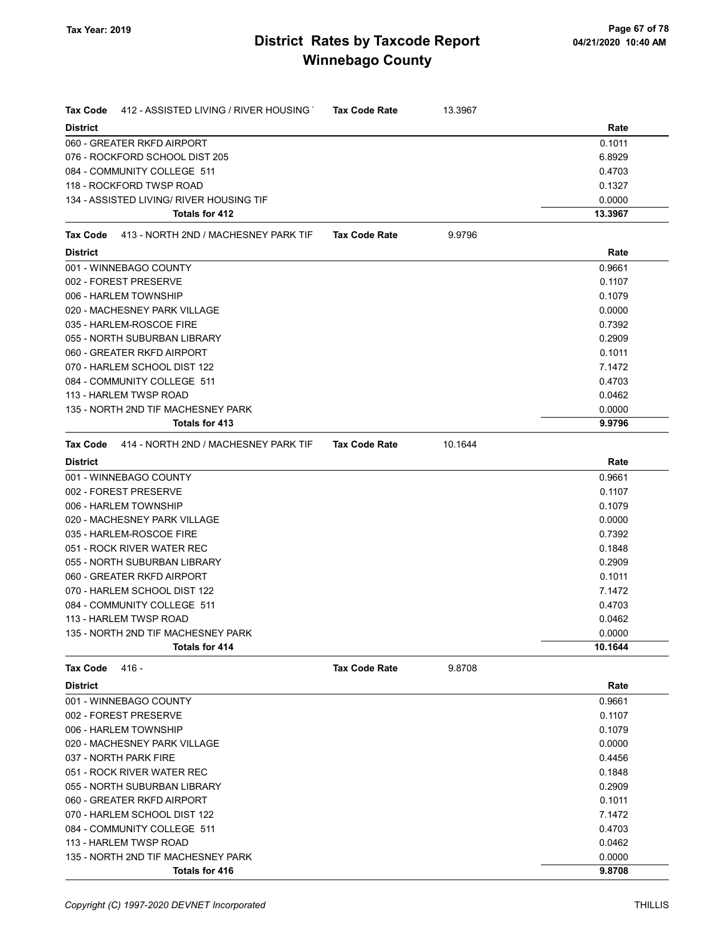| <b>Tax Code</b> | 412 - ASSISTED LIVING / RIVER HOUSING    | <b>Tax Code Rate</b> | 13.3967 |         |
|-----------------|------------------------------------------|----------------------|---------|---------|
| <b>District</b> |                                          |                      |         | Rate    |
|                 | 060 - GREATER RKFD AIRPORT               |                      |         | 0.1011  |
|                 | 076 - ROCKFORD SCHOOL DIST 205           |                      |         | 6.8929  |
|                 | 084 - COMMUNITY COLLEGE 511              |                      |         | 0.4703  |
|                 | 118 - ROCKFORD TWSP ROAD                 |                      |         | 0.1327  |
|                 | 134 - ASSISTED LIVING/ RIVER HOUSING TIF |                      |         | 0.0000  |
|                 | Totals for 412                           |                      |         | 13.3967 |
| Tax Code        | 413 - NORTH 2ND / MACHESNEY PARK TIF     | <b>Tax Code Rate</b> | 9.9796  |         |
| <b>District</b> |                                          |                      |         | Rate    |
|                 | 001 - WINNEBAGO COUNTY                   |                      |         | 0.9661  |
|                 | 002 - FOREST PRESERVE                    |                      |         | 0.1107  |
|                 | 006 - HARLEM TOWNSHIP                    |                      |         | 0.1079  |
|                 | 020 - MACHESNEY PARK VILLAGE             |                      |         | 0.0000  |
|                 | 035 - HARLEM-ROSCOE FIRE                 |                      |         | 0.7392  |
|                 | 055 - NORTH SUBURBAN LIBRARY             |                      |         | 0.2909  |
|                 | 060 - GREATER RKFD AIRPORT               |                      |         | 0.1011  |
|                 | 070 - HARLEM SCHOOL DIST 122             |                      |         | 7.1472  |
|                 | 084 - COMMUNITY COLLEGE 511              |                      |         | 0.4703  |
|                 | 113 - HARLEM TWSP ROAD                   |                      |         | 0.0462  |
|                 | 135 - NORTH 2ND TIF MACHESNEY PARK       |                      |         | 0.0000  |
|                 | Totals for 413                           |                      |         | 9.9796  |
| Tax Code        | 414 - NORTH 2ND / MACHESNEY PARK TIF     | <b>Tax Code Rate</b> | 10.1644 |         |
| <b>District</b> |                                          |                      |         | Rate    |
|                 | 001 - WINNEBAGO COUNTY                   |                      |         | 0.9661  |
|                 | 002 - FOREST PRESERVE                    |                      |         | 0.1107  |
|                 | 006 - HARLEM TOWNSHIP                    |                      |         | 0.1079  |
|                 | 020 - MACHESNEY PARK VILLAGE             |                      |         | 0.0000  |
|                 | 035 - HARLEM-ROSCOE FIRE                 |                      |         | 0.7392  |
|                 | 051 - ROCK RIVER WATER REC               |                      |         | 0.1848  |
|                 | 055 - NORTH SUBURBAN LIBRARY             |                      |         | 0.2909  |
|                 | 060 - GREATER RKFD AIRPORT               |                      |         | 0.1011  |
|                 | 070 - HARLEM SCHOOL DIST 122             |                      |         | 7.1472  |
|                 | 084 - COMMUNITY COLLEGE 511              |                      |         | 0.4703  |
|                 | 113 - HARLEM TWSP ROAD                   |                      |         | 0.0462  |
|                 | 135 - NORTH 2ND TIF MACHESNEY PARK       |                      |         | 0.0000  |
|                 | Totals for 414                           |                      |         | 10.1644 |
| <b>Tax Code</b> | 416 -                                    | <b>Tax Code Rate</b> | 9.8708  |         |
| <b>District</b> |                                          |                      |         | Rate    |
|                 | 001 - WINNEBAGO COUNTY                   |                      |         | 0.9661  |
|                 | 002 - FOREST PRESERVE                    |                      |         | 0.1107  |
|                 | 006 - HARLEM TOWNSHIP                    |                      |         | 0.1079  |
|                 | 020 - MACHESNEY PARK VILLAGE             |                      |         | 0.0000  |
|                 | 037 - NORTH PARK FIRE                    |                      |         | 0.4456  |
|                 | 051 - ROCK RIVER WATER REC               |                      |         | 0.1848  |
|                 | 055 - NORTH SUBURBAN LIBRARY             |                      |         | 0.2909  |
|                 | 060 - GREATER RKFD AIRPORT               |                      |         | 0.1011  |
|                 | 070 - HARLEM SCHOOL DIST 122             |                      |         | 7.1472  |
|                 | 084 - COMMUNITY COLLEGE 511              |                      |         | 0.4703  |
|                 | 113 - HARLEM TWSP ROAD                   |                      |         | 0.0462  |
|                 | 135 - NORTH 2ND TIF MACHESNEY PARK       |                      |         | 0.0000  |
|                 | Totals for 416                           |                      |         | 9.8708  |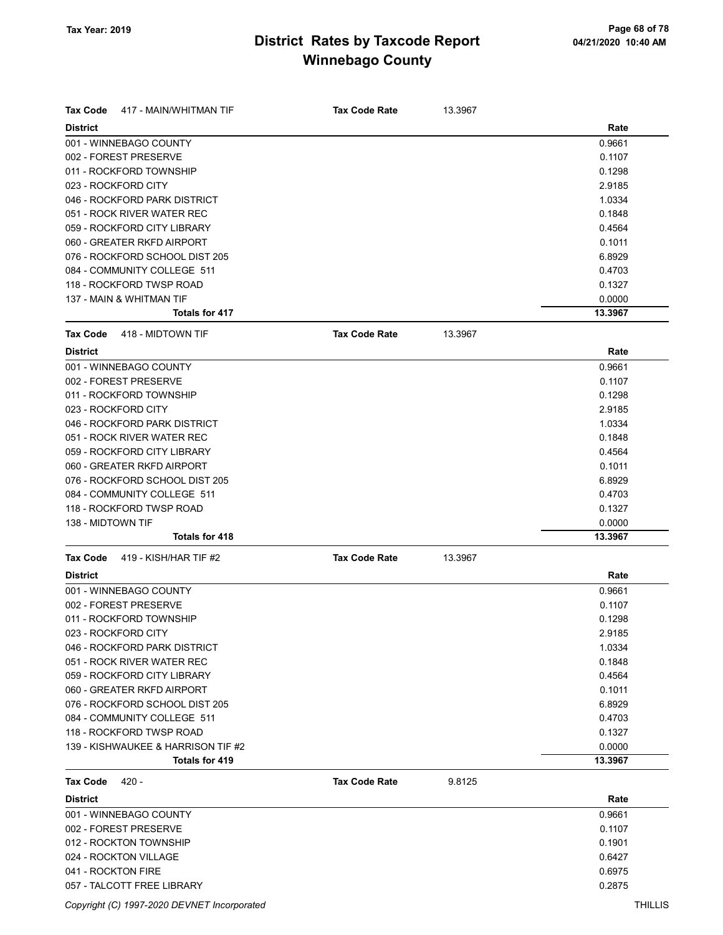| <b>Tax Code</b><br>417 - MAIN/WHITMAN TIF | <b>Tax Code Rate</b> | 13.3967 |         |
|-------------------------------------------|----------------------|---------|---------|
| <b>District</b>                           |                      |         | Rate    |
| 001 - WINNEBAGO COUNTY                    |                      |         | 0.9661  |
| 002 - FOREST PRESERVE                     |                      |         | 0.1107  |
| 011 - ROCKFORD TOWNSHIP                   |                      |         | 0.1298  |
| 023 - ROCKFORD CITY                       |                      |         | 2.9185  |
| 046 - ROCKFORD PARK DISTRICT              |                      |         | 1.0334  |
| 051 - ROCK RIVER WATER REC                |                      |         | 0.1848  |
| 059 - ROCKFORD CITY LIBRARY               |                      |         |         |
| 060 - GREATER RKFD AIRPORT                |                      |         | 0.4564  |
|                                           |                      |         | 0.1011  |
| 076 - ROCKFORD SCHOOL DIST 205            |                      |         | 6.8929  |
| 084 - COMMUNITY COLLEGE 511               |                      |         | 0.4703  |
| 118 - ROCKFORD TWSP ROAD                  |                      |         | 0.1327  |
| 137 - MAIN & WHITMAN TIF                  |                      |         | 0.0000  |
| Totals for 417                            |                      |         | 13.3967 |
| <b>Tax Code</b><br>418 - MIDTOWN TIF      | <b>Tax Code Rate</b> | 13.3967 |         |
| <b>District</b>                           |                      |         | Rate    |
| 001 - WINNEBAGO COUNTY                    |                      |         | 0.9661  |
| 002 - FOREST PRESERVE                     |                      |         | 0.1107  |
| 011 - ROCKFORD TOWNSHIP                   |                      |         | 0.1298  |
| 023 - ROCKFORD CITY                       |                      |         | 2.9185  |
| 046 - ROCKFORD PARK DISTRICT              |                      |         | 1.0334  |
| 051 - ROCK RIVER WATER REC                |                      |         | 0.1848  |
| 059 - ROCKFORD CITY LIBRARY               |                      |         | 0.4564  |
| 060 - GREATER RKFD AIRPORT                |                      |         | 0.1011  |
| 076 - ROCKFORD SCHOOL DIST 205            |                      |         | 6.8929  |
| 084 - COMMUNITY COLLEGE 511               |                      |         | 0.4703  |
| 118 - ROCKFORD TWSP ROAD                  |                      |         | 0.1327  |
| 138 - MIDTOWN TIF                         |                      |         | 0.0000  |
| <b>Totals for 418</b>                     |                      |         | 13.3967 |
| 419 - KISH/HAR TIF #2<br><b>Tax Code</b>  | <b>Tax Code Rate</b> | 13.3967 |         |
| <b>District</b>                           |                      |         | Rate    |
| 001 - WINNEBAGO COUNTY                    |                      |         | 0.9661  |
| 002 - FOREST PRESERVE                     |                      |         | 0.1107  |
| 011 - ROCKFORD TOWNSHIP                   |                      |         | 0.1298  |
| 023 - ROCKFORD CITY                       |                      |         | 2.9185  |
| 046 - ROCKFORD PARK DISTRICT              |                      |         | 1.0334  |
| 051 - ROCK RIVER WATER REC                |                      |         | 0.1848  |
| 059 - ROCKFORD CITY LIBRARY               |                      |         | 0.4564  |
| 060 - GREATER RKFD AIRPORT                |                      |         | 0.1011  |
| 076 - ROCKFORD SCHOOL DIST 205            |                      |         | 6.8929  |
| 084 - COMMUNITY COLLEGE 511               |                      |         | 0.4703  |
| 118 - ROCKFORD TWSP ROAD                  |                      |         | 0.1327  |
| 139 - KISHWAUKEE & HARRISON TIF #2        |                      |         | 0.0000  |
| Totals for 419                            |                      |         | 13.3967 |
| $420 -$<br><b>Tax Code</b>                | <b>Tax Code Rate</b> | 9.8125  |         |
| <b>District</b>                           |                      |         | Rate    |
| 001 - WINNEBAGO COUNTY                    |                      |         | 0.9661  |
| 002 - FOREST PRESERVE                     |                      |         | 0.1107  |
| 012 - ROCKTON TOWNSHIP                    |                      |         | 0.1901  |
| 024 - ROCKTON VILLAGE                     |                      |         | 0.6427  |
| 041 - ROCKTON FIRE                        |                      |         | 0.6975  |
|                                           |                      |         |         |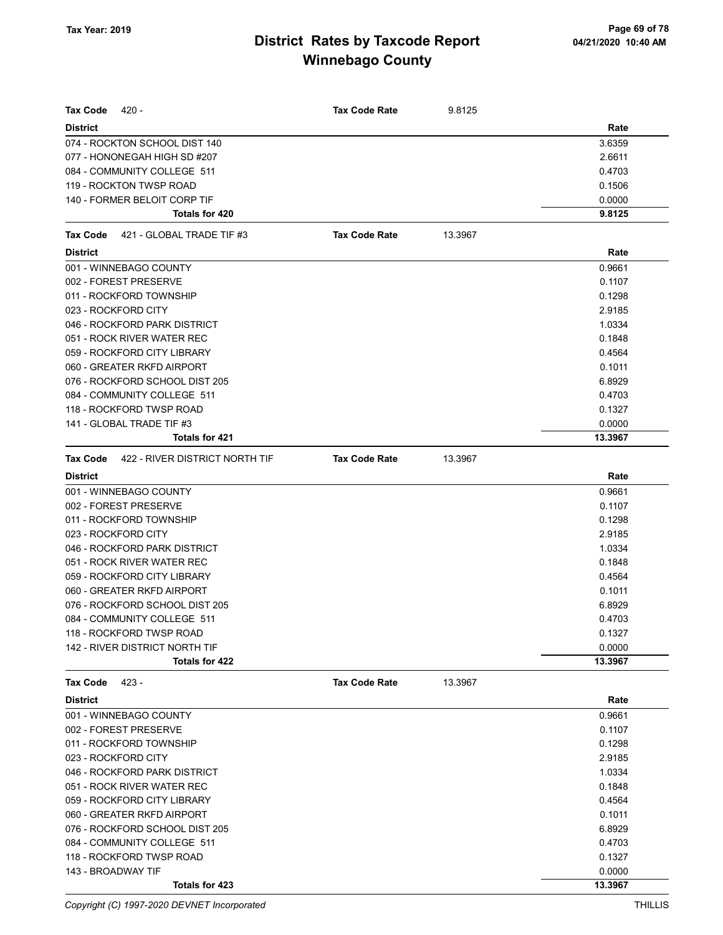| <b>Tax Code</b><br>420 -                          | <b>Tax Code Rate</b> | 9.8125  |         |
|---------------------------------------------------|----------------------|---------|---------|
| <b>District</b>                                   |                      |         | Rate    |
| 074 - ROCKTON SCHOOL DIST 140                     |                      |         | 3.6359  |
| 077 - HONONEGAH HIGH SD #207                      |                      |         | 2.6611  |
| 084 - COMMUNITY COLLEGE 511                       |                      |         | 0.4703  |
| 119 - ROCKTON TWSP ROAD                           |                      |         | 0.1506  |
| 140 - FORMER BELOIT CORP TIF                      |                      |         | 0.0000  |
| Totals for 420                                    |                      |         | 9.8125  |
| 421 - GLOBAL TRADE TIF #3<br>Tax Code             | <b>Tax Code Rate</b> | 13.3967 |         |
| <b>District</b>                                   |                      |         | Rate    |
| 001 - WINNEBAGO COUNTY                            |                      |         | 0.9661  |
| 002 - FOREST PRESERVE                             |                      |         | 0.1107  |
| 011 - ROCKFORD TOWNSHIP                           |                      |         | 0.1298  |
| 023 - ROCKFORD CITY                               |                      |         | 2.9185  |
| 046 - ROCKFORD PARK DISTRICT                      |                      |         | 1.0334  |
| 051 - ROCK RIVER WATER REC                        |                      |         | 0.1848  |
| 059 - ROCKFORD CITY LIBRARY                       |                      |         | 0.4564  |
| 060 - GREATER RKFD AIRPORT                        |                      |         | 0.1011  |
| 076 - ROCKFORD SCHOOL DIST 205                    |                      |         | 6.8929  |
| 084 - COMMUNITY COLLEGE 511                       |                      |         | 0.4703  |
| 118 - ROCKFORD TWSP ROAD                          |                      |         | 0.1327  |
| 141 - GLOBAL TRADE TIF #3                         |                      |         | 0.0000  |
| <b>Totals for 421</b>                             |                      |         | 13.3967 |
| <b>Tax Code</b><br>422 - RIVER DISTRICT NORTH TIF | <b>Tax Code Rate</b> | 13.3967 |         |
| <b>District</b>                                   |                      |         | Rate    |
| 001 - WINNEBAGO COUNTY                            |                      |         | 0.9661  |
| 002 - FOREST PRESERVE                             |                      |         | 0.1107  |
| 011 - ROCKFORD TOWNSHIP                           |                      |         | 0.1298  |
| 023 - ROCKFORD CITY                               |                      |         | 2.9185  |
| 046 - ROCKFORD PARK DISTRICT                      |                      |         | 1.0334  |
| 051 - ROCK RIVER WATER REC                        |                      |         | 0.1848  |
| 059 - ROCKFORD CITY LIBRARY                       |                      |         | 0.4564  |
| 060 - GREATER RKFD AIRPORT                        |                      |         | 0.1011  |
| 076 - ROCKFORD SCHOOL DIST 205                    |                      |         | 6.8929  |
| 084 - COMMUNITY COLLEGE 511                       |                      |         | 0.4703  |
| 118 - ROCKFORD TWSP ROAD                          |                      |         | 0.1327  |
| 142 - RIVER DISTRICT NORTH TIF                    |                      |         | 0.0000  |
| <b>Totals for 422</b>                             |                      |         | 13.3967 |
| Tax Code<br>423 -                                 | <b>Tax Code Rate</b> | 13.3967 |         |
| <b>District</b>                                   |                      |         | Rate    |
| 001 - WINNEBAGO COUNTY                            |                      |         | 0.9661  |
| 002 - FOREST PRESERVE                             |                      |         | 0.1107  |
| 011 - ROCKFORD TOWNSHIP                           |                      |         | 0.1298  |
| 023 - ROCKFORD CITY                               |                      |         | 2.9185  |
| 046 - ROCKFORD PARK DISTRICT                      |                      |         | 1.0334  |
| 051 - ROCK RIVER WATER REC                        |                      |         | 0.1848  |
| 059 - ROCKFORD CITY LIBRARY                       |                      |         | 0.4564  |
| 060 - GREATER RKFD AIRPORT                        |                      |         | 0.1011  |
| 076 - ROCKFORD SCHOOL DIST 205                    |                      |         | 6.8929  |
| 084 - COMMUNITY COLLEGE 511                       |                      |         | 0.4703  |
| 118 - ROCKFORD TWSP ROAD                          |                      |         | 0.1327  |
| 143 - BROADWAY TIF                                |                      |         | 0.0000  |
| Totals for 423                                    |                      |         | 13.3967 |

Copyright (C) 1997-2020 DEVNET Incorporated THILLIS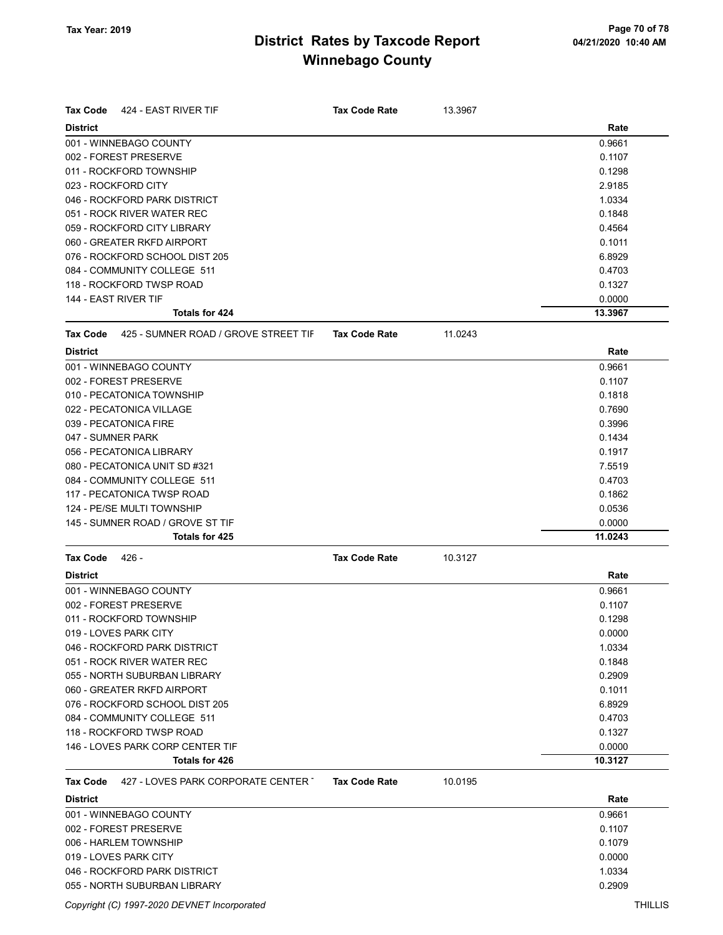| <b>Tax Code</b><br>424 - EAST RIVER TIF                 | <b>Tax Code Rate</b> | 13.3967 |         |
|---------------------------------------------------------|----------------------|---------|---------|
| <b>District</b>                                         |                      |         | Rate    |
| 001 - WINNEBAGO COUNTY                                  |                      |         | 0.9661  |
| 002 - FOREST PRESERVE                                   |                      |         | 0.1107  |
| 011 - ROCKFORD TOWNSHIP                                 |                      |         | 0.1298  |
| 023 - ROCKFORD CITY                                     |                      |         | 2.9185  |
| 046 - ROCKFORD PARK DISTRICT                            |                      |         | 1.0334  |
| 051 - ROCK RIVER WATER REC                              |                      |         | 0.1848  |
| 059 - ROCKFORD CITY LIBRARY                             |                      |         | 0.4564  |
| 060 - GREATER RKFD AIRPORT                              |                      |         | 0.1011  |
| 076 - ROCKFORD SCHOOL DIST 205                          |                      |         | 6.8929  |
| 084 - COMMUNITY COLLEGE 511                             |                      |         | 0.4703  |
| 118 - ROCKFORD TWSP ROAD                                |                      |         | 0.1327  |
| 144 - EAST RIVER TIF                                    |                      |         | 0.0000  |
| Totals for 424                                          |                      |         | 13.3967 |
| 425 - SUMNER ROAD / GROVE STREET TIF<br><b>Tax Code</b> | <b>Tax Code Rate</b> | 11.0243 |         |
| <b>District</b>                                         |                      |         | Rate    |
| 001 - WINNEBAGO COUNTY                                  |                      |         | 0.9661  |
| 002 - FOREST PRESERVE                                   |                      |         | 0.1107  |
| 010 - PECATONICA TOWNSHIP                               |                      |         | 0.1818  |
| 022 - PECATONICA VILLAGE                                |                      |         | 0.7690  |
| 039 - PECATONICA FIRE                                   |                      |         | 0.3996  |
| 047 - SUMNER PARK                                       |                      |         | 0.1434  |
| 056 - PECATONICA LIBRARY                                |                      |         | 0.1917  |
| 080 - PECATONICA UNIT SD #321                           |                      |         | 7.5519  |
| 084 - COMMUNITY COLLEGE 511                             |                      |         | 0.4703  |
| 117 - PECATONICA TWSP ROAD                              |                      |         | 0.1862  |
| 124 - PE/SE MULTI TOWNSHIP                              |                      |         | 0.0536  |
| 145 - SUMNER ROAD / GROVE ST TIF                        |                      |         | 0.0000  |
| <b>Totals for 425</b>                                   |                      |         | 11.0243 |
| <b>Tax Code</b><br>- 426                                | <b>Tax Code Rate</b> | 10.3127 |         |
| <b>District</b>                                         |                      |         | Rate    |
| 001 - WINNEBAGO COUNTY                                  |                      |         | 0.9661  |
| 002 - FOREST PRESERVE                                   |                      |         | 0.1107  |
| 011 - ROCKFORD TOWNSHIP                                 |                      |         | 0.1298  |
| 019 - LOVES PARK CITY                                   |                      |         | 0.0000  |
| 046 - ROCKFORD PARK DISTRICT                            |                      |         | 1.0334  |
| 051 - ROCK RIVER WATER REC                              |                      |         | 0.1848  |
| 055 - NORTH SUBURBAN LIBRARY                            |                      |         | 0.2909  |
| 060 - GREATER RKFD AIRPORT                              |                      |         | 0.1011  |
| 076 - ROCKFORD SCHOOL DIST 205                          |                      |         | 6.8929  |
| 084 - COMMUNITY COLLEGE 511                             |                      |         | 0.4703  |
| 118 - ROCKFORD TWSP ROAD                                |                      |         | 0.1327  |
| 146 - LOVES PARK CORP CENTER TIF                        |                      |         | 0.0000  |
| Totals for 426                                          |                      |         | 10.3127 |
| 427 - LOVES PARK CORPORATE CENTER T<br>Tax Code         | <b>Tax Code Rate</b> | 10.0195 |         |
| <b>District</b>                                         |                      |         | Rate    |
| 001 - WINNEBAGO COUNTY                                  |                      |         | 0.9661  |
| 002 - FOREST PRESERVE                                   |                      |         | 0.1107  |
| 006 - HARLEM TOWNSHIP                                   |                      |         | 0.1079  |

#### 019 - LOVES PARK CITY 0.0000 046 - ROCKFORD PARK DISTRICT **1.0334** 055 - NORTH SUBURBAN LIBRARY 0.2909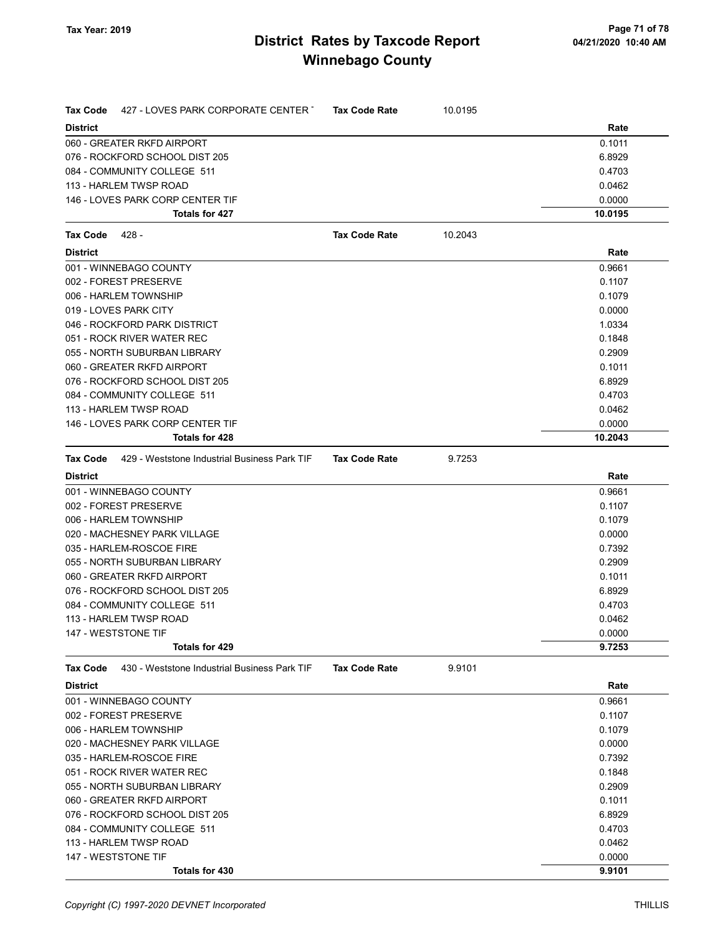| Tax Code        | 427 - LOVES PARK CORPORATE CENTER T                          | <b>Tax Code Rate</b> | 10.0195 |         |
|-----------------|--------------------------------------------------------------|----------------------|---------|---------|
| <b>District</b> |                                                              |                      |         | Rate    |
|                 | 060 - GREATER RKFD AIRPORT                                   |                      |         | 0.1011  |
|                 | 076 - ROCKFORD SCHOOL DIST 205                               |                      |         | 6.8929  |
|                 | 084 - COMMUNITY COLLEGE 511                                  |                      |         | 0.4703  |
|                 | 113 - HARLEM TWSP ROAD                                       |                      |         | 0.0462  |
|                 | 146 - LOVES PARK CORP CENTER TIF                             |                      |         | 0.0000  |
|                 | Totals for 427                                               |                      |         | 10.0195 |
| Tax Code        | 428 -                                                        | <b>Tax Code Rate</b> | 10.2043 |         |
| <b>District</b> |                                                              |                      |         | Rate    |
|                 | 001 - WINNEBAGO COUNTY                                       |                      |         | 0.9661  |
|                 | 002 - FOREST PRESERVE                                        |                      |         | 0.1107  |
|                 | 006 - HARLEM TOWNSHIP                                        |                      |         | 0.1079  |
|                 | 019 - LOVES PARK CITY                                        |                      |         | 0.0000  |
|                 | 046 - ROCKFORD PARK DISTRICT                                 |                      |         | 1.0334  |
|                 | 051 - ROCK RIVER WATER REC                                   |                      |         | 0.1848  |
|                 | 055 - NORTH SUBURBAN LIBRARY                                 |                      |         | 0.2909  |
|                 | 060 - GREATER RKFD AIRPORT                                   |                      |         | 0.1011  |
|                 | 076 - ROCKFORD SCHOOL DIST 205                               |                      |         | 6.8929  |
|                 | 084 - COMMUNITY COLLEGE 511                                  |                      |         | 0.4703  |
|                 | 113 - HARLEM TWSP ROAD                                       |                      |         | 0.0462  |
|                 | 146 - LOVES PARK CORP CENTER TIF                             |                      |         | 0.0000  |
|                 | <b>Totals for 428</b>                                        |                      |         | 10.2043 |
|                 | <b>Tax Code</b> 429 - Weststone Industrial Business Park TIF | <b>Tax Code Rate</b> | 9.7253  |         |
| <b>District</b> |                                                              |                      |         | Rate    |
|                 | 001 - WINNEBAGO COUNTY                                       |                      |         | 0.9661  |
|                 | 002 - FOREST PRESERVE                                        |                      |         | 0.1107  |
|                 | 006 - HARLEM TOWNSHIP                                        |                      |         | 0.1079  |
|                 | 020 - MACHESNEY PARK VILLAGE                                 |                      |         | 0.0000  |
|                 | 035 - HARLEM-ROSCOE FIRE                                     |                      |         | 0.7392  |
|                 | 055 - NORTH SUBURBAN LIBRARY                                 |                      |         | 0.2909  |
|                 | 060 - GREATER RKFD AIRPORT                                   |                      |         | 0.1011  |
|                 | 076 - ROCKFORD SCHOOL DIST 205                               |                      |         | 6.8929  |
|                 | 084 - COMMUNITY COLLEGE 511                                  |                      |         | 0.4703  |
|                 | 113 - HARLEM TWSP ROAD                                       |                      |         | 0.0462  |
|                 | 147 - WESTSTONE TIF                                          |                      |         | 0.0000  |
|                 | <b>Totals for 429</b>                                        |                      |         | 9.7253  |
| Tax Code        | 430 - Weststone Industrial Business Park TIF                 | <b>Tax Code Rate</b> | 9.9101  |         |
| <b>District</b> |                                                              |                      |         | Rate    |
|                 | 001 - WINNEBAGO COUNTY                                       |                      |         | 0.9661  |
|                 | 002 - FOREST PRESERVE                                        |                      |         | 0.1107  |
|                 | 006 - HARLEM TOWNSHIP                                        |                      |         | 0.1079  |
|                 | 020 - MACHESNEY PARK VILLAGE                                 |                      |         | 0.0000  |
|                 | 035 - HARLEM-ROSCOE FIRE                                     |                      |         | 0.7392  |
|                 | 051 - ROCK RIVER WATER REC                                   |                      |         | 0.1848  |
|                 | 055 - NORTH SUBURBAN LIBRARY                                 |                      |         | 0.2909  |
|                 | 060 - GREATER RKFD AIRPORT                                   |                      |         | 0.1011  |
|                 | 076 - ROCKFORD SCHOOL DIST 205                               |                      |         | 6.8929  |
|                 | 084 - COMMUNITY COLLEGE 511                                  |                      |         | 0.4703  |
|                 | 113 - HARLEM TWSP ROAD                                       |                      |         | 0.0462  |
|                 | 147 - WESTSTONE TIF                                          |                      |         | 0.0000  |
|                 | Totals for 430                                               |                      |         | 9.9101  |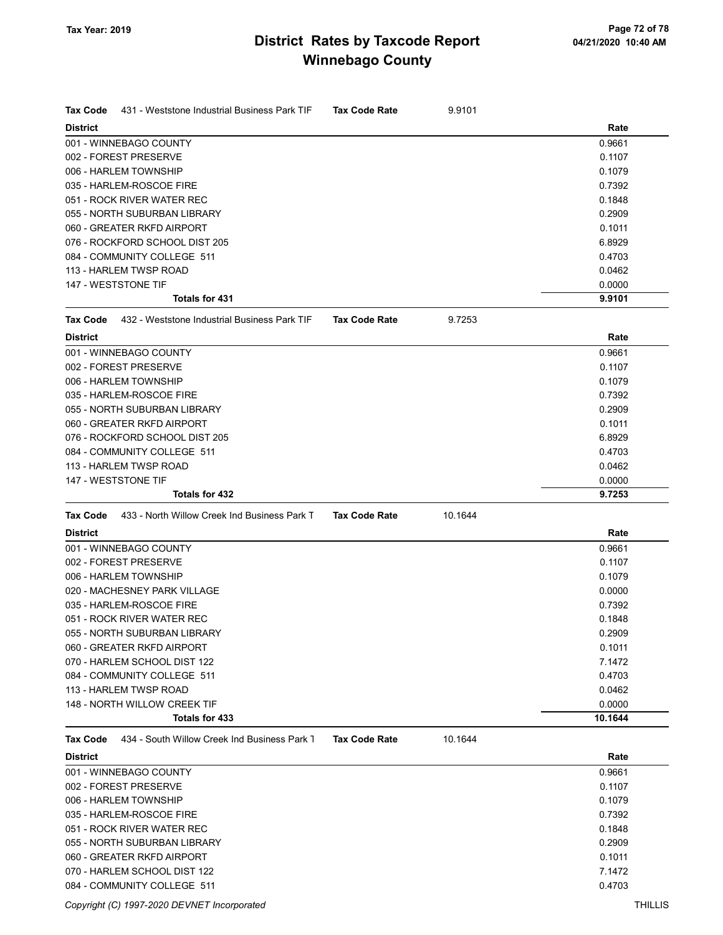| <b>Tax Code</b><br>431 - Weststone Industrial Business Park TIF | <b>Tax Code Rate</b> | 9.9101  |                  |
|-----------------------------------------------------------------|----------------------|---------|------------------|
| <b>District</b>                                                 |                      |         | Rate             |
| 001 - WINNEBAGO COUNTY                                          |                      |         | 0.9661           |
| 002 - FOREST PRESERVE                                           |                      |         | 0.1107           |
| 006 - HARLEM TOWNSHIP                                           |                      |         | 0.1079           |
| 035 - HARLEM-ROSCOE FIRE                                        |                      |         | 0.7392           |
| 051 - ROCK RIVER WATER REC                                      |                      |         | 0.1848           |
| 055 - NORTH SUBURBAN LIBRARY                                    |                      |         | 0.2909           |
| 060 - GREATER RKFD AIRPORT                                      |                      |         | 0.1011           |
| 076 - ROCKFORD SCHOOL DIST 205                                  |                      |         | 6.8929           |
| 084 - COMMUNITY COLLEGE 511                                     |                      |         | 0.4703           |
| 113 - HARLEM TWSP ROAD                                          |                      |         | 0.0462           |
| 147 - WESTSTONE TIF<br>Totals for 431                           |                      |         | 0.0000<br>9.9101 |
|                                                                 |                      |         |                  |
| <b>Tax Code</b><br>432 - Weststone Industrial Business Park TIF | <b>Tax Code Rate</b> | 9.7253  |                  |
| <b>District</b>                                                 |                      |         | Rate             |
| 001 - WINNEBAGO COUNTY                                          |                      |         | 0.9661           |
| 002 - FOREST PRESERVE                                           |                      |         | 0.1107           |
| 006 - HARLEM TOWNSHIP                                           |                      |         | 0.1079           |
| 035 - HARLEM-ROSCOE FIRE                                        |                      |         | 0.7392           |
| 055 - NORTH SUBURBAN LIBRARY                                    |                      |         | 0.2909           |
| 060 - GREATER RKFD AIRPORT                                      |                      |         | 0.1011           |
| 076 - ROCKFORD SCHOOL DIST 205                                  |                      |         | 6.8929           |
| 084 - COMMUNITY COLLEGE 511                                     |                      |         | 0.4703           |
| 113 - HARLEM TWSP ROAD                                          |                      |         | 0.0462           |
| 147 - WESTSTONE TIF                                             |                      |         | 0.0000           |
| <b>Totals for 432</b>                                           |                      |         | 9.7253           |
| 433 - North Willow Creek Ind Business Park T<br><b>Tax Code</b> | <b>Tax Code Rate</b> | 10.1644 |                  |
| <b>District</b>                                                 |                      |         | Rate             |
| 001 - WINNEBAGO COUNTY                                          |                      |         | 0.9661           |
| 002 - FOREST PRESERVE                                           |                      |         | 0.1107           |
| 006 - HARLEM TOWNSHIP                                           |                      |         | 0.1079           |
| 020 - MACHESNEY PARK VILLAGE                                    |                      |         | 0.0000           |
| 035 - HARLEM-ROSCOE FIRE                                        |                      |         | 0.7392           |
| 051 - ROCK RIVER WATER REC                                      |                      |         | 0.1848           |
| 055 - NORTH SUBURBAN LIBRARY                                    |                      |         | 0.2909           |
| 060 - GREATER RKFD AIRPORT                                      |                      |         | 0.1011           |
| 070 - HARLEM SCHOOL DIST 122                                    |                      |         | 7.1472           |
| 084 - COMMUNITY COLLEGE 511                                     |                      |         | 0.4703           |
| 113 - HARLEM TWSP ROAD                                          |                      |         | 0.0462           |
| 148 - NORTH WILLOW CREEK TIF                                    |                      |         | 0.0000           |
| Totals for 433                                                  |                      |         | 10.1644          |
| 434 - South Willow Creek Ind Business Park 1<br><b>Tax Code</b> | <b>Tax Code Rate</b> | 10.1644 |                  |
| <b>District</b>                                                 |                      |         | Rate             |
| 001 - WINNEBAGO COUNTY                                          |                      |         | 0.9661           |
| 002 - FOREST PRESERVE                                           |                      |         |                  |
|                                                                 |                      |         | 0.1107           |
| 006 - HARLEM TOWNSHIP                                           |                      |         | 0.1079           |
| 035 - HARLEM-ROSCOE FIRE                                        |                      |         | 0.7392           |
| 051 - ROCK RIVER WATER REC                                      |                      |         | 0.1848           |
| 055 - NORTH SUBURBAN LIBRARY                                    |                      |         | 0.2909           |
| 060 - GREATER RKFD AIRPORT                                      |                      |         | 0.1011           |

070 - HARLEM SCHOOL DIST 122 7.1472 084 - COMMUNITY COLLEGE 511 0.4703

Copyright (C) 1997-2020 DEVNET Incorporated THILLIS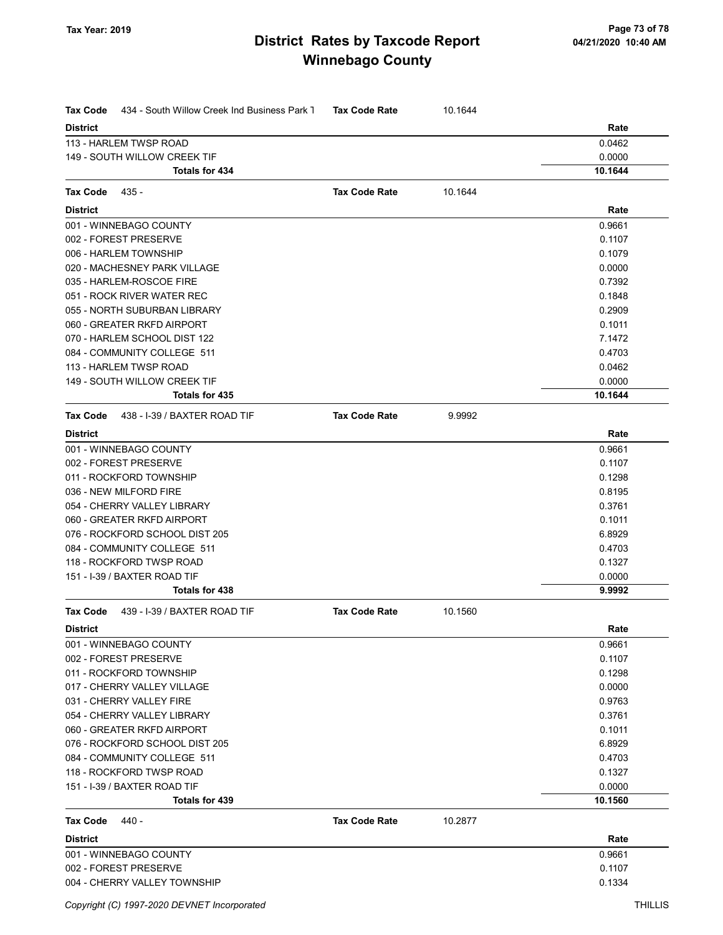| <b>District</b><br>Rate<br>0.0462<br>113 - HARLEM TWSP ROAD<br>0.0000<br>149 - SOUTH WILLOW CREEK TIF<br>10.1644<br>Totals for 434<br><b>Tax Code Rate</b><br>10.1644<br>Tax Code<br>435 -<br><b>District</b><br>Rate<br>001 - WINNEBAGO COUNTY<br>0.9661<br>002 - FOREST PRESERVE<br>0.1107<br>006 - HARLEM TOWNSHIP<br>0.1079<br>020 - MACHESNEY PARK VILLAGE<br>0.0000<br>035 - HARLEM-ROSCOE FIRE<br>0.7392<br>051 - ROCK RIVER WATER REC<br>0.1848<br>055 - NORTH SUBURBAN LIBRARY<br>0.2909<br>060 - GREATER RKFD AIRPORT<br>0.1011<br>070 - HARLEM SCHOOL DIST 122<br>7.1472<br>084 - COMMUNITY COLLEGE 511<br>0.4703<br>113 - HARLEM TWSP ROAD<br>0.0462<br>149 - SOUTH WILLOW CREEK TIF<br>0.0000<br>10.1644<br>Totals for 435<br><b>Tax Code Rate</b><br>Tax Code<br>438 - I-39 / BAXTER ROAD TIF<br>9.9992<br><b>District</b><br>Rate<br>001 - WINNEBAGO COUNTY<br>0.9661<br>002 - FOREST PRESERVE<br>0.1107<br>011 - ROCKFORD TOWNSHIP<br>0.1298<br>036 - NEW MILFORD FIRE<br>0.8195<br>054 - CHERRY VALLEY LIBRARY<br>0.3761<br>060 - GREATER RKFD AIRPORT<br>0.1011<br>076 - ROCKFORD SCHOOL DIST 205<br>6.8929<br>084 - COMMUNITY COLLEGE 511<br>0.4703<br>118 - ROCKFORD TWSP ROAD<br>0.1327<br>151 - I-39 / BAXTER ROAD TIF<br>0.0000<br>9.9992<br>Totals for 438<br><b>Tax Code</b><br>439 - I-39 / BAXTER ROAD TIF<br><b>Tax Code Rate</b><br>10.1560<br><b>District</b><br>Rate<br>001 - WINNEBAGO COUNTY<br>0.9661<br>002 - FOREST PRESERVE<br>0.1107<br>011 - ROCKFORD TOWNSHIP<br>0.1298<br>017 - CHERRY VALLEY VILLAGE<br>0.0000<br>0.9763<br>031 - CHERRY VALLEY FIRE<br>054 - CHERRY VALLEY LIBRARY<br>0.3761<br>060 - GREATER RKFD AIRPORT<br>0.1011<br>6.8929<br>076 - ROCKFORD SCHOOL DIST 205<br>0.4703<br>084 - COMMUNITY COLLEGE 511<br>118 - ROCKFORD TWSP ROAD<br>0.1327<br>151 - I-39 / BAXTER ROAD TIF<br>0.0000<br>10.1560<br>Totals for 439<br>Tax Code<br>440 -<br><b>Tax Code Rate</b><br>10.2877<br><b>District</b><br>Rate<br>001 - WINNEBAGO COUNTY<br>0.9661<br>002 - FOREST PRESERVE<br>0.1107<br>004 - CHERRY VALLEY TOWNSHIP<br>0.1334 | Tax Code<br>434 - South Willow Creek Ind Business Park 1 | <b>Tax Code Rate</b> | 10.1644 |  |
|---------------------------------------------------------------------------------------------------------------------------------------------------------------------------------------------------------------------------------------------------------------------------------------------------------------------------------------------------------------------------------------------------------------------------------------------------------------------------------------------------------------------------------------------------------------------------------------------------------------------------------------------------------------------------------------------------------------------------------------------------------------------------------------------------------------------------------------------------------------------------------------------------------------------------------------------------------------------------------------------------------------------------------------------------------------------------------------------------------------------------------------------------------------------------------------------------------------------------------------------------------------------------------------------------------------------------------------------------------------------------------------------------------------------------------------------------------------------------------------------------------------------------------------------------------------------------------------------------------------------------------------------------------------------------------------------------------------------------------------------------------------------------------------------------------------------------------------------------------------------------------------------------------------------------------------------------------------------------------------------------------------------------------------------------------------------------------------|----------------------------------------------------------|----------------------|---------|--|
|                                                                                                                                                                                                                                                                                                                                                                                                                                                                                                                                                                                                                                                                                                                                                                                                                                                                                                                                                                                                                                                                                                                                                                                                                                                                                                                                                                                                                                                                                                                                                                                                                                                                                                                                                                                                                                                                                                                                                                                                                                                                                       |                                                          |                      |         |  |
|                                                                                                                                                                                                                                                                                                                                                                                                                                                                                                                                                                                                                                                                                                                                                                                                                                                                                                                                                                                                                                                                                                                                                                                                                                                                                                                                                                                                                                                                                                                                                                                                                                                                                                                                                                                                                                                                                                                                                                                                                                                                                       |                                                          |                      |         |  |
|                                                                                                                                                                                                                                                                                                                                                                                                                                                                                                                                                                                                                                                                                                                                                                                                                                                                                                                                                                                                                                                                                                                                                                                                                                                                                                                                                                                                                                                                                                                                                                                                                                                                                                                                                                                                                                                                                                                                                                                                                                                                                       |                                                          |                      |         |  |
|                                                                                                                                                                                                                                                                                                                                                                                                                                                                                                                                                                                                                                                                                                                                                                                                                                                                                                                                                                                                                                                                                                                                                                                                                                                                                                                                                                                                                                                                                                                                                                                                                                                                                                                                                                                                                                                                                                                                                                                                                                                                                       |                                                          |                      |         |  |
|                                                                                                                                                                                                                                                                                                                                                                                                                                                                                                                                                                                                                                                                                                                                                                                                                                                                                                                                                                                                                                                                                                                                                                                                                                                                                                                                                                                                                                                                                                                                                                                                                                                                                                                                                                                                                                                                                                                                                                                                                                                                                       |                                                          |                      |         |  |
|                                                                                                                                                                                                                                                                                                                                                                                                                                                                                                                                                                                                                                                                                                                                                                                                                                                                                                                                                                                                                                                                                                                                                                                                                                                                                                                                                                                                                                                                                                                                                                                                                                                                                                                                                                                                                                                                                                                                                                                                                                                                                       |                                                          |                      |         |  |
|                                                                                                                                                                                                                                                                                                                                                                                                                                                                                                                                                                                                                                                                                                                                                                                                                                                                                                                                                                                                                                                                                                                                                                                                                                                                                                                                                                                                                                                                                                                                                                                                                                                                                                                                                                                                                                                                                                                                                                                                                                                                                       |                                                          |                      |         |  |
|                                                                                                                                                                                                                                                                                                                                                                                                                                                                                                                                                                                                                                                                                                                                                                                                                                                                                                                                                                                                                                                                                                                                                                                                                                                                                                                                                                                                                                                                                                                                                                                                                                                                                                                                                                                                                                                                                                                                                                                                                                                                                       |                                                          |                      |         |  |
|                                                                                                                                                                                                                                                                                                                                                                                                                                                                                                                                                                                                                                                                                                                                                                                                                                                                                                                                                                                                                                                                                                                                                                                                                                                                                                                                                                                                                                                                                                                                                                                                                                                                                                                                                                                                                                                                                                                                                                                                                                                                                       |                                                          |                      |         |  |
|                                                                                                                                                                                                                                                                                                                                                                                                                                                                                                                                                                                                                                                                                                                                                                                                                                                                                                                                                                                                                                                                                                                                                                                                                                                                                                                                                                                                                                                                                                                                                                                                                                                                                                                                                                                                                                                                                                                                                                                                                                                                                       |                                                          |                      |         |  |
|                                                                                                                                                                                                                                                                                                                                                                                                                                                                                                                                                                                                                                                                                                                                                                                                                                                                                                                                                                                                                                                                                                                                                                                                                                                                                                                                                                                                                                                                                                                                                                                                                                                                                                                                                                                                                                                                                                                                                                                                                                                                                       |                                                          |                      |         |  |
|                                                                                                                                                                                                                                                                                                                                                                                                                                                                                                                                                                                                                                                                                                                                                                                                                                                                                                                                                                                                                                                                                                                                                                                                                                                                                                                                                                                                                                                                                                                                                                                                                                                                                                                                                                                                                                                                                                                                                                                                                                                                                       |                                                          |                      |         |  |
|                                                                                                                                                                                                                                                                                                                                                                                                                                                                                                                                                                                                                                                                                                                                                                                                                                                                                                                                                                                                                                                                                                                                                                                                                                                                                                                                                                                                                                                                                                                                                                                                                                                                                                                                                                                                                                                                                                                                                                                                                                                                                       |                                                          |                      |         |  |
|                                                                                                                                                                                                                                                                                                                                                                                                                                                                                                                                                                                                                                                                                                                                                                                                                                                                                                                                                                                                                                                                                                                                                                                                                                                                                                                                                                                                                                                                                                                                                                                                                                                                                                                                                                                                                                                                                                                                                                                                                                                                                       |                                                          |                      |         |  |
|                                                                                                                                                                                                                                                                                                                                                                                                                                                                                                                                                                                                                                                                                                                                                                                                                                                                                                                                                                                                                                                                                                                                                                                                                                                                                                                                                                                                                                                                                                                                                                                                                                                                                                                                                                                                                                                                                                                                                                                                                                                                                       |                                                          |                      |         |  |
|                                                                                                                                                                                                                                                                                                                                                                                                                                                                                                                                                                                                                                                                                                                                                                                                                                                                                                                                                                                                                                                                                                                                                                                                                                                                                                                                                                                                                                                                                                                                                                                                                                                                                                                                                                                                                                                                                                                                                                                                                                                                                       |                                                          |                      |         |  |
|                                                                                                                                                                                                                                                                                                                                                                                                                                                                                                                                                                                                                                                                                                                                                                                                                                                                                                                                                                                                                                                                                                                                                                                                                                                                                                                                                                                                                                                                                                                                                                                                                                                                                                                                                                                                                                                                                                                                                                                                                                                                                       |                                                          |                      |         |  |
|                                                                                                                                                                                                                                                                                                                                                                                                                                                                                                                                                                                                                                                                                                                                                                                                                                                                                                                                                                                                                                                                                                                                                                                                                                                                                                                                                                                                                                                                                                                                                                                                                                                                                                                                                                                                                                                                                                                                                                                                                                                                                       |                                                          |                      |         |  |
|                                                                                                                                                                                                                                                                                                                                                                                                                                                                                                                                                                                                                                                                                                                                                                                                                                                                                                                                                                                                                                                                                                                                                                                                                                                                                                                                                                                                                                                                                                                                                                                                                                                                                                                                                                                                                                                                                                                                                                                                                                                                                       |                                                          |                      |         |  |
|                                                                                                                                                                                                                                                                                                                                                                                                                                                                                                                                                                                                                                                                                                                                                                                                                                                                                                                                                                                                                                                                                                                                                                                                                                                                                                                                                                                                                                                                                                                                                                                                                                                                                                                                                                                                                                                                                                                                                                                                                                                                                       |                                                          |                      |         |  |
|                                                                                                                                                                                                                                                                                                                                                                                                                                                                                                                                                                                                                                                                                                                                                                                                                                                                                                                                                                                                                                                                                                                                                                                                                                                                                                                                                                                                                                                                                                                                                                                                                                                                                                                                                                                                                                                                                                                                                                                                                                                                                       |                                                          |                      |         |  |
|                                                                                                                                                                                                                                                                                                                                                                                                                                                                                                                                                                                                                                                                                                                                                                                                                                                                                                                                                                                                                                                                                                                                                                                                                                                                                                                                                                                                                                                                                                                                                                                                                                                                                                                                                                                                                                                                                                                                                                                                                                                                                       |                                                          |                      |         |  |
|                                                                                                                                                                                                                                                                                                                                                                                                                                                                                                                                                                                                                                                                                                                                                                                                                                                                                                                                                                                                                                                                                                                                                                                                                                                                                                                                                                                                                                                                                                                                                                                                                                                                                                                                                                                                                                                                                                                                                                                                                                                                                       |                                                          |                      |         |  |
|                                                                                                                                                                                                                                                                                                                                                                                                                                                                                                                                                                                                                                                                                                                                                                                                                                                                                                                                                                                                                                                                                                                                                                                                                                                                                                                                                                                                                                                                                                                                                                                                                                                                                                                                                                                                                                                                                                                                                                                                                                                                                       |                                                          |                      |         |  |
|                                                                                                                                                                                                                                                                                                                                                                                                                                                                                                                                                                                                                                                                                                                                                                                                                                                                                                                                                                                                                                                                                                                                                                                                                                                                                                                                                                                                                                                                                                                                                                                                                                                                                                                                                                                                                                                                                                                                                                                                                                                                                       |                                                          |                      |         |  |
|                                                                                                                                                                                                                                                                                                                                                                                                                                                                                                                                                                                                                                                                                                                                                                                                                                                                                                                                                                                                                                                                                                                                                                                                                                                                                                                                                                                                                                                                                                                                                                                                                                                                                                                                                                                                                                                                                                                                                                                                                                                                                       |                                                          |                      |         |  |
|                                                                                                                                                                                                                                                                                                                                                                                                                                                                                                                                                                                                                                                                                                                                                                                                                                                                                                                                                                                                                                                                                                                                                                                                                                                                                                                                                                                                                                                                                                                                                                                                                                                                                                                                                                                                                                                                                                                                                                                                                                                                                       |                                                          |                      |         |  |
|                                                                                                                                                                                                                                                                                                                                                                                                                                                                                                                                                                                                                                                                                                                                                                                                                                                                                                                                                                                                                                                                                                                                                                                                                                                                                                                                                                                                                                                                                                                                                                                                                                                                                                                                                                                                                                                                                                                                                                                                                                                                                       |                                                          |                      |         |  |
|                                                                                                                                                                                                                                                                                                                                                                                                                                                                                                                                                                                                                                                                                                                                                                                                                                                                                                                                                                                                                                                                                                                                                                                                                                                                                                                                                                                                                                                                                                                                                                                                                                                                                                                                                                                                                                                                                                                                                                                                                                                                                       |                                                          |                      |         |  |
|                                                                                                                                                                                                                                                                                                                                                                                                                                                                                                                                                                                                                                                                                                                                                                                                                                                                                                                                                                                                                                                                                                                                                                                                                                                                                                                                                                                                                                                                                                                                                                                                                                                                                                                                                                                                                                                                                                                                                                                                                                                                                       |                                                          |                      |         |  |
|                                                                                                                                                                                                                                                                                                                                                                                                                                                                                                                                                                                                                                                                                                                                                                                                                                                                                                                                                                                                                                                                                                                                                                                                                                                                                                                                                                                                                                                                                                                                                                                                                                                                                                                                                                                                                                                                                                                                                                                                                                                                                       |                                                          |                      |         |  |
|                                                                                                                                                                                                                                                                                                                                                                                                                                                                                                                                                                                                                                                                                                                                                                                                                                                                                                                                                                                                                                                                                                                                                                                                                                                                                                                                                                                                                                                                                                                                                                                                                                                                                                                                                                                                                                                                                                                                                                                                                                                                                       |                                                          |                      |         |  |
|                                                                                                                                                                                                                                                                                                                                                                                                                                                                                                                                                                                                                                                                                                                                                                                                                                                                                                                                                                                                                                                                                                                                                                                                                                                                                                                                                                                                                                                                                                                                                                                                                                                                                                                                                                                                                                                                                                                                                                                                                                                                                       |                                                          |                      |         |  |
|                                                                                                                                                                                                                                                                                                                                                                                                                                                                                                                                                                                                                                                                                                                                                                                                                                                                                                                                                                                                                                                                                                                                                                                                                                                                                                                                                                                                                                                                                                                                                                                                                                                                                                                                                                                                                                                                                                                                                                                                                                                                                       |                                                          |                      |         |  |
|                                                                                                                                                                                                                                                                                                                                                                                                                                                                                                                                                                                                                                                                                                                                                                                                                                                                                                                                                                                                                                                                                                                                                                                                                                                                                                                                                                                                                                                                                                                                                                                                                                                                                                                                                                                                                                                                                                                                                                                                                                                                                       |                                                          |                      |         |  |
|                                                                                                                                                                                                                                                                                                                                                                                                                                                                                                                                                                                                                                                                                                                                                                                                                                                                                                                                                                                                                                                                                                                                                                                                                                                                                                                                                                                                                                                                                                                                                                                                                                                                                                                                                                                                                                                                                                                                                                                                                                                                                       |                                                          |                      |         |  |
|                                                                                                                                                                                                                                                                                                                                                                                                                                                                                                                                                                                                                                                                                                                                                                                                                                                                                                                                                                                                                                                                                                                                                                                                                                                                                                                                                                                                                                                                                                                                                                                                                                                                                                                                                                                                                                                                                                                                                                                                                                                                                       |                                                          |                      |         |  |
|                                                                                                                                                                                                                                                                                                                                                                                                                                                                                                                                                                                                                                                                                                                                                                                                                                                                                                                                                                                                                                                                                                                                                                                                                                                                                                                                                                                                                                                                                                                                                                                                                                                                                                                                                                                                                                                                                                                                                                                                                                                                                       |                                                          |                      |         |  |
|                                                                                                                                                                                                                                                                                                                                                                                                                                                                                                                                                                                                                                                                                                                                                                                                                                                                                                                                                                                                                                                                                                                                                                                                                                                                                                                                                                                                                                                                                                                                                                                                                                                                                                                                                                                                                                                                                                                                                                                                                                                                                       |                                                          |                      |         |  |
|                                                                                                                                                                                                                                                                                                                                                                                                                                                                                                                                                                                                                                                                                                                                                                                                                                                                                                                                                                                                                                                                                                                                                                                                                                                                                                                                                                                                                                                                                                                                                                                                                                                                                                                                                                                                                                                                                                                                                                                                                                                                                       |                                                          |                      |         |  |
|                                                                                                                                                                                                                                                                                                                                                                                                                                                                                                                                                                                                                                                                                                                                                                                                                                                                                                                                                                                                                                                                                                                                                                                                                                                                                                                                                                                                                                                                                                                                                                                                                                                                                                                                                                                                                                                                                                                                                                                                                                                                                       |                                                          |                      |         |  |
|                                                                                                                                                                                                                                                                                                                                                                                                                                                                                                                                                                                                                                                                                                                                                                                                                                                                                                                                                                                                                                                                                                                                                                                                                                                                                                                                                                                                                                                                                                                                                                                                                                                                                                                                                                                                                                                                                                                                                                                                                                                                                       |                                                          |                      |         |  |
|                                                                                                                                                                                                                                                                                                                                                                                                                                                                                                                                                                                                                                                                                                                                                                                                                                                                                                                                                                                                                                                                                                                                                                                                                                                                                                                                                                                                                                                                                                                                                                                                                                                                                                                                                                                                                                                                                                                                                                                                                                                                                       |                                                          |                      |         |  |
|                                                                                                                                                                                                                                                                                                                                                                                                                                                                                                                                                                                                                                                                                                                                                                                                                                                                                                                                                                                                                                                                                                                                                                                                                                                                                                                                                                                                                                                                                                                                                                                                                                                                                                                                                                                                                                                                                                                                                                                                                                                                                       |                                                          |                      |         |  |
|                                                                                                                                                                                                                                                                                                                                                                                                                                                                                                                                                                                                                                                                                                                                                                                                                                                                                                                                                                                                                                                                                                                                                                                                                                                                                                                                                                                                                                                                                                                                                                                                                                                                                                                                                                                                                                                                                                                                                                                                                                                                                       |                                                          |                      |         |  |
|                                                                                                                                                                                                                                                                                                                                                                                                                                                                                                                                                                                                                                                                                                                                                                                                                                                                                                                                                                                                                                                                                                                                                                                                                                                                                                                                                                                                                                                                                                                                                                                                                                                                                                                                                                                                                                                                                                                                                                                                                                                                                       |                                                          |                      |         |  |
|                                                                                                                                                                                                                                                                                                                                                                                                                                                                                                                                                                                                                                                                                                                                                                                                                                                                                                                                                                                                                                                                                                                                                                                                                                                                                                                                                                                                                                                                                                                                                                                                                                                                                                                                                                                                                                                                                                                                                                                                                                                                                       |                                                          |                      |         |  |
|                                                                                                                                                                                                                                                                                                                                                                                                                                                                                                                                                                                                                                                                                                                                                                                                                                                                                                                                                                                                                                                                                                                                                                                                                                                                                                                                                                                                                                                                                                                                                                                                                                                                                                                                                                                                                                                                                                                                                                                                                                                                                       |                                                          |                      |         |  |
|                                                                                                                                                                                                                                                                                                                                                                                                                                                                                                                                                                                                                                                                                                                                                                                                                                                                                                                                                                                                                                                                                                                                                                                                                                                                                                                                                                                                                                                                                                                                                                                                                                                                                                                                                                                                                                                                                                                                                                                                                                                                                       |                                                          |                      |         |  |
|                                                                                                                                                                                                                                                                                                                                                                                                                                                                                                                                                                                                                                                                                                                                                                                                                                                                                                                                                                                                                                                                                                                                                                                                                                                                                                                                                                                                                                                                                                                                                                                                                                                                                                                                                                                                                                                                                                                                                                                                                                                                                       |                                                          |                      |         |  |
|                                                                                                                                                                                                                                                                                                                                                                                                                                                                                                                                                                                                                                                                                                                                                                                                                                                                                                                                                                                                                                                                                                                                                                                                                                                                                                                                                                                                                                                                                                                                                                                                                                                                                                                                                                                                                                                                                                                                                                                                                                                                                       |                                                          |                      |         |  |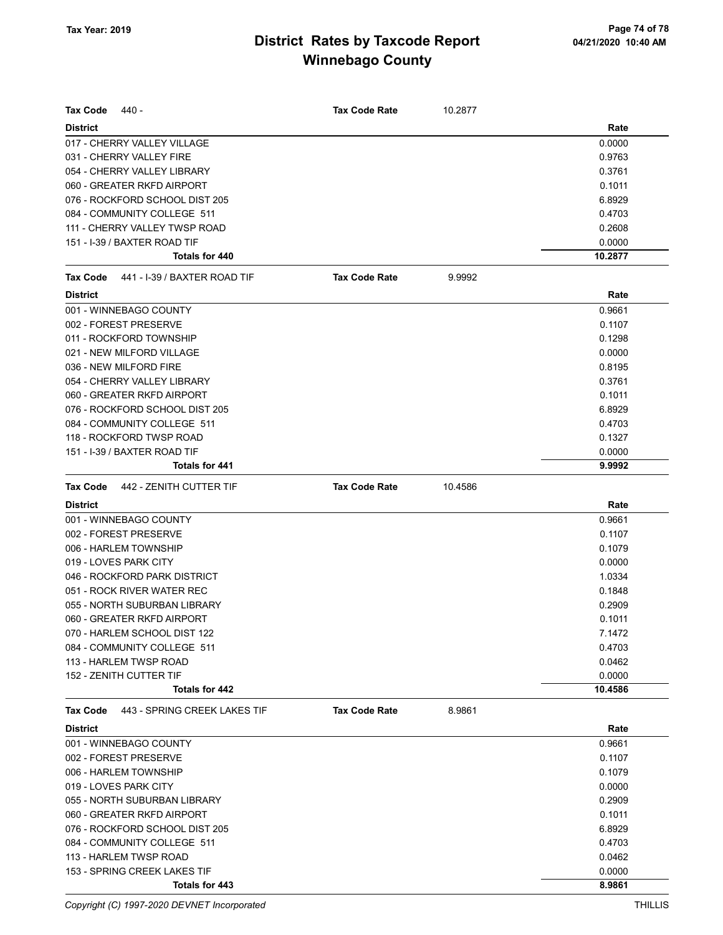| <b>Tax Code</b><br>440 -                        | <b>Tax Code Rate</b> | 10.2877 |                  |
|-------------------------------------------------|----------------------|---------|------------------|
| <b>District</b>                                 |                      |         | Rate             |
| 017 - CHERRY VALLEY VILLAGE                     |                      |         | 0.0000           |
| 031 - CHERRY VALLEY FIRE                        |                      |         | 0.9763           |
| 054 - CHERRY VALLEY LIBRARY                     |                      |         | 0.3761           |
| 060 - GREATER RKFD AIRPORT                      |                      |         | 0.1011           |
| 076 - ROCKFORD SCHOOL DIST 205                  |                      |         | 6.8929           |
| 084 - COMMUNITY COLLEGE 511                     |                      |         | 0.4703           |
| 111 - CHERRY VALLEY TWSP ROAD                   |                      |         | 0.2608           |
| 151 - I-39 / BAXTER ROAD TIF                    |                      |         | 0.0000           |
| Totals for 440                                  |                      |         | 10.2877          |
| 441 - I-39 / BAXTER ROAD TIF<br><b>Tax Code</b> | <b>Tax Code Rate</b> | 9.9992  |                  |
| <b>District</b>                                 |                      |         | Rate             |
| 001 - WINNEBAGO COUNTY                          |                      |         | 0.9661           |
| 002 - FOREST PRESERVE                           |                      |         | 0.1107           |
| 011 - ROCKFORD TOWNSHIP                         |                      |         | 0.1298           |
| 021 - NEW MILFORD VILLAGE                       |                      |         | 0.0000           |
| 036 - NEW MILFORD FIRE                          |                      |         | 0.8195           |
| 054 - CHERRY VALLEY LIBRARY                     |                      |         | 0.3761           |
| 060 - GREATER RKFD AIRPORT                      |                      |         | 0.1011           |
| 076 - ROCKFORD SCHOOL DIST 205                  |                      |         | 6.8929           |
| 084 - COMMUNITY COLLEGE 511                     |                      |         | 0.4703           |
| 118 - ROCKFORD TWSP ROAD                        |                      |         | 0.1327           |
| 151 - I-39 / BAXTER ROAD TIF                    |                      |         | 0.0000           |
| <b>Totals for 441</b>                           |                      |         | 9.9992           |
| <b>Tax Code</b><br>442 - ZENITH CUTTER TIF      | <b>Tax Code Rate</b> | 10.4586 |                  |
| <b>District</b>                                 |                      |         | Rate             |
| 001 - WINNEBAGO COUNTY                          |                      |         | 0.9661           |
| 002 - FOREST PRESERVE                           |                      |         | 0.1107           |
| 006 - HARLEM TOWNSHIP                           |                      |         | 0.1079           |
| 019 - LOVES PARK CITY                           |                      |         | 0.0000           |
| 046 - ROCKFORD PARK DISTRICT                    |                      |         | 1.0334           |
|                                                 |                      |         |                  |
| 051 - ROCK RIVER WATER REC                      |                      |         | 0.1848           |
| 055 - NORTH SUBURBAN LIBRARY                    |                      |         | 0.2909           |
| 060 - GREATER RKFD AIRPORT                      |                      |         | 0.1011           |
| 070 - HARLEM SCHOOL DIST 122                    |                      |         | 7.1472           |
| 084 - COMMUNITY COLLEGE 511                     |                      |         | 0.4703           |
| 113 - HARLEM TWSP ROAD                          |                      |         | 0.0462           |
| 152 - ZENITH CUTTER TIF                         |                      |         | 0.0000           |
| Totals for 442                                  |                      |         | 10.4586          |
| <b>Tax Code</b><br>443 - SPRING CREEK LAKES TIF | <b>Tax Code Rate</b> | 8.9861  |                  |
| <b>District</b>                                 |                      |         | Rate             |
| 001 - WINNEBAGO COUNTY                          |                      |         | 0.9661           |
| 002 - FOREST PRESERVE                           |                      |         | 0.1107           |
| 006 - HARLEM TOWNSHIP                           |                      |         | 0.1079           |
| 019 - LOVES PARK CITY                           |                      |         | 0.0000           |
| 055 - NORTH SUBURBAN LIBRARY                    |                      |         | 0.2909           |
| 060 - GREATER RKFD AIRPORT                      |                      |         | 0.1011           |
| 076 - ROCKFORD SCHOOL DIST 205                  |                      |         | 6.8929           |
| 084 - COMMUNITY COLLEGE 511                     |                      |         | 0.4703           |
| 113 - HARLEM TWSP ROAD                          |                      |         | 0.0462           |
| 153 - SPRING CREEK LAKES TIF                    |                      |         | 0.0000<br>8.9861 |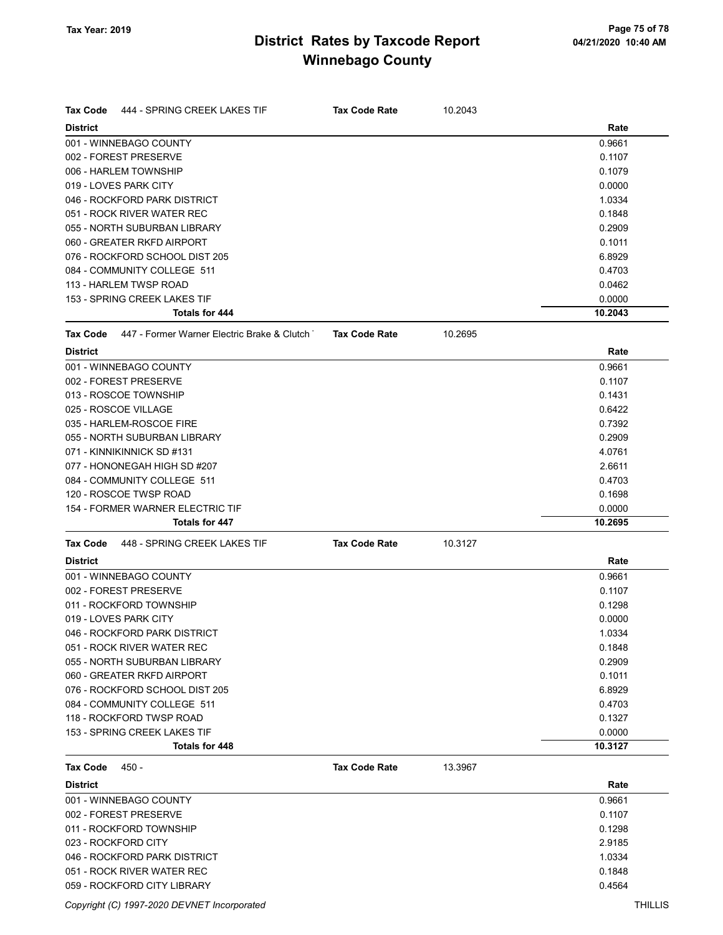| <b>Tax Code</b><br><b>District</b> | 444 - SPRING CREEK LAKES TIF                | <b>Tax Code Rate</b> | 10.2043 | Rate    |
|------------------------------------|---------------------------------------------|----------------------|---------|---------|
|                                    | 001 - WINNEBAGO COUNTY                      |                      |         | 0.9661  |
|                                    | 002 - FOREST PRESERVE                       |                      |         | 0.1107  |
|                                    | 006 - HARLEM TOWNSHIP                       |                      |         | 0.1079  |
|                                    | 019 - LOVES PARK CITY                       |                      |         | 0.0000  |
|                                    | 046 - ROCKFORD PARK DISTRICT                |                      |         | 1.0334  |
|                                    | 051 - ROCK RIVER WATER REC                  |                      |         | 0.1848  |
|                                    | 055 - NORTH SUBURBAN LIBRARY                |                      |         | 0.2909  |
|                                    | 060 - GREATER RKFD AIRPORT                  |                      |         | 0.1011  |
|                                    | 076 - ROCKFORD SCHOOL DIST 205              |                      |         | 6.8929  |
|                                    | 084 - COMMUNITY COLLEGE 511                 |                      |         | 0.4703  |
|                                    | 113 - HARLEM TWSP ROAD                      |                      |         | 0.0462  |
|                                    | 153 - SPRING CREEK LAKES TIF                |                      |         | 0.0000  |
|                                    | Totals for 444                              |                      |         | 10.2043 |
| <b>Tax Code</b>                    | 447 - Former Warner Electric Brake & Clutch | <b>Tax Code Rate</b> | 10.2695 |         |
| <b>District</b>                    |                                             |                      |         | Rate    |
|                                    | 001 - WINNEBAGO COUNTY                      |                      |         | 0.9661  |
|                                    | 002 - FOREST PRESERVE                       |                      |         | 0.1107  |
|                                    | 013 - ROSCOE TOWNSHIP                       |                      |         | 0.1431  |
|                                    | 025 - ROSCOE VILLAGE                        |                      |         | 0.6422  |
|                                    | 035 - HARLEM-ROSCOE FIRE                    |                      |         | 0.7392  |
|                                    | 055 - NORTH SUBURBAN LIBRARY                |                      |         | 0.2909  |
|                                    | 071 - KINNIKINNICK SD #131                  |                      |         | 4.0761  |
|                                    | 077 - HONONEGAH HIGH SD #207                |                      |         | 2.6611  |
|                                    | 084 - COMMUNITY COLLEGE 511                 |                      |         | 0.4703  |
|                                    | 120 - ROSCOE TWSP ROAD                      |                      |         | 0.1698  |
|                                    | 154 - FORMER WARNER ELECTRIC TIF            |                      |         | 0.0000  |
|                                    | Totals for 447                              |                      |         | 10.2695 |
| <b>Tax Code</b>                    | 448 - SPRING CREEK LAKES TIF                | <b>Tax Code Rate</b> | 10.3127 |         |
| <b>District</b>                    |                                             |                      |         | Rate    |
|                                    | 001 - WINNEBAGO COUNTY                      |                      |         | 0.9661  |
|                                    | 002 - FOREST PRESERVE                       |                      |         | 0.1107  |
|                                    | 011 - ROCKFORD TOWNSHIP                     |                      |         | 0.1298  |
|                                    | 019 - LOVES PARK CITY                       |                      |         | 0.0000  |
|                                    | 046 - ROCKFORD PARK DISTRICT                |                      |         | 1.0334  |
|                                    | 051 - ROCK RIVER WATER REC                  |                      |         | 0.1848  |
|                                    | 055 - NORTH SUBURBAN LIBRARY                |                      |         | 0.2909  |
|                                    | 060 - GREATER RKFD AIRPORT                  |                      |         | 0.1011  |
|                                    | 076 - ROCKFORD SCHOOL DIST 205              |                      |         | 6.8929  |
|                                    | 084 - COMMUNITY COLLEGE 511                 |                      |         | 0.4703  |
|                                    | 118 - ROCKFORD TWSP ROAD                    |                      |         | 0.1327  |
|                                    | 153 - SPRING CREEK LAKES TIF                |                      |         | 0.0000  |
|                                    | Totals for 448                              |                      |         | 10.3127 |
| Tax Code                           | 450 -                                       | <b>Tax Code Rate</b> | 13.3967 |         |
| <b>District</b>                    |                                             |                      |         | Rate    |
|                                    | 001 - WINNEBAGO COUNTY                      |                      |         | 0.9661  |
|                                    | 002 - FOREST PRESERVE                       |                      |         | 0.1107  |
|                                    | 011 - ROCKFORD TOWNSHIP                     |                      |         | 0.1298  |
|                                    | 023 - ROCKFORD CITY                         |                      |         | 2.9185  |
|                                    | 046 - ROCKFORD PARK DISTRICT                |                      |         | 1.0334  |
|                                    | 051 - ROCK RIVER WATER REC                  |                      |         | 0.1848  |

059 - ROCKFORD CITY LIBRARY 0.4564

Copyright (C) 1997-2020 DEVNET Incorporated THILLIS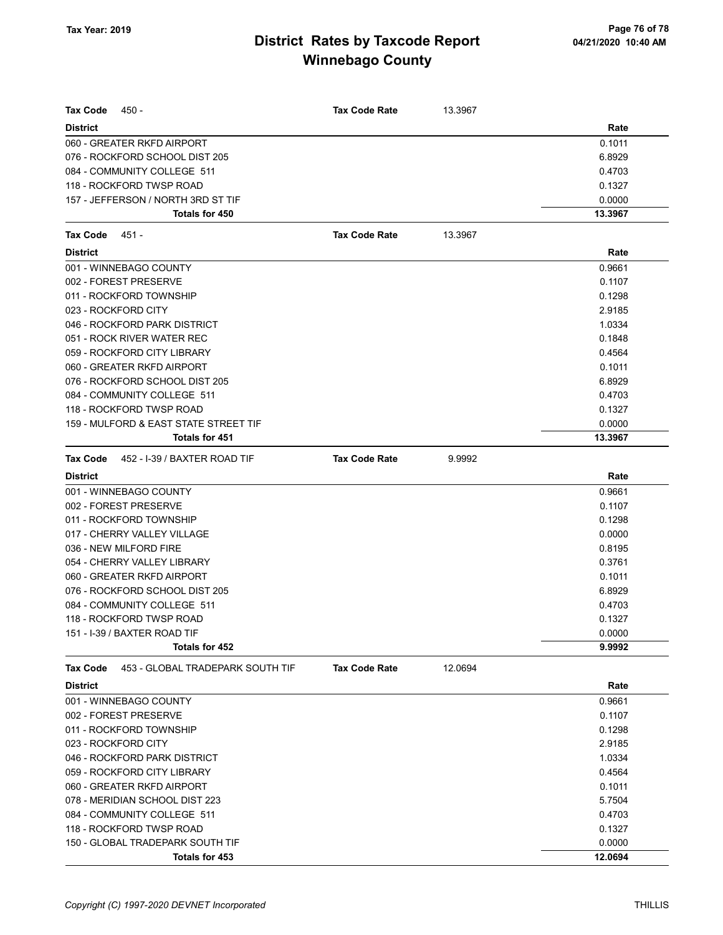| Tax Code<br>450 -                                   | <b>Tax Code Rate</b> | 13.3967 |         |
|-----------------------------------------------------|----------------------|---------|---------|
| <b>District</b>                                     |                      |         | Rate    |
| 060 - GREATER RKFD AIRPORT                          |                      |         | 0.1011  |
| 076 - ROCKFORD SCHOOL DIST 205                      |                      |         | 6.8929  |
| 084 - COMMUNITY COLLEGE 511                         |                      |         | 0.4703  |
| 118 - ROCKFORD TWSP ROAD                            |                      |         | 0.1327  |
| 157 - JEFFERSON / NORTH 3RD ST TIF                  |                      |         | 0.0000  |
| Totals for 450                                      |                      |         | 13.3967 |
| Tax Code<br>451 -                                   | <b>Tax Code Rate</b> | 13.3967 |         |
| <b>District</b>                                     |                      |         | Rate    |
| 001 - WINNEBAGO COUNTY                              |                      |         | 0.9661  |
| 002 - FOREST PRESERVE                               |                      |         | 0.1107  |
| 011 - ROCKFORD TOWNSHIP                             |                      |         | 0.1298  |
| 023 - ROCKFORD CITY                                 |                      |         | 2.9185  |
| 046 - ROCKFORD PARK DISTRICT                        |                      |         | 1.0334  |
| 051 - ROCK RIVER WATER REC                          |                      |         | 0.1848  |
| 059 - ROCKFORD CITY LIBRARY                         |                      |         | 0.4564  |
| 060 - GREATER RKFD AIRPORT                          |                      |         | 0.1011  |
| 076 - ROCKFORD SCHOOL DIST 205                      |                      |         | 6.8929  |
| 084 - COMMUNITY COLLEGE 511                         |                      |         | 0.4703  |
| 118 - ROCKFORD TWSP ROAD                            |                      |         | 0.1327  |
| 159 - MULFORD & EAST STATE STREET TIF               |                      |         | 0.0000  |
| Totals for 451                                      |                      |         | 13.3967 |
| <b>Tax Code</b><br>452 - I-39 / BAXTER ROAD TIF     | <b>Tax Code Rate</b> | 9.9992  |         |
| <b>District</b>                                     |                      |         | Rate    |
| 001 - WINNEBAGO COUNTY                              |                      |         | 0.9661  |
| 002 - FOREST PRESERVE                               |                      |         | 0.1107  |
| 011 - ROCKFORD TOWNSHIP                             |                      |         | 0.1298  |
| 017 - CHERRY VALLEY VILLAGE                         |                      |         | 0.0000  |
| 036 - NEW MILFORD FIRE                              |                      |         | 0.8195  |
| 054 - CHERRY VALLEY LIBRARY                         |                      |         | 0.3761  |
| 060 - GREATER RKFD AIRPORT                          |                      |         | 0.1011  |
| 076 - ROCKFORD SCHOOL DIST 205                      |                      |         | 6.8929  |
| 084 - COMMUNITY COLLEGE 511                         |                      |         | 0.4703  |
| 118 - ROCKFORD TWSP ROAD                            |                      |         | 0.1327  |
| 151 - I-39 / BAXTER ROAD TIF                        |                      |         | 0.0000  |
| Totals for 452                                      |                      |         | 9.9992  |
| <b>Tax Code</b><br>453 - GLOBAL TRADEPARK SOUTH TIF | <b>Tax Code Rate</b> | 12.0694 |         |
| <b>District</b>                                     |                      |         | Rate    |
| 001 - WINNEBAGO COUNTY                              |                      |         | 0.9661  |
| 002 - FOREST PRESERVE                               |                      |         | 0.1107  |
| 011 - ROCKFORD TOWNSHIP                             |                      |         | 0.1298  |
| 023 - ROCKFORD CITY                                 |                      |         | 2.9185  |
| 046 - ROCKFORD PARK DISTRICT                        |                      |         | 1.0334  |
| 059 - ROCKFORD CITY LIBRARY                         |                      |         | 0.4564  |
| 060 - GREATER RKFD AIRPORT                          |                      |         | 0.1011  |
| 078 - MERIDIAN SCHOOL DIST 223                      |                      |         | 5.7504  |
| 084 - COMMUNITY COLLEGE 511                         |                      |         | 0.4703  |
| 118 - ROCKFORD TWSP ROAD                            |                      |         | 0.1327  |
| 150 - GLOBAL TRADEPARK SOUTH TIF                    |                      |         | 0.0000  |
| Totals for 453                                      |                      |         | 12.0694 |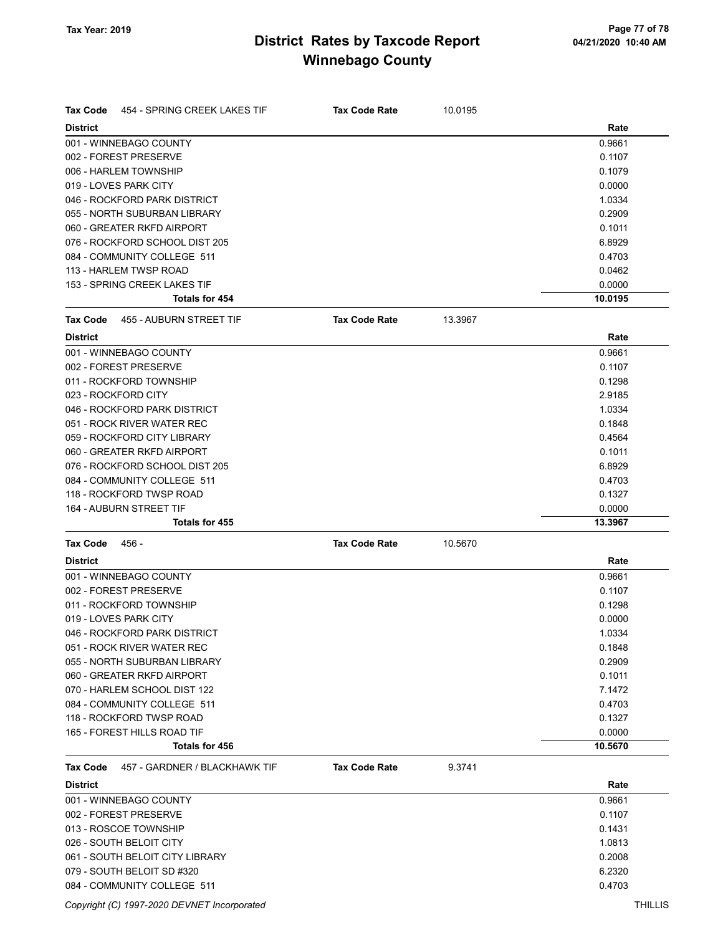| <b>District</b><br>Rate<br>001 - WINNEBAGO COUNTY<br>0.9661<br>002 - FOREST PRESERVE<br>0.1107<br>0.1079<br>006 - HARLEM TOWNSHIP<br>019 - LOVES PARK CITY<br>0.0000<br>046 - ROCKFORD PARK DISTRICT<br>1.0334<br>0.2909<br>055 - NORTH SUBURBAN LIBRARY<br>060 - GREATER RKFD AIRPORT<br>0.1011<br>076 - ROCKFORD SCHOOL DIST 205<br>6.8929<br>084 - COMMUNITY COLLEGE 511<br>0.4703<br>113 - HARLEM TWSP ROAD<br>0.0462<br>153 - SPRING CREEK LAKES TIF<br>0.0000<br><b>Totals for 454</b><br>10.0195<br><b>Tax Code</b><br>455 - AUBURN STREET TIF<br><b>Tax Code Rate</b><br>13.3967<br><b>District</b><br>Rate<br>001 - WINNEBAGO COUNTY<br>0.9661<br>002 - FOREST PRESERVE<br>0.1107<br>011 - ROCKFORD TOWNSHIP<br>0.1298<br>023 - ROCKFORD CITY<br>2.9185<br>046 - ROCKFORD PARK DISTRICT<br>1.0334<br>051 - ROCK RIVER WATER REC<br>0.1848<br>059 - ROCKFORD CITY LIBRARY<br>0.4564<br>060 - GREATER RKFD AIRPORT<br>0.1011<br>076 - ROCKFORD SCHOOL DIST 205<br>6.8929<br>084 - COMMUNITY COLLEGE 511<br>0.4703<br>118 - ROCKFORD TWSP ROAD<br>0.1327<br>164 - AUBURN STREET TIF<br>0.0000<br><b>Totals for 455</b><br>13.3967<br><b>Tax Code Rate</b><br>Tax Code<br>456 -<br>10.5670<br><b>District</b><br>Rate<br>001 - WINNEBAGO COUNTY<br>0.9661<br>002 - FOREST PRESERVE<br>0.1107<br>011 - ROCKFORD TOWNSHIP<br>0.1298<br>019 - LOVES PARK CITY<br>0.0000<br>046 - ROCKFORD PARK DISTRICT<br>1.0334<br>0.1848<br>051 - ROCK RIVER WATER REC<br>0.2909<br>055 - NORTH SUBURBAN LIBRARY<br>060 - GREATER RKFD AIRPORT<br>0.1011<br>070 - HARLEM SCHOOL DIST 122<br>7.1472<br>084 - COMMUNITY COLLEGE 511<br>0.4703<br>118 - ROCKFORD TWSP ROAD<br>0.1327<br>165 - FOREST HILLS ROAD TIF<br>0.0000<br>Totals for 456<br>10.5670<br>457 - GARDNER / BLACKHAWK TIF<br>9.3741<br><b>Tax Code</b><br><b>Tax Code Rate</b><br><b>District</b><br>Rate<br>001 - WINNEBAGO COUNTY<br>0.9661<br>002 - FOREST PRESERVE<br>0.1107<br>013 - ROSCOE TOWNSHIP<br>0.1431<br>026 - SOUTH BELOIT CITY<br>1.0813<br>061 - SOUTH BELOIT CITY LIBRARY<br>0.2008<br>079 - SOUTH BELOIT SD #320<br>6.2320<br>084 - COMMUNITY COLLEGE 511<br>0.4703 |                                                 |                      |         |  |
|--------------------------------------------------------------------------------------------------------------------------------------------------------------------------------------------------------------------------------------------------------------------------------------------------------------------------------------------------------------------------------------------------------------------------------------------------------------------------------------------------------------------------------------------------------------------------------------------------------------------------------------------------------------------------------------------------------------------------------------------------------------------------------------------------------------------------------------------------------------------------------------------------------------------------------------------------------------------------------------------------------------------------------------------------------------------------------------------------------------------------------------------------------------------------------------------------------------------------------------------------------------------------------------------------------------------------------------------------------------------------------------------------------------------------------------------------------------------------------------------------------------------------------------------------------------------------------------------------------------------------------------------------------------------------------------------------------------------------------------------------------------------------------------------------------------------------------------------------------------------------------------------------------------------------------------------------------------------------------------------------------------------------------------------------------------------------------------------------------------------------------------------|-------------------------------------------------|----------------------|---------|--|
|                                                                                                                                                                                                                                                                                                                                                                                                                                                                                                                                                                                                                                                                                                                                                                                                                                                                                                                                                                                                                                                                                                                                                                                                                                                                                                                                                                                                                                                                                                                                                                                                                                                                                                                                                                                                                                                                                                                                                                                                                                                                                                                                            | <b>Tax Code</b><br>454 - SPRING CREEK LAKES TIF | <b>Tax Code Rate</b> | 10.0195 |  |
|                                                                                                                                                                                                                                                                                                                                                                                                                                                                                                                                                                                                                                                                                                                                                                                                                                                                                                                                                                                                                                                                                                                                                                                                                                                                                                                                                                                                                                                                                                                                                                                                                                                                                                                                                                                                                                                                                                                                                                                                                                                                                                                                            |                                                 |                      |         |  |
|                                                                                                                                                                                                                                                                                                                                                                                                                                                                                                                                                                                                                                                                                                                                                                                                                                                                                                                                                                                                                                                                                                                                                                                                                                                                                                                                                                                                                                                                                                                                                                                                                                                                                                                                                                                                                                                                                                                                                                                                                                                                                                                                            |                                                 |                      |         |  |
|                                                                                                                                                                                                                                                                                                                                                                                                                                                                                                                                                                                                                                                                                                                                                                                                                                                                                                                                                                                                                                                                                                                                                                                                                                                                                                                                                                                                                                                                                                                                                                                                                                                                                                                                                                                                                                                                                                                                                                                                                                                                                                                                            |                                                 |                      |         |  |
|                                                                                                                                                                                                                                                                                                                                                                                                                                                                                                                                                                                                                                                                                                                                                                                                                                                                                                                                                                                                                                                                                                                                                                                                                                                                                                                                                                                                                                                                                                                                                                                                                                                                                                                                                                                                                                                                                                                                                                                                                                                                                                                                            |                                                 |                      |         |  |
|                                                                                                                                                                                                                                                                                                                                                                                                                                                                                                                                                                                                                                                                                                                                                                                                                                                                                                                                                                                                                                                                                                                                                                                                                                                                                                                                                                                                                                                                                                                                                                                                                                                                                                                                                                                                                                                                                                                                                                                                                                                                                                                                            |                                                 |                      |         |  |
|                                                                                                                                                                                                                                                                                                                                                                                                                                                                                                                                                                                                                                                                                                                                                                                                                                                                                                                                                                                                                                                                                                                                                                                                                                                                                                                                                                                                                                                                                                                                                                                                                                                                                                                                                                                                                                                                                                                                                                                                                                                                                                                                            |                                                 |                      |         |  |
|                                                                                                                                                                                                                                                                                                                                                                                                                                                                                                                                                                                                                                                                                                                                                                                                                                                                                                                                                                                                                                                                                                                                                                                                                                                                                                                                                                                                                                                                                                                                                                                                                                                                                                                                                                                                                                                                                                                                                                                                                                                                                                                                            |                                                 |                      |         |  |
|                                                                                                                                                                                                                                                                                                                                                                                                                                                                                                                                                                                                                                                                                                                                                                                                                                                                                                                                                                                                                                                                                                                                                                                                                                                                                                                                                                                                                                                                                                                                                                                                                                                                                                                                                                                                                                                                                                                                                                                                                                                                                                                                            |                                                 |                      |         |  |
|                                                                                                                                                                                                                                                                                                                                                                                                                                                                                                                                                                                                                                                                                                                                                                                                                                                                                                                                                                                                                                                                                                                                                                                                                                                                                                                                                                                                                                                                                                                                                                                                                                                                                                                                                                                                                                                                                                                                                                                                                                                                                                                                            |                                                 |                      |         |  |
|                                                                                                                                                                                                                                                                                                                                                                                                                                                                                                                                                                                                                                                                                                                                                                                                                                                                                                                                                                                                                                                                                                                                                                                                                                                                                                                                                                                                                                                                                                                                                                                                                                                                                                                                                                                                                                                                                                                                                                                                                                                                                                                                            |                                                 |                      |         |  |
|                                                                                                                                                                                                                                                                                                                                                                                                                                                                                                                                                                                                                                                                                                                                                                                                                                                                                                                                                                                                                                                                                                                                                                                                                                                                                                                                                                                                                                                                                                                                                                                                                                                                                                                                                                                                                                                                                                                                                                                                                                                                                                                                            |                                                 |                      |         |  |
|                                                                                                                                                                                                                                                                                                                                                                                                                                                                                                                                                                                                                                                                                                                                                                                                                                                                                                                                                                                                                                                                                                                                                                                                                                                                                                                                                                                                                                                                                                                                                                                                                                                                                                                                                                                                                                                                                                                                                                                                                                                                                                                                            |                                                 |                      |         |  |
|                                                                                                                                                                                                                                                                                                                                                                                                                                                                                                                                                                                                                                                                                                                                                                                                                                                                                                                                                                                                                                                                                                                                                                                                                                                                                                                                                                                                                                                                                                                                                                                                                                                                                                                                                                                                                                                                                                                                                                                                                                                                                                                                            |                                                 |                      |         |  |
|                                                                                                                                                                                                                                                                                                                                                                                                                                                                                                                                                                                                                                                                                                                                                                                                                                                                                                                                                                                                                                                                                                                                                                                                                                                                                                                                                                                                                                                                                                                                                                                                                                                                                                                                                                                                                                                                                                                                                                                                                                                                                                                                            |                                                 |                      |         |  |
|                                                                                                                                                                                                                                                                                                                                                                                                                                                                                                                                                                                                                                                                                                                                                                                                                                                                                                                                                                                                                                                                                                                                                                                                                                                                                                                                                                                                                                                                                                                                                                                                                                                                                                                                                                                                                                                                                                                                                                                                                                                                                                                                            |                                                 |                      |         |  |
|                                                                                                                                                                                                                                                                                                                                                                                                                                                                                                                                                                                                                                                                                                                                                                                                                                                                                                                                                                                                                                                                                                                                                                                                                                                                                                                                                                                                                                                                                                                                                                                                                                                                                                                                                                                                                                                                                                                                                                                                                                                                                                                                            |                                                 |                      |         |  |
|                                                                                                                                                                                                                                                                                                                                                                                                                                                                                                                                                                                                                                                                                                                                                                                                                                                                                                                                                                                                                                                                                                                                                                                                                                                                                                                                                                                                                                                                                                                                                                                                                                                                                                                                                                                                                                                                                                                                                                                                                                                                                                                                            |                                                 |                      |         |  |
|                                                                                                                                                                                                                                                                                                                                                                                                                                                                                                                                                                                                                                                                                                                                                                                                                                                                                                                                                                                                                                                                                                                                                                                                                                                                                                                                                                                                                                                                                                                                                                                                                                                                                                                                                                                                                                                                                                                                                                                                                                                                                                                                            |                                                 |                      |         |  |
|                                                                                                                                                                                                                                                                                                                                                                                                                                                                                                                                                                                                                                                                                                                                                                                                                                                                                                                                                                                                                                                                                                                                                                                                                                                                                                                                                                                                                                                                                                                                                                                                                                                                                                                                                                                                                                                                                                                                                                                                                                                                                                                                            |                                                 |                      |         |  |
|                                                                                                                                                                                                                                                                                                                                                                                                                                                                                                                                                                                                                                                                                                                                                                                                                                                                                                                                                                                                                                                                                                                                                                                                                                                                                                                                                                                                                                                                                                                                                                                                                                                                                                                                                                                                                                                                                                                                                                                                                                                                                                                                            |                                                 |                      |         |  |
|                                                                                                                                                                                                                                                                                                                                                                                                                                                                                                                                                                                                                                                                                                                                                                                                                                                                                                                                                                                                                                                                                                                                                                                                                                                                                                                                                                                                                                                                                                                                                                                                                                                                                                                                                                                                                                                                                                                                                                                                                                                                                                                                            |                                                 |                      |         |  |
|                                                                                                                                                                                                                                                                                                                                                                                                                                                                                                                                                                                                                                                                                                                                                                                                                                                                                                                                                                                                                                                                                                                                                                                                                                                                                                                                                                                                                                                                                                                                                                                                                                                                                                                                                                                                                                                                                                                                                                                                                                                                                                                                            |                                                 |                      |         |  |
|                                                                                                                                                                                                                                                                                                                                                                                                                                                                                                                                                                                                                                                                                                                                                                                                                                                                                                                                                                                                                                                                                                                                                                                                                                                                                                                                                                                                                                                                                                                                                                                                                                                                                                                                                                                                                                                                                                                                                                                                                                                                                                                                            |                                                 |                      |         |  |
|                                                                                                                                                                                                                                                                                                                                                                                                                                                                                                                                                                                                                                                                                                                                                                                                                                                                                                                                                                                                                                                                                                                                                                                                                                                                                                                                                                                                                                                                                                                                                                                                                                                                                                                                                                                                                                                                                                                                                                                                                                                                                                                                            |                                                 |                      |         |  |
|                                                                                                                                                                                                                                                                                                                                                                                                                                                                                                                                                                                                                                                                                                                                                                                                                                                                                                                                                                                                                                                                                                                                                                                                                                                                                                                                                                                                                                                                                                                                                                                                                                                                                                                                                                                                                                                                                                                                                                                                                                                                                                                                            |                                                 |                      |         |  |
|                                                                                                                                                                                                                                                                                                                                                                                                                                                                                                                                                                                                                                                                                                                                                                                                                                                                                                                                                                                                                                                                                                                                                                                                                                                                                                                                                                                                                                                                                                                                                                                                                                                                                                                                                                                                                                                                                                                                                                                                                                                                                                                                            |                                                 |                      |         |  |
|                                                                                                                                                                                                                                                                                                                                                                                                                                                                                                                                                                                                                                                                                                                                                                                                                                                                                                                                                                                                                                                                                                                                                                                                                                                                                                                                                                                                                                                                                                                                                                                                                                                                                                                                                                                                                                                                                                                                                                                                                                                                                                                                            |                                                 |                      |         |  |
|                                                                                                                                                                                                                                                                                                                                                                                                                                                                                                                                                                                                                                                                                                                                                                                                                                                                                                                                                                                                                                                                                                                                                                                                                                                                                                                                                                                                                                                                                                                                                                                                                                                                                                                                                                                                                                                                                                                                                                                                                                                                                                                                            |                                                 |                      |         |  |
|                                                                                                                                                                                                                                                                                                                                                                                                                                                                                                                                                                                                                                                                                                                                                                                                                                                                                                                                                                                                                                                                                                                                                                                                                                                                                                                                                                                                                                                                                                                                                                                                                                                                                                                                                                                                                                                                                                                                                                                                                                                                                                                                            |                                                 |                      |         |  |
|                                                                                                                                                                                                                                                                                                                                                                                                                                                                                                                                                                                                                                                                                                                                                                                                                                                                                                                                                                                                                                                                                                                                                                                                                                                                                                                                                                                                                                                                                                                                                                                                                                                                                                                                                                                                                                                                                                                                                                                                                                                                                                                                            |                                                 |                      |         |  |
|                                                                                                                                                                                                                                                                                                                                                                                                                                                                                                                                                                                                                                                                                                                                                                                                                                                                                                                                                                                                                                                                                                                                                                                                                                                                                                                                                                                                                                                                                                                                                                                                                                                                                                                                                                                                                                                                                                                                                                                                                                                                                                                                            |                                                 |                      |         |  |
|                                                                                                                                                                                                                                                                                                                                                                                                                                                                                                                                                                                                                                                                                                                                                                                                                                                                                                                                                                                                                                                                                                                                                                                                                                                                                                                                                                                                                                                                                                                                                                                                                                                                                                                                                                                                                                                                                                                                                                                                                                                                                                                                            |                                                 |                      |         |  |
|                                                                                                                                                                                                                                                                                                                                                                                                                                                                                                                                                                                                                                                                                                                                                                                                                                                                                                                                                                                                                                                                                                                                                                                                                                                                                                                                                                                                                                                                                                                                                                                                                                                                                                                                                                                                                                                                                                                                                                                                                                                                                                                                            |                                                 |                      |         |  |
|                                                                                                                                                                                                                                                                                                                                                                                                                                                                                                                                                                                                                                                                                                                                                                                                                                                                                                                                                                                                                                                                                                                                                                                                                                                                                                                                                                                                                                                                                                                                                                                                                                                                                                                                                                                                                                                                                                                                                                                                                                                                                                                                            |                                                 |                      |         |  |
|                                                                                                                                                                                                                                                                                                                                                                                                                                                                                                                                                                                                                                                                                                                                                                                                                                                                                                                                                                                                                                                                                                                                                                                                                                                                                                                                                                                                                                                                                                                                                                                                                                                                                                                                                                                                                                                                                                                                                                                                                                                                                                                                            |                                                 |                      |         |  |
|                                                                                                                                                                                                                                                                                                                                                                                                                                                                                                                                                                                                                                                                                                                                                                                                                                                                                                                                                                                                                                                                                                                                                                                                                                                                                                                                                                                                                                                                                                                                                                                                                                                                                                                                                                                                                                                                                                                                                                                                                                                                                                                                            |                                                 |                      |         |  |
|                                                                                                                                                                                                                                                                                                                                                                                                                                                                                                                                                                                                                                                                                                                                                                                                                                                                                                                                                                                                                                                                                                                                                                                                                                                                                                                                                                                                                                                                                                                                                                                                                                                                                                                                                                                                                                                                                                                                                                                                                                                                                                                                            |                                                 |                      |         |  |
|                                                                                                                                                                                                                                                                                                                                                                                                                                                                                                                                                                                                                                                                                                                                                                                                                                                                                                                                                                                                                                                                                                                                                                                                                                                                                                                                                                                                                                                                                                                                                                                                                                                                                                                                                                                                                                                                                                                                                                                                                                                                                                                                            |                                                 |                      |         |  |
|                                                                                                                                                                                                                                                                                                                                                                                                                                                                                                                                                                                                                                                                                                                                                                                                                                                                                                                                                                                                                                                                                                                                                                                                                                                                                                                                                                                                                                                                                                                                                                                                                                                                                                                                                                                                                                                                                                                                                                                                                                                                                                                                            |                                                 |                      |         |  |
|                                                                                                                                                                                                                                                                                                                                                                                                                                                                                                                                                                                                                                                                                                                                                                                                                                                                                                                                                                                                                                                                                                                                                                                                                                                                                                                                                                                                                                                                                                                                                                                                                                                                                                                                                                                                                                                                                                                                                                                                                                                                                                                                            |                                                 |                      |         |  |
|                                                                                                                                                                                                                                                                                                                                                                                                                                                                                                                                                                                                                                                                                                                                                                                                                                                                                                                                                                                                                                                                                                                                                                                                                                                                                                                                                                                                                                                                                                                                                                                                                                                                                                                                                                                                                                                                                                                                                                                                                                                                                                                                            |                                                 |                      |         |  |
|                                                                                                                                                                                                                                                                                                                                                                                                                                                                                                                                                                                                                                                                                                                                                                                                                                                                                                                                                                                                                                                                                                                                                                                                                                                                                                                                                                                                                                                                                                                                                                                                                                                                                                                                                                                                                                                                                                                                                                                                                                                                                                                                            |                                                 |                      |         |  |
|                                                                                                                                                                                                                                                                                                                                                                                                                                                                                                                                                                                                                                                                                                                                                                                                                                                                                                                                                                                                                                                                                                                                                                                                                                                                                                                                                                                                                                                                                                                                                                                                                                                                                                                                                                                                                                                                                                                                                                                                                                                                                                                                            |                                                 |                      |         |  |
|                                                                                                                                                                                                                                                                                                                                                                                                                                                                                                                                                                                                                                                                                                                                                                                                                                                                                                                                                                                                                                                                                                                                                                                                                                                                                                                                                                                                                                                                                                                                                                                                                                                                                                                                                                                                                                                                                                                                                                                                                                                                                                                                            |                                                 |                      |         |  |
|                                                                                                                                                                                                                                                                                                                                                                                                                                                                                                                                                                                                                                                                                                                                                                                                                                                                                                                                                                                                                                                                                                                                                                                                                                                                                                                                                                                                                                                                                                                                                                                                                                                                                                                                                                                                                                                                                                                                                                                                                                                                                                                                            |                                                 |                      |         |  |
|                                                                                                                                                                                                                                                                                                                                                                                                                                                                                                                                                                                                                                                                                                                                                                                                                                                                                                                                                                                                                                                                                                                                                                                                                                                                                                                                                                                                                                                                                                                                                                                                                                                                                                                                                                                                                                                                                                                                                                                                                                                                                                                                            |                                                 |                      |         |  |
|                                                                                                                                                                                                                                                                                                                                                                                                                                                                                                                                                                                                                                                                                                                                                                                                                                                                                                                                                                                                                                                                                                                                                                                                                                                                                                                                                                                                                                                                                                                                                                                                                                                                                                                                                                                                                                                                                                                                                                                                                                                                                                                                            |                                                 |                      |         |  |
|                                                                                                                                                                                                                                                                                                                                                                                                                                                                                                                                                                                                                                                                                                                                                                                                                                                                                                                                                                                                                                                                                                                                                                                                                                                                                                                                                                                                                                                                                                                                                                                                                                                                                                                                                                                                                                                                                                                                                                                                                                                                                                                                            |                                                 |                      |         |  |
|                                                                                                                                                                                                                                                                                                                                                                                                                                                                                                                                                                                                                                                                                                                                                                                                                                                                                                                                                                                                                                                                                                                                                                                                                                                                                                                                                                                                                                                                                                                                                                                                                                                                                                                                                                                                                                                                                                                                                                                                                                                                                                                                            |                                                 |                      |         |  |
|                                                                                                                                                                                                                                                                                                                                                                                                                                                                                                                                                                                                                                                                                                                                                                                                                                                                                                                                                                                                                                                                                                                                                                                                                                                                                                                                                                                                                                                                                                                                                                                                                                                                                                                                                                                                                                                                                                                                                                                                                                                                                                                                            |                                                 |                      |         |  |
|                                                                                                                                                                                                                                                                                                                                                                                                                                                                                                                                                                                                                                                                                                                                                                                                                                                                                                                                                                                                                                                                                                                                                                                                                                                                                                                                                                                                                                                                                                                                                                                                                                                                                                                                                                                                                                                                                                                                                                                                                                                                                                                                            |                                                 |                      |         |  |
|                                                                                                                                                                                                                                                                                                                                                                                                                                                                                                                                                                                                                                                                                                                                                                                                                                                                                                                                                                                                                                                                                                                                                                                                                                                                                                                                                                                                                                                                                                                                                                                                                                                                                                                                                                                                                                                                                                                                                                                                                                                                                                                                            |                                                 |                      |         |  |